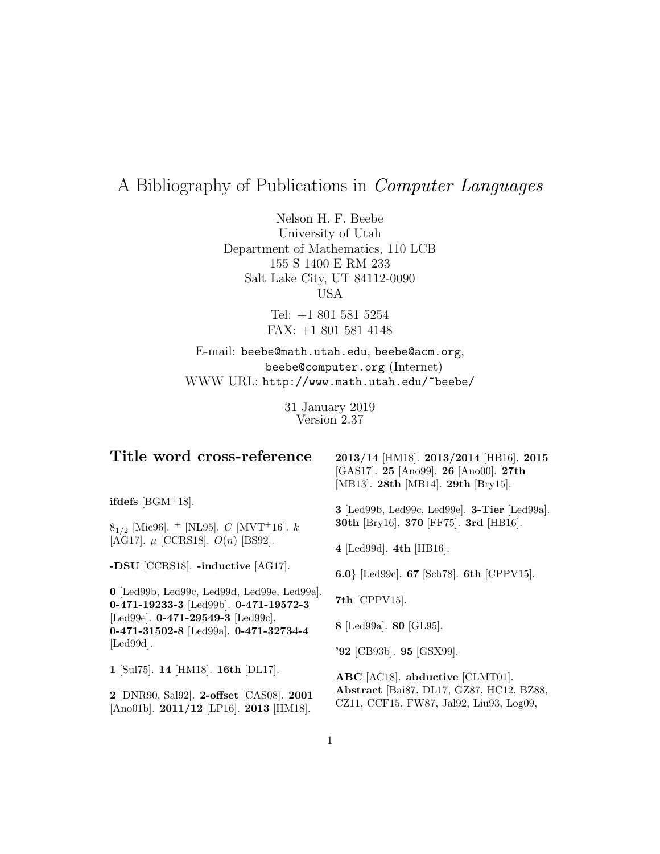# A Bibliography of Publications in Computer Languages

Nelson H. F. Beebe University of Utah Department of Mathematics, 110 LCB 155 S 1400 E RM 233 Salt Lake City, UT 84112-0090 USA

> Tel: +1 801 581 5254 FAX: +1 801 581 4148

E-mail: beebe@math.utah.edu, beebe@acm.org, beebe@computer.org (Internet) WWW URL: http://www.math.utah.edu/~beebe/

> 31 January 2019 Version 2.37

| 2013/14 [HM18]. 2013/2014 [HB16]. 2015<br>[GAS17]. 25 [Ano99]. 26 [Ano00]. 27th<br>[MB13]. 28th [MB14]. 29th [Bry15]. |
|-----------------------------------------------------------------------------------------------------------------------|
| 3 [Led99b, Led99c, Led99e]. 3-Tier [Led99a].<br>30th [Bry16]. 370 [FF75]. 3rd [HB16].                                 |
| 4 [Led99d]. 4th [HB16].                                                                                               |
| 6.0} [Led99c]. 67 [Sch78]. 6th [CPPV15].                                                                              |
| $7th$ [CPPV15].                                                                                                       |
| 8 [Led99a]. 80 [GL95].                                                                                                |
| '92 [CB93b]. 95 [GSX99].                                                                                              |
| ABC [AC18]. abductive [CLMT01].                                                                                       |
| Abstract [Bai87, DL17, GZ87, HC12, BZ88,<br>CZ11, CCF15, FW87, Jal92, Liu93, Log09,                                   |
|                                                                                                                       |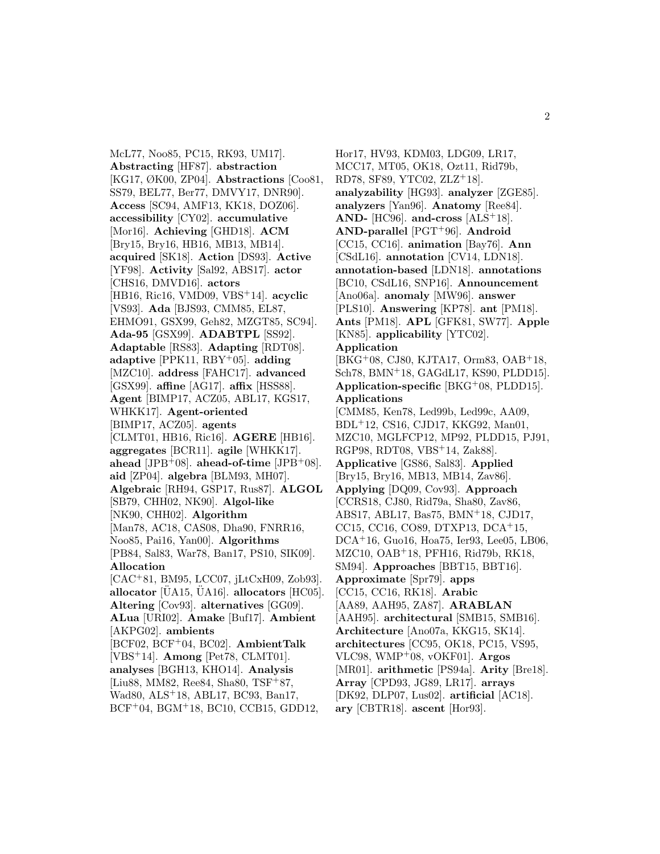McL77, Noo85, PC15, RK93, UM17]. **Abstracting** [HF87]. **abstraction** [KG17, ØK00, ZP04]. **Abstractions** [Coo81, SS79, BEL77, Ber77, DMVY17, DNR90]. **Access** [SC94, AMF13, KK18, DOZ06]. **accessibility** [CY02]. **accumulative** [Mor16]. **Achieving** [GHD18]. **ACM** [Bry15, Bry16, HB16, MB13, MB14]. **acquired** [SK18]. **Action** [DS93]. **Active** [YF98]. **Activity** [Sal92, ABS17]. **actor** [CHS16, DMVD16]. **actors** [HB16, Ric16, VMD09, VBS<sup>+</sup>14]. **acyclic** [VS93]. **Ada** [BJS93, CMM85, EL87, EHMO91, GSX99, Geh82, MZGT85, SC94]. **Ada-95** [GSX99]. **ADABTPL** [SS92]. **Adaptable** [RS83]. **Adapting** [RDT08]. **adaptive** [PPK11, RBY<sup>+</sup>05]. **adding** [MZC10]. **address** [FAHC17]. **advanced** [GSX99]. **affine** [AG17]. **affix** [HSS88]. **Agent** [BIMP17, ACZ05, ABL17, KGS17, WHKK17]. **Agent-oriented** [BIMP17, ACZ05]. **agents** [CLMT01, HB16, Ric16]. **AGERE** [HB16]. **aggregates** [BCR11]. **agile** [WHKK17]. **ahead** [JPB<sup>+</sup>08]. **ahead-of-time** [JPB<sup>+</sup>08]. **aid** [ZP04]. **algebra** [BLM93, MH07]. **Algebraic** [RH94, GSP17, Rus87]. **ALGOL** [SB79, CHH02, NK90]. **Algol-like** [NK90, CHH02]. **Algorithm** [Man78, AC18, CAS08, Dha90, FNRR16, Noo85, Pai16, Yan00]. **Algorithms** [PB84, Sal83, War78, Ban17, PS10, SIK09]. **Allocation** [CAC<sup>+</sup>81, BM95, LCC07, jLtCxH09, Zob93]. allocator  $[\text{UA15}, \text{UA16}]$ . allocators  $[\text{HC05}]$ . **Altering** [Cov93]. **alternatives** [GG09]. **ALua** [URI02]. **Amake** [Buf17]. **Ambient** [AKPG02]. **ambients** [BCF02, BCF<sup>+</sup>04, BC02]. **AmbientTalk** [VBS<sup>+</sup>14]. **Among** [Pet78, CLMT01]. **analyses** [BGH13, KHO14]. **Analysis** [Liu88, MM82, Ree84, Sha80,  $TSF+87$ , Wad80, ALS<sup>+</sup>18, ABL17, BC93, Ban17, BCF<sup>+</sup>04, BGM<sup>+</sup>18, BC10, CCB15, GDD12,

Hor17, HV93, KDM03, LDG09, LR17, MCC17, MT05, OK18, Ozt11, Rid79b, RD78, SF89, YTC02, ZLZ<sup>+</sup>18]. **analyzability** [HG93]. **analyzer** [ZGE85]. **analyzers** [Yan96]. **Anatomy** [Ree84]. **AND-** [HC96]. **and-cross** [ALS<sup>+</sup>18]. **AND-parallel** [PGT<sup>+</sup>96]. **Android** [CC15, CC16]. **animation** [Bay76]. **Ann** [CSdL16]. **annotation** [CV14, LDN18]. **annotation-based** [LDN18]. **annotations** [BC10, CSdL16, SNP16]. **Announcement** [Ano06a]. **anomaly** [MW96]. **answer** [PLS10]. **Answering** [KP78]. **ant** [PM18]. **Ants** [PM18]. **APL** [GFK81, SW77]. **Apple** [KN85]. **applicability** [YTC02]. **Application** [BKG<sup>+</sup>08, CJ80, KJTA17, Orm83, OAB<sup>+</sup>18, Sch78, BMN<sup>+</sup>18, GAGdL17, KS90, PLDD15]. **Application-specific** [BKG<sup>+</sup>08, PLDD15]. **Applications** [CMM85, Ken78, Led99b, Led99c, AA09, BDL<sup>+</sup>12, CS16, CJD17, KKG92, Man01, MZC10, MGLFCP12, MP92, PLDD15, PJ91, RGP98, RDT08, VBS<sup>+</sup>14, Zak88]. **Applicative** [GS86, Sal83]. **Applied** [Bry15, Bry16, MB13, MB14, Zav86]. **Applying** [DQ09, Cov93]. **Approach** [CCRS18, CJ80, Rid79a, Sha80, Zav86, ABS17, ABL17, Bas75, BMN<sup>+</sup>18, CJD17, CC15, CC16, CO89, DTXP13, DCA<sup>+</sup>15, DCA<sup>+</sup>16, Guo16, Hoa75, Ier93, Lee05, LB06, MZC10, OAB<sup>+</sup>18, PFH16, Rid79b, RK18, SM94]. **Approaches** [BBT15, BBT16]. **Approximate** [Spr79]. **apps** [CC15, CC16, RK18]. **Arabic** [AA89, AAH95, ZA87]. **ARABLAN** [AAH95]. **architectural** [SMB15, SMB16]. **Architecture** [Ano07a, KKG15, SK14]. **architectures** [CC95, OK18, PC15, VS95, VLC98, WMP<sup>+</sup>08, vOKF01]. **Argos** [MR01]. **arithmetic** [PS94a]. **Arity** [Bre18]. **Array** [CPD93, JG89, LR17]. **arrays** [DK92, DLP07, Lus02]. **artificial** [AC18]. **ary** [CBTR18]. **ascent** [Hor93].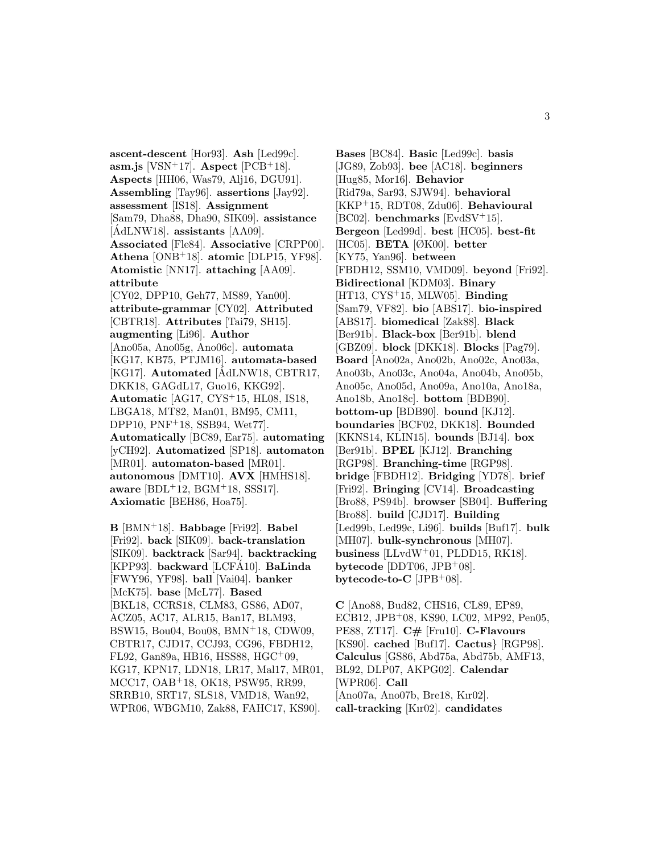**ascent-descent** [Hor93]. **Ash** [Led99c]. **asm.js** [VSN<sup>+</sup>17]. **Aspect**  $[PCB+18]$ . **Aspects** [HH06, Was79, Alj16, DGU91]. **Assembling** [Tay96]. **assertions** [Jay92]. **assessment** [IS18]. **Assignment** [Sam79, Dha88, Dha90, SIK09]. **assistance**  $[\text{AdLNW18}]$ . **assistants**  $[AA09]$ . **Associated** [Fle84]. **Associative** [CRPP00]. **Athena** [ONB<sup>+</sup>18]. **atomic** [DLP15, YF98]. **Atomistic** [NN17]. **attaching** [AA09]. **attribute** [CY02, DPP10, Geh77, MS89, Yan00]. **attribute-grammar** [CY02]. **Attributed** [CBTR18]. **Attributes** [Tai79, SH15]. **augmenting** [Li96]. **Author** [Ano05a, Ano05g, Ano06c]. **automata** [KG17, KB75, PTJM16]. **automata-based** [KG17]. **Automated** [AdLNW18, CBTR17, DKK18, GAGdL17, Guo16, KKG92]. **Automatic** [AG17, CYS<sup>+</sup>15, HL08, IS18, LBGA18, MT82, Man01, BM95, CM11, DPP10, PNF<sup>+</sup>18, SSB94, Wet77]. **Automatically** [BC89, Ear75]. **automating** [yCH92]. **Automatized** [SP18]. **automaton** [MR01]. **automaton-based** [MR01]. **autonomous** [DMT10]. **AVX** [HMHS18]. **aware** [BDL<sup>+</sup>12, BGM<sup>+</sup>18, SSS17]. **Axiomatic** [BEH86, Hoa75].

**B** [BMN<sup>+</sup>18]. **Babbage** [Fri92]. **Babel** [Fri92]. **back** [SIK09]. **back-translation** [SIK09]. **backtrack** [Sar94]. **backtracking** [KPP93]. **backward** [LCFA10]. ´ **BaLinda** [FWY96, YF98]. **ball** [Vai04]. **banker** [McK75]. **base** [McL77]. **Based** [BKL18, CCRS18, CLM83, GS86, AD07, ACZ05, AC17, ALR15, Ban17, BLM93, BSW15, Bou04, Bou08, BMN<sup>+</sup>18, CDW09, CBTR17, CJD17, CCJ93, CG96, FBDH12, FL92, Gan89a, HB16, HSS88, HGC<sup>+</sup>09, KG17, KPN17, LDN18, LR17, Mal17, MR01, MCC17, OAB<sup>+</sup>18, OK18, PSW95, RR99, SRRB10, SRT17, SLS18, VMD18, Wan92, WPR06, WBGM10, Zak88, FAHC17, KS90].

**Bases** [BC84]. **Basic** [Led99c]. **basis** [JG89, Zob93]. **bee** [AC18]. **beginners** [Hug85, Mor16]. **Behavior** [Rid79a, Sar93, SJW94]. **behavioral** [KKP<sup>+</sup>15, RDT08, Zdu06]. **Behavioural** [BC02]. **benchmarks** [EvdSV<sup>+</sup>15]. **Bergeon** [Led99d]. **best** [HC05]. **best-fit** [HC05]. **BETA** [ØK00]. **better** [KY75, Yan96]. **between** [FBDH12, SSM10, VMD09]. **beyond** [Fri92]. **Bidirectional** [KDM03]. **Binary** [HT13, CYS<sup>+</sup>15, MLW05]. **Binding** [Sam79, VF82]. **bio** [ABS17]. **bio-inspired** [ABS17]. **biomedical** [Zak88]. **Black** [Ber91b]. **Black-box** [Ber91b]. **blend** [GBZ09]. **block** [DKK18]. **Blocks** [Pag79]. **Board** [Ano02a, Ano02b, Ano02c, Ano03a, Ano03b, Ano03c, Ano04a, Ano04b, Ano05b, Ano05c, Ano05d, Ano09a, Ano10a, Ano18a, Ano18b, Ano18c]. **bottom** [BDB90]. **bottom-up** [BDB90]. **bound** [KJ12]. **boundaries** [BCF02, DKK18]. **Bounded** [KKNS14, KLIN15]. **bounds** [BJ14]. **box** [Ber91b]. **BPEL** [KJ12]. **Branching** [RGP98]. **Branching-time** [RGP98]. **bridge** [FBDH12]. **Bridging** [YD78]. **brief** [Fri92]. **Bringing** [CV14]. **Broadcasting** [Bro88, PS94b]. **browser** [SB04]. **Buffering** [Bro88]. **build** [CJD17]. **Building** [Led99b, Led99c, Li96]. **builds** [Buf17]. **bulk** [MH07]. **bulk-synchronous** [MH07]. **business** [LLvdW<sup>+</sup>01, PLDD15, RK18]. **bytecode** [DDT06, JPB<sup>+</sup>08]. **bytecode-to-C** [JPB<sup>+</sup>08].

**C** [Ano88, Bud82, CHS16, CL89, EP89, ECB12, JPB<sup>+</sup>08, KS90, LC02, MP92, Pen05, PE88, ZT17]. **C#** [Fru10]. **C-Flavours** [KS90]. **cached** [Buf17]. **Cactus**} [RGP98]. **Calculus** [GS86, Abd75a, Abd75b, AMF13, BL92, DLP07, AKPG02]. **Calendar** [WPR06]. **Call** [Ano07a, Ano07b, Bre18, Kır02]. **call-tracking** [Kır02]. **candidates**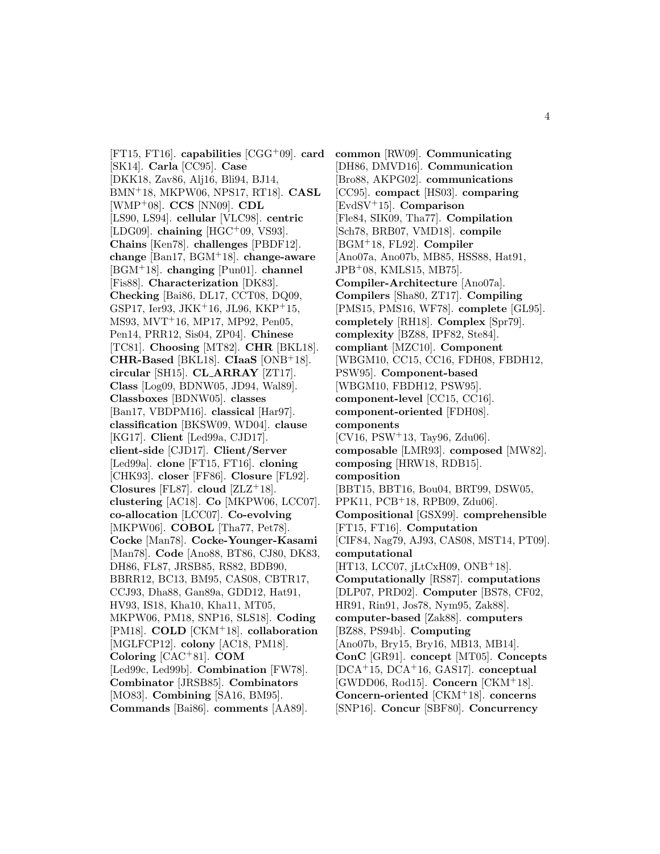[FT15, FT16]. **capabilities** [CGG<sup>+</sup>09]. **card** [SK14]. **Carla** [CC95]. **Case** [DKK18, Zav86, Alj16, Bli94, BJ14, BMN<sup>+</sup>18, MKPW06, NPS17, RT18]. **CASL** [WMP<sup>+</sup>08]. **CCS** [NN09]. **CDL** [LS90, LS94]. **cellular** [VLC98]. **centric** [LDG09]. **chaining** [HGC<sup>+</sup>09, VS93]. **Chains** [Ken78]. **challenges** [PBDF12]. **change** [Ban17, BGM<sup>+</sup>18]. **change-aware** [BGM<sup>+</sup>18]. **changing** [Pun01]. **channel** [Fis88]. **Characterization** [DK83]. **Checking** [Bai86, DL17, CCT08, DQ09, GSP17, Ier93, JKK<sup>+</sup>16, JL96, KKP<sup>+</sup>15, MS93, MVT<sup>+</sup>16, MP17, MP92, Pen05, Pen14, PRR12, Sis04, ZP04]. **Chinese** [TC81]. **Choosing** [MT82]. **CHR** [BKL18]. **CHR-Based** [BKL18]. **CIaaS** [ONB<sup>+</sup>18]. **circular** [SH15]. **CL ARRAY** [ZT17]. **Class** [Log09, BDNW05, JD94, Wal89]. **Classboxes** [BDNW05]. **classes** [Ban17, VBDPM16]. **classical** [Har97]. **classification** [BKSW09, WD04]. **clause** [KG17]. **Client** [Led99a, CJD17]. **client-side** [CJD17]. **Client/Server** [Led99a]. **clone** [FT15, FT16]. **cloning** [CHK93]. **closer** [FF86]. **Closure** [FL92]. **Closures** [FL87]. **cloud**  $[ZLZ+18]$ . **clustering** [AC18]. **Co** [MKPW06, LCC07]. **co-allocation** [LCC07]. **Co-evolving** [MKPW06]. **COBOL** [Tha77, Pet78]. **Cocke** [Man78]. **Cocke-Younger-Kasami** [Man78]. **Code** [Ano88, BT86, CJ80, DK83, DH86, FL87, JRSB85, RS82, BDB90, BBRR12, BC13, BM95, CAS08, CBTR17, CCJ93, Dha88, Gan89a, GDD12, Hat91, HV93, IS18, Kha10, Kha11, MT05, MKPW06, PM18, SNP16, SLS18]. **Coding** [PM18]. **COLD** [CKM<sup>+</sup>18]. **collaboration** [MGLFCP12]. **colony** [AC18, PM18]. **Coloring** [CAC<sup>+</sup>81]. **COM** [Led99c, Led99b]. **Combination** [FW78]. **Combinator** [JRSB85]. **Combinators** [MO83]. **Combining** [SA16, BM95]. **Commands** [Bai86]. **comments** [AA89].

**common** [RW09]. **Communicating** [DH86, DMVD16]. **Communication** [Bro88, AKPG02]. **communications** [CC95]. **compact** [HS03]. **comparing** [EvdSV<sup>+</sup>15]. **Comparison** [Fle84, SIK09, Tha77]. **Compilation** [Sch78, BRB07, VMD18]. **compile** [BGM<sup>+</sup>18, FL92]. **Compiler** [Ano07a, Ano07b, MB85, HSS88, Hat91, JPB<sup>+</sup>08, KMLS15, MB75]. **Compiler-Architecture** [Ano07a]. **Compilers** [Sha80, ZT17]. **Compiling** [PMS15, PMS16, WF78]. **complete** [GL95]. **completely** [RH18]. **Complex** [Spr79]. **complexity** [BZ88, IPF82, Ste84]. **compliant** [MZC10]. **Component** [WBGM10, CC15, CC16, FDH08, FBDH12, PSW95]. **Component-based** [WBGM10, FBDH12, PSW95]. **component-level** [CC15, CC16]. **component-oriented** [FDH08]. **components**  $[CV16, PSW<sup>+</sup>13, Tay96, Zdu06].$ **composable** [LMR93]. **composed** [MW82]. **composing** [HRW18, RDB15]. **composition** [BBT15, BBT16, Bou04, BRT99, DSW05, PPK11, PCB<sup>+</sup>18, RPB09, Zdu06]. **Compositional** [GSX99]. **comprehensible** [FT15, FT16]. **Computation** [CIF84, Nag79, AJ93, CAS08, MST14, PT09]. **computational** [HT13, LCC07, jLtCxH09, ONB+18]. **Computationally** [RS87]. **computations** [DLP07, PRD02]. **Computer** [BS78, CF02, HR91, Rin91, Jos78, Nym95, Zak88]. **computer-based** [Zak88]. **computers** [BZ88, PS94b]. **Computing** [Ano07b, Bry15, Bry16, MB13, MB14]. **ConC** [GR91]. **concept** [MT05]. **Concepts** [DCA<sup>+</sup>15, DCA<sup>+</sup>16, GAS17]. **conceptual** [GWDD06, Rod15]. **Concern** [CKM<sup>+</sup>18]. **Concern-oriented** [CKM<sup>+</sup>18]. **concerns** [SNP16]. **Concur** [SBF80]. **Concurrency**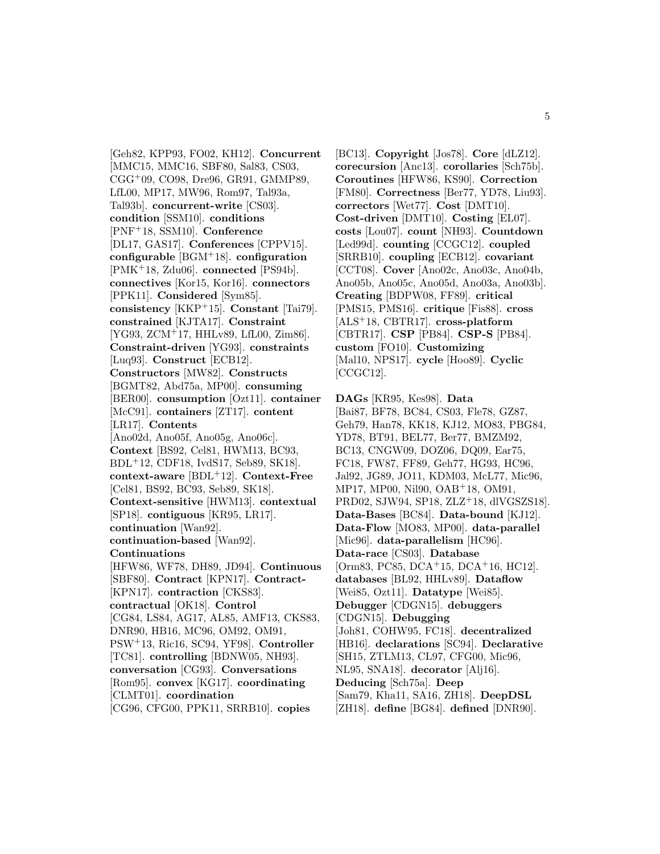[Geh82, KPP93, FO02, KH12]. **Concurrent** [MMC15, MMC16, SBF80, Sal83, CS03, CGG<sup>+</sup>09, CO98, Dre96, GR91, GMMP89, LfL00, MP17, MW96, Rom97, Tal93a, Tal93b]. **concurrent-write** [CS03]. **condition** [SSM10]. **conditions** [PNF<sup>+</sup>18, SSM10]. **Conference** [DL17, GAS17]. **Conferences** [CPPV15]. **configurable** [BGM<sup>+</sup>18]. **configuration** [PMK<sup>+</sup>18, Zdu06]. **connected** [PS94b]. **connectives** [Kor15, Kor16]. **connectors** [PPK11]. **Considered** [Sym85]. **consistency** [KKP<sup>+</sup>15]. **Constant** [Tai79]. **constrained** [KJTA17]. **Constraint** [YG93, ZCM<sup>+</sup>17, HHLv89, LfL00, Zim86]. **Constraint-driven** [YG93]. **constraints** [Luq93]. **Construct** [ECB12]. **Constructors** [MW82]. **Constructs** [BGMT82, Abd75a, MP00]. **consuming** [BER00]. **consumption** [Ozt11]. **container** [McC91]. **containers** [ZT17]. **content** [LR17]. **Contents** [Ano02d, Ano05f, Ano05g, Ano06c]. **Context** [BS92, Cel81, HWM13, BC93, BDL<sup>+</sup>12, CDF18, IvdS17, Seb89, SK18]. **context-aware** [BDL<sup>+</sup>12]. **Context-Free** [Cel81, BS92, BC93, Seb89, SK18]. **Context-sensitive** [HWM13]. **contextual** [SP18]. **contiguous** [KR95, LR17]. **continuation** [Wan92]. **continuation-based** [Wan92]. **Continuations** [HFW86, WF78, DH89, JD94]. **Continuous** [SBF80]. **Contract** [KPN17]. **Contract-** [KPN17]. **contraction** [CKS83]. **contractual** [OK18]. **Control** [CG84, LS84, AG17, AL85, AMF13, CKS83, DNR90, HB16, MC96, OM92, OM91, PSW<sup>+</sup>13, Ric16, SC94, YF98]. **Controller** [TC81]. **controlling** [BDNW05, NH93]. **conversation** [CG93]. **Conversations** [Rom95]. **convex** [KG17]. **coordinating** [CLMT01]. **coordination** [CG96, CFG00, PPK11, SRRB10]. **copies**

[BC13]. **Copyright** [Jos78]. **Core** [dLZ12]. **corecursion** [Anc13]. **corollaries** [Sch75b]. **Coroutines** [HFW86, KS90]. **Correction** [FM80]. **Correctness** [Ber77, YD78, Liu93]. **correctors** [Wet77]. **Cost** [DMT10]. **Cost-driven** [DMT10]. **Costing** [EL07]. **costs** [Lou07]. **count** [NH93]. **Countdown** [Led99d]. **counting** [CCGC12]. **coupled** [SRRB10]. **coupling** [ECB12]. **covariant** [CCT08]. **Cover** [Ano02c, Ano03c, Ano04b, Ano05b, Ano05c, Ano05d, Ano03a, Ano03b]. **Creating** [BDPW08, FF89]. **critical** [PMS15, PMS16]. **critique** [Fis88]. **cross** [ALS<sup>+</sup>18, CBTR17]. **cross-platform** [CBTR17]. **CSP** [PB84]. **CSP-S** [PB84]. **custom** [FO10]. **Customizing** [Mal10, NPS17]. **cycle** [Hoo89]. **Cyclic** [CCGC12].

**DAGs** [KR95, Kes98]. **Data** [Bai87, BF78, BC84, CS03, Fle78, GZ87, Geh79, Han78, KK18, KJ12, MO83, PBG84, YD78, BT91, BEL77, Ber77, BMZM92, BC13, CNGW09, DOZ06, DQ09, Ear75, FC18, FW87, FF89, Geh77, HG93, HC96, Jal92, JG89, JO11, KDM03, McL77, Mic96, MP17, MP00, Nil90, OAB<sup>+</sup>18, OM91, PRD02, SJW94, SP18, ZLZ<sup>+</sup>18, dlVGSZS18]. **Data-Bases** [BC84]. **Data-bound** [KJ12]. **Data-Flow** [MO83, MP00]. **data-parallel** [Mic96]. **data-parallelism** [HC96]. **Data-race** [CS03]. **Database** [Orm83, PC85, DCA<sup>+</sup>15, DCA<sup>+</sup>16, HC12]. **databases** [BL92, HHLv89]. **Dataflow** [Wei85, Ozt11]. **Datatype** [Wei85]. **Debugger** [CDGN15]. **debuggers** [CDGN15]. **Debugging** [Joh81, COHW95, FC18]. **decentralized** [HB16]. **declarations** [SC94]. **Declarative** [SH15, ZTLM13, CL97, CFG00, Mic96, NL95, SNA18]. **decorator** [Alj16]. **Deducing** [Sch75a]. **Deep** [Sam79, Kha11, SA16, ZH18]. **DeepDSL** [ZH18]. **define** [BG84]. **defined** [DNR90].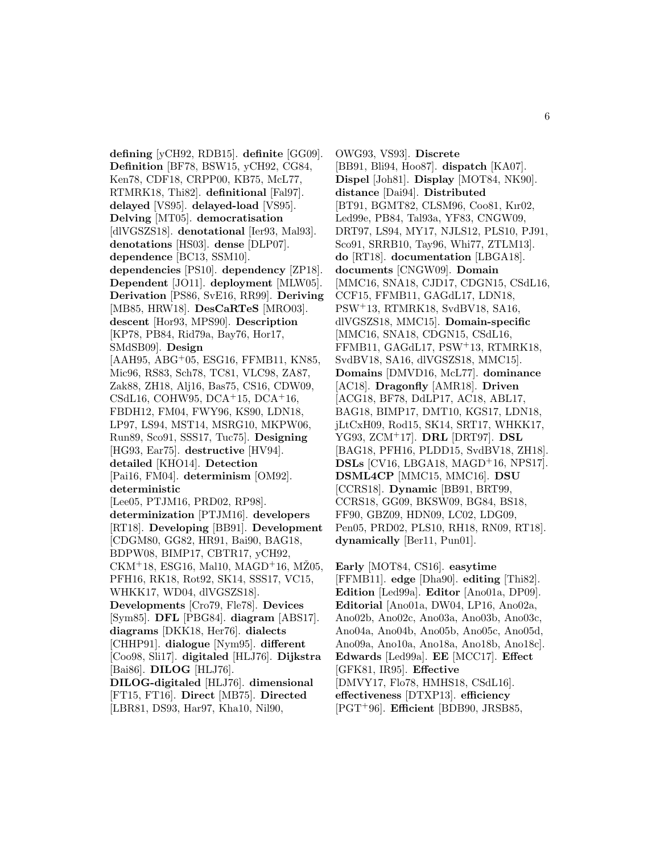**defining** [yCH92, RDB15]. **definite** [GG09]. **Definition** [BF78, BSW15, yCH92, CG84, Ken78, CDF18, CRPP00, KB75, McL77, RTMRK18, Thi82]. **definitional** [Fal97]. **delayed** [VS95]. **delayed-load** [VS95]. **Delving** [MT05]. **democratisation** [dlVGSZS18]. **denotational** [Ier93, Mal93]. **denotations** [HS03]. **dense** [DLP07]. **dependence** [BC13, SSM10]. **dependencies** [PS10]. **dependency** [ZP18]. **Dependent** [JO11]. **deployment** [MLW05]. **Derivation** [PS86, SvE16, RR99]. **Deriving** [MB85, HRW18]. **DesCaRTeS** [MRO03]. **descent** [Hor93, MPS90]. **Description** [KP78, PB84, Rid79a, Bay76, Hor17, SMdSB09]. **Design** [AAH95, ABG<sup>+</sup>05, ESG16, FFMB11, KN85, Mic96, RS83, Sch78, TC81, VLC98, ZA87, Zak88, ZH18, Alj16, Bas75, CS16, CDW09, CSdL16, COHW95, DCA<sup>+</sup>15, DCA<sup>+</sup>16, FBDH12, FM04, FWY96, KS90, LDN18, LP97, LS94, MST14, MSRG10, MKPW06, Run89, Sco91, SSS17, Tuc75]. **Designing** [HG93, Ear75]. **destructive** [HV94]. **detailed** [KHO14]. **Detection** [Pai16, FM04]. **determinism** [OM92]. **deterministic** [Lee05, PTJM16, PRD02, RP98]. **determinization** [PTJM16]. **developers** [RT18]. **Developing** [BB91]. **Development** [CDGM80, GG82, HR91, Bai90, BAG18, BDPW08, BIMP17, CBTR17, yCH92,  $CKM+18$ , ESG16, Mal10, MAGD<sup>+</sup>16, MZ05, PFH16, RK18, Rot92, SK14, SSS17, VC15, WHKK17, WD04, dlVGSZS18]. **Developments** [Cro79, Fle78]. **Devices** [Sym85]. **DFL** [PBG84]. **diagram** [ABS17]. **diagrams** [DKK18, Her76]. **dialects** [CHHP91]. **dialogue** [Nym95]. **different** [Coo98, Sli17]. **digitaled** [HLJ76]. **Dijkstra** [Bai86]. **DILOG** [HLJ76]. **DILOG-digitaled** [HLJ76]. **dimensional** [FT15, FT16]. **Direct** [MB75]. **Directed** [LBR81, DS93, Har97, Kha10, Nil90,

OWG93, VS93]. **Discrete** [BB91, Bli94, Hoo87]. **dispatch** [KA07]. **Dispel** [Joh81]. **Display** [MOT84, NK90]. **distance** [Dai94]. **Distributed** [BT91, BGMT82, CLSM96, Coo81, Kır02, Led99e, PB84, Tal93a, YF83, CNGW09, DRT97, LS94, MY17, NJLS12, PLS10, PJ91, Sco91, SRRB10, Tay96, Whi77, ZTLM13]. **do** [RT18]. **documentation** [LBGA18]. **documents** [CNGW09]. **Domain** [MMC16, SNA18, CJD17, CDGN15, CSdL16, CCF15, FFMB11, GAGdL17, LDN18, PSW<sup>+</sup>13, RTMRK18, SvdBV18, SA16, dlVGSZS18, MMC15]. **Domain-specific** [MMC16, SNA18, CDGN15, CSdL16, FFMB11, GAGdL17, PSW<sup>+</sup>13, RTMRK18, SvdBV18, SA16, dlVGSZS18, MMC15]. **Domains** [DMVD16, McL77]. **dominance** [AC18]. **Dragonfly** [AMR18]. **Driven** [ACG18, BF78, DdLP17, AC18, ABL17, BAG18, BIMP17, DMT10, KGS17, LDN18, jLtCxH09, Rod15, SK14, SRT17, WHKK17, YG93, ZCM<sup>+</sup>17]. **DRL** [DRT97]. **DSL** [BAG18, PFH16, PLDD15, SvdBV18, ZH18]. **DSLs** [CV16, LBGA18, MAGD<sup>+</sup>16, NPS17]. **DSML4CP** [MMC15, MMC16]. **DSU** [CCRS18]. **Dynamic** [BB91, BRT99, CCRS18, GG09, BKSW09, BG84, BS18, FF90, GBZ09, HDN09, LC02, LDG09, Pen05, PRD02, PLS10, RH18, RN09, RT18]. **dynamically** [Ber11, Pun01].

**Early** [MOT84, CS16]. **easytime** [FFMB11]. **edge** [Dha90]. **editing** [Thi82]. **Edition** [Led99a]. **Editor** [Ano01a, DP09]. **Editorial** [Ano01a, DW04, LP16, Ano02a, Ano02b, Ano02c, Ano03a, Ano03b, Ano03c, Ano04a, Ano04b, Ano05b, Ano05c, Ano05d, Ano09a, Ano10a, Ano18a, Ano18b, Ano18c]. **Edwards** [Led99a]. **EE** [MCC17]. **Effect** [GFK81, IR95]. **Effective** [DMVY17, Flo78, HMHS18, CSdL16]. **effectiveness** [DTXP13]. **efficiency** [PGT<sup>+</sup>96]. **Efficient** [BDB90, JRSB85,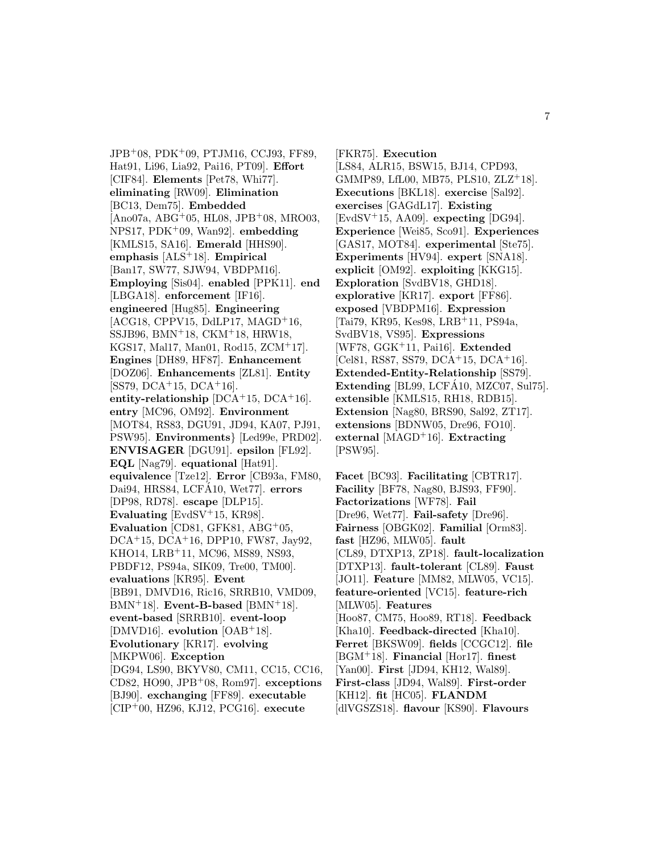JPB<sup>+</sup>08, PDK<sup>+</sup>09, PTJM16, CCJ93, FF89, Hat91, Li96, Lia92, Pai16, PT09]. **Effort** [CIF84]. **Elements** [Pet78, Whi77]. **eliminating** [RW09]. **Elimination** [BC13, Dem75]. **Embedded**  $[Ano07a, ABG<sup>+</sup>05, HL08, JPB<sup>+</sup>08, MR003,$ NPS17, PDK<sup>+</sup>09, Wan92]. **embedding** [KMLS15, SA16]. **Emerald** [HHS90]. **emphasis** [ALS<sup>+</sup>18]. **Empirical** [Ban17, SW77, SJW94, VBDPM16]. **Employing** [Sis04]. **enabled** [PPK11]. **end** [LBGA18]. **enforcement** [IF16]. **engineered** [Hug85]. **Engineering**  $[ACG18, CPPV15, DdLP17, MAGD+16,$ SSJB96, BMN<sup>+</sup>18, CKM<sup>+</sup>18, HRW18, KGS17, Mal17, Man01, Rod15, ZCM<sup>+</sup>17]. **Engines** [DH89, HF87]. **Enhancement** [DOZ06]. **Enhancements** [ZL81]. **Entity**  $[SS79, DCA<sup>+</sup>15, DCA<sup>+</sup>16].$ **entity-relationship** [DCA<sup>+</sup>15, DCA<sup>+</sup>16]. **entry** [MC96, OM92]. **Environment** [MOT84, RS83, DGU91, JD94, KA07, PJ91, PSW95]. **Environments**} [Led99e, PRD02]. **ENVISAGER** [DGU91]. **epsilon** [FL92]. **EQL** [Nag79]. **equational** [Hat91]. **equivalence** [Tze12]. **Error** [CB93a, FM80, Dai94, HRS84, LCFA10, Wet77. **errors** [DP98, RD78]. **escape** [DLP15]. **Evaluating** [EvdSV<sup>+</sup>15, KR98]. **Evaluation** [CD81, GFK81, ABG<sup>+</sup>05, DCA<sup>+</sup>15, DCA<sup>+</sup>16, DPP10, FW87, Jay92, KHO14, LRB<sup>+</sup>11, MC96, MS89, NS93, PBDF12, PS94a, SIK09, Tre00, TM00]. **evaluations** [KR95]. **Event** [BB91, DMVD16, Ric16, SRRB10, VMD09, BMN<sup>+</sup>18]. **Event-B-based** [BMN<sup>+</sup>18]. **event-based** [SRRB10]. **event-loop** [DMVD16]. **evolution** [OAB<sup>+</sup>18]. **Evolutionary** [KR17]. **evolving** [MKPW06]. **Exception** [DG94, LS90, BKYV80, CM11, CC15, CC16, CD82, HO90, JPB<sup>+</sup>08, Rom97]. **exceptions** [BJ90]. **exchanging** [FF89]. **executable** [CIP<sup>+</sup>00, HZ96, KJ12, PCG16]. **execute**

[FKR75]. **Execution** [LS84, ALR15, BSW15, BJ14, CPD93, GMMP89, LfL00, MB75, PLS10, ZLZ<sup>+</sup>18]. **Executions** [BKL18]. **exercise** [Sal92]. **exercises** [GAGdL17]. **Existing** [EvdSV<sup>+</sup>15, AA09]. **expecting** [DG94]. **Experience** [Wei85, Sco91]. **Experiences** [GAS17, MOT84]. **experimental** [Ste75]. **Experiments** [HV94]. **expert** [SNA18]. **explicit** [OM92]. **exploiting** [KKG15]. **Exploration** [SvdBV18, GHD18]. **explorative** [KR17]. **export** [FF86]. **exposed** [VBDPM16]. **Expression** [Tai79, KR95, Kes98, LRB<sup>+</sup>11, PS94a, SvdBV18, VS95]. **Expressions** [WF78, GGK<sup>+</sup>11, Pai16]. **Extended** [Cel81, RS87, SS79, DCA<sup>+</sup>15, DCA<sup>+</sup>16]. **Extended-Entity-Relationship** [SS79]. **Extending** [BL99, LCFA10, MZC07, Sul75]. **extensible** [KMLS15, RH18, RDB15]. **Extension** [Nag80, BRS90, Sal92, ZT17]. **extensions** [BDNW05, Dre96, FO10]. **external** [MAGD<sup>+</sup>16]. **Extracting** [PSW95].

**Facet** [BC93]. **Facilitating** [CBTR17]. **Facility** [BF78, Nag80, BJS93, FF90]. **Factorizations** [WF78]. **Fail** [Dre96, Wet77]. **Fail-safety** [Dre96]. **Fairness** [OBGK02]. **Familial** [Orm83]. **fast** [HZ96, MLW05]. **fault** [CL89, DTXP13, ZP18]. **fault-localization** [DTXP13]. **fault-tolerant** [CL89]. **Faust** [JO11]. **Feature** [MM82, MLW05, VC15]. **feature-oriented** [VC15]. **feature-rich** [MLW05]. **Features** [Hoo87, CM75, Hoo89, RT18]. **Feedback** [Kha10]. **Feedback-directed** [Kha10]. **Ferret** [BKSW09]. **fields** [CCGC12]. **file** [BGM<sup>+</sup>18]. **Financial** [Hor17]. **finest** [Yan00]. **First** [JD94, KH12, Wal89]. **First-class** [JD94, Wal89]. **First-order** [KH12]. **fit** [HC05]. **FLANDM** [dlVGSZS18]. **flavour** [KS90]. **Flavours**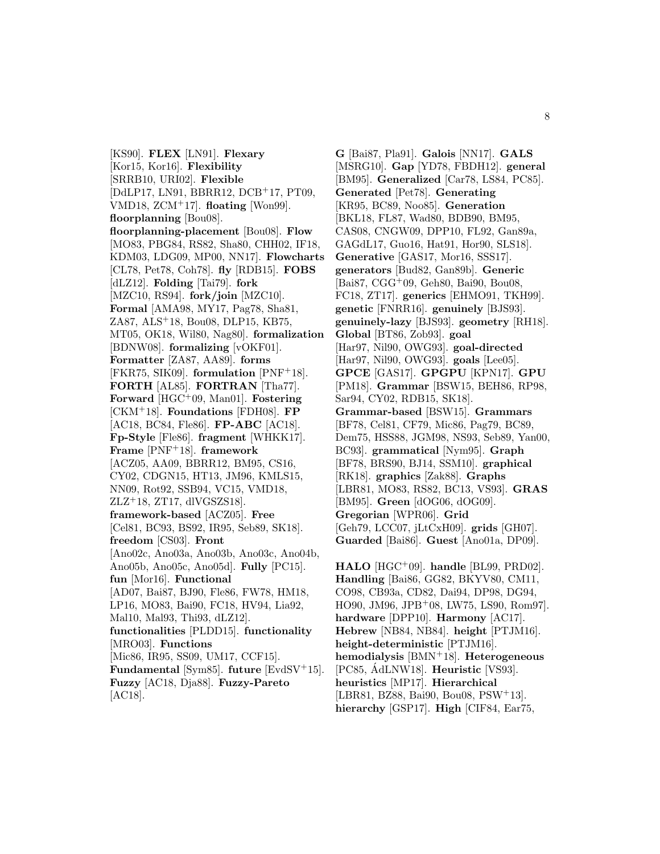[KS90]. **FLEX** [LN91]. **Flexary** [Kor15, Kor16]. **Flexibility** [SRRB10, URI02]. **Flexible** [DdLP17, LN91, BBRR12, DCB<sup>+</sup>17, PT09, VMD18, ZCM<sup>+</sup>17]. **floating** [Won99]. **floorplanning** [Bou08]. **floorplanning-placement** [Bou08]. **Flow** [MO83, PBG84, RS82, Sha80, CHH02, IF18, KDM03, LDG09, MP00, NN17]. **Flowcharts** [CL78, Pet78, Coh78]. **fly** [RDB15]. **FOBS** [dLZ12]. **Folding** [Tai79]. **fork** [MZC10, RS94]. **fork/join** [MZC10]. **Formal** [AMA98, MY17, Pag78, Sha81, ZA87, ALS<sup>+</sup>18, Bou08, DLP15, KB75, MT05, OK18, Wil80, Nag80]. **formalization** [BDNW08]. **formalizing** [vOKF01]. **Formatter** [ZA87, AA89]. **forms** [FKR75, SIK09]. **formulation** [PNF<sup>+</sup>18]. **FORTH** [AL85]. **FORTRAN** [Tha77]. **Forward** [HGC<sup>+</sup>09, Man01]. **Fostering** [CKM<sup>+</sup>18]. **Foundations** [FDH08]. **FP** [AC18, BC84, Fle86]. **FP-ABC** [AC18]. **Fp-Style** [Fle86]. **fragment** [WHKK17]. **Frame** [PNF<sup>+</sup>18]. **framework** [ACZ05, AA09, BBRR12, BM95, CS16, CY02, CDGN15, HT13, JM96, KMLS15, NN09, Rot92, SSB94, VC15, VMD18,  $ZLZ+18$ ,  $ZT17$ , dlVGSZS18]. **framework-based** [ACZ05]. **Free** [Cel81, BC93, BS92, IR95, Seb89, SK18]. **freedom** [CS03]. **Front** [Ano02c, Ano03a, Ano03b, Ano03c, Ano04b, Ano05b, Ano05c, Ano05d]. **Fully** [PC15]. **fun** [Mor16]. **Functional** [AD07, Bai87, BJ90, Fle86, FW78, HM18, LP16, MO83, Bai90, FC18, HV94, Lia92, Mal10, Mal93, Thi93, dLZ12]. **functionalities** [PLDD15]. **functionality** [MRO03]. **Functions** [Mic86, IR95, SS09, UM17, CCF15]. **Fundamental** [Sym85]. **future** [EvdSV<sup>+</sup>15]. **Fuzzy** [AC18, Dja88]. **Fuzzy-Pareto** [AC18].

**G** [Bai87, Pla91]. **Galois** [NN17]. **GALS** [MSRG10]. **Gap** [YD78, FBDH12]. **general** [BM95]. **Generalized** [Car78, LS84, PC85]. **Generated** [Pet78]. **Generating** [KR95, BC89, Noo85]. **Generation** [BKL18, FL87, Wad80, BDB90, BM95, CAS08, CNGW09, DPP10, FL92, Gan89a, GAGdL17, Guo16, Hat91, Hor90, SLS18]. **Generative** [GAS17, Mor16, SSS17]. **generators** [Bud82, Gan89b]. **Generic** [Bai87, CGG<sup>+</sup>09, Geh80, Bai90, Bou08, FC18, ZT17]. **generics** [EHMO91, TKH99]. **genetic** [FNRR16]. **genuinely** [BJS93]. **genuinely-lazy** [BJS93]. **geometry** [RH18]. **Global** [BT86, Zob93]. **goal** [Har97, Nil90, OWG93]. **goal-directed** [Har97, Nil90, OWG93]. **goals** [Lee05]. **GPCE** [GAS17]. **GPGPU** [KPN17]. **GPU** [PM18]. **Grammar** [BSW15, BEH86, RP98, Sar94, CY02, RDB15, SK18]. **Grammar-based** [BSW15]. **Grammars** [BF78, Cel81, CF79, Mic86, Pag79, BC89, Dem75, HSS88, JGM98, NS93, Seb89, Yan00, BC93]. **grammatical** [Nym95]. **Graph** [BF78, BRS90, BJ14, SSM10]. **graphical** [RK18]. **graphics** [Zak88]. **Graphs** [LBR81, MO83, RS82, BC13, VS93]. **GRAS** [BM95]. **Green** [dOG06, dOG09]. **Gregorian** [WPR06]. **Grid** [Geh79, LCC07, jLtCxH09]. **grids** [GH07]. **Guarded** [Bai86]. **Guest** [Ano01a, DP09].

**HALO** [HGC<sup>+</sup>09]. **handle** [BL99, PRD02]. **Handling** [Bai86, GG82, BKYV80, CM11, CO98, CB93a, CD82, Dai94, DP98, DG94, HO90, JM96, JPB<sup>+</sup>08, LW75, LS90, Rom97]. **hardware** [DPP10]. **Harmony** [AC17]. **Hebrew** [NB84, NB84]. **height** [PTJM16]. **height-deterministic** [PTJM16]. **hemodialysis** [BMN<sup>+</sup>18]. **Heterogeneous** [PC85, AdLNW18]. **Heuristic** [VS93]. **heuristics** [MP17]. **Hierarchical** [LBR81, BZ88, Bai90, Bou08, PSW<sup>+</sup>13]. **hierarchy** [GSP17]. **High** [CIF84, Ear75,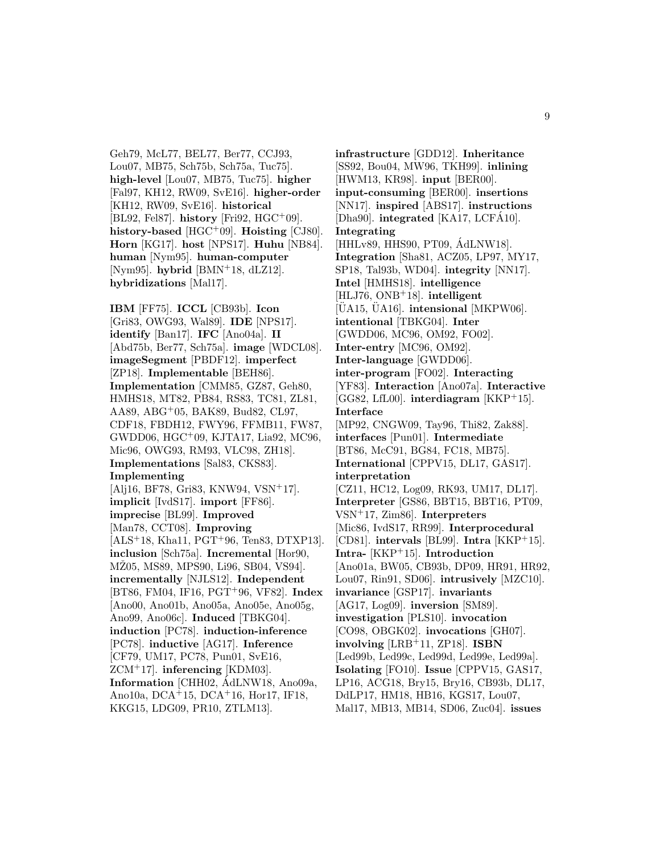Geh79, McL77, BEL77, Ber77, CCJ93, Lou07, MB75, Sch75b, Sch75a, Tuc75]. **high-level** [Lou07, MB75, Tuc75]. **higher** [Fal97, KH12, RW09, SvE16]. **higher-order** [KH12, RW09, SvE16]. **historical** [BL92, Fel87]. **history** [Fri92, HGC<sup>+</sup>09]. **history-based** [HGC<sup>+</sup>09]. **Hoisting** [CJ80]. **Horn** [KG17]. **host** [NPS17]. **Huhu** [NB84]. **human** [Nym95]. **human-computer** [Nym95]. **hybrid** [BMN<sup>+</sup>18, dLZ12]. **hybridizations** [Mal17].

**IBM** [FF75]. **ICCL** [CB93b]. **Icon** [Gri83, OWG93, Wal89]. **IDE** [NPS17]. **identify** [Ban17]. **IFC** [Ano04a]. **II** [Abd75b, Ber77, Sch75a]. **image** [WDCL08]. **imageSegment** [PBDF12]. **imperfect** [ZP18]. **Implementable** [BEH86]. **Implementation** [CMM85, GZ87, Geh80, HMHS18, MT82, PB84, RS83, TC81, ZL81, AA89, ABG<sup>+</sup>05, BAK89, Bud82, CL97, CDF18, FBDH12, FWY96, FFMB11, FW87, GWDD06, HGC<sup>+</sup>09, KJTA17, Lia92, MC96, Mic96, OWG93, RM93, VLC98, ZH18]. **Implementations** [Sal83, CKS83]. **Implementing** [Alj16, BF78, Gri83, KNW94, VSN<sup>+</sup>17]. **implicit** [IvdS17]. **import** [FF86]. **imprecise** [BL99]. **Improved** [Man78, CCT08]. **Improving**  $[ALS<sup>+</sup>18, Kha11, PGT<sup>+</sup>96, Ten83, DTXP13].$ **inclusion** [Sch75a]. **Incremental** [Hor90, MZ05, MS89, MPS90, Li96, SB04, VS94]. **incrementally** [NJLS12]. **Independent** [BT86, FM04, IF16, PGT<sup>+</sup>96, VF82]. **Index** [Ano00, Ano01b, Ano05a, Ano05e, Ano05g, Ano99, Ano06c]. **Induced** [TBKG04]. **induction** [PC78]. **induction-inference** [PC78]. **inductive** [AG17]. **Inference** [CF79, UM17, PC78, Pun01, SvE16, ZCM<sup>+</sup>17]. **inferencing** [KDM03]. **Information** [CHH02, AdLNW18, Ano09a, ´ Ano10a, DCA<sup>+</sup>15, DCA<sup>+</sup>16, Hor17, IF18, KKG15, LDG09, PR10, ZTLM13].

**infrastructure** [GDD12]. **Inheritance** [SS92, Bou04, MW96, TKH99]. **inlining** [HWM13, KR98]. **input** [BER00]. **input-consuming** [BER00]. **insertions** [NN17]. **inspired** [ABS17]. **instructions** [Dha90]. **integrated** [KA17, LCFA10]. **Integrating** [HHLv89, HHS90, PT09, AdLNW18]. **Integration** [Sha81, ACZ05, LP97, MY17, SP18, Tal93b, WD04]. **integrity** [NN17]. **Intel** [HMHS18]. **intelligence** [HLJ76, ONB<sup>+</sup>18]. **intelligent** [UA15, UA16]. **intensional** [MKPW06]. **intentional** [TBKG04]. **Inter** [GWDD06, MC96, OM92, FO02]. **Inter-entry** [MC96, OM92]. **Inter-language** [GWDD06]. **inter-program** [FO02]. **Interacting** [YF83]. **Interaction** [Ano07a]. **Interactive** [GG82, LfL00]. **interdiagram** [KKP<sup>+</sup>15]. **Interface** [MP92, CNGW09, Tay96, Thi82, Zak88]. **interfaces** [Pun01]. **Intermediate** [BT86, McC91, BG84, FC18, MB75]. **International** [CPPV15, DL17, GAS17]. **interpretation** [CZ11, HC12, Log09, RK93, UM17, DL17]. **Interpreter** [GS86, BBT15, BBT16, PT09, VSN<sup>+</sup>17, Zim86]. **Interpreters** [Mic86, IvdS17, RR99]. **Interprocedural** [CD81]. **intervals** [BL99]. **Intra** [KKP<sup>+</sup>15]. **Intra-** [KKP<sup>+</sup>15]. **Introduction** [Ano01a, BW05, CB93b, DP09, HR91, HR92, Lou07, Rin91, SD06]. **intrusively** [MZC10]. **invariance** [GSP17]. **invariants** [AG17, Log09]. **inversion** [SM89]. **investigation** [PLS10]. **invocation** [CO98, OBGK02]. **invocations** [GH07]. **involving** [LRB<sup>+</sup>11, ZP18]. **ISBN** [Led99b, Led99c, Led99d, Led99e, Led99a]. **Isolating** [FO10]. **Issue** [CPPV15, GAS17, LP16, ACG18, Bry15, Bry16, CB93b, DL17, DdLP17, HM18, HB16, KGS17, Lou07, Mal17, MB13, MB14, SD06, Zuc04]. **issues**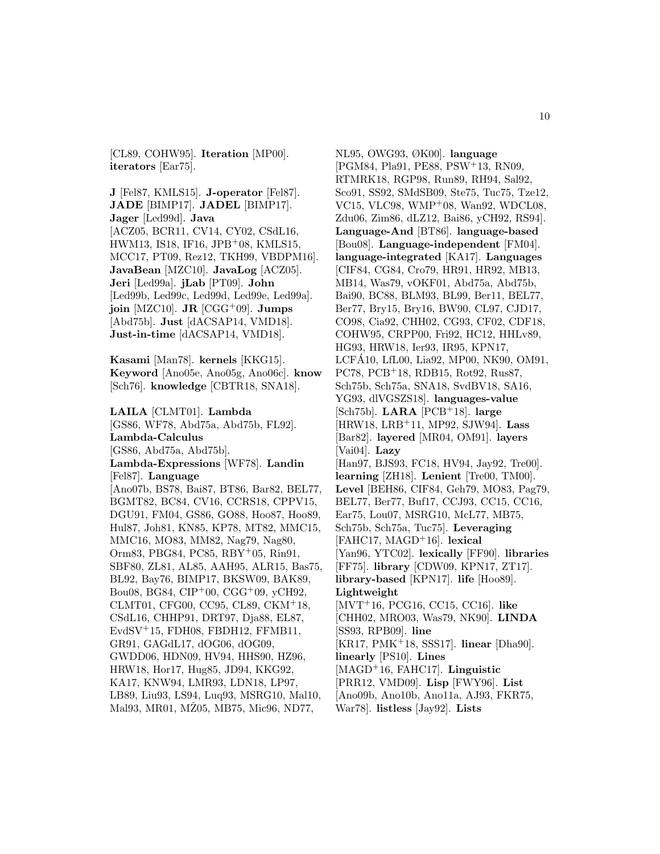[CL89, COHW95]. **Iteration** [MP00]. **iterators** [Ear75].

**J** [Fel87, KMLS15]. **J-operator** [Fel87]. **JADE** [BIMP17]. **JADEL** [BIMP17]. **Jager** [Led99d]. **Java** [ACZ05, BCR11, CV14, CY02, CSdL16, HWM13, IS18, IF16, JPB<sup>+</sup>08, KMLS15, MCC17, PT09, Rez12, TKH99, VBDPM16]. **JavaBean** [MZC10]. **JavaLog** [ACZ05]. **Jeri** [Led99a]. **jLab** [PT09]. **John** [Led99b, Led99c, Led99d, Led99e, Led99a]. **join** [MZC10]. **JR** [CGG<sup>+</sup>09]. **Jumps** [Abd75b]. **Just** [dACSAP14, VMD18]. **Just-in-time** [dACSAP14, VMD18].

**Kasami** [Man78]. **kernels** [KKG15]. **Keyword** [Ano05e, Ano05g, Ano06c]. **know** [Sch76]. **knowledge** [CBTR18, SNA18].

**LAILA** [CLMT01]. **Lambda** [GS86, WF78, Abd75a, Abd75b, FL92]. **Lambda-Calculus** [GS86, Abd75a, Abd75b]. **Lambda-Expressions** [WF78]. **Landin** [Fel87]. **Language** [Ano07b, BS78, Bai87, BT86, Bar82, BEL77, BGMT82, BC84, CV16, CCRS18, CPPV15, DGU91, FM04, GS86, GO88, Hoo87, Hoo89, Hul87, Joh81, KN85, KP78, MT82, MMC15, MMC16, MO83, MM82, Nag79, Nag80, Orm83, PBG84, PC85, RBY<sup>+</sup>05, Rin91, SBF80, ZL81, AL85, AAH95, ALR15, Bas75, BL92, Bay76, BIMP17, BKSW09, BAK89, Bou08, BG84, CIP<sup>+</sup>00, CGG<sup>+</sup>09, yCH92, CLMT01, CFG00, CC95, CL89, CKM<sup>+</sup>18, CSdL16, CHHP91, DRT97, Dja88, EL87, EvdSV<sup>+</sup>15, FDH08, FBDH12, FFMB11, GR91, GAGdL17, dOG06, dOG09, GWDD06, HDN09, HV94, HHS90, HZ96, HRW18, Hor17, Hug85, JD94, KKG92, KA17, KNW94, LMR93, LDN18, LP97, LB89, Liu93, LS94, Luq93, MSRG10, Mal10, Mal93, MR01, MŽ05, MB75, Mic96, ND77,

NL95, OWG93, ØK00]. **language** [PGM84, Pla91, PE88, PSW<sup>+</sup>13, RN09, RTMRK18, RGP98, Run89, RH94, Sal92, Sco91, SS92, SMdSB09, Ste75, Tuc75, Tze12, VC15, VLC98, WMP<sup>+</sup>08, Wan92, WDCL08, Zdu06, Zim86, dLZ12, Bai86, yCH92, RS94]. **Language-And** [BT86]. **language-based** [Bou08]. **Language-independent** [FM04]. **language-integrated** [KA17]. **Languages** [CIF84, CG84, Cro79, HR91, HR92, MB13, MB14, Was79, vOKF01, Abd75a, Abd75b, Bai90, BC88, BLM93, BL99, Ber11, BEL77, Ber77, Bry15, Bry16, BW90, CL97, CJD17, CO98, Cia92, CHH02, CG93, CF02, CDF18, COHW95, CRPP00, Fri92, HC12, HHLv89, HG93, HRW18, Ier93, IR95, KPN17, LCFA10, LfL00, Lia92, MP00, NK90, OM91, ´ PC78, PCB<sup>+</sup>18, RDB15, Rot92, Rus87, Sch75b, Sch75a, SNA18, SvdBV18, SA16, YG93, dlVGSZS18]. **languages-value** [Sch75b]. **LARA** [PCB<sup>+</sup>18]. **large** [HRW18, LRB<sup>+</sup>11, MP92, SJW94]. **Lass** [Bar82]. **layered** [MR04, OM91]. **layers** [Vai04]. **Lazy** [Han97, BJS93, FC18, HV94, Jay92, Tre00]. **learning** [ZH18]. **Lenient** [Tre00, TM00]. **Level** [BEH86, CIF84, Geh79, MO83, Pag79, BEL77, Ber77, Buf17, CCJ93, CC15, CC16, Ear75, Lou07, MSRG10, McL77, MB75, Sch75b, Sch75a, Tuc75]. **Leveraging** [FAHC17, MAGD<sup>+</sup>16]. **lexical** [Yan96, YTC02]. **lexically** [FF90]. **libraries** [FF75]. **library** [CDW09, KPN17, ZT17]. **library-based** [KPN17]. **life** [Hoo89]. **Lightweight** [MVT<sup>+</sup>16, PCG16, CC15, CC16]. **like** [CHH02, MRO03, Was79, NK90]. **LINDA** [SS93, RPB09]. **line** [KR17, PMK<sup>+</sup>18, SSS17]. **linear** [Dha90]. **linearly** [PS10]. **Lines** [MAGD<sup>+</sup>16, FAHC17]. **Linguistic** [PRR12, VMD09]. **Lisp** [FWY96]. **List** [Ano09b, Ano10b, Ano11a, AJ93, FKR75, War78]. **listless** [Jay92]. **Lists**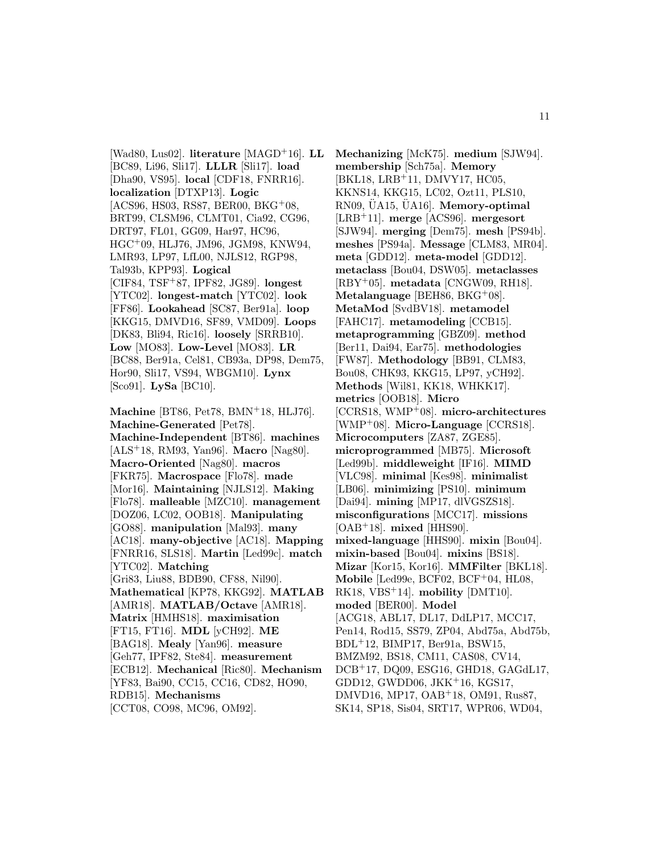[Wad80, Lus02]. **literature** [MAGD<sup>+</sup>16]. **LL** [BC89, Li96, Sli17]. **LLLR** [Sli17]. **load** [Dha90, VS95]. **local** [CDF18, FNRR16]. **localization** [DTXP13]. **Logic** [ACS96, HS03, RS87, BER00, BKG<sup>+</sup>08, BRT99, CLSM96, CLMT01, Cia92, CG96, DRT97, FL01, GG09, Har97, HC96, HGC<sup>+</sup>09, HLJ76, JM96, JGM98, KNW94, LMR93, LP97, LfL00, NJLS12, RGP98, Tal93b, KPP93]. **Logical** [CIF84, TSF<sup>+</sup>87, IPF82, JG89]. **longest** [YTC02]. **longest-match** [YTC02]. **look** [FF86]. **Lookahead** [SC87, Ber91a]. **loop** [KKG15, DMVD16, SF89, VMD09]. **Loops** [DK83, Bli94, Ric16]. **loosely** [SRRB10]. **Low** [MO83]. **Low-Level** [MO83]. **LR** [BC88, Ber91a, Cel81, CB93a, DP98, Dem75, Hor90, Sli17, VS94, WBGM10]. **Lynx** [Sco91]. **LySa** [BC10].

**Machine** [BT86, Pet78, BMN<sup>+</sup>18, HLJ76]. **Machine-Generated** [Pet78]. **Machine-Independent** [BT86]. **machines** [ALS<sup>+</sup>18, RM93, Yan96]. **Macro** [Nag80]. **Macro-Oriented** [Nag80]. **macros** [FKR75]. **Macrospace** [Flo78]. **made** [Mor16]. **Maintaining** [NJLS12]. **Making** [Flo78]. **malleable** [MZC10]. **management** [DOZ06, LC02, OOB18]. **Manipulating** [GO88]. **manipulation** [Mal93]. **many** [AC18]. **many-objective** [AC18]. **Mapping** [FNRR16, SLS18]. **Martin** [Led99c]. **match** [YTC02]. **Matching** [Gri83, Liu88, BDB90, CF88, Nil90]. **Mathematical** [KP78, KKG92]. **MATLAB** [AMR18]. **MATLAB/Octave** [AMR18]. **Matrix** [HMHS18]. **maximisation** [FT15, FT16]. **MDL** [yCH92]. **ME** [BAG18]. **Mealy** [Yan96]. **measure** [Geh77, IPF82, Ste84]. **measurement** [ECB12]. **Mechanical** [Ric80]. **Mechanism** [YF83, Bai90, CC15, CC16, CD82, HO90, RDB15]. **Mechanisms** [CCT08, CO98, MC96, OM92].

**Mechanizing** [McK75]. **medium** [SJW94]. **membership** [Sch75a]. **Memory** [BKL18, LRB<sup>+</sup>11, DMVY17, HC05, KKNS14, KKG15, LC02, Ozt11, PLS10, RN09, UA15, UA16]. **Memory-optimal** [LRB<sup>+</sup>11]. **merge** [ACS96]. **mergesort** [SJW94]. **merging** [Dem75]. **mesh** [PS94b]. **meshes** [PS94a]. **Message** [CLM83, MR04]. **meta** [GDD12]. **meta-model** [GDD12]. **metaclass** [Bou04, DSW05]. **metaclasses** [RBY<sup>+</sup>05]. **metadata** [CNGW09, RH18]. **Metalanguage** [BEH86, BKG<sup>+</sup>08]. **MetaMod** [SvdBV18]. **metamodel** [FAHC17]. **metamodeling** [CCB15]. **metaprogramming** [GBZ09]. **method** [Ber11, Dai94, Ear75]. **methodologies** [FW87]. **Methodology** [BB91, CLM83, Bou08, CHK93, KKG15, LP97, yCH92]. **Methods** [Wil81, KK18, WHKK17]. **metrics** [OOB18]. **Micro** [CCRS18, WMP<sup>+</sup>08]. **micro-architectures** [WMP<sup>+</sup>08]. **Micro-Language** [CCRS18]. **Microcomputers** [ZA87, ZGE85]. **microprogrammed** [MB75]. **Microsoft** [Led99b]. **middleweight** [IF16]. **MIMD** [VLC98]. **minimal** [Kes98]. **minimalist** [LB06]. **minimizing** [PS10]. **minimum** [Dai94]. **mining** [MP17, dlVGSZS18]. **misconfigurations** [MCC17]. **missions** [OAB<sup>+</sup>18]. **mixed** [HHS90]. **mixed-language** [HHS90]. **mixin** [Bou04]. **mixin-based** [Bou04]. **mixins** [BS18]. **Mizar** [Kor15, Kor16]. **MMFilter** [BKL18]. **Mobile** [Led99e, BCF02, BCF<sup>+</sup>04, HL08, RK18, VBS<sup>+</sup>14]. **mobility** [DMT10]. **moded** [BER00]. **Model** [ACG18, ABL17, DL17, DdLP17, MCC17, Pen14, Rod15, SS79, ZP04, Abd75a, Abd75b, BDL<sup>+</sup>12, BIMP17, Ber91a, BSW15, BMZM92, BS18, CM11, CAS08, CV14, DCB<sup>+</sup>17, DQ09, ESG16, GHD18, GAGdL17, GDD12, GWDD06, JKK<sup>+</sup>16, KGS17, DMVD16, MP17, OAB<sup>+</sup>18, OM91, Rus87, SK14, SP18, Sis04, SRT17, WPR06, WD04,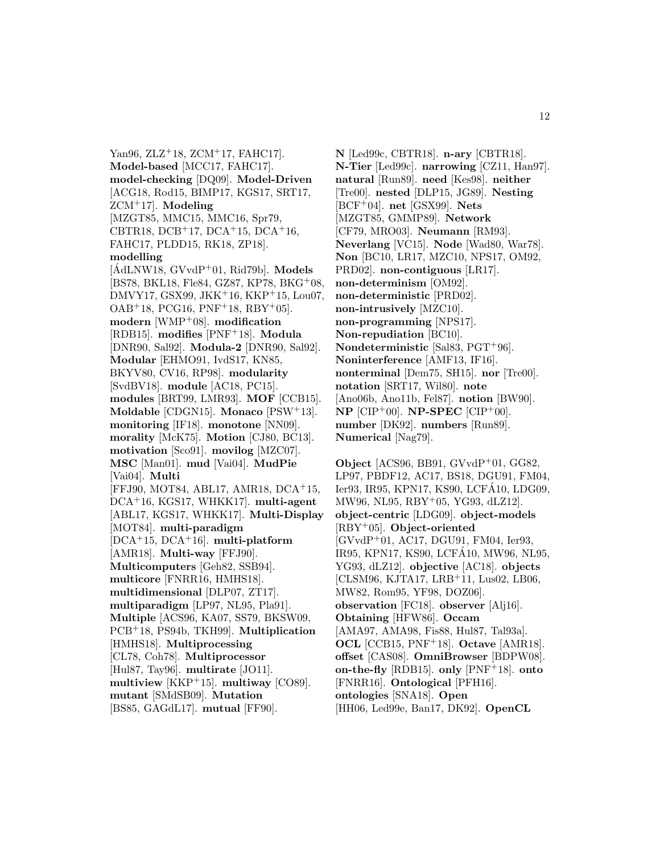Yan96, ZLZ<sup>+</sup>18, ZCM<sup>+</sup>17, FAHC17. **Model-based** [MCC17, FAHC17]. **model-checking** [DQ09]. **Model-Driven** [ACG18, Rod15, BIMP17, KGS17, SRT17, ZCM<sup>+</sup>17]. **Modeling** [MZGT85, MMC15, MMC16, Spr79, CBTR18, DCB<sup>+</sup>17, DCA<sup>+</sup>15, DCA<sup>+</sup>16, FAHC17, PLDD15, RK18, ZP18]. **modelling**  $[AdLNW18, GVvdP+01, Rid79b]$ . **Models** [BS78, BKL18, Fle84, GZ87, KP78, BKG<sup>+</sup>08, DMVY17, GSX99, JKK<sup>+</sup>16, KKP<sup>+</sup>15, Lou07,  $OAB+18$ , PCG16, PNF+18, RBY+05]. **modern** [WMP<sup>+</sup>08]. **modification** [RDB15]. **modifies** [PNF<sup>+</sup>18]. **Modula** [DNR90, Sal92]. **Modula-2** [DNR90, Sal92]. **Modular** [EHMO91, IvdS17, KN85, BKYV80, CV16, RP98]. **modularity** [SvdBV18]. **module** [AC18, PC15]. **modules** [BRT99, LMR93]. **MOF** [CCB15]. **Moldable** [CDGN15]. **Monaco** [PSW<sup>+</sup>13]. **monitoring** [IF18]. **monotone** [NN09]. **morality** [McK75]. **Motion** [CJ80, BC13]. **motivation** [Sco91]. **movilog** [MZC07]. **MSC** [Man01]. **mud** [Vai04]. **MudPie** [Vai04]. **Multi** [FFJ90, MOT84, ABL17, AMR18, DCA<sup>+</sup>15, DCA<sup>+</sup>16, KGS17, WHKK17]. **multi-agent** [ABL17, KGS17, WHKK17]. **Multi-Display** [MOT84]. **multi-paradigm** [DCA<sup>+</sup>15, DCA<sup>+</sup>16]. **multi-platform** [AMR18]. **Multi-way** [FFJ90]. **Multicomputers** [Geh82, SSB94]. **multicore** [FNRR16, HMHS18]. **multidimensional** [DLP07, ZT17]. **multiparadigm** [LP97, NL95, Pla91]. **Multiple** [ACS96, KA07, SS79, BKSW09, PCB<sup>+</sup>18, PS94b, TKH99]. **Multiplication** [HMHS18]. **Multiprocessing** [CL78, Coh78]. **Multiprocessor** [Hul87, Tay96]. **multirate** [JO11]. **multiview** [KKP<sup>+</sup>15]. **multiway** [CO89]. **mutant** [SMdSB09]. **Mutation** [BS85, GAGdL17]. **mutual** [FF90].

**N** [Led99c, CBTR18]. **n-ary** [CBTR18]. **N-Tier** [Led99c]. **narrowing** [CZ11, Han97]. **natural** [Run89]. **need** [Kes98]. **neither** [Tre00]. **nested** [DLP15, JG89]. **Nesting** [BCF<sup>+</sup>04]. **net** [GSX99]. **Nets** [MZGT85, GMMP89]. **Network** [CF79, MRO03]. **Neumann** [RM93]. **Neverlang** [VC15]. **Node** [Wad80, War78]. **Non** [BC10, LR17, MZC10, NPS17, OM92, PRD02]. **non-contiguous** [LR17]. **non-determinism** [OM92]. **non-deterministic** [PRD02]. **non-intrusively** [MZC10]. **non-programming** [NPS17]. **Non-repudiation** [BC10]. **Nondeterministic** [Sal83, PGT<sup>+</sup>96]. **Noninterference** [AMF13, IF16]. **nonterminal** [Dem75, SH15]. **nor** [Tre00]. **notation** [SRT17, Wil80]. **note** [Ano06b, Ano11b, Fel87]. **notion** [BW90]. **NP** [CIP<sup>+</sup>00]. **NP-SPEC** [CIP<sup>+</sup>00]. **number** [DK92]. **numbers** [Run89]. **Numerical** [Nag79].

**Object** [ACS96, BB91, GVvdP<sup>+</sup>01, GG82, LP97, PBDF12, AC17, BS18, DGU91, FM04, Ier93, IR95, KPN17, KS90, LCFA10, LDG09, ´ MW96, NL95, RBY<sup>+</sup>05, YG93, dLZ12]. **object-centric** [LDG09]. **object-models** [RBY<sup>+</sup>05]. **Object-oriented** [GVvdP<sup>+</sup>01, AC17, DGU91, FM04, Ier93, IR95, KPN17, KS90, LCFA10, MW96, NL95, ´ YG93, dLZ12]. **objective** [AC18]. **objects** [CLSM96, KJTA17, LRB<sup>+</sup>11, Lus02, LB06, MW82, Rom95, YF98, DOZ06]. **observation** [FC18]. **observer** [Alj16]. **Obtaining** [HFW86]. **Occam** [AMA97, AMA98, Fis88, Hul87, Tal93a]. **OCL** [CCB15, PNF<sup>+</sup>18]. **Octave** [AMR18]. **offset** [CAS08]. **OmniBrowser** [BDPW08]. **on-the-fly** [RDB15]. **only** [PNF<sup>+</sup>18]. **onto** [FNRR16]. **Ontological** [PFH16]. **ontologies** [SNA18]. **Open** [HH06, Led99e, Ban17, DK92]. **OpenCL**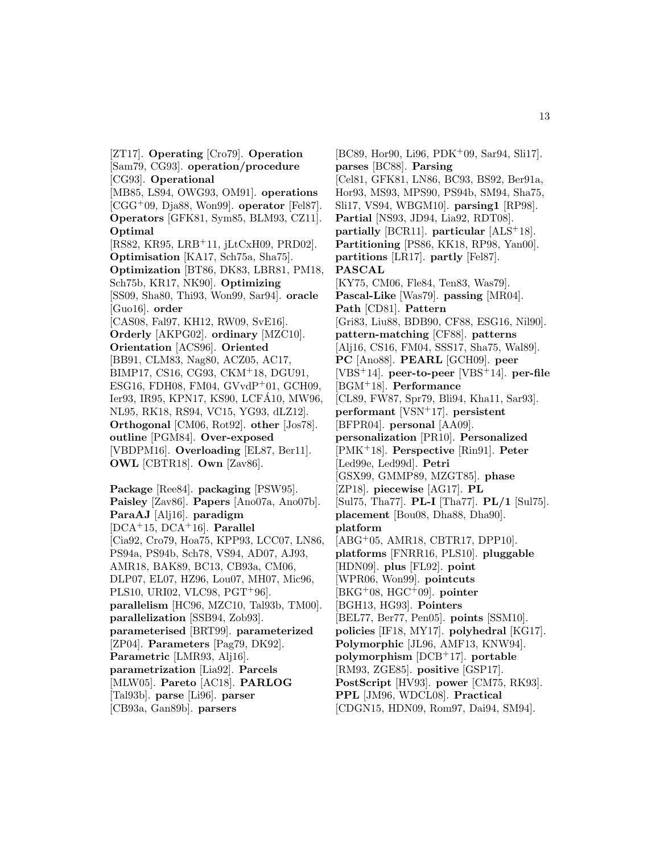[ZT17]. **Operating** [Cro79]. **Operation** [Sam79, CG93]. **operation/procedure** [CG93]. **Operational** [MB85, LS94, OWG93, OM91]. **operations** [CGG<sup>+</sup>09, Dja88, Won99]. **operator** [Fel87]. **Operators** [GFK81, Sym85, BLM93, CZ11]. **Optimal** [RS82, KR95, LRB<sup>+</sup>11, jLtCxH09, PRD02]. **Optimisation** [KA17, Sch75a, Sha75]. **Optimization** [BT86, DK83, LBR81, PM18, Sch75b, KR17, NK90]. **Optimizing** [SS09, Sha80, Thi93, Won99, Sar94]. **oracle** [Guo16]. **order** [CAS08, Fal97, KH12, RW09, SvE16]. **Orderly** [AKPG02]. **ordinary** [MZC10]. **Orientation** [ACS96]. **Oriented** [BB91, CLM83, Nag80, ACZ05, AC17, BIMP17, CS16, CG93, CKM<sup>+</sup>18, DGU91, ESG16, FDH08, FM04, GVvdP<sup>+</sup>01, GCH09, Ier93, IR95, KPN17, KS90, LCFA10, MW96, ´ NL95, RK18, RS94, VC15, YG93, dLZ12]. **Orthogonal** [CM06, Rot92]. **other** [Jos78]. **outline** [PGM84]. **Over-exposed** [VBDPM16]. **Overloading** [EL87, Ber11]. **OWL** [CBTR18]. **Own** [Zav86]. **Package** [Ree84]. **packaging** [PSW95]. **Paisley** [Zav86]. **Papers** [Ano07a, Ano07b]. **ParaAJ** [Alj16]. **paradigm** [DCA<sup>+</sup>15, DCA<sup>+</sup>16]. **Parallel** [Cia92, Cro79, Hoa75, KPP93, LCC07, LN86, PS94a, PS94b, Sch78, VS94, AD07, AJ93, AMR18, BAK89, BC13, CB93a, CM06, DLP07, EL07, HZ96, Lou07, MH07, Mic96, PLS10, URI02, VLC98, PGT<sup>+</sup>96]. **parallelism** [HC96, MZC10, Tal93b, TM00]. **parallelization** [SSB94, Zob93]. **parameterised** [BRT99]. **parameterized** [ZP04]. **Parameters** [Pag79, DK92]. **Parametric** [LMR93, Alj16]. **parametrization** [Lia92]. **Parcels** [MLW05]. **Pareto** [AC18]. **PARLOG**

[Tal93b]. **parse** [Li96]. **parser**

[CB93a, Gan89b]. **parsers**

[BC89, Hor90, Li96, PDK<sup>+</sup>09, Sar94, Sli17]. **parses** [BC88]. **Parsing** [Cel81, GFK81, LN86, BC93, BS92, Ber91a, Hor93, MS93, MPS90, PS94b, SM94, Sha75, Sli17, VS94, WBGM10]. **parsing1** [RP98]. **Partial** [NS93, JD94, Lia92, RDT08]. **partially** [BCR11]. **particular** [ALS<sup>+</sup>18]. **Partitioning** [PS86, KK18, RP98, Yan00]. **partitions** [LR17]. **partly** [Fel87]. **PASCAL** [KY75, CM06, Fle84, Ten83, Was79]. **Pascal-Like** [Was79]. **passing** [MR04]. **Path** [CD81]. **Pattern** [Gri83, Liu88, BDB90, CF88, ESG16, Nil90]. **pattern-matching** [CF88]. **patterns** [Alj16, CS16, FM04, SSS17, Sha75, Wal89]. **PC** [Ano88]. **PEARL** [GCH09]. **peer** [VBS<sup>+</sup>14]. **peer-to-peer** [VBS<sup>+</sup>14]. **per-file** [BGM<sup>+</sup>18]. **Performance** [CL89, FW87, Spr79, Bli94, Kha11, Sar93]. **performant** [VSN<sup>+</sup>17]. **persistent** [BFPR04]. **personal** [AA09]. **personalization** [PR10]. **Personalized** [PMK<sup>+</sup>18]. **Perspective** [Rin91]. **Peter** [Led99e, Led99d]. **Petri** [GSX99, GMMP89, MZGT85]. **phase** [ZP18]. **piecewise** [AG17]. **PL** [Sul75, Tha77]. **PL-I** [Tha77]. **PL/1** [Sul75]. **placement** [Bou08, Dha88, Dha90]. **platform** [ABG<sup>+</sup>05, AMR18, CBTR17, DPP10]. **platforms** [FNRR16, PLS10]. **pluggable** [HDN09]. **plus** [FL92]. **point** [WPR06, Won99]. **pointcuts** [BKG<sup>+</sup>08, HGC<sup>+</sup>09]. **pointer** [BGH13, HG93]. **Pointers** [BEL77, Ber77, Pen05]. **points** [SSM10]. **policies** [IF18, MY17]. **polyhedral** [KG17]. **Polymorphic** [JL96, AMF13, KNW94]. **polymorphism** [DCB<sup>+</sup>17]. **portable** [RM93, ZGE85]. **positive** [GSP17]. **PostScript** [HV93]. **power** [CM75, RK93]. **PPL** [JM96, WDCL08]. **Practical** [CDGN15, HDN09, Rom97, Dai94, SM94].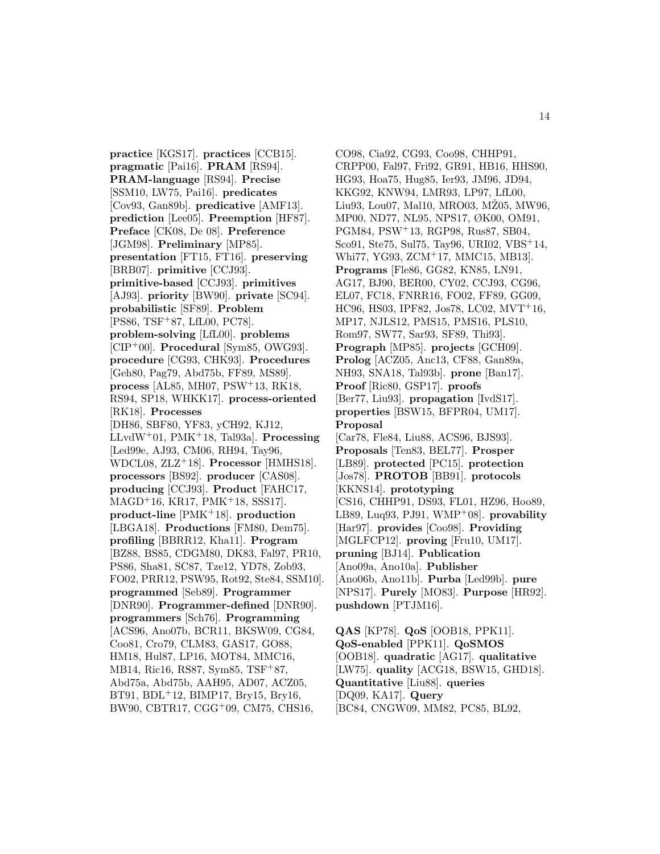**practice** [KGS17]. **practices** [CCB15]. **pragmatic** [Pai16]. **PRAM** [RS94]. **PRAM-language** [RS94]. **Precise** [SSM10, LW75, Pai16]. **predicates** [Cov93, Gan89b]. **predicative** [AMF13]. **prediction** [Lee05]. **Preemption** [HF87]. **Preface** [CK08, De 08]. **Preference** [JGM98]. **Preliminary** [MP85]. **presentation** [FT15, FT16]. **preserving** [BRB07]. **primitive** [CCJ93]. **primitive-based** [CCJ93]. **primitives** [AJ93]. **priority** [BW90]. **private** [SC94]. **probabilistic** [SF89]. **Problem** [PS86, TSF<sup>+</sup>87, LfL00, PC78]. **problem-solving** [LfL00]. **problems** [CIP<sup>+</sup>00]. **Procedural** [Sym85, OWG93]. **procedure** [CG93, CHK93]. **Procedures** [Geh80, Pag79, Abd75b, FF89, MS89]. **process** [AL85, MH07, PSW<sup>+</sup>13, RK18, RS94, SP18, WHKK17]. **process-oriented** [RK18]. **Processes** [DH86, SBF80, YF83, yCH92, KJ12, LLvdW<sup>+</sup>01, PMK<sup>+</sup>18, Tal93a]. **Processing** [Led99e, AJ93, CM06, RH94, Tay96, WDCL08, ZLZ<sup>+</sup>18]. **Processor** [HMHS18]. **processors** [BS92]. **producer** [CAS08]. **producing** [CCJ93]. **Product** [FAHC17, MAGD<sup>+</sup>16, KR17, PMK<sup>+</sup>18, SSS17]. **product-line** [PMK<sup>+</sup>18]. **production** [LBGA18]. **Productions** [FM80, Dem75]. **profiling** [BBRR12, Kha11]. **Program** [BZ88, BS85, CDGM80, DK83, Fal97, PR10, PS86, Sha81, SC87, Tze12, YD78, Zob93, FO02, PRR12, PSW95, Rot92, Ste84, SSM10]. **programmed** [Seb89]. **Programmer** [DNR90]. **Programmer-defined** [DNR90]. **programmers** [Sch76]. **Programming** [ACS96, Ano07b, BCR11, BKSW09, CG84, Coo81, Cro79, CLM83, GAS17, GO88, HM18, Hul87, LP16, MOT84, MMC16, MB14, Ric16, RS87, Sym85, TSF<sup>+</sup>87, Abd75a, Abd75b, AAH95, AD07, ACZ05, BT91, BDL<sup>+</sup>12, BIMP17, Bry15, Bry16, BW90, CBTR17, CGG<sup>+</sup>09, CM75, CHS16,

CO98, Cia92, CG93, Coo98, CHHP91, CRPP00, Fal97, Fri92, GR91, HB16, HHS90, HG93, Hoa75, Hug85, Ier93, JM96, JD94, KKG92, KNW94, LMR93, LP97, LfL00, Liu93, Lou07, Mal10, MRO03, M $\angle$ 205, MW96, MP00, ND77, NL95, NPS17, ØK00, OM91, PGM84, PSW<sup>+</sup>13, RGP98, Rus87, SB04, Sco91, Ste75, Sul75, Tay96, URI02, VBS<sup>+</sup>14, Whi77, YG93, ZCM<sup>+</sup>17, MMC15, MB13]. **Programs** [Fle86, GG82, KN85, LN91, AG17, BJ90, BER00, CY02, CCJ93, CG96, EL07, FC18, FNRR16, FO02, FF89, GG09, HC96, HS03, IPF82, Jos78, LC02, MVT<sup>+</sup>16, MP17, NJLS12, PMS15, PMS16, PLS10, Rom97, SW77, Sar93, SF89, Thi93]. **Prograph** [MP85]. **projects** [GCH09]. **Prolog** [ACZ05, Anc13, CF88, Gan89a, NH93, SNA18, Tal93b]. **prone** [Ban17]. **Proof** [Ric80, GSP17]. **proofs** [Ber77, Liu93]. **propagation** [IvdS17]. **properties** [BSW15, BFPR04, UM17]. **Proposal** [Car78, Fle84, Liu88, ACS96, BJS93]. **Proposals** [Ten83, BEL77]. **Prosper** [LB89]. **protected** [PC15]. **protection** [Jos78]. **PROTOB** [BB91]. **protocols** [KKNS14]. **prototyping** [CS16, CHHP91, DS93, FL01, HZ96, Hoo89, LB89, Luq93, PJ91, WMP<sup>+</sup>08]. **provability** [Har97]. **provides** [Coo98]. **Providing** [MGLFCP12]. **proving** [Fru10, UM17]. **pruning** [BJ14]. **Publication** [Ano09a, Ano10a]. **Publisher** [Ano06b, Ano11b]. **Purba** [Led99b]. **pure** [NPS17]. **Purely** [MO83]. **Purpose** [HR92]. **pushdown** [PTJM16].

**QAS** [KP78]. **QoS** [OOB18, PPK11]. **QoS-enabled** [PPK11]. **QoSMOS** [OOB18]. **quadratic** [AG17]. **qualitative** [LW75]. **quality** [ACG18, BSW15, GHD18]. **Quantitative** [Liu88]. **queries** [DQ09, KA17]. **Query** [BC84, CNGW09, MM82, PC85, BL92,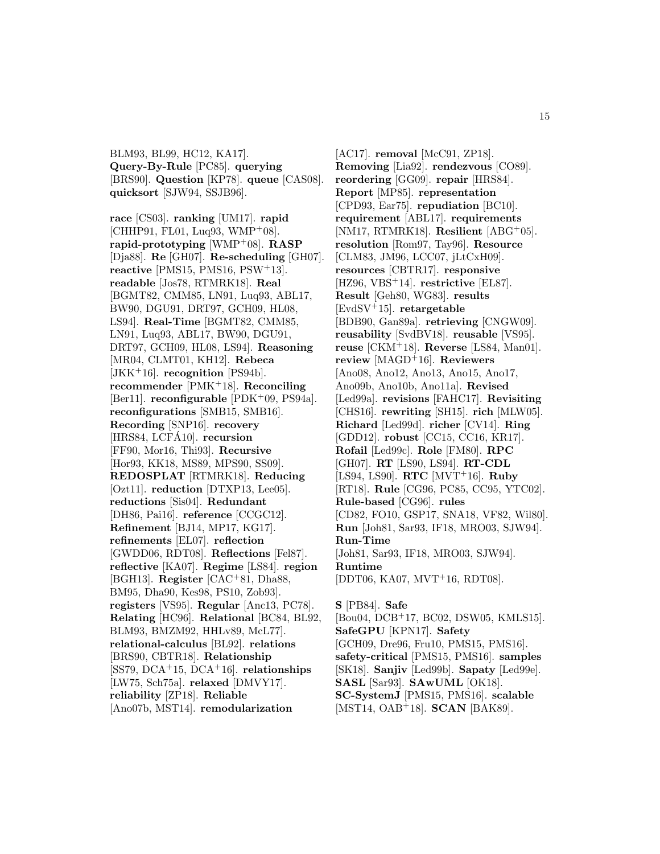BLM93, BL99, HC12, KA17]. **Query-By-Rule** [PC85]. **querying** [BRS90]. **Question** [KP78]. **queue** [CAS08]. **quicksort** [SJW94, SSJB96].

**race** [CS03]. **ranking** [UM17]. **rapid** [CHHP91, FL01, Luq93, WMP<sup>+</sup>08]. **rapid-prototyping** [WMP<sup>+</sup>08]. **RASP** [Dja88]. **Re** [GH07]. **Re-scheduling** [GH07]. **reactive** [PMS15, PMS16, PSW<sup>+</sup>13]. **readable** [Jos78, RTMRK18]. **Real** [BGMT82, CMM85, LN91, Luq93, ABL17, BW90, DGU91, DRT97, GCH09, HL08, LS94]. **Real-Time** [BGMT82, CMM85, LN91, Luq93, ABL17, BW90, DGU91, DRT97, GCH09, HL08, LS94]. **Reasoning** [MR04, CLMT01, KH12]. **Rebeca** [JKK<sup>+</sup>16]. **recognition** [PS94b]. **recommender** [PMK<sup>+</sup>18]. **Reconciling** [Ber11]. **reconfigurable** [PDK<sup>+</sup>09, PS94a]. **reconfigurations** [SMB15, SMB16]. **Recording** [SNP16]. **recovery** [HRS84, LCFA10]. **recursion** [FF90, Mor16, Thi93]. **Recursive** [Hor93, KK18, MS89, MPS90, SS09]. **REDOSPLAT** [RTMRK18]. **Reducing** [Ozt11]. **reduction** [DTXP13, Lee05]. **reductions** [Sis04]. **Redundant** [DH86, Pai16]. **reference** [CCGC12]. **Refinement** [BJ14, MP17, KG17]. **refinements** [EL07]. **reflection** [GWDD06, RDT08]. **Reflections** [Fel87]. **reflective** [KA07]. **Regime** [LS84]. **region** [BGH13]. **Register** [CAC<sup>+</sup>81, Dha88, BM95, Dha90, Kes98, PS10, Zob93]. **registers** [VS95]. **Regular** [Anc13, PC78]. **Relating** [HC96]. **Relational** [BC84, BL92, BLM93, BMZM92, HHLv89, McL77]. **relational-calculus** [BL92]. **relations** [BRS90, CBTR18]. **Relationship** [SS79, DCA<sup>+</sup>15, DCA<sup>+</sup>16]. **relationships** [LW75, Sch75a]. **relaxed** [DMVY17]. **reliability** [ZP18]. **Reliable** [Ano07b, MST14]. **remodularization**

[AC17]. **removal** [McC91, ZP18]. **Removing** [Lia92]. **rendezvous** [CO89]. **reordering** [GG09]. **repair** [HRS84]. **Report** [MP85]. **representation** [CPD93, Ear75]. **repudiation** [BC10]. **requirement** [ABL17]. **requirements** [NM17, RTMRK18]. **Resilient** [ABG<sup>+</sup>05]. **resolution** [Rom97, Tay96]. **Resource** [CLM83, JM96, LCC07, jLtCxH09]. **resources** [CBTR17]. **responsive** [HZ96, VBS<sup>+</sup>14]. **restrictive** [EL87]. **Result** [Geh80, WG83]. **results** [EvdSV<sup>+</sup>15]. **retargetable** [BDB90, Gan89a]. **retrieving** [CNGW09]. **reusability** [SvdBV18]. **reusable** [VS95]. **reuse** [CKM<sup>+</sup>18]. **Reverse** [LS84, Man01]. **review** [MAGD<sup>+</sup>16]. **Reviewers** [Ano08, Ano12, Ano13, Ano15, Ano17, Ano09b, Ano10b, Ano11a]. **Revised** [Led99a]. **revisions** [FAHC17]. **Revisiting** [CHS16]. **rewriting** [SH15]. **rich** [MLW05]. **Richard** [Led99d]. **richer** [CV14]. **Ring** [GDD12]. **robust** [CC15, CC16, KR17]. **Rofail** [Led99c]. **Role** [FM80]. **RPC** [GH07]. **RT** [LS90, LS94]. **RT-CDL** [LS94, LS90]. **RTC** [MVT<sup>+</sup>16]. **Ruby** [RT18]. **Rule** [CG96, PC85, CC95, YTC02]. **Rule-based** [CG96]. **rules** [CD82, FO10, GSP17, SNA18, VF82, Wil80]. **Run** [Joh81, Sar93, IF18, MRO03, SJW94]. **Run-Time** [Joh81, Sar93, IF18, MRO03, SJW94]. **Runtime** [DDT06, KA07, MVT<sup>+</sup>16, RDT08]. **S** [PB84]. **Safe** [Bou04, DCB<sup>+</sup>17, BC02, DSW05, KMLS15]. **SafeGPU** [KPN17]. **Safety** [GCH09, Dre96, Fru10, PMS15, PMS16]. **safety-critical** [PMS15, PMS16]. **samples** [SK18]. **Sanjiv** [Led99b]. **Sapaty** [Led99e].

- **SASL** [Sar93]. **SAwUML** [OK18].
- **SC-SystemJ** [PMS15, PMS16]. **scalable** [MST14, OAB<sup>+</sup>18]. **SCAN** [BAK89].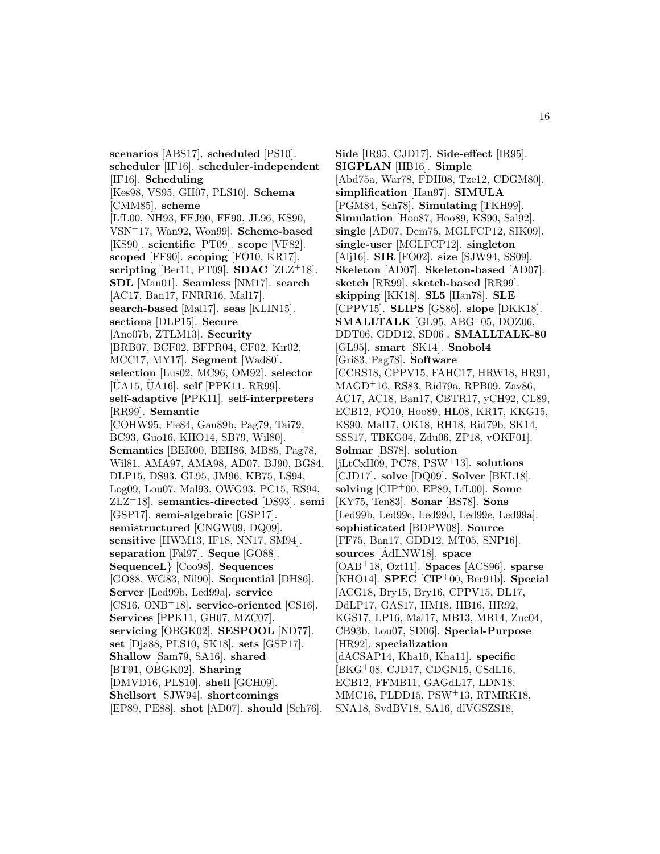**scenarios** [ABS17]. **scheduled** [PS10]. **scheduler** [IF16]. **scheduler-independent** [IF16]. **Scheduling** [Kes98, VS95, GH07, PLS10]. **Schema** [CMM85]. **scheme** [LfL00, NH93, FFJ90, FF90, JL96, KS90, VSN<sup>+</sup>17, Wan92, Won99]. **Scheme-based** [KS90]. **scientific** [PT09]. **scope** [VF82]. **scoped** [FF90]. **scoping** [FO10, KR17]. **scripting** [Ber11, PT09]. **SDAC** [ZLZ<sup>+</sup>18]. **SDL** [Man01]. **Seamless** [NM17]. **search** [AC17, Ban17, FNRR16, Mal17]. **search-based** [Mal17]. **seas** [KLIN15]. **sections** [DLP15]. **Secure** [Ano07b, ZTLM13]. **Security** [BRB07, BCF02, BFPR04, CF02, Kır02, MCC17, MY17]. **Segment** [Wad80]. **selection** [Lus02, MC96, OM92]. **selector** [UA15, UA16]. **self** [PPK11, RR99]. **self-adaptive** [PPK11]. **self-interpreters** [RR99]. **Semantic** [COHW95, Fle84, Gan89b, Pag79, Tai79, BC93, Guo16, KHO14, SB79, Wil80]. **Semantics** [BER00, BEH86, MB85, Pag78, Wil81, AMA97, AMA98, AD07, BJ90, BG84, DLP15, DS93, GL95, JM96, KB75, LS94, Log09, Lou07, Mal93, OWG93, PC15, RS94, ZLZ<sup>+</sup>18]. **semantics-directed** [DS93]. **semi** [GSP17]. **semi-algebraic** [GSP17]. **semistructured** [CNGW09, DQ09]. **sensitive** [HWM13, IF18, NN17, SM94]. **separation** [Fal97]. **Seque** [GO88]. **SequenceL**} [Coo98]. **Sequences** [GO88, WG83, Nil90]. **Sequential** [DH86]. **Server** [Led99b, Led99a]. **service** [CS16, ONB<sup>+</sup>18]. **service-oriented** [CS16]. **Services** [PPK11, GH07, MZC07]. **servicing** [OBGK02]. **SESPOOL** [ND77]. **set** [Dja88, PLS10, SK18]. **sets** [GSP17]. **Shallow** [Sam79, SA16]. **shared** [BT91, OBGK02]. **Sharing** [DMVD16, PLS10]. **shell** [GCH09]. **Shellsort** [SJW94]. **shortcomings** [EP89, PE88]. **shot** [AD07]. **should** [Sch76].

**Side** [IR95, CJD17]. **Side-effect** [IR95]. **SIGPLAN** [HB16]. **Simple** [Abd75a, War78, FDH08, Tze12, CDGM80]. **simplification** [Han97]. **SIMULA** [PGM84, Sch78]. **Simulating** [TKH99]. **Simulation** [Hoo87, Hoo89, KS90, Sal92]. **single** [AD07, Dem75, MGLFCP12, SIK09]. **single-user** [MGLFCP12]. **singleton** [Alj16]. **SIR** [FO02]. **size** [SJW94, SS09]. **Skeleton** [AD07]. **Skeleton-based** [AD07]. **sketch** [RR99]. **sketch-based** [RR99]. **skipping** [KK18]. **SL5** [Han78]. **SLE** [CPPV15]. **SLIPS** [GS86]. **slope** [DKK18]. **SMALLTALK** [GL95, ABG<sup>+</sup>05, DOZ06, DDT06, GDD12, SD06]. **SMALLTALK-80** [GL95]. **smart** [SK14]. **Snobol4** [Gri83, Pag78]. **Software** [CCRS18, CPPV15, FAHC17, HRW18, HR91, MAGD<sup>+</sup>16, RS83, Rid79a, RPB09, Zav86, AC17, AC18, Ban17, CBTR17, yCH92, CL89, ECB12, FO10, Hoo89, HL08, KR17, KKG15, KS90, Mal17, OK18, RH18, Rid79b, SK14, SSS17, TBKG04, Zdu06, ZP18, vOKF01]. **Solmar** [BS78]. **solution** [jLtCxH09, PC78, PSW<sup>+</sup>13]. **solutions** [CJD17]. **solve** [DQ09]. **Solver** [BKL18]. **solving** [CIP<sup>+</sup>00, EP89, LfL00]. **Some** [KY75, Ten83]. **Sonar** [BS78]. **Sons** [Led99b, Led99c, Led99d, Led99e, Led99a]. **sophisticated** [BDPW08]. **Source** [FF75, Ban17, GDD12, MT05, SNP16]. sources [AdLNW18]. space [OAB<sup>+</sup>18, Ozt11]. **Spaces** [ACS96]. **sparse** [KHO14]. **SPEC** [CIP<sup>+</sup>00, Ber91b]. **Special** [ACG18, Bry15, Bry16, CPPV15, DL17, DdLP17, GAS17, HM18, HB16, HR92, KGS17, LP16, Mal17, MB13, MB14, Zuc04, CB93b, Lou07, SD06]. **Special-Purpose** [HR92]. **specialization** [dACSAP14, Kha10, Kha11]. **specific** [BKG<sup>+</sup>08, CJD17, CDGN15, CSdL16, ECB12, FFMB11, GAGdL17, LDN18, MMC16, PLDD15, PSW<sup>+</sup>13, RTMRK18, SNA18, SvdBV18, SA16, dlVGSZS18,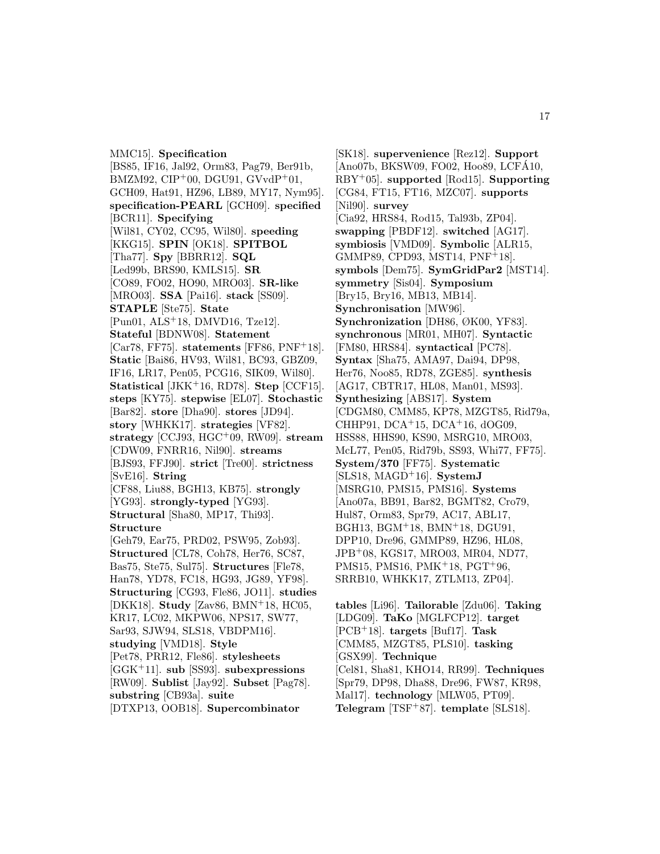MMC15]. **Specification** [BS85, IF16, Jal92, Orm83, Pag79, Ber91b, BMZM92,  $\text{CIP}^+00$ , DGU91,  $\text{GVvdP}^+01$ , GCH09, Hat91, HZ96, LB89, MY17, Nym95]. **specification-PEARL** [GCH09]. **specified** [BCR11]. **Specifying** [Wil81, CY02, CC95, Wil80]. **speeding** [KKG15]. **SPIN** [OK18]. **SPITBOL** [Tha77]. **Spy** [BBRR12]. **SQL** [Led99b, BRS90, KMLS15]. **SR** [CO89, FO02, HO90, MRO03]. **SR-like** [MRO03]. **SSA** [Pai16]. **stack** [SS09]. **STAPLE** [Ste75]. **State** [Pun01, ALS<sup>+</sup>18, DMVD16, Tze12]. **Stateful** [BDNW08]. **Statement** [Car78, FF75]. **statements** [FF86, PNF<sup>+</sup>18]. **Static** [Bai86, HV93, Wil81, BC93, GBZ09, IF16, LR17, Pen05, PCG16, SIK09, Wil80]. **Statistical** [JKK<sup>+</sup>16, RD78]. **Step** [CCF15]. **steps** [KY75]. **stepwise** [EL07]. **Stochastic** [Bar82]. **store** [Dha90]. **stores** [JD94]. **story** [WHKK17]. **strategies** [VF82]. **strategy** [CCJ93, HGC<sup>+</sup>09, RW09]. **stream** [CDW09, FNRR16, Nil90]. **streams** [BJS93, FFJ90]. **strict** [Tre00]. **strictness** [SvE16]. **String** [CF88, Liu88, BGH13, KB75]. **strongly** [YG93]. **strongly-typed** [YG93]. **Structural** [Sha80, MP17, Thi93]. **Structure** [Geh79, Ear75, PRD02, PSW95, Zob93]. **Structured** [CL78, Coh78, Her76, SC87, Bas75, Ste75, Sul75]. **Structures** [Fle78, Han78, YD78, FC18, HG93, JG89, YF98]. **Structuring** [CG93, Fle86, JO11]. **studies** [DKK18]. **Study** [Zav86, BMN<sup>+</sup>18, HC05, KR17, LC02, MKPW06, NPS17, SW77, Sar93, SJW94, SLS18, VBDPM16]. **studying** [VMD18]. **Style** [Pet78, PRR12, Fle86]. **stylesheets** [GGK<sup>+</sup>11]. **sub** [SS93]. **subexpressions** [RW09]. **Sublist** [Jay92]. **Subset** [Pag78]. **substring** [CB93a]. **suite**

[DTXP13, OOB18]. **Supercombinator**

[SK18]. **supervenience** [Rez12]. **Support** [Ano07b, BKSW09, FO02, Hoo89, LCFÁ10, RBY<sup>+</sup>05]. **supported** [Rod15]. **Supporting** [CG84, FT15, FT16, MZC07]. **supports** [Nil90]. **survey** [Cia92, HRS84, Rod15, Tal93b, ZP04]. **swapping** [PBDF12]. **switched** [AG17]. **symbiosis** [VMD09]. **Symbolic** [ALR15, GMMP89, CPD93, MST14, PNF<sup>+</sup>18]. **symbols** [Dem75]. **SymGridPar2** [MST14]. **symmetry** [Sis04]. **Symposium** [Bry15, Bry16, MB13, MB14]. **Synchronisation** [MW96]. **Synchronization** [DH86, ØK00, YF83]. **synchronous** [MR01, MH07]. **Syntactic** [FM80, HRS84]. **syntactical** [PC78]. **Syntax** [Sha75, AMA97, Dai94, DP98, Her76, Noo85, RD78, ZGE85]. **synthesis** [AG17, CBTR17, HL08, Man01, MS93]. **Synthesizing** [ABS17]. **System** [CDGM80, CMM85, KP78, MZGT85, Rid79a, CHHP91, DCA<sup>+</sup>15, DCA<sup>+</sup>16, dOG09, HSS88, HHS90, KS90, MSRG10, MRO03, McL77, Pen05, Rid79b, SS93, Whi77, FF75]. **System/370** [FF75]. **Systematic** [SLS18, MAGD<sup>+</sup>16]. **SystemJ** [MSRG10, PMS15, PMS16]. **Systems** [Ano07a, BB91, Bar82, BGMT82, Cro79, Hul87, Orm83, Spr79, AC17, ABL17, BGH13, BGM<sup>+</sup>18, BMN<sup>+</sup>18, DGU91, DPP10, Dre96, GMMP89, HZ96, HL08, JPB<sup>+</sup>08, KGS17, MRO03, MR04, ND77, PMS15, PMS16, PMK<sup>+</sup>18, PGT<sup>+</sup>96, SRRB10, WHKK17, ZTLM13, ZP04].

**tables** [Li96]. **Tailorable** [Zdu06]. **Taking** [LDG09]. **TaKo** [MGLFCP12]. **target** [PCB<sup>+</sup>18]. **targets** [Buf17]. **Task** [CMM85, MZGT85, PLS10]. **tasking** [GSX99]. **Technique** [Cel81, Sha81, KHO14, RR99]. **Techniques** [Spr79, DP98, Dha88, Dre96, FW87, KR98, Mal17]. **technology** [MLW05, PT09]. **Telegram** [TSF<sup>+</sup>87]. **template** [SLS18].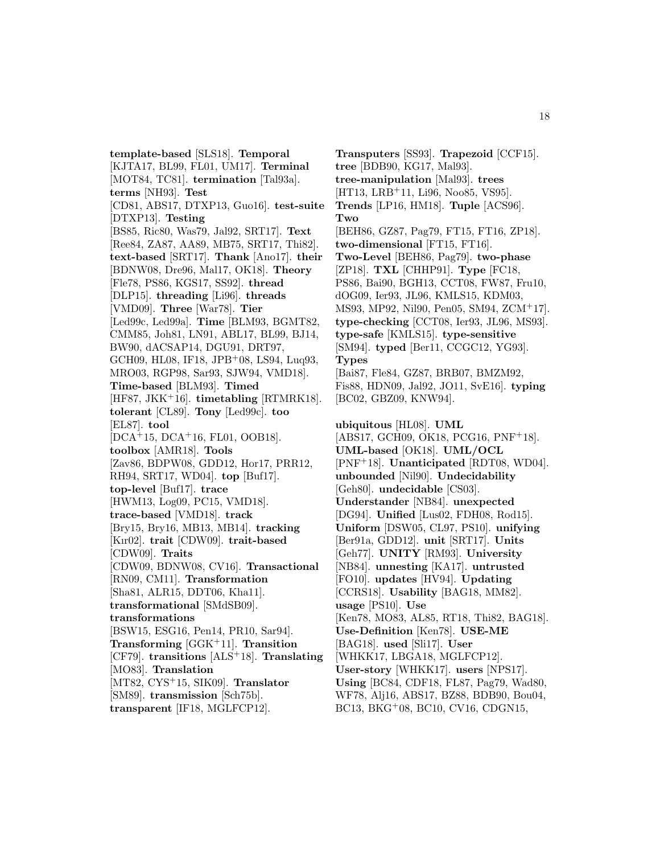**template-based** [SLS18]. **Temporal** [KJTA17, BL99, FL01, UM17]. **Terminal** [MOT84, TC81]. **termination** [Tal93a]. **terms** [NH93]. **Test** [CD81, ABS17, DTXP13, Guo16]. **test-suite** [DTXP13]. **Testing** [BS85, Ric80, Was79, Jal92, SRT17]. **Text** [Ree84, ZA87, AA89, MB75, SRT17, Thi82]. **text-based** [SRT17]. **Thank** [Ano17]. **their** [BDNW08, Dre96, Mal17, OK18]. **Theory** [Fle78, PS86, KGS17, SS92]. **thread** [DLP15]. **threading** [Li96]. **threads** [VMD09]. **Three** [War78]. **Tier** [Led99c, Led99a]. **Time** [BLM93, BGMT82, CMM85, Joh81, LN91, ABL17, BL99, BJ14, BW90, dACSAP14, DGU91, DRT97, GCH09, HL08, IF18, JPB<sup>+</sup>08, LS94, Luq93, MRO03, RGP98, Sar93, SJW94, VMD18]. **Time-based** [BLM93]. **Timed** [HF87, JKK<sup>+</sup>16]. **timetabling** [RTMRK18]. **tolerant** [CL89]. **Tony** [Led99c]. **too** [EL87]. **tool** [DCA<sup>+</sup>15, DCA<sup>+</sup>16, FL01, OOB18]. **toolbox** [AMR18]. **Tools** [Zav86, BDPW08, GDD12, Hor17, PRR12, RH94, SRT17, WD04]. **top** [Buf17]. **top-level** [Buf17]. **trace** [HWM13, Log09, PC15, VMD18]. **trace-based** [VMD18]. **track** [Bry15, Bry16, MB13, MB14]. **tracking** [Kır02]. **trait** [CDW09]. **trait-based** [CDW09]. **Traits** [CDW09, BDNW08, CV16]. **Transactional** [RN09, CM11]. **Transformation** [Sha81, ALR15, DDT06, Kha11]. **transformational** [SMdSB09]. **transformations** [BSW15, ESG16, Pen14, PR10, Sar94]. **Transforming** [GGK<sup>+</sup>11]. **Transition** [CF79]. **transitions** [ALS<sup>+</sup>18]. **Translating** [MO83]. **Translation** [MT82, CYS<sup>+</sup>15, SIK09]. **Translator** [SM89]. **transmission** [Sch75b]. **transparent** [IF18, MGLFCP12].

**Transputers** [SS93]. **Trapezoid** [CCF15]. **tree** [BDB90, KG17, Mal93]. **tree-manipulation** [Mal93]. **trees** [HT13, LRB<sup>+</sup>11, Li96, Noo85, VS95]. **Trends** [LP16, HM18]. **Tuple** [ACS96]. **Two** [BEH86, GZ87, Pag79, FT15, FT16, ZP18]. **two-dimensional** [FT15, FT16]. **Two-Level** [BEH86, Pag79]. **two-phase** [ZP18]. **TXL** [CHHP91]. **Type** [FC18, PS86, Bai90, BGH13, CCT08, FW87, Fru10, dOG09, Ier93, JL96, KMLS15, KDM03, MS93, MP92, Nil90, Pen05, SM94, ZCM<sup>+</sup>17]. **type-checking** [CCT08, Ier93, JL96, MS93]. **type-safe** [KMLS15]. **type-sensitive** [SM94]. **typed** [Ber11, CCGC12, YG93]. **Types** [Bai87, Fle84, GZ87, BRB07, BMZM92, Fis88, HDN09, Jal92, JO11, SvE16]. **typing** [BC02, GBZ09, KNW94]. **ubiquitous** [HL08]. **UML** [ABS17, GCH09, OK18, PCG16, PNF<sup>+</sup>18]. **UML-based** [OK18]. **UML/OCL** [PNF<sup>+</sup>18]. **Unanticipated** [RDT08, WD04]. **unbounded** [Nil90]. **Undecidability** [Geh80]. **undecidable** [CS03]. **Understander** [NB84]. **unexpected** [DG94]. **Unified** [Lus02, FDH08, Rod15]. **Uniform** [DSW05, CL97, PS10]. **unifying** [Ber91a, GDD12]. **unit** [SRT17]. **Units** [Geh77]. **UNITY** [RM93]. **University** [NB84]. **unnesting** [KA17]. **untrusted** [FO10]. **updates** [HV94]. **Updating** [CCRS18]. **Usability** [BAG18, MM82]. **usage** [PS10]. **Use** [Ken78, MO83, AL85, RT18, Thi82, BAG18]. **Use-Definition** [Ken78]. **USE-ME** [BAG18]. **used** [Sli17]. **User** [WHKK17, LBGA18, MGLFCP12]. **User-story** [WHKK17]. **users** [NPS17]. **Using** [BC84, CDF18, FL87, Pag79, Wad80, WF78, Alj16, ABS17, BZ88, BDB90, Bou04, BC13, BKG<sup>+</sup>08, BC10, CV16, CDGN15,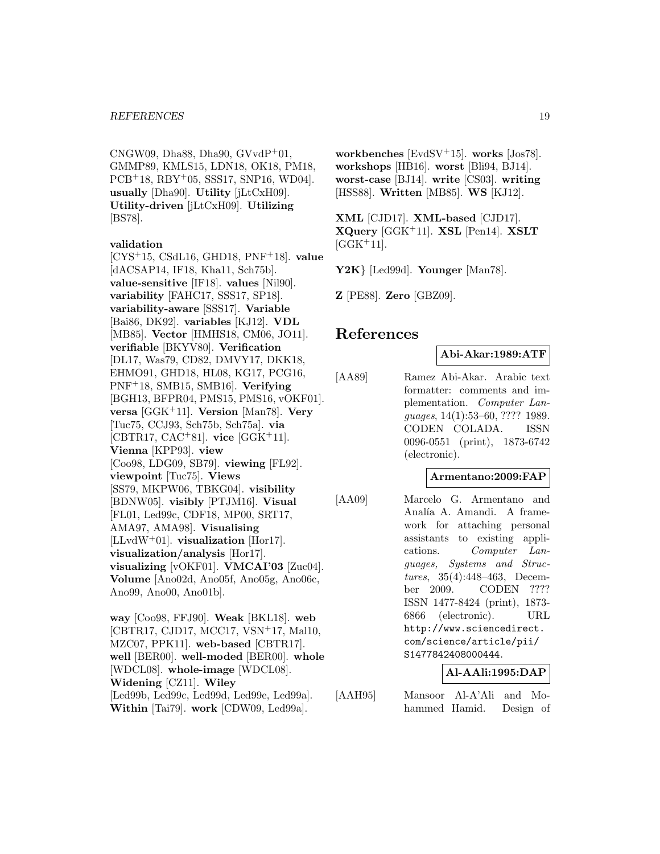CNGW09, Dha $88$ , Dha $90$ , GVvdP<sup>+</sup>01, GMMP89, KMLS15, LDN18, OK18, PM18, PCB<sup>+</sup>18, RBY<sup>+</sup>05, SSS17, SNP16, WD04]. **usually** [Dha90]. **Utility** [jLtCxH09]. **Utility-driven** [jLtCxH09]. **Utilizing** [BS78].

#### **validation**

[CYS<sup>+</sup>15, CSdL16, GHD18, PNF<sup>+</sup>18]. **value** [dACSAP14, IF18, Kha11, Sch75b]. **value-sensitive** [IF18]. **values** [Nil90]. **variability** [FAHC17, SSS17, SP18]. **variability-aware** [SSS17]. **Variable** [Bai86, DK92]. **variables** [KJ12]. **VDL** [MB85]. **Vector** [HMHS18, CM06, JO11]. **verifiable** [BKYV80]. **Verification** [DL17, Was79, CD82, DMVY17, DKK18, EHMO91, GHD18, HL08, KG17, PCG16, PNF<sup>+</sup>18, SMB15, SMB16]. **Verifying** [BGH13, BFPR04, PMS15, PMS16, vOKF01]. **versa** [GGK<sup>+</sup>11]. **Version** [Man78]. **Very** [Tuc75, CCJ93, Sch75b, Sch75a]. **via** [CBTR17, CAC<sup>+</sup>81]. **vice** [GGK<sup>+</sup>11]. **Vienna** [KPP93]. **view** [Coo98, LDG09, SB79]. **viewing** [FL92]. **viewpoint** [Tuc75]. **Views** [SS79, MKPW06, TBKG04]. **visibility** [BDNW05]. **visibly** [PTJM16]. **Visual** [FL01, Led99c, CDF18, MP00, SRT17, AMA97, AMA98]. **Visualising** [LLvdW<sup>+</sup>01]. **visualization** [Hor17]. **visualization/analysis** [Hor17]. **visualizing** [vOKF01]. **VMCAI'03** [Zuc04]. **Volume** [Ano02d, Ano05f, Ano05g, Ano06c, Ano99, Ano00, Ano01b].

**way** [Coo98, FFJ90]. **Weak** [BKL18]. **web** [CBTR17, CJD17, MCC17, VSN<sup>+</sup>17, Mal10, MZC07, PPK11]. **web-based** [CBTR17]. **well** [BER00]. **well-moded** [BER00]. **whole** [WDCL08]. **whole-image** [WDCL08]. **Widening** [CZ11]. **Wiley** [Led99b, Led99c, Led99d, Led99e, Led99a]. **Within** [Tai79]. **work** [CDW09, Led99a].

**workbenches** [EvdSV<sup>+</sup>15]. **works** [Jos78]. **workshops** [HB16]. **worst** [Bli94, BJ14]. **worst-case** [BJ14]. **write** [CS03]. **writing** [HSS88]. **Written** [MB85]. **WS** [KJ12].

**XML** [CJD17]. **XML-based** [CJD17]. **XQuery** [GGK<sup>+</sup>11]. **XSL** [Pen14]. **XSLT**  $[GGK+11]$ .

**Y2K**} [Led99d]. **Younger** [Man78].

**Z** [PE88]. **Zero** [GBZ09].

# **References**

**Abi-Akar:1989:ATF**

[AA89] Ramez Abi-Akar. Arabic text formatter: comments and implementation. Computer Languages, 14(1):53–60, ???? 1989. CODEN COLADA. ISSN 0096-0551 (print), 1873-6742 (electronic).

#### **Armentano:2009:FAP**

[AA09] Marcelo G. Armentano and Analía A. Amandi. A framework for attaching personal assistants to existing applications. Computer Languages, Systems and Structures, 35(4):448–463, December 2009. CODEN ???? ISSN 1477-8424 (print), 1873- 6866 (electronic). URL http://www.sciencedirect. com/science/article/pii/ S1477842408000444.

#### **Al-AAli:1995:DAP**

[AAH95] Mansoor Al-A'Ali and Mohammed Hamid. Design of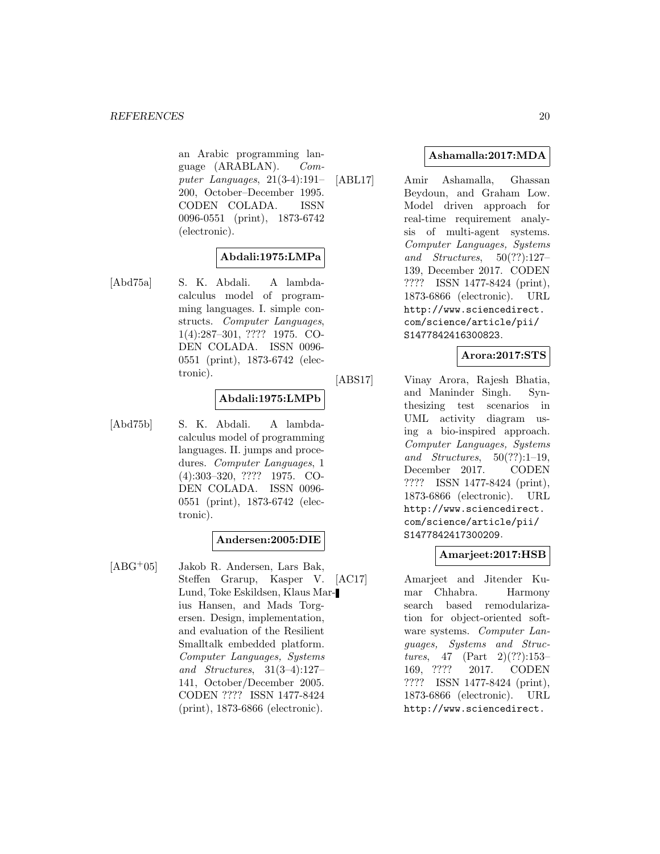an Arabic programming language (ARABLAN). Computer Languages, 21(3-4):191– 200, October–December 1995. CODEN COLADA. ISSN 0096-0551 (print), 1873-6742 (electronic).

# **Abdali:1975:LMPa**

[Abd75a] S. K. Abdali. A lambdacalculus model of programming languages. I. simple constructs. Computer Languages, 1(4):287–301, ???? 1975. CO-DEN COLADA. ISSN 0096- 0551 (print), 1873-6742 (electronic).

# **Abdali:1975:LMPb**

[Abd75b] S. K. Abdali. A lambdacalculus model of programming languages. II. jumps and procedures. Computer Languages, 1 (4):303–320, ???? 1975. CO-DEN COLADA. ISSN 0096- 0551 (print), 1873-6742 (electronic).

# **Andersen:2005:DIE**

[ABG<sup>+</sup>05] Jakob R. Andersen, Lars Bak, Steffen Grarup, Kasper V. Lund, Toke Eskildsen, Klaus Marius Hansen, and Mads Torgersen. Design, implementation, and evaluation of the Resilient Smalltalk embedded platform. Computer Languages, Systems and Structures, 31(3–4):127– 141, October/December 2005. CODEN ???? ISSN 1477-8424 (print), 1873-6866 (electronic).

# **Ashamalla:2017:MDA**

[ABL17] Amir Ashamalla, Ghassan Beydoun, and Graham Low. Model driven approach for real-time requirement analysis of multi-agent systems. Computer Languages, Systems and Structures, 50(??):127– 139, December 2017. CODEN ???? ISSN 1477-8424 (print), 1873-6866 (electronic). URL http://www.sciencedirect. com/science/article/pii/ S1477842416300823.

# **Arora:2017:STS**

[ABS17] Vinay Arora, Rajesh Bhatia, and Maninder Singh. Synthesizing test scenarios in UML activity diagram using a bio-inspired approach. Computer Languages, Systems and Structures,  $50(??):1-19$ , December 2017. CODEN ???? ISSN 1477-8424 (print), 1873-6866 (electronic). URL http://www.sciencedirect. com/science/article/pii/ S1477842417300209.

# **Amarjeet:2017:HSB**

[AC17] Amarjeet and Jitender Kumar Chhabra. Harmony search based remodularization for object-oriented software systems. Computer Languages, Systems and Structures, 47 (Part 2)(??):153– 169, ???? 2017. CODEN ???? ISSN 1477-8424 (print), 1873-6866 (electronic). URL http://www.sciencedirect.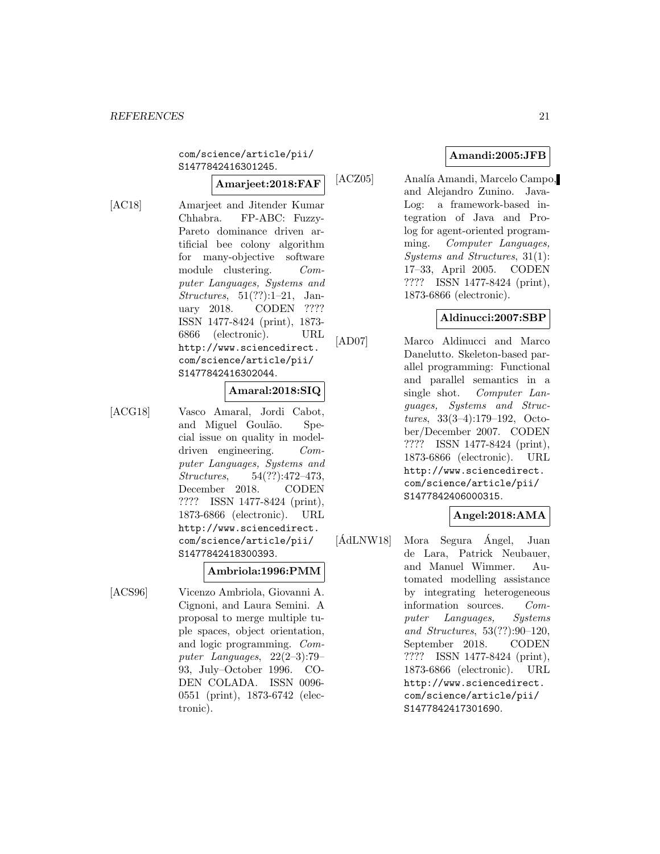com/science/article/pii/ S1477842416301245.

# **Amarjeet:2018:FAF**

- 
- [AC18] Amarjeet and Jitender Kumar Chhabra. FP-ABC: Fuzzy-Pareto dominance driven artificial bee colony algorithm for many-objective software module clustering. Computer Languages, Systems and Structures, 51(??):1–21, January 2018. CODEN ???? ISSN 1477-8424 (print), 1873- 6866 (electronic). URL http://www.sciencedirect. com/science/article/pii/ S1477842416302044.

# **Amaral:2018:SIQ**

[ACG18] Vasco Amaral, Jordi Cabot, and Miguel Goulão. Special issue on quality in modeldriven engineering. Computer Languages, Systems and Structures, 54(??):472–473, December 2018. CODEN ???? ISSN 1477-8424 (print), 1873-6866 (electronic). URL http://www.sciencedirect. com/science/article/pii/ S1477842418300393.

#### **Ambriola:1996:PMM**

[ACS96] Vicenzo Ambriola, Giovanni A. Cignoni, and Laura Semini. A proposal to merge multiple tuple spaces, object orientation, and logic programming. Computer Languages, 22(2–3):79– 93, July–October 1996. CO-DEN COLADA. ISSN 0096- 0551 (print), 1873-6742 (electronic).

## **Amandi:2005:JFB**

[ACZ05] Analía Amandi, Marcelo Campo, and Alejandro Zunino. Java-Log: a framework-based integration of Java and Prolog for agent-oriented programming. Computer Languages, Systems and Structures, 31(1): 17–33, April 2005. CODEN ???? ISSN 1477-8424 (print), 1873-6866 (electronic).

#### **Aldinucci:2007:SBP**

[AD07] Marco Aldinucci and Marco Danelutto. Skeleton-based parallel programming: Functional and parallel semantics in a single shot. Computer Languages, Systems and Structures, 33(3–4):179–192, October/December 2007. CODEN ???? ISSN 1477-8424 (print), 1873-6866 (electronic). URL http://www.sciencedirect. com/science/article/pii/ S1477842406000315.

# **Angel:2018:AMA**

 $[\text{ÅdLNW18}]$  Mora Segura  $\text{Ångel}$ , Juan de Lara, Patrick Neubauer, and Manuel Wimmer. Automated modelling assistance by integrating heterogeneous information sources. Computer Languages, Systems and Structures, 53(??):90–120, September 2018. CODEN ???? ISSN 1477-8424 (print), 1873-6866 (electronic). URL http://www.sciencedirect. com/science/article/pii/ S1477842417301690.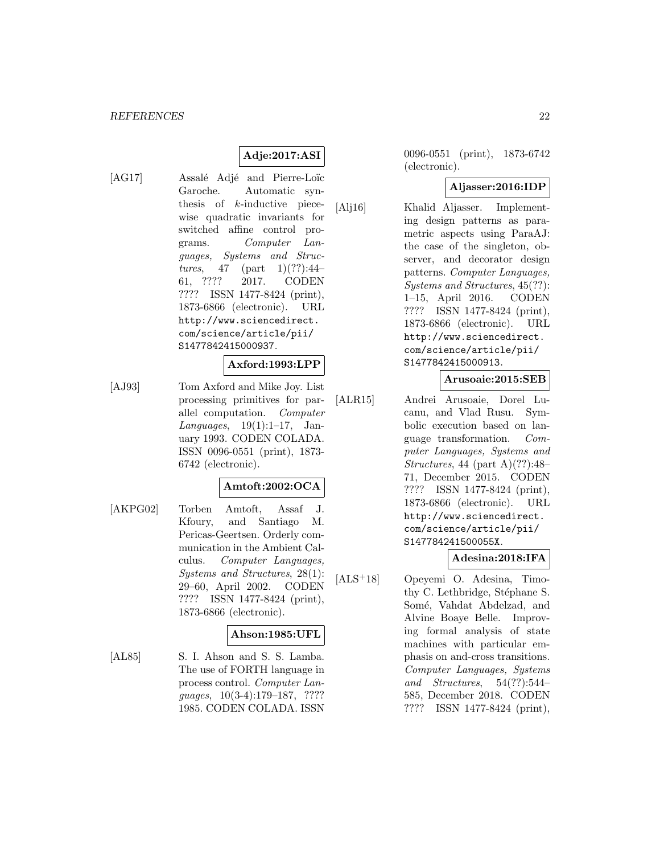# **Adje:2017:ASI**

[AG17] Assalé Adjé and Pierre-Loïc Garoche. Automatic synthesis of k-inductive piecewise quadratic invariants for switched affine control programs. Computer Languages, Systems and Structures, 47 (part  $1)(??):44-$ 61, ???? 2017. CODEN ???? ISSN 1477-8424 (print), 1873-6866 (electronic). URL http://www.sciencedirect. com/science/article/pii/ S1477842415000937.

#### **Axford:1993:LPP**

[AJ93] Tom Axford and Mike Joy. List processing primitives for parallel computation. Computer Languages,  $19(1):1-17$ , January 1993. CODEN COLADA. ISSN 0096-0551 (print), 1873- 6742 (electronic).

#### **Amtoft:2002:OCA**

[AKPG02] Torben Amtoft, Assaf J. Kfoury, and Santiago M. Pericas-Geertsen. Orderly communication in the Ambient Calculus. Computer Languages, Systems and Structures, 28(1): 29–60, April 2002. CODEN ???? ISSN 1477-8424 (print), 1873-6866 (electronic).

#### **Ahson:1985:UFL**

[AL85] S. I. Ahson and S. S. Lamba. The use of FORTH language in process control. Computer Languages, 10(3-4):179–187, ???? 1985. CODEN COLADA. ISSN

0096-0551 (print), 1873-6742 (electronic).

#### **Aljasser:2016:IDP**

[Alj16] Khalid Aljasser. Implementing design patterns as parametric aspects using ParaAJ: the case of the singleton, observer, and decorator design patterns. Computer Languages, Systems and Structures, 45(??): 1–15, April 2016. CODEN ???? ISSN 1477-8424 (print), 1873-6866 (electronic). URL http://www.sciencedirect. com/science/article/pii/ S1477842415000913.

#### **Arusoaie:2015:SEB**

[ALR15] Andrei Arusoaie, Dorel Lucanu, and Vlad Rusu. Symbolic execution based on language transformation. Computer Languages, Systems and Structures, 44 (part A) $(??):48-$ 71, December 2015. CODEN ???? ISSN 1477-8424 (print), 1873-6866 (electronic). URL http://www.sciencedirect. com/science/article/pii/ S147784241500055X.

# **Adesina:2018:IFA**

[ALS<sup>+</sup>18] Opeyemi O. Adesina, Timothy C. Lethbridge, Stéphane S. Somé, Vahdat Abdelzad, and Alvine Boaye Belle. Improving formal analysis of state machines with particular emphasis on and-cross transitions. Computer Languages, Systems and Structures, 54(??):544– 585, December 2018. CODEN ???? ISSN 1477-8424 (print),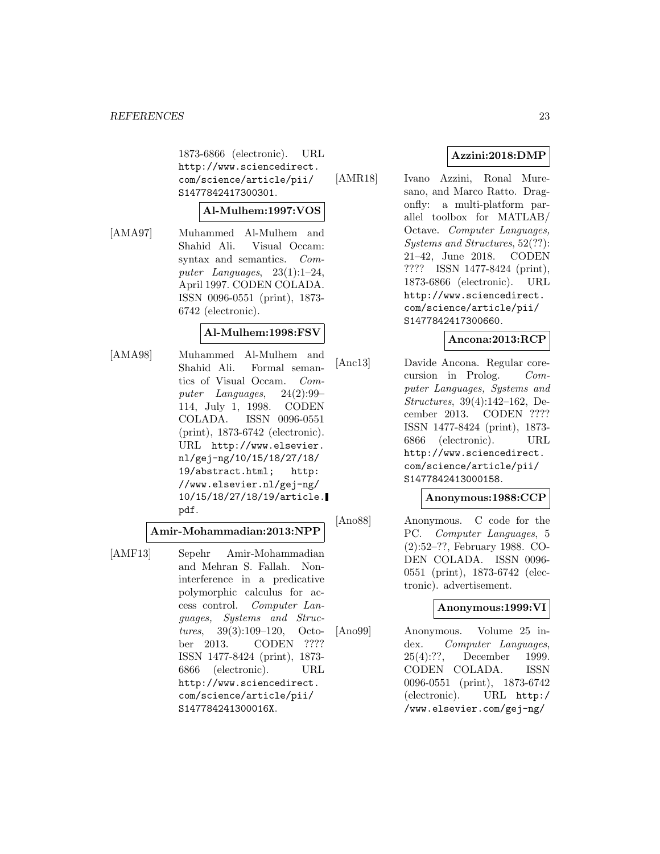1873-6866 (electronic). URL http://www.sciencedirect. com/science/article/pii/ S1477842417300301.

### **Al-Mulhem:1997:VOS**

[AMA97] Muhammed Al-Mulhem and Shahid Ali. Visual Occam: syntax and semantics. Computer Languages, 23(1):1–24, April 1997. CODEN COLADA. ISSN 0096-0551 (print), 1873- 6742 (electronic).

# **Al-Mulhem:1998:FSV**

[AMA98] Muhammed Al-Mulhem and Shahid Ali. Formal semantics of Visual Occam. Computer Languages, 24(2):99– 114, July 1, 1998. CODEN COLADA. ISSN 0096-0551 (print), 1873-6742 (electronic). URL http://www.elsevier. nl/gej-ng/10/15/18/27/18/ 19/abstract.html; http: //www.elsevier.nl/gej-ng/ 10/15/18/27/18/19/article. pdf.

**Amir-Mohammadian:2013:NPP**

[AMF13] Sepehr Amir-Mohammadian and Mehran S. Fallah. Noninterference in a predicative polymorphic calculus for access control. Computer Languages, Systems and Structures, 39(3):109–120, October 2013. CODEN ???? ISSN 1477-8424 (print), 1873- 6866 (electronic). URL http://www.sciencedirect. com/science/article/pii/ S147784241300016X.

# **Azzini:2018:DMP**

[AMR18] Ivano Azzini, Ronal Muresano, and Marco Ratto. Dragonfly: a multi-platform parallel toolbox for MATLAB/ Octave. Computer Languages, Systems and Structures, 52(??): 21–42, June 2018. CODEN ???? ISSN 1477-8424 (print), 1873-6866 (electronic). URL http://www.sciencedirect. com/science/article/pii/ S1477842417300660.

## **Ancona:2013:RCP**

[Anc13] Davide Ancona. Regular corecursion in Prolog. Computer Languages, Systems and Structures, 39(4):142–162, December 2013. CODEN ???? ISSN 1477-8424 (print), 1873- 6866 (electronic). URL http://www.sciencedirect. com/science/article/pii/ S1477842413000158.

# **Anonymous:1988:CCP**

[Ano88] Anonymous. C code for the PC. Computer Languages, 5 (2):52–??, February 1988. CO-DEN COLADA. ISSN 0096- 0551 (print), 1873-6742 (electronic). advertisement.

#### **Anonymous:1999:VI**

[Ano99] Anonymous. Volume 25 index. Computer Languages, 25(4):??, December 1999. CODEN COLADA. ISSN 0096-0551 (print), 1873-6742 (electronic). URL http:/ /www.elsevier.com/gej-ng/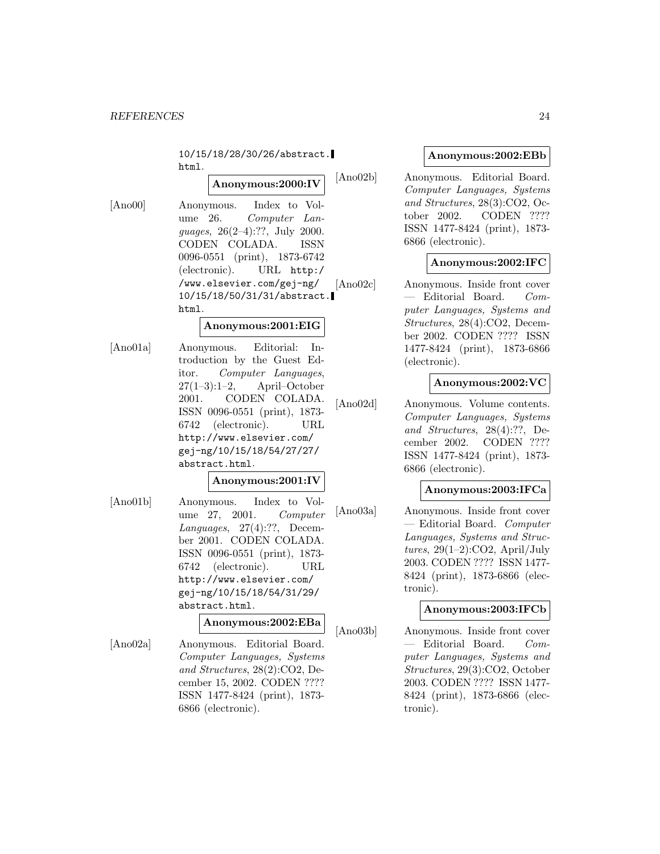10/15/18/28/30/26/abstract. html.

# **Anonymous:2000:IV**

[Ano00] Anonymous. Index to Volume 26. Computer Languages, 26(2–4):??, July 2000. CODEN COLADA. ISSN 0096-0551 (print), 1873-6742 (electronic). URL http:/ /www.elsevier.com/gej-ng/ 10/15/18/50/31/31/abstract. html.

#### **Anonymous:2001:EIG**

[Ano01a] Anonymous. Editorial: Introduction by the Guest Editor. Computer Languages,  $27(1-3):1-2$ , April–October 2001. CODEN COLADA. ISSN 0096-0551 (print), 1873- 6742 (electronic). URL http://www.elsevier.com/ gej-ng/10/15/18/54/27/27/ abstract.html.

# **Anonymous:2001:IV**

[Ano01b] Anonymous. Index to Volume 27, 2001. Computer Languages, 27(4):??, December 2001. CODEN COLADA. ISSN 0096-0551 (print), 1873- 6742 (electronic). URL http://www.elsevier.com/ gej-ng/10/15/18/54/31/29/ abstract.html.

#### **Anonymous:2002:EBa**

[Ano02a] Anonymous. Editorial Board. Computer Languages, Systems and Structures, 28(2):CO2, December 15, 2002. CODEN ???? ISSN 1477-8424 (print), 1873- 6866 (electronic).

## **Anonymous:2002:EBb**

[Ano02b] Anonymous. Editorial Board. Computer Languages, Systems and Structures, 28(3):CO2, October 2002. CODEN ???? ISSN 1477-8424 (print), 1873- 6866 (electronic).

# **Anonymous:2002:IFC**

[Ano02c] Anonymous. Inside front cover — Editorial Board. Computer Languages, Systems and Structures, 28(4):CO2, December 2002. CODEN ???? ISSN 1477-8424 (print), 1873-6866 (electronic).

## **Anonymous:2002:VC**

[Ano02d] Anonymous. Volume contents. Computer Languages, Systems and Structures, 28(4):??, December 2002. CODEN ???? ISSN 1477-8424 (print), 1873- 6866 (electronic).

#### **Anonymous:2003:IFCa**

[Ano03a] Anonymous. Inside front cover — Editorial Board. Computer Languages, Systems and Structures,  $29(1-2)$ :CO2, April/July 2003. CODEN ???? ISSN 1477- 8424 (print), 1873-6866 (electronic).

#### **Anonymous:2003:IFCb**

[Ano03b] Anonymous. Inside front cover — Editorial Board. Computer Languages, Systems and Structures, 29(3):CO2, October 2003. CODEN ???? ISSN 1477- 8424 (print), 1873-6866 (electronic).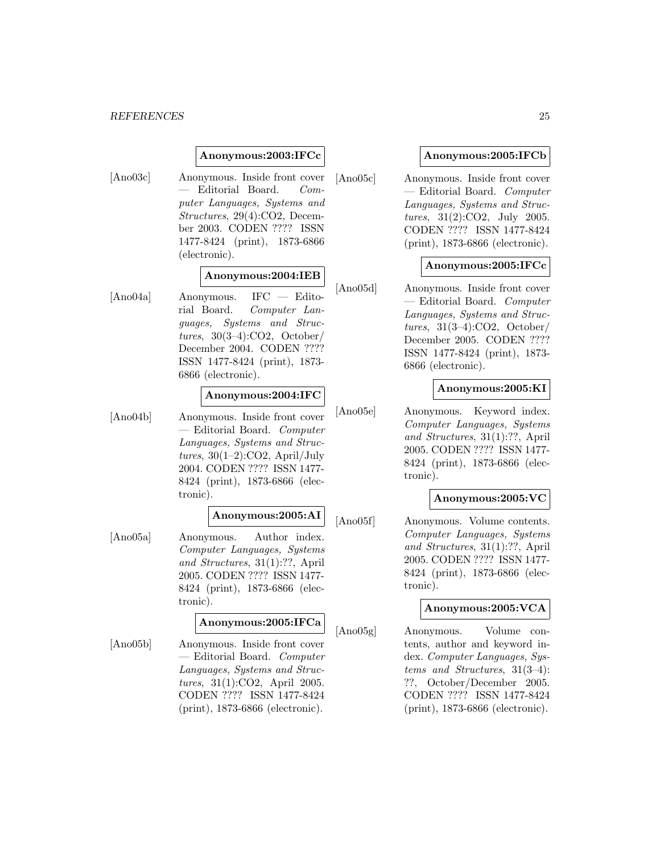#### **Anonymous:2003:IFCc**

[Ano03c] Anonymous. Inside front cover — Editorial Board. Computer Languages, Systems and Structures, 29(4):CO2, December 2003. CODEN ???? ISSN 1477-8424 (print), 1873-6866 (electronic).

#### **Anonymous:2004:IEB**

[Ano04a] Anonymous. IFC — Editorial Board. Computer Languages, Systems and Structures, 30(3–4):CO2, October/ December 2004. CODEN ???? ISSN 1477-8424 (print), 1873- 6866 (electronic).

#### **Anonymous:2004:IFC**

[Ano04b] Anonymous. Inside front cover — Editorial Board. Computer Languages, Systems and Structures,  $30(1-2)$ :CO2, April/July 2004. CODEN ???? ISSN 1477- 8424 (print), 1873-6866 (electronic).

# **Anonymous:2005:AI**

[Ano05a] Anonymous. Author index. Computer Languages, Systems and Structures, 31(1):??, April 2005. CODEN ???? ISSN 1477- 8424 (print), 1873-6866 (electronic).

#### **Anonymous:2005:IFCa**

[Ano05b] Anonymous. Inside front cover — Editorial Board. Computer Languages, Systems and Structures, 31(1):CO2, April 2005. CODEN ???? ISSN 1477-8424 (print), 1873-6866 (electronic).

#### **Anonymous:2005:IFCb**

[Ano05c] Anonymous. Inside front cover — Editorial Board. Computer Languages, Systems and Structures, 31(2):CO2, July 2005. CODEN ???? ISSN 1477-8424 (print), 1873-6866 (electronic).

#### **Anonymous:2005:IFCc**

[Ano05d] Anonymous. Inside front cover — Editorial Board. Computer Languages, Systems and Structures,  $31(3-4):CO2$ , October/ December 2005. CODEN ???? ISSN 1477-8424 (print), 1873- 6866 (electronic).

## **Anonymous:2005:KI**

[Ano05e] Anonymous. Keyword index. Computer Languages, Systems and Structures, 31(1):??, April 2005. CODEN ???? ISSN 1477- 8424 (print), 1873-6866 (electronic).

### **Anonymous:2005:VC**

[Ano05f] Anonymous. Volume contents. Computer Languages, Systems and Structures, 31(1):??, April 2005. CODEN ???? ISSN 1477- 8424 (print), 1873-6866 (electronic).

#### **Anonymous:2005:VCA**

[Ano05g] Anonymous. Volume contents, author and keyword index. Computer Languages, Systems and Structures, 31(3–4): ??, October/December 2005. CODEN ???? ISSN 1477-8424 (print), 1873-6866 (electronic).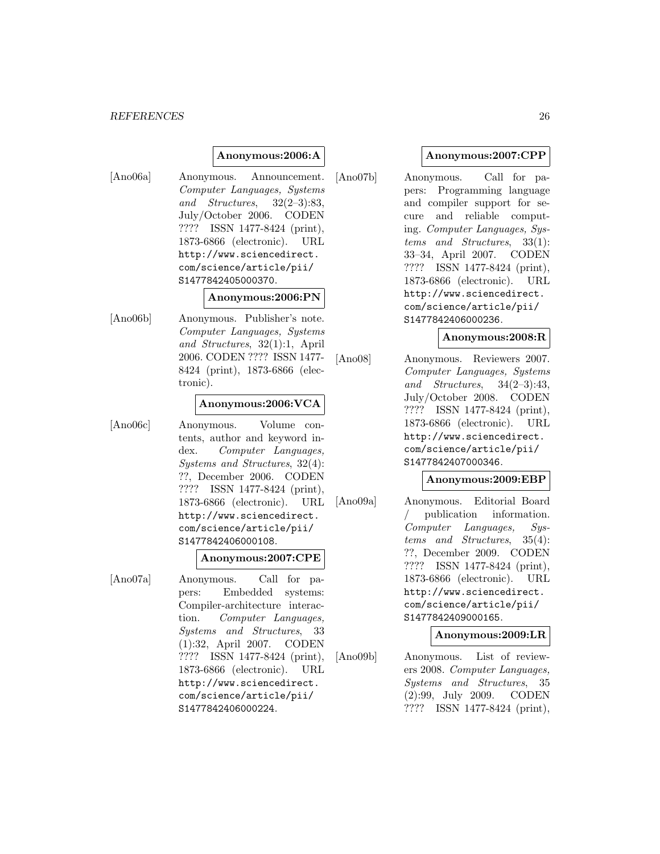#### *REFERENCES* 26

#### **Anonymous:2006:A**

[Ano06a] Anonymous. Announcement. Computer Languages, Systems and Structures, 32(2–3):83, July/October 2006. CODEN ???? ISSN 1477-8424 (print), 1873-6866 (electronic). URL http://www.sciencedirect. com/science/article/pii/ S1477842405000370.

#### **Anonymous:2006:PN**

[Ano06b] Anonymous. Publisher's note. Computer Languages, Systems and Structures, 32(1):1, April 2006. CODEN ???? ISSN 1477- 8424 (print), 1873-6866 (electronic).

#### **Anonymous:2006:VCA**

[Ano06c] Anonymous. Volume contents, author and keyword index. Computer Languages, Systems and Structures, 32(4): ??, December 2006. CODEN ???? ISSN 1477-8424 (print), 1873-6866 (electronic). URL http://www.sciencedirect. com/science/article/pii/ S1477842406000108.

#### **Anonymous:2007:CPE**

[Ano07a] Anonymous. Call for papers: Embedded systems: Compiler-architecture interaction. Computer Languages, Systems and Structures, 33 (1):32, April 2007. CODEN ???? ISSN 1477-8424 (print), 1873-6866 (electronic). URL http://www.sciencedirect. com/science/article/pii/ S1477842406000224.

#### **Anonymous:2007:CPP**

[Ano07b] Anonymous. Call for papers: Programming language and compiler support for secure and reliable computing. Computer Languages, Systems and Structures, 33(1): 33–34, April 2007. CODEN ???? ISSN 1477-8424 (print), 1873-6866 (electronic). URL http://www.sciencedirect. com/science/article/pii/ S1477842406000236.

#### **Anonymous:2008:R**

[Ano08] Anonymous. Reviewers 2007. Computer Languages, Systems and Structures, 34(2–3):43, July/October 2008. CODEN ???? ISSN 1477-8424 (print), 1873-6866 (electronic). URL http://www.sciencedirect. com/science/article/pii/ S1477842407000346.

#### **Anonymous:2009:EBP**

[Ano09a] Anonymous. Editorial Board publication information. Computer Languages, Systems and Structures, 35(4): ??, December 2009. CODEN ???? ISSN 1477-8424 (print), 1873-6866 (electronic). URL http://www.sciencedirect. com/science/article/pii/ S1477842409000165.

#### **Anonymous:2009:LR**

[Ano09b] Anonymous. List of reviewers 2008. Computer Languages, Systems and Structures, 35 (2):99, July 2009. CODEN ???? ISSN 1477-8424 (print),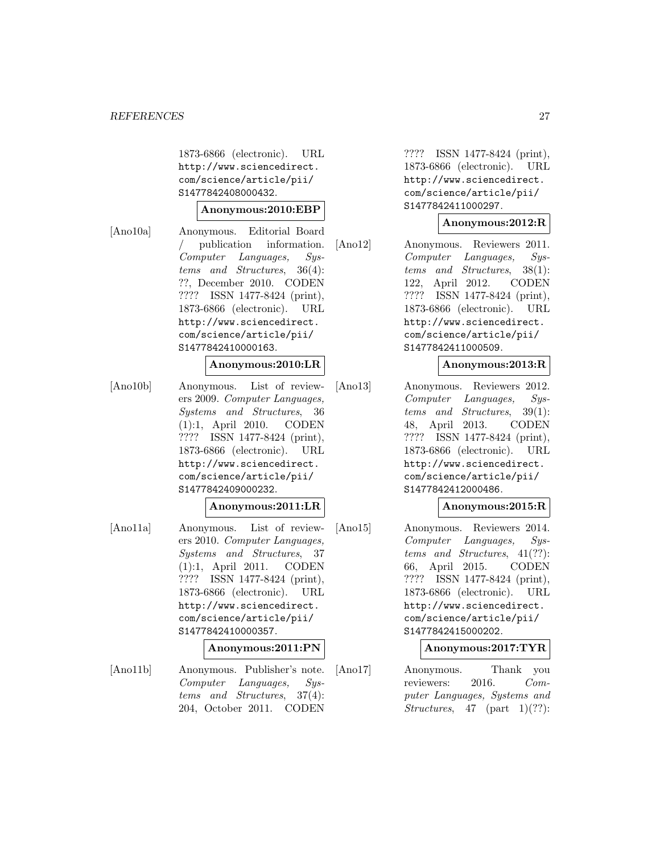1873-6866 (electronic). URL http://www.sciencedirect. com/science/article/pii/ S1477842408000432.

#### **Anonymous:2010:EBP**

[Ano10a] Anonymous. Editorial Board publication information. Computer Languages, Systems and Structures, 36(4): ??, December 2010. CODEN ???? ISSN 1477-8424 (print), 1873-6866 (electronic). URL http://www.sciencedirect. com/science/article/pii/ S1477842410000163.

#### **Anonymous:2010:LR**

[Ano10b] Anonymous. List of reviewers 2009. Computer Languages, Systems and Structures, 36 (1):1, April 2010. CODEN ???? ISSN 1477-8424 (print), 1873-6866 (electronic). URL http://www.sciencedirect. com/science/article/pii/ S1477842409000232.

#### **Anonymous:2011:LR**

- [Ano11a] Anonymous. List of reviewers 2010. Computer Languages, Systems and Structures, 37 (1):1, April 2011. CODEN ???? ISSN 1477-8424 (print), 1873-6866 (electronic). URL http://www.sciencedirect. com/science/article/pii/ S1477842410000357. **Anonymous:2011:PN**
- [Ano11b] Anonymous. Publisher's note. Computer Languages, Systems and Structures, 37(4): 204, October 2011. CODEN

???? ISSN 1477-8424 (print), 1873-6866 (electronic). URL http://www.sciencedirect. com/science/article/pii/ S1477842411000297.

#### **Anonymous:2012:R**

[Ano12] Anonymous. Reviewers 2011. Computer Languages, Systems and Structures, 38(1): 122, April 2012. CODEN ???? ISSN 1477-8424 (print), 1873-6866 (electronic). URL http://www.sciencedirect. com/science/article/pii/ S1477842411000509.

#### **Anonymous:2013:R**

[Ano13] Anonymous. Reviewers 2012. Computer Languages, Systems and Structures, 39(1): 48, April 2013. CODEN ???? ISSN 1477-8424 (print), 1873-6866 (electronic). URL http://www.sciencedirect. com/science/article/pii/ S1477842412000486.

#### **Anonymous:2015:R**

[Ano15] Anonymous. Reviewers 2014. Computer Languages, Systems and Structures, 41(??): 66, April 2015. CODEN ???? ISSN 1477-8424 (print), 1873-6866 (electronic). URL http://www.sciencedirect. com/science/article/pii/ S1477842415000202.

#### **Anonymous:2017:TYR**

[Ano17] Anonymous. Thank you reviewers: 2016. Computer Languages, Systems and Structures, 47 (part 1)(??):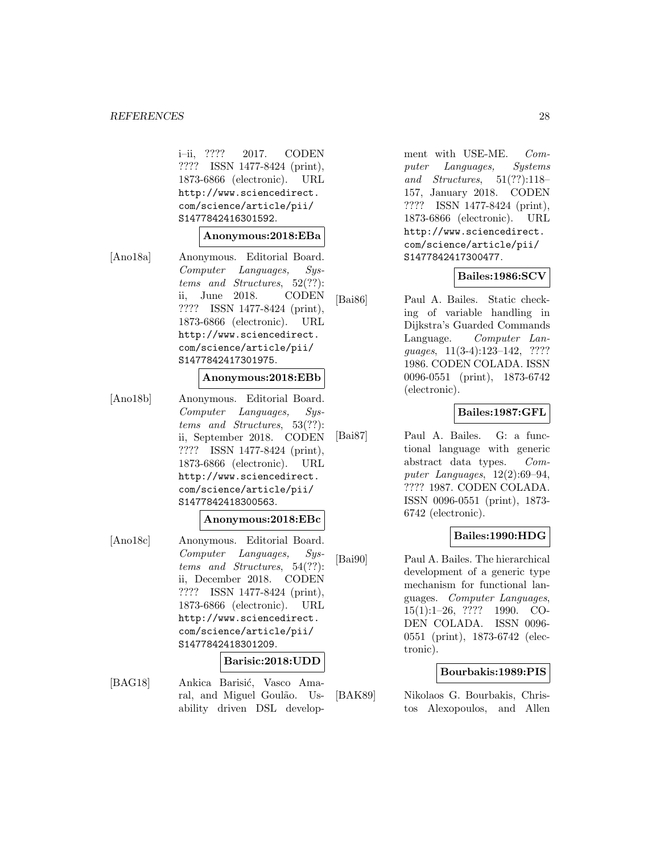#### *REFERENCES* 28

i–ii, ???? 2017. CODEN ???? ISSN 1477-8424 (print), 1873-6866 (electronic). URL http://www.sciencedirect. com/science/article/pii/ S1477842416301592.

#### **Anonymous:2018:EBa**

[Ano18a] Anonymous. Editorial Board. Computer Languages, Systems and Structures, 52(??): ii, June 2018. CODEN ???? ISSN 1477-8424 (print), 1873-6866 (electronic). URL http://www.sciencedirect. com/science/article/pii/ S1477842417301975.

#### **Anonymous:2018:EBb**

[Ano18b] Anonymous. Editorial Board. Computer Languages, Systems and Structures, 53(??): ii, September 2018. CODEN ???? ISSN 1477-8424 (print), 1873-6866 (electronic). URL http://www.sciencedirect. com/science/article/pii/ S1477842418300563.

#### **Anonymous:2018:EBc**

[Ano18c] Anonymous. Editorial Board. Computer Languages, Systems and Structures, 54(??): ii, December 2018. CODEN ???? ISSN 1477-8424 (print), 1873-6866 (electronic). URL http://www.sciencedirect. com/science/article/pii/ S1477842418301209.

## **Barisic:2018:UDD**

[BAG18] Ankica Barisić, Vasco Amaral, and Miguel Goulão. Usability driven DSL development with USE-ME. Computer Languages, Systems and Structures, 51(??):118– 157, January 2018. CODEN ???? ISSN 1477-8424 (print), 1873-6866 (electronic). URL http://www.sciencedirect. com/science/article/pii/ S1477842417300477.

#### **Bailes:1986:SCV**

[Bai86] Paul A. Bailes. Static checking of variable handling in Dijkstra's Guarded Commands Language. Computer Languages, 11(3-4):123–142, ???? 1986. CODEN COLADA. ISSN 0096-0551 (print), 1873-6742 (electronic).

#### **Bailes:1987:GFL**

[Bai87] Paul A. Bailes. G: a functional language with generic abstract data types. Computer Languages, 12(2):69–94, ???? 1987. CODEN COLADA. ISSN 0096-0551 (print), 1873- 6742 (electronic).

#### **Bailes:1990:HDG**

[Bai90] Paul A. Bailes. The hierarchical development of a generic type mechanism for functional languages. Computer Languages, 15(1):1–26, ???? 1990. CO-DEN COLADA. ISSN 0096- 0551 (print), 1873-6742 (electronic).

#### **Bourbakis:1989:PIS**

[BAK89] Nikolaos G. Bourbakis, Christos Alexopoulos, and Allen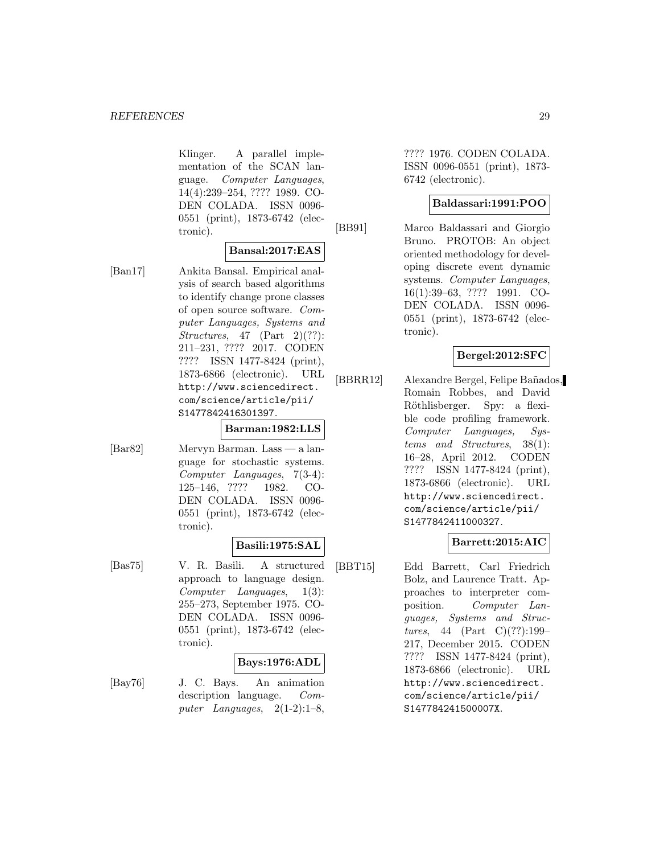Klinger. A parallel implementation of the SCAN language. Computer Languages, 14(4):239–254, ???? 1989. CO-DEN COLADA. ISSN 0096- 0551 (print), 1873-6742 (electronic).

## **Bansal:2017:EAS**

[Ban17] Ankita Bansal. Empirical analysis of search based algorithms to identify change prone classes of open source software. Computer Languages, Systems and Structures,  $47$  (Part 2)(??): 211–231, ???? 2017. CODEN ???? ISSN 1477-8424 (print), 1873-6866 (electronic). URL http://www.sciencedirect. com/science/article/pii/ S1477842416301397.

#### **Barman:1982:LLS**

[Bar82] Mervyn Barman. Lass — a language for stochastic systems. Computer Languages, 7(3-4): 125–146, ???? 1982. CO-DEN COLADA. ISSN 0096- 0551 (print), 1873-6742 (electronic).

#### **Basili:1975:SAL**

[Bas75] V. R. Basili. A structured approach to language design. Computer Languages, 1(3): 255–273, September 1975. CO-DEN COLADA. ISSN 0096- 0551 (print), 1873-6742 (electronic).

#### **Bays:1976:ADL**

[Bay76] J. C. Bays. An animation description language. Computer Languages,  $2(1-2):1-8$ ,

???? 1976. CODEN COLADA. ISSN 0096-0551 (print), 1873- 6742 (electronic).

#### **Baldassari:1991:POO**

[BB91] Marco Baldassari and Giorgio Bruno. PROTOB: An object oriented methodology for developing discrete event dynamic systems. Computer Languages, 16(1):39–63, ???? 1991. CO-DEN COLADA. ISSN 0096- 0551 (print), 1873-6742 (electronic).

## **Bergel:2012:SFC**

[BBRR12] Alexandre Bergel, Felipe Bañados, Romain Robbes, and David Röthlisberger. Spy: a flexible code profiling framework. Computer Languages, Systems and Structures, 38(1): 16–28, April 2012. CODEN ???? ISSN 1477-8424 (print), 1873-6866 (electronic). URL http://www.sciencedirect. com/science/article/pii/ S1477842411000327.

# **Barrett:2015:AIC**

[BBT15] Edd Barrett, Carl Friedrich Bolz, and Laurence Tratt. Approaches to interpreter composition. Computer Languages, Systems and Structures, 44 (Part C)(??):199– 217, December 2015. CODEN ???? ISSN 1477-8424 (print), 1873-6866 (electronic). URL http://www.sciencedirect. com/science/article/pii/ S147784241500007X.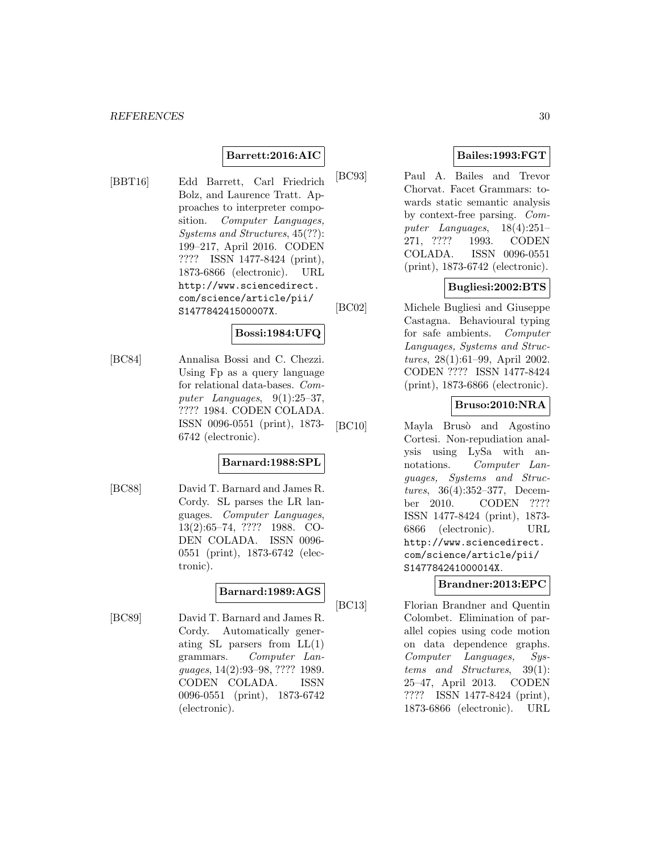# **Barrett:2016:AIC**

[BBT16] Edd Barrett, Carl Friedrich Bolz, and Laurence Tratt. Approaches to interpreter composition. Computer Languages, Systems and Structures, 45(??): 199–217, April 2016. CODEN ???? ISSN 1477-8424 (print), 1873-6866 (electronic). URL http://www.sciencedirect. com/science/article/pii/ S147784241500007X.

# **Bossi:1984:UFQ**

[BC84] Annalisa Bossi and C. Chezzi. Using Fp as a query language for relational data-bases. Computer Languages,  $9(1):25-37$ , ???? 1984. CODEN COLADA. ISSN 0096-0551 (print), 1873- 6742 (electronic).

#### **Barnard:1988:SPL**

[BC88] David T. Barnard and James R. Cordy. SL parses the LR languages. Computer Languages, 13(2):65–74, ???? 1988. CO-DEN COLADA. ISSN 0096- 0551 (print), 1873-6742 (electronic).

# **Barnard:1989:AGS**

[BC89] David T. Barnard and James R. Cordy. Automatically generating SL parsers from  $LL(1)$ grammars. Computer Languages, 14(2):93–98, ???? 1989. CODEN COLADA. ISSN 0096-0551 (print), 1873-6742 (electronic).

# **Bailes:1993:FGT**

[BC93] Paul A. Bailes and Trevor Chorvat. Facet Grammars: towards static semantic analysis by context-free parsing. Computer Languages, 18(4):251– 271, ???? 1993. CODEN COLADA. ISSN 0096-0551 (print), 1873-6742 (electronic).

# **Bugliesi:2002:BTS**

[BC02] Michele Bugliesi and Giuseppe Castagna. Behavioural typing for safe ambients. Computer Languages, Systems and Structures, 28(1):61–99, April 2002. CODEN ???? ISSN 1477-8424 (print), 1873-6866 (electronic).

#### **Bruso:2010:NRA**

[BC10] Mayla Brusò and Agostino Cortesi. Non-repudiation analysis using LySa with annotations. Computer Languages, Systems and Structures, 36(4):352–377, December 2010. CODEN ???? ISSN 1477-8424 (print), 1873- 6866 (electronic). URL http://www.sciencedirect. com/science/article/pii/ S147784241000014X.

#### **Brandner:2013:EPC**

[BC13] Florian Brandner and Quentin Colombet. Elimination of parallel copies using code motion on data dependence graphs. Computer Languages, Systems and Structures, 39(1): 25–47, April 2013. CODEN ???? ISSN 1477-8424 (print), 1873-6866 (electronic). URL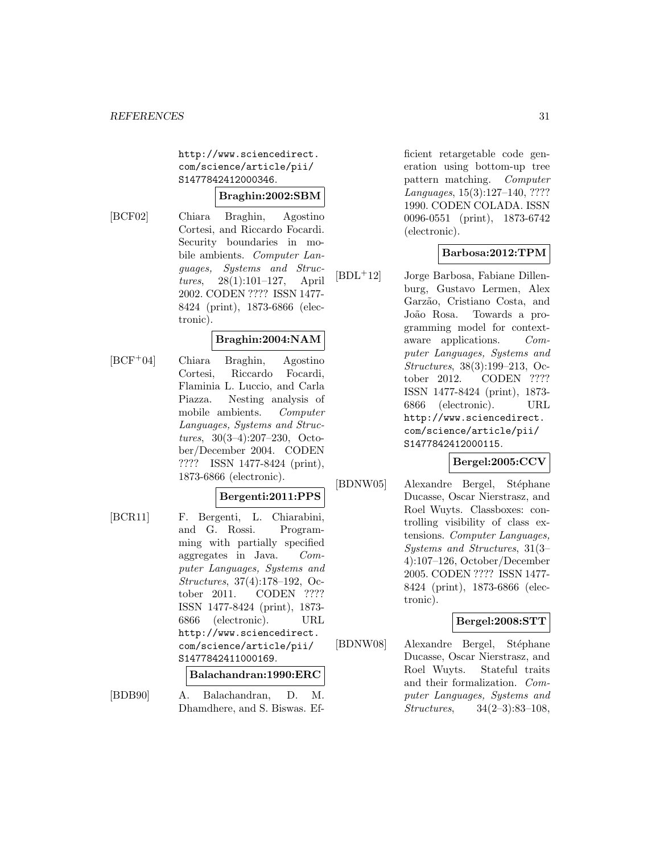http://www.sciencedirect. com/science/article/pii/ S1477842412000346.

# **Braghin:2002:SBM**

[BCF02] Chiara Braghin, Agostino Cortesi, and Riccardo Focardi. Security boundaries in mobile ambients. Computer Languages, Systems and Structures, 28(1):101–127, April 2002. CODEN ???? ISSN 1477- 8424 (print), 1873-6866 (electronic).

## **Braghin:2004:NAM**

[BCF<sup>+</sup>04] Chiara Braghin, Agostino Cortesi, Riccardo Focardi, Flaminia L. Luccio, and Carla Piazza. Nesting analysis of mobile ambients. Computer Languages, Systems and Structures, 30(3–4):207–230, October/December 2004. CODEN ???? ISSN 1477-8424 (print), 1873-6866 (electronic).

#### **Bergenti:2011:PPS**

[BCR11] F. Bergenti, L. Chiarabini, and G. Rossi. Programming with partially specified aggregates in Java. Computer Languages, Systems and Structures, 37(4):178–192, October 2011. CODEN ???? ISSN 1477-8424 (print), 1873- 6866 (electronic). URL http://www.sciencedirect. com/science/article/pii/ S1477842411000169.

#### **Balachandran:1990:ERC**

[BDB90] A. Balachandran, D. M. Dhamdhere, and S. Biswas. Efficient retargetable code generation using bottom-up tree pattern matching. Computer Languages, 15(3):127–140, ???? 1990. CODEN COLADA. ISSN 0096-0551 (print), 1873-6742 (electronic).

## **Barbosa:2012:TPM**

[BDL<sup>+</sup>12] Jorge Barbosa, Fabiane Dillenburg, Gustavo Lermen, Alex Garzão, Cristiano Costa, and João Rosa. Towards a programming model for contextaware applications. Computer Languages, Systems and Structures, 38(3):199–213, October 2012. CODEN ???? ISSN 1477-8424 (print), 1873- 6866 (electronic). URL http://www.sciencedirect. com/science/article/pii/ S1477842412000115.

# **Bergel:2005:CCV**

[BDNW05] Alexandre Bergel, Stéphane Ducasse, Oscar Nierstrasz, and Roel Wuyts. Classboxes: controlling visibility of class extensions. Computer Languages, Systems and Structures, 31(3– 4):107–126, October/December 2005. CODEN ???? ISSN 1477- 8424 (print), 1873-6866 (electronic).

## **Bergel:2008:STT**

[BDNW08] Alexandre Bergel, Stéphane Ducasse, Oscar Nierstrasz, and Roel Wuyts. Stateful traits and their formalization. Computer Languages, Systems and Structures, 34(2–3):83–108,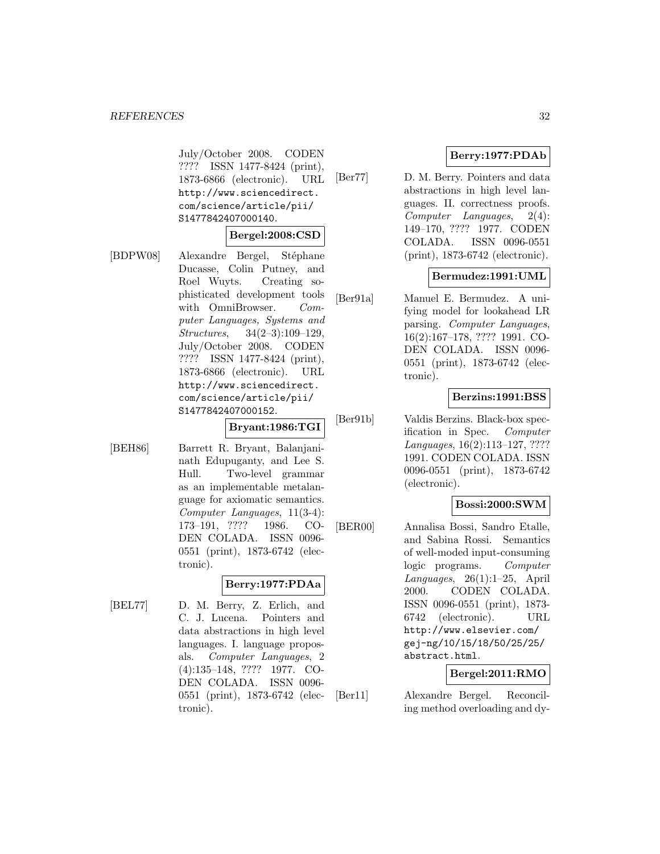July/October 2008. CODEN ???? ISSN 1477-8424 (print), 1873-6866 (electronic). URL http://www.sciencedirect. com/science/article/pii/ S1477842407000140.

#### **Bergel:2008:CSD**

[BDPW08] Alexandre Bergel, Stéphane Ducasse, Colin Putney, and Roel Wuyts. Creating sophisticated development tools with OmniBrowser. Computer Languages, Systems and Structures, 34(2–3):109–129, July/October 2008. CODEN ???? ISSN 1477-8424 (print), 1873-6866 (electronic). URL http://www.sciencedirect. com/science/article/pii/ S1477842407000152.

#### **Bryant:1986:TGI**

[BEH86] Barrett R. Bryant, Balanjaninath Edupuganty, and Lee S. Hull. Two-level grammar as an implementable metalanguage for axiomatic semantics. Computer Languages, 11(3-4): 173–191, ???? 1986. CO-DEN COLADA. ISSN 0096- 0551 (print), 1873-6742 (electronic).

# **Berry:1977:PDAa**

[BEL77] D. M. Berry, Z. Erlich, and C. J. Lucena. Pointers and data abstractions in high level languages. I. language proposals. Computer Languages, 2 (4):135–148, ???? 1977. CO-DEN COLADA. ISSN 0096- 0551 (print), 1873-6742 (electronic).

# **Berry:1977:PDAb**

[Ber77] D. M. Berry. Pointers and data abstractions in high level languages. II. correctness proofs. Computer Languages, 2(4): 149–170, ???? 1977. CODEN COLADA. ISSN 0096-0551 (print), 1873-6742 (electronic).

## **Bermudez:1991:UML**

[Ber91a] Manuel E. Bermudez. A unifying model for lookahead LR parsing. Computer Languages, 16(2):167–178, ???? 1991. CO-DEN COLADA. ISSN 0096- 0551 (print), 1873-6742 (electronic).

# **Berzins:1991:BSS**

[Ber91b] Valdis Berzins. Black-box specification in Spec. Computer Languages, 16(2):113–127, ???? 1991. CODEN COLADA. ISSN 0096-0551 (print), 1873-6742 (electronic).

#### **Bossi:2000:SWM**

[BER00] Annalisa Bossi, Sandro Etalle, and Sabina Rossi. Semantics of well-moded input-consuming logic programs. Computer Languages, 26(1):1–25, April 2000. CODEN COLADA. ISSN 0096-0551 (print), 1873- 6742 (electronic). URL http://www.elsevier.com/ gej-ng/10/15/18/50/25/25/ abstract.html.

#### **Bergel:2011:RMO**

[Ber11] Alexandre Bergel. Reconciling method overloading and dy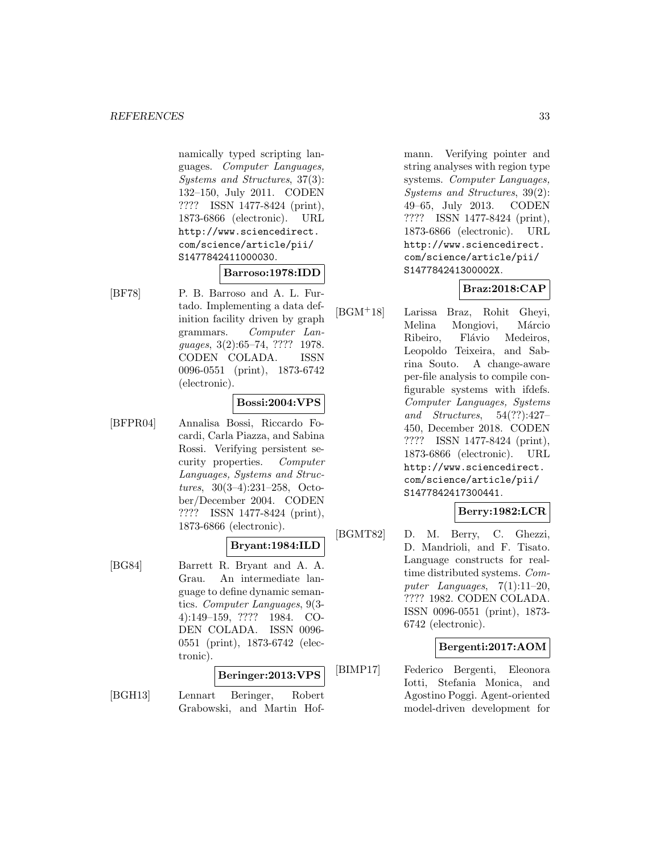namically typed scripting languages. Computer Languages, Systems and Structures, 37(3): 132–150, July 2011. CODEN ???? ISSN 1477-8424 (print), 1873-6866 (electronic). URL http://www.sciencedirect. com/science/article/pii/ S1477842411000030.

## **Barroso:1978:IDD**

[BF78] P. B. Barroso and A. L. Furtado. Implementing a data definition facility driven by graph grammars. Computer Languages, 3(2):65–74, ???? 1978. CODEN COLADA. ISSN 0096-0551 (print), 1873-6742 (electronic).

#### **Bossi:2004:VPS**

[BFPR04] Annalisa Bossi, Riccardo Focardi, Carla Piazza, and Sabina Rossi. Verifying persistent security properties. Computer Languages, Systems and Structures, 30(3–4):231–258, October/December 2004. CODEN ???? ISSN 1477-8424 (print), 1873-6866 (electronic).

# **Bryant:1984:ILD**

[BG84] Barrett R. Bryant and A. A. Grau. An intermediate language to define dynamic semantics. Computer Languages, 9(3- 4):149–159, ???? 1984. CO-DEN COLADA. ISSN 0096- 0551 (print), 1873-6742 (electronic).

## **Beringer:2013:VPS**

[BGH13] Lennart Beringer, Robert Grabowski, and Martin Hof-

mann. Verifying pointer and string analyses with region type systems. Computer Languages, Systems and Structures, 39(2): 49–65, July 2013. CODEN ???? ISSN 1477-8424 (print), 1873-6866 (electronic). URL http://www.sciencedirect. com/science/article/pii/ S147784241300002X.

# **Braz:2018:CAP**

[BGM<sup>+</sup>18] Larissa Braz, Rohit Gheyi, Melina Mongiovi, Márcio Ribeiro, Flávio Medeiros, Leopoldo Teixeira, and Sabrina Souto. A change-aware per-file analysis to compile configurable systems with ifdefs. Computer Languages, Systems and Structures, 54(??):427– 450, December 2018. CODEN ???? ISSN 1477-8424 (print), 1873-6866 (electronic). URL http://www.sciencedirect. com/science/article/pii/ S1477842417300441.

#### **Berry:1982:LCR**

[BGMT82] D. M. Berry, C. Ghezzi, D. Mandrioli, and F. Tisato. Language constructs for realtime distributed systems. Computer Languages,  $7(1):11-20$ , ???? 1982. CODEN COLADA. ISSN 0096-0551 (print), 1873- 6742 (electronic).

#### **Bergenti:2017:AOM**

[BIMP17] Federico Bergenti, Eleonora Iotti, Stefania Monica, and Agostino Poggi. Agent-oriented model-driven development for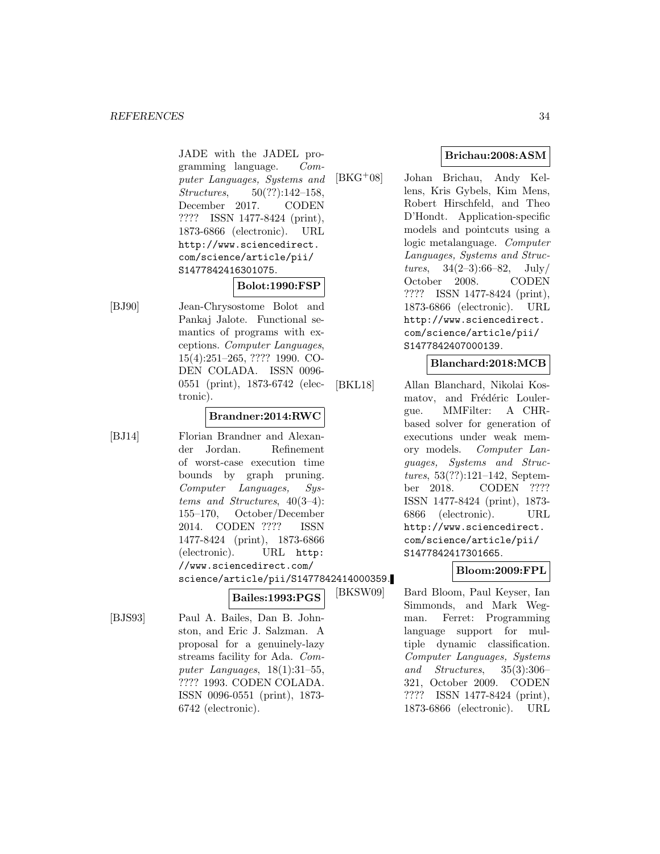JADE with the JADEL programming language. Computer Languages, Systems and Structures, 50(??):142–158, December 2017. CODEN ???? ISSN 1477-8424 (print), 1873-6866 (electronic). URL http://www.sciencedirect. com/science/article/pii/ S1477842416301075.

#### **Bolot:1990:FSP**

[BJ90] Jean-Chrysostome Bolot and Pankaj Jalote. Functional semantics of programs with exceptions. Computer Languages, 15(4):251–265, ???? 1990. CO-DEN COLADA. ISSN 0096- 0551 (print), 1873-6742 (electronic).

#### **Brandner:2014:RWC**

[BJ14] Florian Brandner and Alexander Jordan. Refinement of worst-case execution time bounds by graph pruning. Computer Languages, Systems and Structures, 40(3–4): 155–170, October/December 2014. CODEN ???? ISSN 1477-8424 (print), 1873-6866 (electronic). URL http: //www.sciencedirect.com/ science/article/pii/S1477842414000359.

**Bailes:1993:PGS**

[BJS93] Paul A. Bailes, Dan B. Johnston, and Eric J. Salzman. A proposal for a genuinely-lazy streams facility for Ada. Computer Languages, 18(1):31–55, ???? 1993. CODEN COLADA. ISSN 0096-0551 (print), 1873- 6742 (electronic).

# **Brichau:2008:ASM**

[BKG<sup>+</sup>08] Johan Brichau, Andy Kellens, Kris Gybels, Kim Mens, Robert Hirschfeld, and Theo D'Hondt. Application-specific models and pointcuts using a logic metalanguage. Computer Languages, Systems and Structures,  $34(2-3):66-82$ ,  $July/$ October 2008. CODEN ???? ISSN 1477-8424 (print), 1873-6866 (electronic). URL http://www.sciencedirect. com/science/article/pii/ S1477842407000139.

#### **Blanchard:2018:MCB**

[BKL18] Allan Blanchard, Nikolai Kosmatov, and Frédéric Loulergue. MMFilter: A CHRbased solver for generation of executions under weak memory models. Computer Languages, Systems and Structures, 53(??):121–142, September 2018. CODEN ???? ISSN 1477-8424 (print), 1873- 6866 (electronic). URL http://www.sciencedirect. com/science/article/pii/ S1477842417301665.

# **Bloom:2009:FPL**

[BKSW09] Bard Bloom, Paul Keyser, Ian Simmonds, and Mark Wegman. Ferret: Programming language support for multiple dynamic classification. Computer Languages, Systems and Structures, 35(3):306– 321, October 2009. CODEN ???? ISSN 1477-8424 (print), 1873-6866 (electronic). URL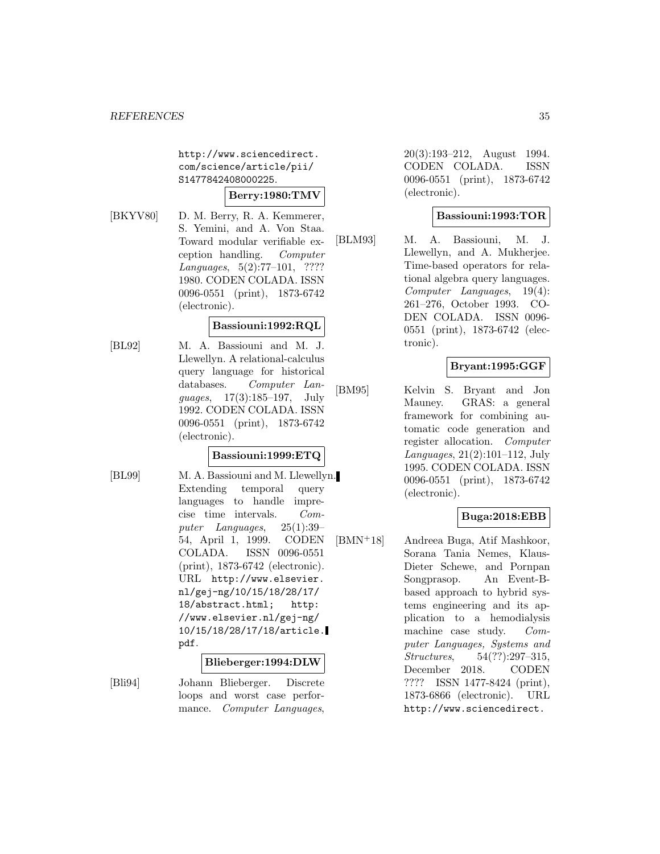http://www.sciencedirect. com/science/article/pii/ S1477842408000225.

# **Berry:1980:TMV**

[BKYV80] D. M. Berry, R. A. Kemmerer, S. Yemini, and A. Von Staa. Toward modular verifiable exception handling. Computer Languages, 5(2):77–101, ???? 1980. CODEN COLADA. ISSN 0096-0551 (print), 1873-6742 (electronic).

#### **Bassiouni:1992:RQL**

[BL92] M. A. Bassiouni and M. J. Llewellyn. A relational-calculus query language for historical databases. Computer Languages, 17(3):185–197, July 1992. CODEN COLADA. ISSN 0096-0551 (print), 1873-6742 (electronic).

# **Bassiouni:1999:ETQ**

[BL99] M. A. Bassiouni and M. Llewellyn. Extending temporal query languages to handle imprecise time intervals. Computer Languages, 25(1):39– 54, April 1, 1999. CODEN COLADA. ISSN 0096-0551 (print), 1873-6742 (electronic). URL http://www.elsevier. nl/gej-ng/10/15/18/28/17/ 18/abstract.html; http: //www.elsevier.nl/gej-ng/ 10/15/18/28/17/18/article. pdf.

#### **Blieberger:1994:DLW**

[Bli94] Johann Blieberger. Discrete loops and worst case performance. *Computer Languages*,

20(3):193–212, August 1994. CODEN COLADA. ISSN 0096-0551 (print), 1873-6742 (electronic).

# **Bassiouni:1993:TOR**

[BLM93] M. A. Bassiouni, M. J. Llewellyn, and A. Mukherjee. Time-based operators for relational algebra query languages. Computer Languages, 19(4): 261–276, October 1993. CO-DEN COLADA. ISSN 0096- 0551 (print), 1873-6742 (electronic).

# **Bryant:1995:GGF**

[BM95] Kelvin S. Bryant and Jon Mauney. GRAS: a general framework for combining automatic code generation and register allocation. Computer Languages, 21(2):101–112, July 1995. CODEN COLADA. ISSN 0096-0551 (print), 1873-6742 (electronic).

# **Buga:2018:EBB**

[BMN<sup>+</sup>18] Andreea Buga, Atif Mashkoor, Sorana Tania Nemes, Klaus-Dieter Schewe, and Pornpan Songprasop. An Event-Bbased approach to hybrid systems engineering and its application to a hemodialysis machine case study. Computer Languages, Systems and Structures, 54(??):297–315, December 2018. CODEN ???? ISSN 1477-8424 (print), 1873-6866 (electronic). URL http://www.sciencedirect.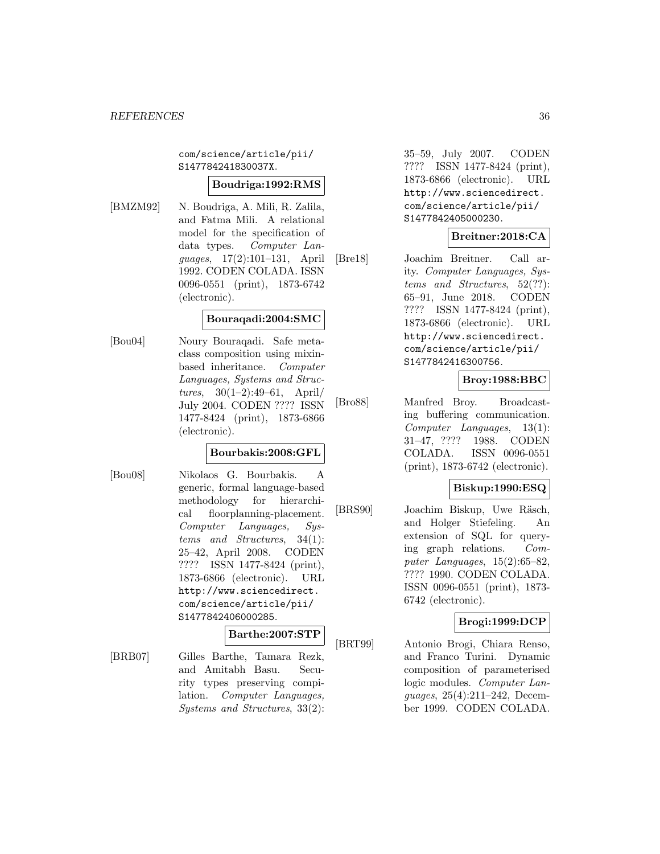com/science/article/pii/ S147784241830037X.

#### **Boudriga:1992:RMS**

[BMZM92] N. Boudriga, A. Mili, R. Zalila, and Fatma Mili. A relational model for the specification of data types. Computer Languages, 17(2):101–131, April 1992. CODEN COLADA. ISSN 0096-0551 (print), 1873-6742 (electronic).

### **Bouraqadi:2004:SMC**

[Bou04] Noury Bouraqadi. Safe metaclass composition using mixinbased inheritance. Computer Languages, Systems and Struc*tures*,  $30(1-2):49-61$ , April/ July 2004. CODEN ???? ISSN 1477-8424 (print), 1873-6866 (electronic).

#### **Bourbakis:2008:GFL**

[Bou08] Nikolaos G. Bourbakis. A generic, formal language-based methodology for hierarchical floorplanning-placement. Computer Languages, Systems and Structures, 34(1): 25–42, April 2008. CODEN ???? ISSN 1477-8424 (print), 1873-6866 (electronic). URL http://www.sciencedirect. com/science/article/pii/ S1477842406000285.

#### **Barthe:2007:STP**

[BRB07] Gilles Barthe, Tamara Rezk, and Amitabh Basu. Security types preserving compilation. Computer Languages, Systems and Structures, 33(2):

35–59, July 2007. CODEN ???? ISSN 1477-8424 (print), 1873-6866 (electronic). URL http://www.sciencedirect. com/science/article/pii/ S1477842405000230.

## **Breitner:2018:CA**

[Bre18] Joachim Breitner. Call arity. Computer Languages, Systems and Structures, 52(??): 65–91, June 2018. CODEN ???? ISSN 1477-8424 (print), 1873-6866 (electronic). URL http://www.sciencedirect. com/science/article/pii/ S1477842416300756.

# **Broy:1988:BBC**

[Bro88] Manfred Broy. Broadcasting buffering communication. Computer Languages, 13(1): 31–47, ???? 1988. CODEN COLADA. ISSN 0096-0551 (print), 1873-6742 (electronic).

#### **Biskup:1990:ESQ**

[BRS90] Joachim Biskup, Uwe Räsch, and Holger Stiefeling. An extension of SQL for querying graph relations. Computer Languages, 15(2):65–82, ???? 1990. CODEN COLADA. ISSN 0096-0551 (print), 1873- 6742 (electronic).

# **Brogi:1999:DCP**

[BRT99] Antonio Brogi, Chiara Renso, and Franco Turini. Dynamic composition of parameterised logic modules. Computer Languages, 25(4):211–242, December 1999. CODEN COLADA.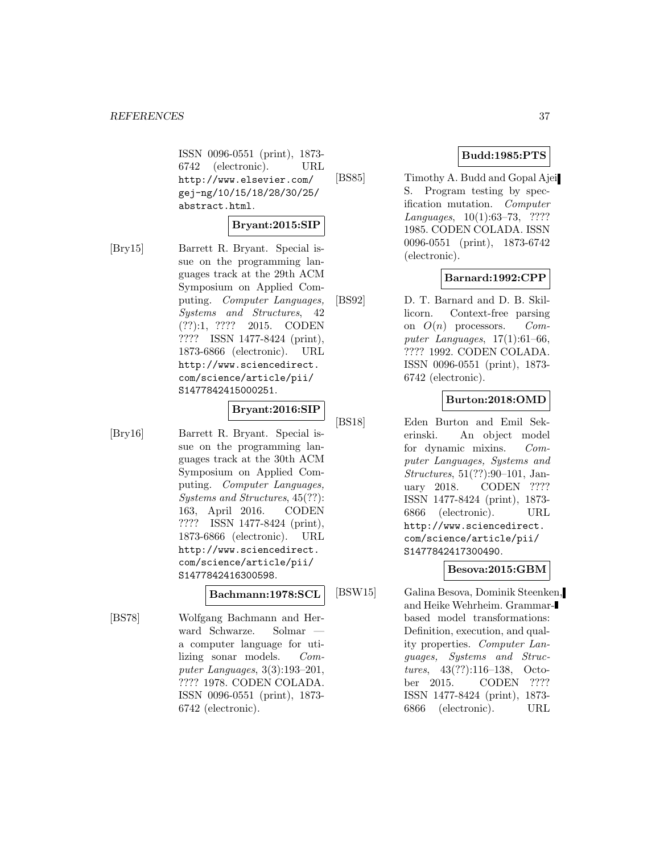ISSN 0096-0551 (print), 1873- 6742 (electronic). URL http://www.elsevier.com/ gej-ng/10/15/18/28/30/25/ abstract.html.

### **Bryant:2015:SIP**

[Bry15] Barrett R. Bryant. Special issue on the programming languages track at the 29th ACM Symposium on Applied Computing. Computer Languages, Systems and Structures, 42 (??):1, ???? 2015. CODEN ???? ISSN 1477-8424 (print), 1873-6866 (electronic). URL http://www.sciencedirect. com/science/article/pii/ S1477842415000251.

## **Bryant:2016:SIP**

[Bry16] Barrett R. Bryant. Special issue on the programming languages track at the 30th ACM Symposium on Applied Computing. Computer Languages, Systems and Structures, 45(??): 163, April 2016. CODEN ???? ISSN 1477-8424 (print), 1873-6866 (electronic). URL http://www.sciencedirect. com/science/article/pii/ S1477842416300598.

#### **Bachmann:1978:SCL**

[BS78] Wolfgang Bachmann and Herward Schwarze. Solmar a computer language for utilizing sonar models. Computer Languages, 3(3):193–201, ???? 1978. CODEN COLADA. ISSN 0096-0551 (print), 1873- 6742 (electronic).

### **Budd:1985:PTS**

[BS85] Timothy A. Budd and Gopal Ajei S. Program testing by specification mutation. Computer Languages, 10(1):63–73, ???? 1985. CODEN COLADA. ISSN 0096-0551 (print), 1873-6742 (electronic).

### **Barnard:1992:CPP**

[BS92] D. T. Barnard and D. B. Skillicorn. Context-free parsing on  $O(n)$  processors. Computer Languages,  $17(1):61-66$ , ???? 1992. CODEN COLADA. ISSN 0096-0551 (print), 1873- 6742 (electronic).

### **Burton:2018:OMD**

[BS18] Eden Burton and Emil Sekerinski. An object model for dynamic mixins. Computer Languages, Systems and Structures, 51(??):90–101, January 2018. CODEN ???? ISSN 1477-8424 (print), 1873- 6866 (electronic). URL http://www.sciencedirect. com/science/article/pii/ S1477842417300490.

### **Besova:2015:GBM**

[BSW15] Galina Besova, Dominik Steenken, and Heike Wehrheim. Grammarbased model transformations: Definition, execution, and quality properties. Computer Languages, Systems and Structures, 43(??):116–138, October 2015. CODEN ???? ISSN 1477-8424 (print), 1873- 6866 (electronic). URL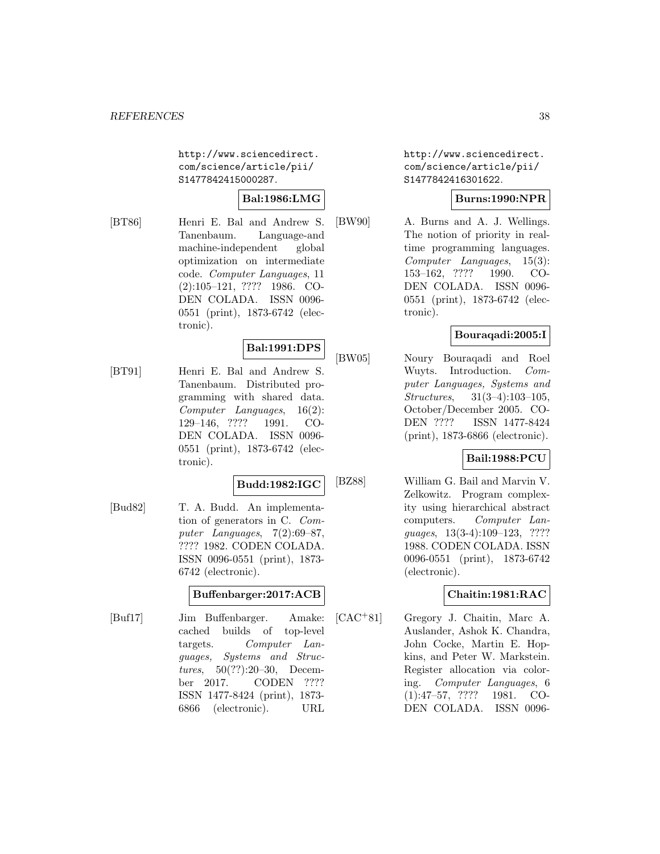http://www.sciencedirect. com/science/article/pii/ S1477842415000287.

### **Bal:1986:LMG**

[BT86] Henri E. Bal and Andrew S. Tanenbaum. Language-and machine-independent global optimization on intermediate code. Computer Languages, 11 (2):105–121, ???? 1986. CO-DEN COLADA. ISSN 0096- 0551 (print), 1873-6742 (electronic).

### **Bal:1991:DPS**

[BT91] Henri E. Bal and Andrew S. Tanenbaum. Distributed programming with shared data. Computer Languages, 16(2): 129–146, ???? 1991. CO-DEN COLADA. ISSN 0096- 0551 (print), 1873-6742 (electronic).

#### **Budd:1982:IGC**

[Bud82] T. A. Budd. An implementation of generators in C. Computer Languages, 7(2):69–87, ???? 1982. CODEN COLADA. ISSN 0096-0551 (print), 1873- 6742 (electronic).

### **Buffenbarger:2017:ACB**

[Buf17] Jim Buffenbarger. Amake: cached builds of top-level targets. Computer Languages, Systems and Structures, 50(??):20–30, December 2017. CODEN ???? ISSN 1477-8424 (print), 1873- 6866 (electronic). URL

http://www.sciencedirect. com/science/article/pii/ S1477842416301622.

### **Burns:1990:NPR**

[BW90] A. Burns and A. J. Wellings. The notion of priority in realtime programming languages. Computer Languages, 15(3): 153–162, ???? 1990. CO-DEN COLADA. ISSN 0096- 0551 (print), 1873-6742 (electronic).

### **Bouraqadi:2005:I**

[BW05] Noury Bouraqadi and Roel Wuyts. Introduction. Computer Languages, Systems and Structures, 31(3–4):103–105, October/December 2005. CO-ISSN 1477-8424 (print), 1873-6866 (electronic).

### **Bail:1988:PCU**

[BZ88] William G. Bail and Marvin V. Zelkowitz. Program complexity using hierarchical abstract computers. Computer Languages, 13(3-4):109–123, ???? 1988. CODEN COLADA. ISSN 0096-0551 (print), 1873-6742 (electronic).

### **Chaitin:1981:RAC**

[CAC<sup>+</sup>81] Gregory J. Chaitin, Marc A. Auslander, Ashok K. Chandra, John Cocke, Martin E. Hopkins, and Peter W. Markstein. Register allocation via coloring. Computer Languages, 6 (1):47–57, ???? 1981. CO-DEN COLADA. ISSN 0096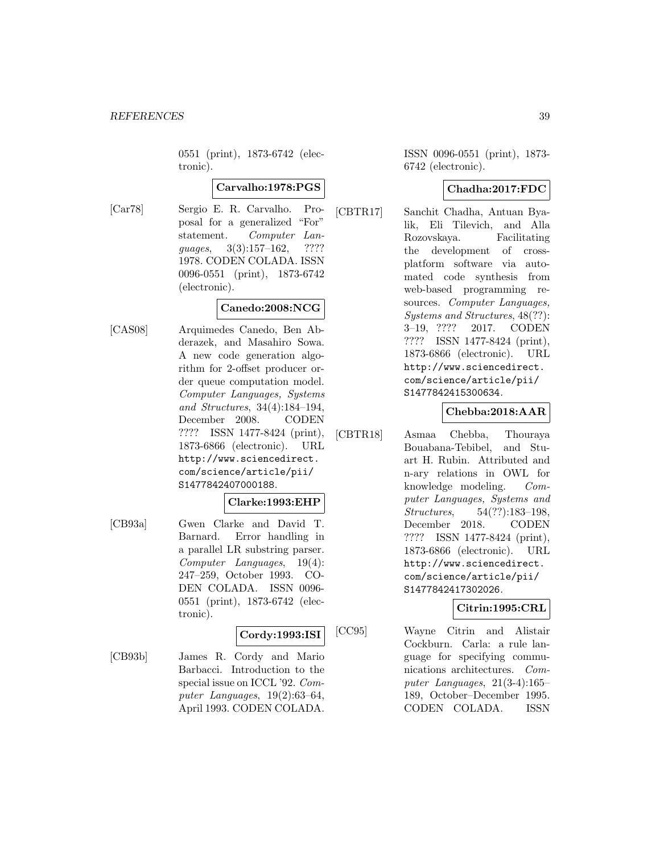0551 (print), 1873-6742 (electronic).

#### **Carvalho:1978:PGS**

[Car78] Sergio E. R. Carvalho. Proposal for a generalized "For" statement. Computer Languages, 3(3):157–162, ???? 1978. CODEN COLADA. ISSN 0096-0551 (print), 1873-6742 (electronic).

### **Canedo:2008:NCG**

[CAS08] Arquimedes Canedo, Ben Abderazek, and Masahiro Sowa. A new code generation algorithm for 2-offset producer order queue computation model. Computer Languages, Systems and Structures, 34(4):184–194, December 2008. CODEN ???? ISSN 1477-8424 (print), 1873-6866 (electronic). URL http://www.sciencedirect. com/science/article/pii/ S1477842407000188.

#### **Clarke:1993:EHP**

[CB93a] Gwen Clarke and David T. Barnard. Error handling in a parallel LR substring parser. Computer Languages, 19(4): 247–259, October 1993. CO-DEN COLADA. ISSN 0096- 0551 (print), 1873-6742 (electronic).

## **Cordy:1993:ISI**

[CB93b] James R. Cordy and Mario Barbacci. Introduction to the special issue on ICCL '92. Computer Languages, 19(2):63–64, April 1993. CODEN COLADA.

ISSN 0096-0551 (print), 1873- 6742 (electronic).

### **Chadha:2017:FDC**

[CBTR17] Sanchit Chadha, Antuan Byalik, Eli Tilevich, and Alla Rozovskaya. Facilitating the development of crossplatform software via automated code synthesis from web-based programming resources. Computer Languages, Systems and Structures, 48(??): 3–19, ???? 2017. CODEN ???? ISSN 1477-8424 (print), 1873-6866 (electronic). URL http://www.sciencedirect. com/science/article/pii/ S1477842415300634.

### **Chebba:2018:AAR**

[CBTR18] Asmaa Chebba, Thouraya Bouabana-Tebibel, and Stuart H. Rubin. Attributed and n-ary relations in OWL for knowledge modeling. Computer Languages, Systems and Structures, 54(??):183–198, December 2018. CODEN ???? ISSN 1477-8424 (print), 1873-6866 (electronic). URL http://www.sciencedirect. com/science/article/pii/ S1477842417302026.

### **Citrin:1995:CRL**

[CC95] Wayne Citrin and Alistair Cockburn. Carla: a rule language for specifying communications architectures. Computer Languages, 21(3-4):165– 189, October–December 1995. CODEN COLADA. ISSN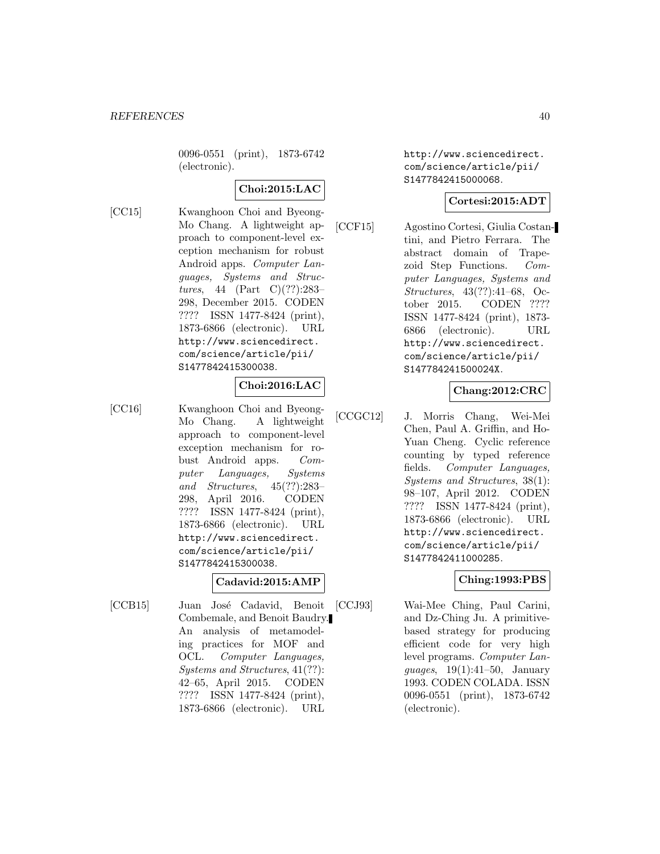0096-0551 (print), 1873-6742 (electronic).

## **Choi:2015:LAC**

[CC15] Kwanghoon Choi and Byeong-Mo Chang. A lightweight approach to component-level exception mechanism for robust Android apps. Computer Languages, Systems and Structures, 44 (Part C)(??):283– 298, December 2015. CODEN ???? ISSN 1477-8424 (print), 1873-6866 (electronic). URL http://www.sciencedirect. com/science/article/pii/ S1477842415300038.

### **Choi:2016:LAC**

[CC16] Kwanghoon Choi and Byeong-Mo Chang. A lightweight approach to component-level exception mechanism for robust Android apps. Computer Languages, Systems and Structures, 45(??):283– 298, April 2016. CODEN ???? ISSN 1477-8424 (print), 1873-6866 (electronic). URL http://www.sciencedirect. com/science/article/pii/ S1477842415300038.

### **Cadavid:2015:AMP**

[CCB15] Juan José Cadavid, Benoit Combemale, and Benoit Baudry. An analysis of metamodeling practices for MOF and OCL. Computer Languages, Systems and Structures, 41(??): 42–65, April 2015. CODEN ???? ISSN 1477-8424 (print), 1873-6866 (electronic). URL

http://www.sciencedirect. com/science/article/pii/ S1477842415000068.

### **Cortesi:2015:ADT**

[CCF15] Agostino Cortesi, Giulia Costantini, and Pietro Ferrara. The abstract domain of Trapezoid Step Functions. Computer Languages, Systems and Structures, 43(??):41–68, October 2015. CODEN ???? ISSN 1477-8424 (print), 1873- 6866 (electronic). URL http://www.sciencedirect. com/science/article/pii/ S147784241500024X.

### **Chang:2012:CRC**

[CCGC12] J. Morris Chang, Wei-Mei Chen, Paul A. Griffin, and Ho-Yuan Cheng. Cyclic reference counting by typed reference fields. Computer Languages, Systems and Structures, 38(1): 98–107, April 2012. CODEN ???? ISSN 1477-8424 (print), 1873-6866 (electronic). URL http://www.sciencedirect. com/science/article/pii/ S1477842411000285.

### **Ching:1993:PBS**

[CCJ93] Wai-Mee Ching, Paul Carini, and Dz-Ching Ju. A primitivebased strategy for producing efficient code for very high level programs. Computer Languages, 19(1):41–50, January 1993. CODEN COLADA. ISSN 0096-0551 (print), 1873-6742 (electronic).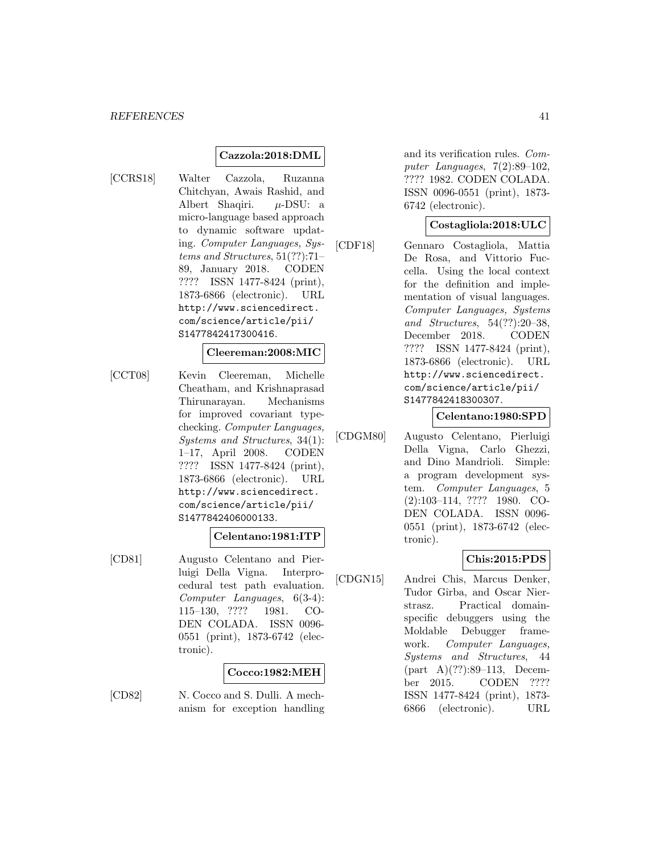#### **Cazzola:2018:DML**

[CCRS18] Walter Cazzola, Ruzanna Chitchyan, Awais Rashid, and Albert Shaqiri.  $\mu$ -DSU: a micro-language based approach to dynamic software updating. Computer Languages, Systems and Structures, 51(??):71– 89, January 2018. CODEN ???? ISSN 1477-8424 (print), 1873-6866 (electronic). URL http://www.sciencedirect. com/science/article/pii/ S1477842417300416.

#### **Cleereman:2008:MIC**

[CCT08] Kevin Cleereman, Michelle Cheatham, and Krishnaprasad Thirunarayan. Mechanisms for improved covariant typechecking. Computer Languages, Systems and Structures, 34(1): 1–17, April 2008. CODEN ???? ISSN 1477-8424 (print), 1873-6866 (electronic). URL http://www.sciencedirect. com/science/article/pii/ S1477842406000133.

#### **Celentano:1981:ITP**

[CD81] Augusto Celentano and Pierluigi Della Vigna. Interprocedural test path evaluation. Computer Languages, 6(3-4): 115–130, ???? 1981. CO-DEN COLADA. ISSN 0096- 0551 (print), 1873-6742 (electronic).

#### **Cocco:1982:MEH**

[CD82] N. Cocco and S. Dulli. A mechanism for exception handling

and its verification rules. Computer Languages, 7(2):89–102, ???? 1982. CODEN COLADA. ISSN 0096-0551 (print), 1873- 6742 (electronic).

#### **Costagliola:2018:ULC**

[CDF18] Gennaro Costagliola, Mattia De Rosa, and Vittorio Fuccella. Using the local context for the definition and implementation of visual languages. Computer Languages, Systems and Structures, 54(??):20–38, December 2018. CODEN ???? ISSN 1477-8424 (print), 1873-6866 (electronic). URL http://www.sciencedirect. com/science/article/pii/ S1477842418300307.

#### **Celentano:1980:SPD**

[CDGM80] Augusto Celentano, Pierluigi Della Vigna, Carlo Ghezzi, and Dino Mandrioli. Simple: a program development system. Computer Languages, 5 (2):103–114, ???? 1980. CO-DEN COLADA. ISSN 0096- 0551 (print), 1873-6742 (electronic).

#### **Chis:2015:PDS**

[CDGN15] Andrei Chis, Marcus Denker, Tudor Gîrba, and Oscar Nierstrasz. Practical domainspecific debuggers using the Moldable Debugger framework. Computer Languages, Systems and Structures, 44 (part A)(??):89–113, December 2015. CODEN ???? ISSN 1477-8424 (print), 1873- 6866 (electronic). URL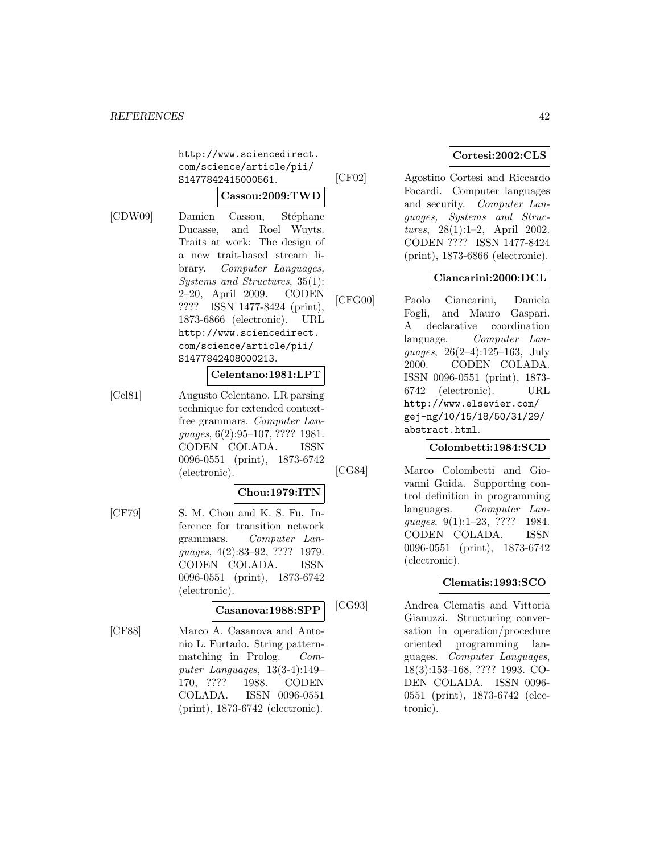http://www.sciencedirect. com/science/article/pii/ S1477842415000561.

### **Cassou:2009:TWD**

[CDW09] Damien Cassou, Stéphane Ducasse, and Roel Wuyts. Traits at work: The design of a new trait-based stream library. Computer Languages, Systems and Structures, 35(1): 2–20, April 2009. CODEN ???? ISSN 1477-8424 (print), 1873-6866 (electronic). URL http://www.sciencedirect. com/science/article/pii/ S1477842408000213.

### **Celentano:1981:LPT**

[Cel81] Augusto Celentano. LR parsing technique for extended contextfree grammars. Computer Languages, 6(2):95–107, ???? 1981. CODEN COLADA. ISSN 0096-0551 (print), 1873-6742 (electronic).

#### **Chou:1979:ITN**

[CF79] S. M. Chou and K. S. Fu. Inference for transition network grammars. Computer Languages, 4(2):83–92, ???? 1979. CODEN COLADA. ISSN 0096-0551 (print), 1873-6742 (electronic).

### **Casanova:1988:SPP**

[CF88] Marco A. Casanova and Antonio L. Furtado. String patternmatching in Prolog. Computer Languages, 13(3-4):149– 170, ???? 1988. CODEN COLADA. ISSN 0096-0551 (print), 1873-6742 (electronic).

## **Cortesi:2002:CLS**

[CF02] Agostino Cortesi and Riccardo Focardi. Computer languages and security. Computer Languages, Systems and Structures, 28(1):1–2, April 2002. CODEN ???? ISSN 1477-8424 (print), 1873-6866 (electronic).

### **Ciancarini:2000:DCL**

[CFG00] Paolo Ciancarini, Daniela Fogli, and Mauro Gaspari. A declarative coordination language. Computer Languages, 26(2–4):125–163, July 2000. CODEN COLADA. ISSN 0096-0551 (print), 1873- 6742 (electronic). URL http://www.elsevier.com/ gej-ng/10/15/18/50/31/29/ abstract.html.

### **Colombetti:1984:SCD**

[CG84] Marco Colombetti and Giovanni Guida. Supporting control definition in programming languages. Computer Languages, 9(1):1-23, ???? 1984. CODEN COLADA. ISSN 0096-0551 (print), 1873-6742 (electronic).

#### **Clematis:1993:SCO**

[CG93] Andrea Clematis and Vittoria Gianuzzi. Structuring conversation in operation/procedure oriented programming languages. Computer Languages, 18(3):153–168, ???? 1993. CO-DEN COLADA. ISSN 0096- 0551 (print), 1873-6742 (electronic).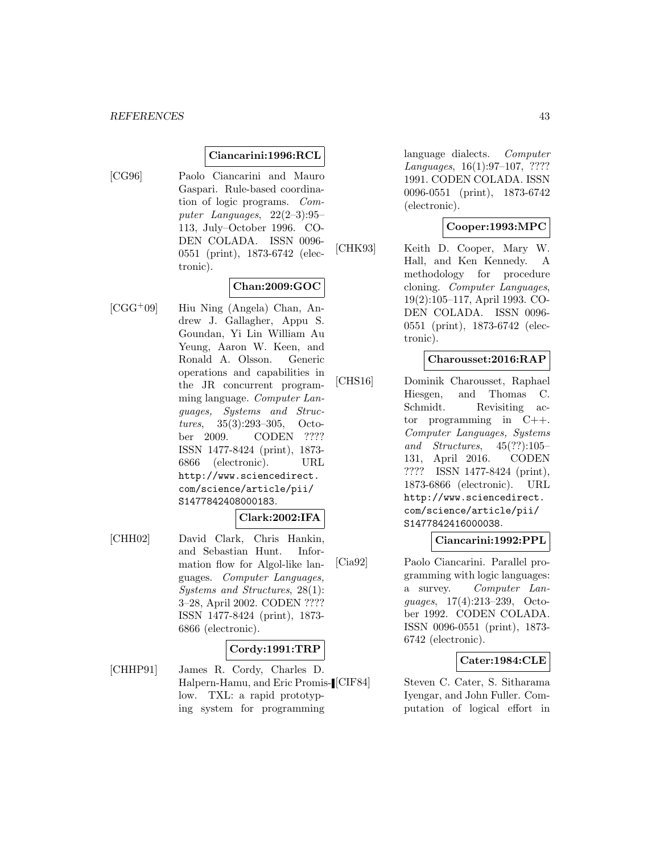#### **Ciancarini:1996:RCL**

[CG96] Paolo Ciancarini and Mauro Gaspari. Rule-based coordination of logic programs. Computer Languages, 22(2–3):95– 113, July–October 1996. CO-DEN COLADA. ISSN 0096- 0551 (print), 1873-6742 (electronic).

### **Chan:2009:GOC**

[CGG<sup>+</sup>09] Hiu Ning (Angela) Chan, Andrew J. Gallagher, Appu S. Goundan, Yi Lin William Au Yeung, Aaron W. Keen, and Ronald A. Olsson. Generic operations and capabilities in the JR concurrent programming language. Computer Languages, Systems and Structures, 35(3):293–305, October 2009. CODEN ???? ISSN 1477-8424 (print), 1873- 6866 (electronic). URL http://www.sciencedirect. com/science/article/pii/ S1477842408000183.

#### **Clark:2002:IFA**

[CHH02] David Clark, Chris Hankin, and Sebastian Hunt. Information flow for Algol-like languages. Computer Languages, Systems and Structures, 28(1): 3–28, April 2002. CODEN ???? ISSN 1477-8424 (print), 1873- 6866 (electronic).

#### **Cordy:1991:TRP**

[CHHP91] James R. Cordy, Charles D. Halpern-Hamu, and Eric Promislow. TXL: a rapid prototyping system for programming

language dialects. Computer Languages, 16(1):97–107, ???? 1991. CODEN COLADA. ISSN 0096-0551 (print), 1873-6742 (electronic).

### **Cooper:1993:MPC**

[CHK93] Keith D. Cooper, Mary W. Hall, and Ken Kennedy. A methodology for procedure cloning. Computer Languages, 19(2):105–117, April 1993. CO-DEN COLADA. ISSN 0096- 0551 (print), 1873-6742 (electronic).

#### **Charousset:2016:RAP**

[CHS16] Dominik Charousset, Raphael Hiesgen, and Thomas C. Schmidt. Revisiting actor programming in C++. Computer Languages, Systems and Structures, 45(??):105– 131, April 2016. CODEN ???? ISSN 1477-8424 (print), 1873-6866 (electronic). URL http://www.sciencedirect. com/science/article/pii/ S1477842416000038.

#### **Ciancarini:1992:PPL**

[Cia92] Paolo Ciancarini. Parallel programming with logic languages: a survey. Computer Languages, 17(4):213–239, October 1992. CODEN COLADA. ISSN 0096-0551 (print), 1873- 6742 (electronic).

### **Cater:1984:CLE**

Steven C. Cater, S. Sitharama Iyengar, and John Fuller. Computation of logical effort in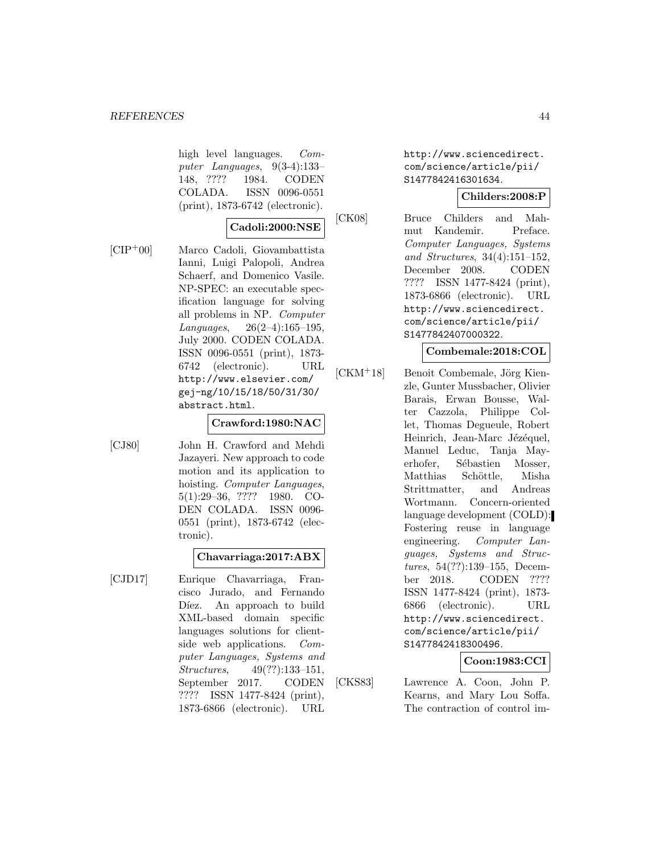high level languages. Computer Languages, 9(3-4):133– 148, ???? 1984. CODEN COLADA. ISSN 0096-0551 (print), 1873-6742 (electronic).

### **Cadoli:2000:NSE**

[CIP<sup>+</sup>00] Marco Cadoli, Giovambattista Ianni, Luigi Palopoli, Andrea Schaerf, and Domenico Vasile. NP-SPEC: an executable specification language for solving all problems in NP. Computer Languages, 26(2–4):165–195, July 2000. CODEN COLADA. ISSN 0096-0551 (print), 1873- 6742 (electronic). URL http://www.elsevier.com/ gej-ng/10/15/18/50/31/30/ abstract.html.

### **Crawford:1980:NAC**

[CJ80] John H. Crawford and Mehdi Jazayeri. New approach to code motion and its application to hoisting. *Computer Languages*, 5(1):29–36, ???? 1980. CO-DEN COLADA. ISSN 0096- 0551 (print), 1873-6742 (electronic).

#### **Chavarriaga:2017:ABX**

[CJD17] Enrique Chavarriaga, Francisco Jurado, and Fernando Díez. An approach to build XML-based domain specific languages solutions for clientside web applications. Computer Languages, Systems and Structures, 49(??):133–151, September 2017. CODEN ???? ISSN 1477-8424 (print), 1873-6866 (electronic). URL

http://www.sciencedirect. com/science/article/pii/ S1477842416301634.

## **Childers:2008:P**

[CK08] Bruce Childers and Mahmut Kandemir. Preface. Computer Languages, Systems and Structures, 34(4):151–152, December 2008. CODEN ???? ISSN 1477-8424 (print), 1873-6866 (electronic). URL http://www.sciencedirect. com/science/article/pii/ S1477842407000322.

#### **Combemale:2018:COL**

[CKM<sup>+</sup>18] Benoit Combemale, Jörg Kienzle, Gunter Mussbacher, Olivier Barais, Erwan Bousse, Walter Cazzola, Philippe Collet, Thomas Degueule, Robert Heinrich, Jean-Marc Jézéquel, Manuel Leduc, Tanja Mayerhofer, Sébastien Mosser, Matthias Schöttle, Misha Strittmatter, and Andreas Wortmann. Concern-oriented language development (COLD): Fostering reuse in language engineering. Computer Languages, Systems and Structures, 54(??):139–155, December 2018. CODEN ???? ISSN 1477-8424 (print), 1873- 6866 (electronic). URL http://www.sciencedirect. com/science/article/pii/ S1477842418300496.

### **Coon:1983:CCI**

[CKS83] Lawrence A. Coon, John P. Kearns, and Mary Lou Soffa. The contraction of control im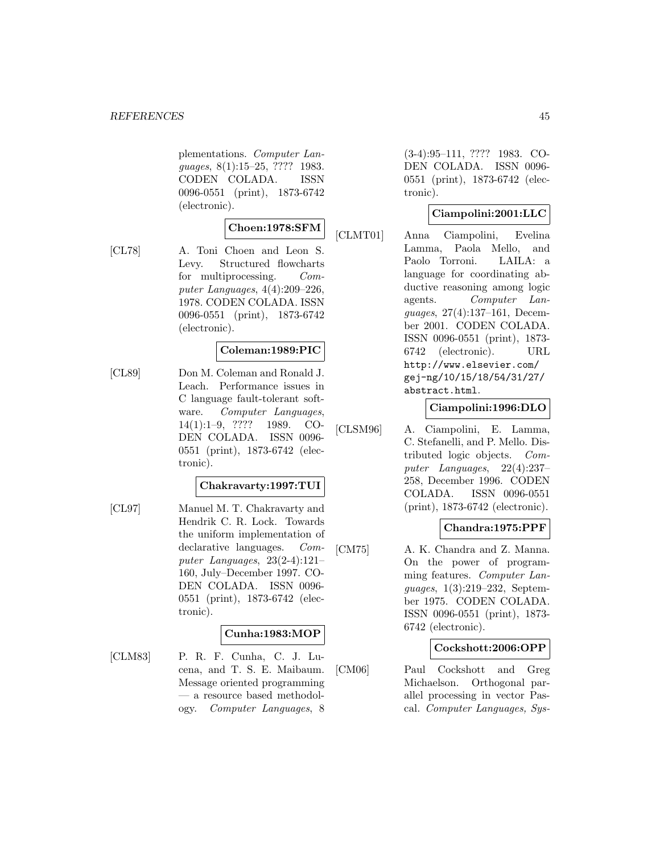plementations. Computer Languages, 8(1):15–25, ???? 1983. CODEN COLADA. ISSN 0096-0551 (print), 1873-6742 (electronic).

## **Choen:1978:SFM**

[CL78] A. Toni Choen and Leon S. Levy. Structured flowcharts for multiprocessing. Computer Languages, 4(4):209–226, 1978. CODEN COLADA. ISSN 0096-0551 (print), 1873-6742 (electronic).

### **Coleman:1989:PIC**

[CL89] Don M. Coleman and Ronald J. Leach. Performance issues in C language fault-tolerant software. Computer Languages, 14(1):1–9, ???? 1989. CO-DEN COLADA. ISSN 0096- 0551 (print), 1873-6742 (electronic).

#### **Chakravarty:1997:TUI**

[CL97] Manuel M. T. Chakravarty and Hendrik C. R. Lock. Towards the uniform implementation of declarative languages. Computer Languages, 23(2-4):121– 160, July–December 1997. CO-DEN COLADA. ISSN 0096- 0551 (print), 1873-6742 (electronic).

#### **Cunha:1983:MOP**

[CLM83] P. R. F. Cunha, C. J. Lucena, and T. S. E. Maibaum. Message oriented programming — a resource based methodology. Computer Languages, 8

(3-4):95–111, ???? 1983. CO-DEN COLADA. ISSN 0096- 0551 (print), 1873-6742 (electronic).

### **Ciampolini:2001:LLC**

[CLMT01] Anna Ciampolini, Evelina Lamma, Paola Mello, and Paolo Torroni. LAILA: a language for coordinating abductive reasoning among logic agents. Computer Languages, 27(4):137–161, December 2001. CODEN COLADA. ISSN 0096-0551 (print), 1873- 6742 (electronic). URL http://www.elsevier.com/ gej-ng/10/15/18/54/31/27/ abstract.html.

#### **Ciampolini:1996:DLO**

[CLSM96] A. Ciampolini, E. Lamma, C. Stefanelli, and P. Mello. Distributed logic objects. Computer Languages, 22(4):237– 258, December 1996. CODEN COLADA. ISSN 0096-0551 (print), 1873-6742 (electronic).

### **Chandra:1975:PPF**

[CM75] A. K. Chandra and Z. Manna. On the power of programming features. Computer Languages, 1(3):219–232, September 1975. CODEN COLADA. ISSN 0096-0551 (print), 1873- 6742 (electronic).

#### **Cockshott:2006:OPP**

[CM06] Paul Cockshott and Greg Michaelson. Orthogonal parallel processing in vector Pascal. Computer Languages, Sys-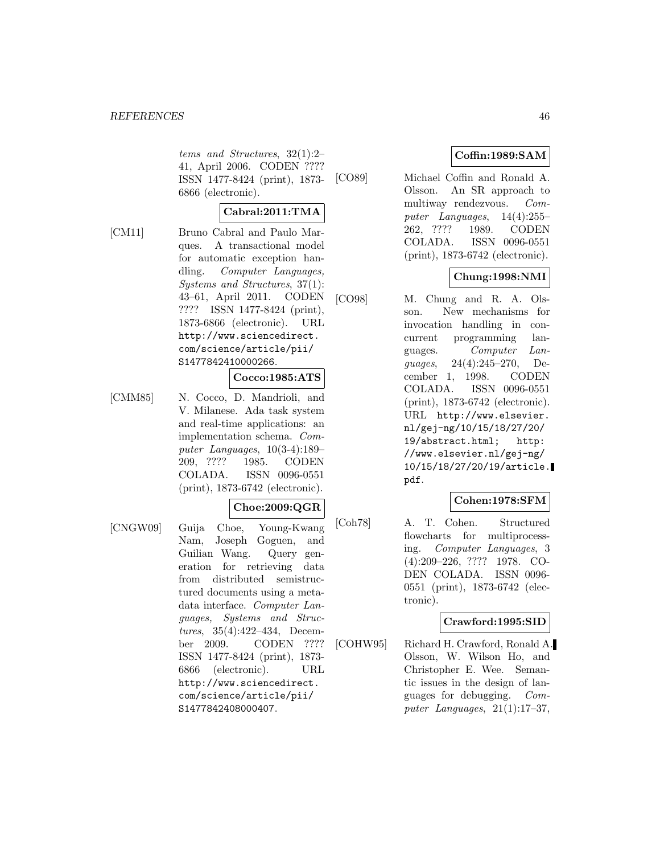#### *REFERENCES* 46

tems and Structures, 32(1):2– 41, April 2006. CODEN ???? ISSN 1477-8424 (print), 1873- 6866 (electronic).

### **Cabral:2011:TMA**

[CM11] Bruno Cabral and Paulo Marques. A transactional model for automatic exception handling. Computer Languages, Systems and Structures, 37(1): 43–61, April 2011. CODEN ???? ISSN 1477-8424 (print), 1873-6866 (electronic). URL http://www.sciencedirect. com/science/article/pii/ S1477842410000266.

#### **Cocco:1985:ATS**

[CMM85] N. Cocco, D. Mandrioli, and V. Milanese. Ada task system and real-time applications: an implementation schema. Computer Languages, 10(3-4):189– 209, ???? 1985. CODEN COLADA. ISSN 0096-0551 (print), 1873-6742 (electronic).

#### **Choe:2009:QGR**

[CNGW09] Guija Choe, Young-Kwang Nam, Joseph Goguen, and Guilian Wang. Query generation for retrieving data from distributed semistructured documents using a metadata interface. Computer Languages, Systems and Structures, 35(4):422–434, December 2009. CODEN ???? ISSN 1477-8424 (print), 1873- 6866 (electronic). URL http://www.sciencedirect. com/science/article/pii/ S1477842408000407.

### **Coffin:1989:SAM**

[CO89] Michael Coffin and Ronald A. Olsson. An SR approach to multiway rendezvous. Computer Languages, 14(4):255– 262, ???? 1989. CODEN COLADA. ISSN 0096-0551 (print), 1873-6742 (electronic).

### **Chung:1998:NMI**

[CO98] M. Chung and R. A. Olsson. New mechanisms for invocation handling in concurrent programming languages. Computer Languages, 24(4):245–270, December 1, 1998. CODEN COLADA. ISSN 0096-0551 (print), 1873-6742 (electronic). URL http://www.elsevier. nl/gej-ng/10/15/18/27/20/ 19/abstract.html; http: //www.elsevier.nl/gej-ng/ 10/15/18/27/20/19/article. pdf.

### **Cohen:1978:SFM**

[Coh78] A. T. Cohen. Structured flowcharts for multiprocessing. Computer Languages, 3 (4):209–226, ???? 1978. CO-DEN COLADA. ISSN 0096- 0551 (print), 1873-6742 (electronic).

### **Crawford:1995:SID**

[COHW95] Richard H. Crawford, Ronald A. Olsson, W. Wilson Ho, and Christopher E. Wee. Semantic issues in the design of languages for debugging. Computer Languages,  $21(1):17-37$ ,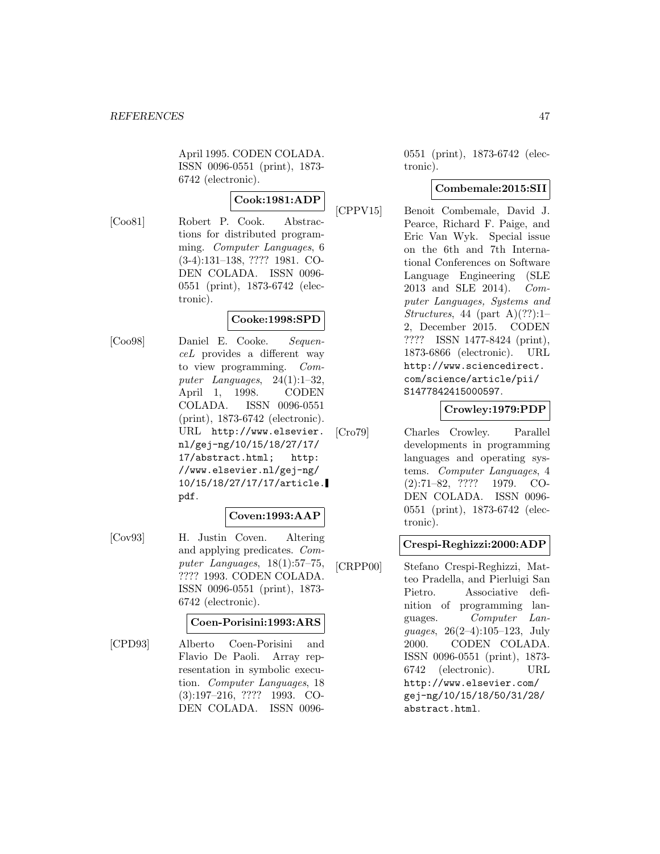April 1995. CODEN COLADA. ISSN 0096-0551 (print), 1873- 6742 (electronic).

## **Cook:1981:ADP**

[Coo81] Robert P. Cook. Abstractions for distributed programming. Computer Languages, 6 (3-4):131–138, ???? 1981. CO-DEN COLADA. ISSN 0096- 0551 (print), 1873-6742 (electronic).

### **Cooke:1998:SPD**

[Coo98] Daniel E. Cooke. SequenceL provides a different way to view programming. Computer Languages, 24(1):1–32, April 1, 1998. CODEN COLADA. ISSN 0096-0551 (print), 1873-6742 (electronic). URL http://www.elsevier. nl/gej-ng/10/15/18/27/17/ 17/abstract.html; http: //www.elsevier.nl/gej-ng/ 10/15/18/27/17/17/article. pdf.

### **Coven:1993:AAP**

[Cov93] H. Justin Coven. Altering and applying predicates. Computer Languages, 18(1):57–75, ???? 1993. CODEN COLADA. ISSN 0096-0551 (print), 1873- 6742 (electronic).

#### **Coen-Porisini:1993:ARS**

[CPD93] Alberto Coen-Porisini and Flavio De Paoli. Array representation in symbolic execution. Computer Languages, 18 (3):197–216, ???? 1993. CO-DEN COLADA. ISSN 0096-

0551 (print), 1873-6742 (electronic).

### **Combemale:2015:SII**

[CPPV15] Benoit Combemale, David J. Pearce, Richard F. Paige, and Eric Van Wyk. Special issue on the 6th and 7th International Conferences on Software Language Engineering (SLE 2013 and SLE 2014). Computer Languages, Systems and Structures, 44 (part A) $(?)$ :1– 2, December 2015. CODEN ???? ISSN 1477-8424 (print), 1873-6866 (electronic). URL http://www.sciencedirect. com/science/article/pii/ S1477842415000597.

### **Crowley:1979:PDP**

[Cro79] Charles Crowley. Parallel developments in programming languages and operating systems. Computer Languages, 4 (2):71–82, ???? 1979. CO-DEN COLADA. ISSN 0096- 0551 (print), 1873-6742 (electronic).

#### **Crespi-Reghizzi:2000:ADP**

[CRPP00] Stefano Crespi-Reghizzi, Matteo Pradella, and Pierluigi San Pietro. Associative definition of programming languages. Computer Languages, 26(2–4):105–123, July 2000. CODEN COLADA. ISSN 0096-0551 (print), 1873- 6742 (electronic). URL http://www.elsevier.com/ gej-ng/10/15/18/50/31/28/ abstract.html.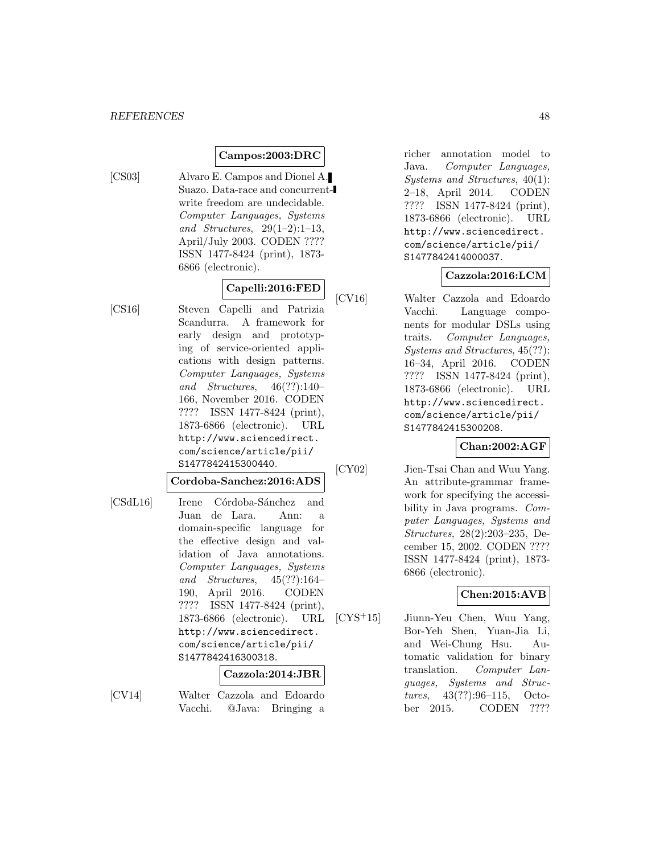### **Campos:2003:DRC**

- 
- [CS03] Alvaro E. Campos and Dionel A. Suazo. Data-race and concurrentwrite freedom are undecidable. Computer Languages, Systems and Structures,  $29(1-2):1-13$ , April/July 2003. CODEN ???? ISSN 1477-8424 (print), 1873- 6866 (electronic).

## **Capelli:2016:FED**

[CS16] Steven Capelli and Patrizia Scandurra. A framework for early design and prototyping of service-oriented applications with design patterns. Computer Languages, Systems and Structures, 46(??):140– 166, November 2016. CODEN ???? ISSN 1477-8424 (print), 1873-6866 (electronic). URL http://www.sciencedirect. com/science/article/pii/ S1477842415300440.

### **Cordoba-Sanchez:2016:ADS**

[CSdL16] Irene Córdoba-Sánchez and Juan de Lara. Ann: a domain-specific language for the effective design and validation of Java annotations. Computer Languages, Systems and Structures, 45(??):164– 190, April 2016. CODEN ???? ISSN 1477-8424 (print), 1873-6866 (electronic). URL http://www.sciencedirect. com/science/article/pii/ S1477842416300318.

#### **Cazzola:2014:JBR**

[CV14] Walter Cazzola and Edoardo Vacchi. @Java: Bringing a

richer annotation model to Java. Computer Languages, Systems and Structures, 40(1): 2–18, April 2014. CODEN ???? ISSN 1477-8424 (print), 1873-6866 (electronic). URL http://www.sciencedirect. com/science/article/pii/ S1477842414000037.

#### **Cazzola:2016:LCM**

[CV16] Walter Cazzola and Edoardo Vacchi. Language components for modular DSLs using traits. Computer Languages, Systems and Structures, 45(??): 16–34, April 2016. CODEN ???? ISSN 1477-8424 (print), 1873-6866 (electronic). URL http://www.sciencedirect. com/science/article/pii/ S1477842415300208.

### **Chan:2002:AGF**

[CY02] Jien-Tsai Chan and Wuu Yang. An attribute-grammar framework for specifying the accessibility in Java programs. Computer Languages, Systems and Structures, 28(2):203–235, December 15, 2002. CODEN ???? ISSN 1477-8424 (print), 1873- 6866 (electronic).

### **Chen:2015:AVB**

[CYS<sup>+</sup>15] Jiunn-Yeu Chen, Wuu Yang, Bor-Yeh Shen, Yuan-Jia Li, and Wei-Chung Hsu. Automatic validation for binary translation. Computer Languages, Systems and Structures, 43(??):96–115, October 2015. CODEN ????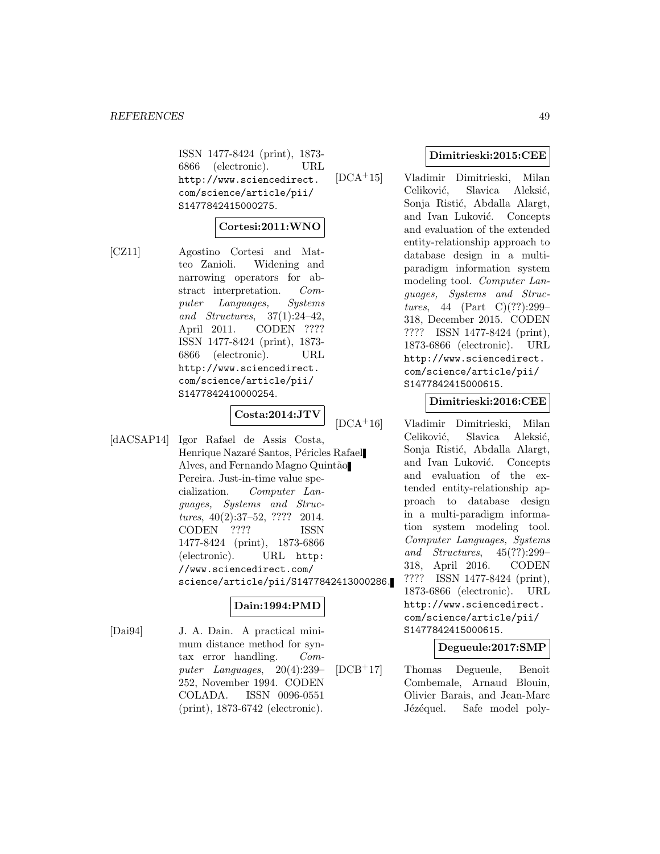ISSN 1477-8424 (print), 1873- 6866 (electronic). URL http://www.sciencedirect. com/science/article/pii/ S1477842415000275.

#### **Cortesi:2011:WNO**

[CZ11] Agostino Cortesi and Matteo Zanioli. Widening and narrowing operators for abstract interpretation. Computer Languages, Systems and Structures, 37(1):24–42, April 2011. CODEN ???? ISSN 1477-8424 (print), 1873- 6866 (electronic). URL http://www.sciencedirect. com/science/article/pii/ S1477842410000254.

# **Costa:2014:JTV**

[dACSAP14] Igor Rafael de Assis Costa, Henrique Nazaré Santos, Péricles Rafael Alves, and Fernando Magno Quintão Pereira. Just-in-time value specialization. Computer Languages, Systems and Structures, 40(2):37–52, ???? 2014. CODEN ???? ISSN 1477-8424 (print), 1873-6866 (electronic). URL http: //www.sciencedirect.com/ science/article/pii/S1477842413000286.

#### **Dain:1994:PMD**

[Dai94] J. A. Dain. A practical minimum distance method for syntax error handling. Computer Languages, 20(4):239– 252, November 1994. CODEN COLADA. ISSN 0096-0551 (print), 1873-6742 (electronic).

#### **Dimitrieski:2015:CEE**

[DCA<sup>+</sup>15] Vladimir Dimitrieski, Milan Celiković, Slavica Aleksić, Sonja Ristić, Abdalla Alargt, and Ivan Luković. Concepts and evaluation of the extended entity-relationship approach to database design in a multiparadigm information system modeling tool. Computer Languages, Systems and Structures, 44 (Part C) $(??):299-$ 318, December 2015. CODEN ???? ISSN 1477-8424 (print), 1873-6866 (electronic). URL http://www.sciencedirect. com/science/article/pii/ S1477842415000615.

#### **Dimitrieski:2016:CEE**

[DCA<sup>+</sup>16] Vladimir Dimitrieski, Milan Celiković, Slavica Aleksić, Sonja Ristić, Abdalla Alargt, and Ivan Luković. Concepts and evaluation of the extended entity-relationship approach to database design in a multi-paradigm information system modeling tool. Computer Languages, Systems and Structures, 45(??):299– 318, April 2016. CODEN ???? ISSN 1477-8424 (print), 1873-6866 (electronic). URL http://www.sciencedirect. com/science/article/pii/ S1477842415000615.

#### **Degueule:2017:SMP**

[DCB<sup>+</sup>17] Thomas Degueule, Benoit Combemale, Arnaud Blouin, Olivier Barais, and Jean-Marc Jézéquel. Safe model poly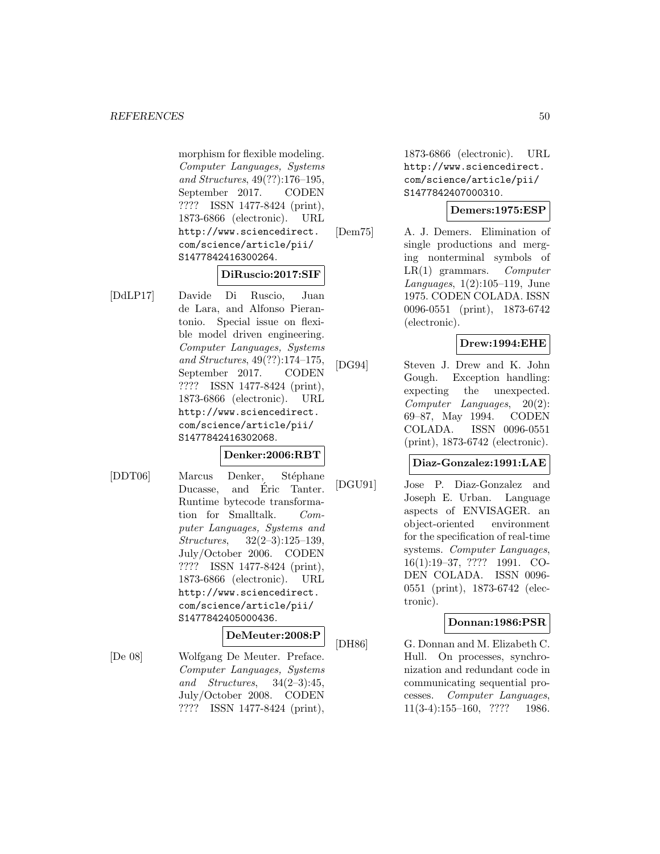morphism for flexible modeling. Computer Languages, Systems and Structures, 49(??):176–195, September 2017. CODEN ???? ISSN 1477-8424 (print), 1873-6866 (electronic). URL http://www.sciencedirect. com/science/article/pii/ S1477842416300264.

#### **DiRuscio:2017:SIF**

[DdLP17] Davide Di Ruscio, Juan de Lara, and Alfonso Pierantonio. Special issue on flexible model driven engineering. Computer Languages, Systems and Structures, 49(??):174–175, September 2017. CODEN ???? ISSN 1477-8424 (print), 1873-6866 (electronic). URL http://www.sciencedirect. com/science/article/pii/ S1477842416302068.

#### **Denker:2006:RBT**

[DDT06] Marcus Denker, Stéphane Ducasse, and Eric Tanter. Runtime bytecode transformation for Smalltalk. Computer Languages, Systems and Structures, 32(2–3):125–139, July/October 2006. CODEN ???? ISSN 1477-8424 (print), 1873-6866 (electronic). URL http://www.sciencedirect. com/science/article/pii/ S1477842405000436.

#### **DeMeuter:2008:P**

[De 08] Wolfgang De Meuter. Preface. Computer Languages, Systems and Structures, 34(2–3):45, July/October 2008. CODEN ???? ISSN 1477-8424 (print),

1873-6866 (electronic). URL http://www.sciencedirect. com/science/article/pii/ S1477842407000310.

#### **Demers:1975:ESP**

[Dem75] A. J. Demers. Elimination of single productions and merging nonterminal symbols of  $LR(1)$  grammars. Computer Languages, 1(2):105–119, June 1975. CODEN COLADA. ISSN 0096-0551 (print), 1873-6742 (electronic).

#### **Drew:1994:EHE**

[DG94] Steven J. Drew and K. John Gough. Exception handling: expecting the unexpected. Computer Languages, 20(2): 69–87, May 1994. CODEN COLADA. ISSN 0096-0551 (print), 1873-6742 (electronic).

### **Diaz-Gonzalez:1991:LAE**

[DGU91] Jose P. Diaz-Gonzalez and Joseph E. Urban. Language aspects of ENVISAGER. an object-oriented environment for the specification of real-time systems. Computer Languages, 16(1):19–37, ???? 1991. CO-DEN COLADA. ISSN 0096- 0551 (print), 1873-6742 (electronic).

#### **Donnan:1986:PSR**

[DH86] G. Donnan and M. Elizabeth C. Hull. On processes, synchronization and redundant code in communicating sequential processes. Computer Languages, 11(3-4):155–160, ???? 1986.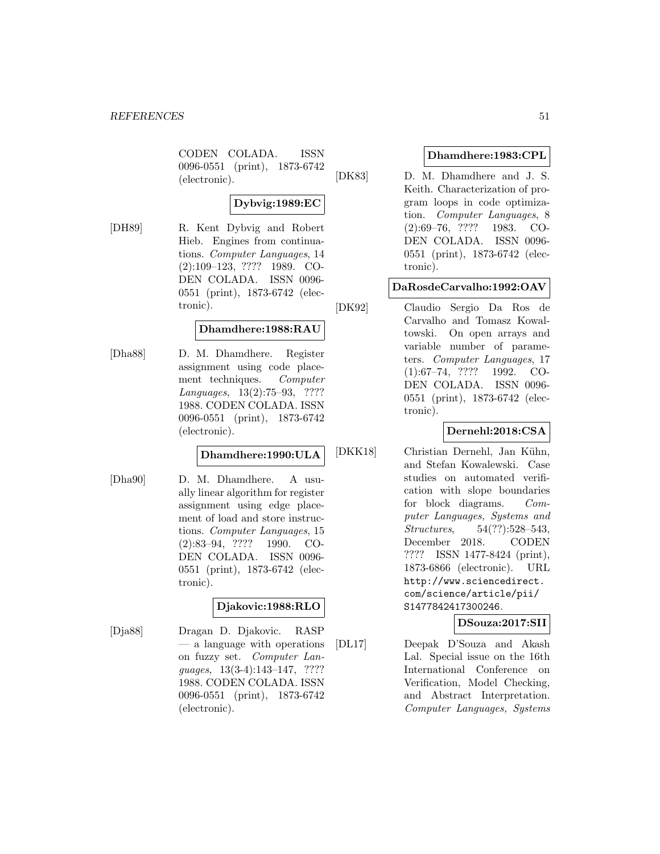CODEN COLADA. ISSN 0096-0551 (print), 1873-6742 (electronic).

## **Dybvig:1989:EC**

[DH89] R. Kent Dybvig and Robert Hieb. Engines from continuations. Computer Languages, 14 (2):109–123, ???? 1989. CO-DEN COLADA. ISSN 0096- 0551 (print), 1873-6742 (electronic).

## **Dhamdhere:1988:RAU**

[Dha88] D. M. Dhamdhere. Register assignment using code placement techniques. Computer Languages, 13(2):75–93, ???? 1988. CODEN COLADA. ISSN 0096-0551 (print), 1873-6742 (electronic).

### **Dhamdhere:1990:ULA**

[Dha90] D. M. Dhamdhere. A usually linear algorithm for register assignment using edge placement of load and store instructions. Computer Languages, 15 (2):83–94, ???? 1990. CO-DEN COLADA. ISSN 0096- 0551 (print), 1873-6742 (electronic).

### **Djakovic:1988:RLO**

[Dja88] Dragan D. Djakovic. RASP — a language with operations on fuzzy set. Computer Languages, 13(3-4):143–147, ???? 1988. CODEN COLADA. ISSN 0096-0551 (print), 1873-6742 (electronic).

### **Dhamdhere:1983:CPL**

[DK83] D. M. Dhamdhere and J. S. Keith. Characterization of program loops in code optimization. Computer Languages, 8 (2):69–76, ???? 1983. CO-DEN COLADA. ISSN 0096- 0551 (print), 1873-6742 (electronic).

### **DaRosdeCarvalho:1992:OAV**

[DK92] Claudio Sergio Da Ros de Carvalho and Tomasz Kowaltowski. On open arrays and variable number of parameters. Computer Languages, 17 (1):67–74, ???? 1992. CO-DEN COLADA. ISSN 0096- 0551 (print), 1873-6742 (electronic).

## **Dernehl:2018:CSA**

[DKK18] Christian Dernehl, Jan Kühn, and Stefan Kowalewski. Case studies on automated verification with slope boundaries for block diagrams. Computer Languages, Systems and Structures, 54(??):528–543, December 2018. CODEN ???? ISSN 1477-8424 (print), 1873-6866 (electronic). URL http://www.sciencedirect. com/science/article/pii/ S1477842417300246.

## **DSouza:2017:SII**

[DL17] Deepak D'Souza and Akash Lal. Special issue on the 16th International Conference on Verification, Model Checking, and Abstract Interpretation. Computer Languages, Systems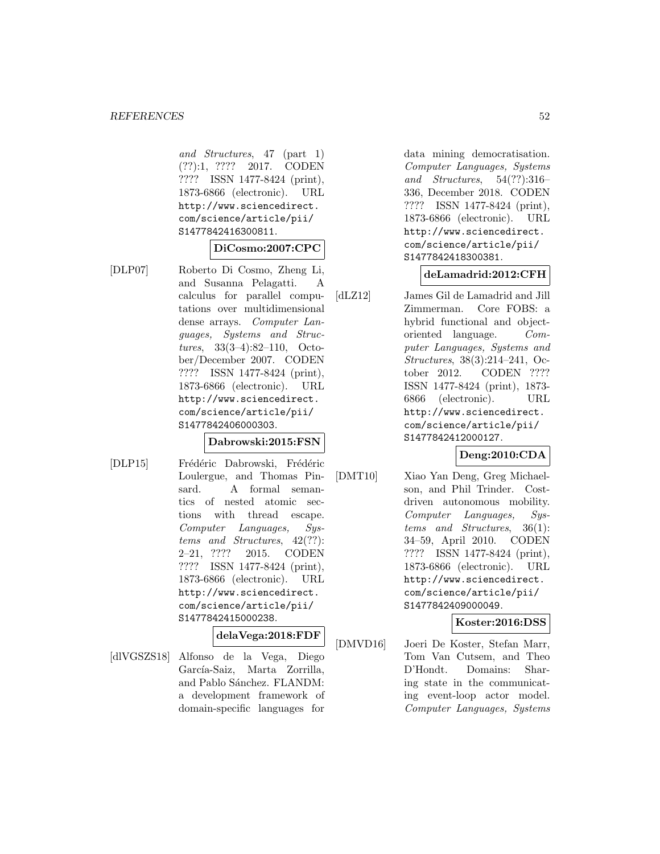and Structures, 47 (part 1) (??):1, ???? 2017. CODEN ???? ISSN 1477-8424 (print), 1873-6866 (electronic). URL http://www.sciencedirect. com/science/article/pii/ S1477842416300811.

#### **DiCosmo:2007:CPC**

[DLP07] Roberto Di Cosmo, Zheng Li, and Susanna Pelagatti. A calculus for parallel computations over multidimensional dense arrays. Computer Languages, Systems and Structures, 33(3–4):82–110, October/December 2007. CODEN ???? ISSN 1477-8424 (print), 1873-6866 (electronic). URL http://www.sciencedirect. com/science/article/pii/ S1477842406000303.

#### **Dabrowski:2015:FSN**

[DLP15] Frédéric Dabrowski, Frédéric Loulergue, and Thomas Pinsard. A formal semantics of nested atomic sections with thread escape. Computer Languages, Systems and Structures, 42(??): 2–21, ???? 2015. CODEN ???? ISSN 1477-8424 (print), 1873-6866 (electronic). URL http://www.sciencedirect. com/science/article/pii/ S1477842415000238.

### **delaVega:2018:FDF**

[dlVGSZS18] Alfonso de la Vega, Diego García-Saiz, Marta Zorrilla, and Pablo Sánchez. FLANDM: a development framework of domain-specific languages for

data mining democratisation. Computer Languages, Systems and Structures, 54(??):316– 336, December 2018. CODEN ???? ISSN 1477-8424 (print), 1873-6866 (electronic). URL http://www.sciencedirect. com/science/article/pii/ S1477842418300381.

### **deLamadrid:2012:CFH**

[dLZ12] James Gil de Lamadrid and Jill Zimmerman. Core FOBS: a hybrid functional and objectoriented language. Computer Languages, Systems and Structures, 38(3):214–241, October 2012. CODEN ???? ISSN 1477-8424 (print), 1873- 6866 (electronic). URL http://www.sciencedirect. com/science/article/pii/ S1477842412000127.

#### **Deng:2010:CDA**

[DMT10] Xiao Yan Deng, Greg Michaelson, and Phil Trinder. Costdriven autonomous mobility. Computer Languages, Systems and Structures, 36(1): 34–59, April 2010. CODEN ???? ISSN 1477-8424 (print), 1873-6866 (electronic). URL http://www.sciencedirect. com/science/article/pii/ S1477842409000049.

## **Koster:2016:DSS**

[DMVD16] Joeri De Koster, Stefan Marr, Tom Van Cutsem, and Theo D'Hondt. Domains: Sharing state in the communicating event-loop actor model. Computer Languages, Systems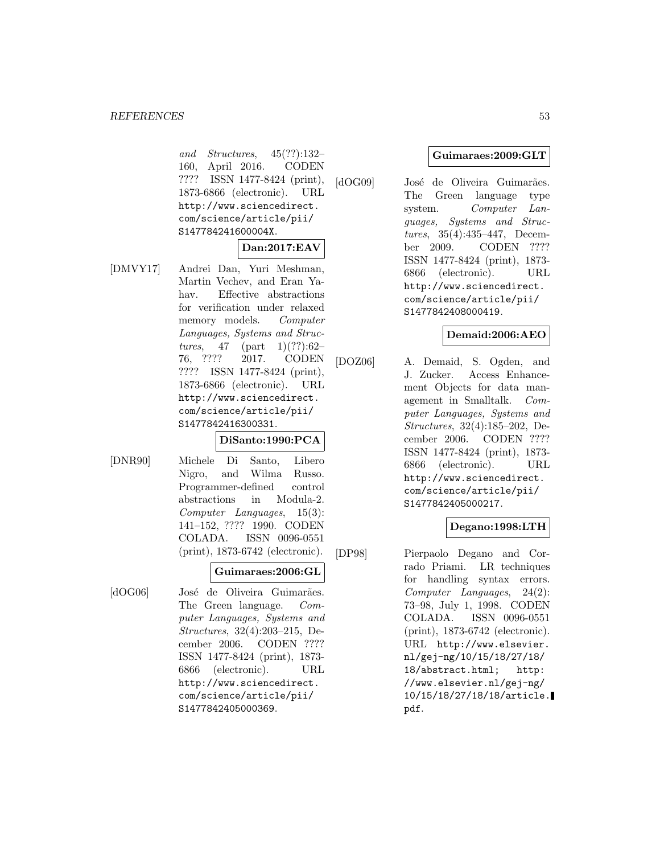and Structures, 45(??):132– 160, April 2016. CODEN ???? ISSN 1477-8424 (print), 1873-6866 (electronic). URL http://www.sciencedirect. com/science/article/pii/ S147784241600004X.

### **Dan:2017:EAV**

[DMVY17] Andrei Dan, Yuri Meshman, Martin Vechev, and Eran Yahav. Effective abstractions for verification under relaxed memory models. Computer Languages, Systems and Structures, 47 (part  $1)(??):62-$ 76, ???? 2017. CODEN ???? ISSN 1477-8424 (print), 1873-6866 (electronic). URL http://www.sciencedirect. com/science/article/pii/ S1477842416300331.

#### **DiSanto:1990:PCA**

[DNR90] Michele Di Santo, Libero Nigro, and Wilma Russo. Programmer-defined control abstractions in Modula-2. Computer Languages, 15(3): 141–152, ???? 1990. CODEN COLADA. ISSN 0096-0551 (print), 1873-6742 (electronic).

### **Guimaraes:2006:GL**

[dOG06] José de Oliveira Guimarães. The Green language. Computer Languages, Systems and Structures, 32(4):203–215, December 2006. CODEN ???? ISSN 1477-8424 (print), 1873- 6866 (electronic). URL http://www.sciencedirect. com/science/article/pii/ S1477842405000369.

#### **Guimaraes:2009:GLT**

[dOG09] José de Oliveira Guimarães. The Green language type system. Computer Languages, Systems and Structures, 35(4):435–447, December 2009. CODEN ???? ISSN 1477-8424 (print), 1873- 6866 (electronic). URL http://www.sciencedirect. com/science/article/pii/ S1477842408000419.

### **Demaid:2006:AEO**

[DOZ06] A. Demaid, S. Ogden, and J. Zucker. Access Enhancement Objects for data management in Smalltalk. Computer Languages, Systems and Structures, 32(4):185–202, December 2006. CODEN ???? ISSN 1477-8424 (print), 1873- 6866 (electronic). URL http://www.sciencedirect. com/science/article/pii/ S1477842405000217.

## **Degano:1998:LTH**

[DP98] Pierpaolo Degano and Corrado Priami. LR techniques for handling syntax errors. Computer Languages, 24(2): 73–98, July 1, 1998. CODEN COLADA. ISSN 0096-0551 (print), 1873-6742 (electronic). URL http://www.elsevier. nl/gej-ng/10/15/18/27/18/ 18/abstract.html; http: //www.elsevier.nl/gej-ng/ 10/15/18/27/18/18/article. pdf.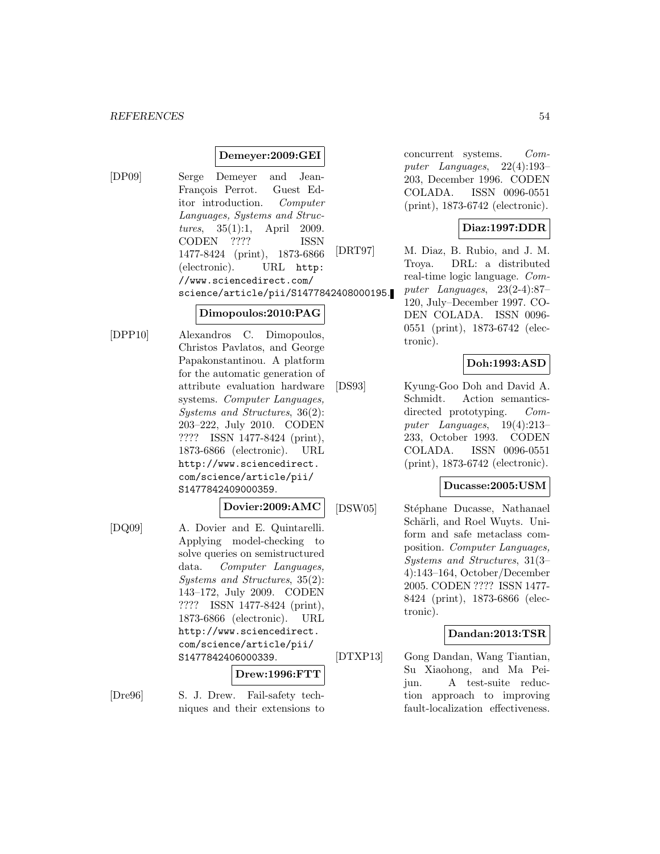#### **Demeyer:2009:GEI**

[DP09] Serge Demeyer and Jean-François Perrot. Guest Editor introduction. Computer Languages, Systems and Structures, 35(1):1, April 2009. CODEN ???? ISSN 1477-8424 (print), 1873-6866 (electronic). URL http: //www.sciencedirect.com/ science/article/pii/S1477842408000195.

#### **Dimopoulos:2010:PAG**

[DPP10] Alexandros C. Dimopoulos, Christos Pavlatos, and George Papakonstantinou. A platform for the automatic generation of attribute evaluation hardware systems. Computer Languages, Systems and Structures, 36(2): 203–222, July 2010. CODEN ???? ISSN 1477-8424 (print), 1873-6866 (electronic). URL http://www.sciencedirect. com/science/article/pii/ S1477842409000359.

#### **Dovier:2009:AMC**

[DQ09] A. Dovier and E. Quintarelli. Applying model-checking to solve queries on semistructured data. Computer Languages, Systems and Structures, 35(2): 143–172, July 2009. CODEN ???? ISSN 1477-8424 (print), 1873-6866 (electronic). URL http://www.sciencedirect. com/science/article/pii/ S1477842406000339.

#### **Drew:1996:FTT**

[Dre96] S. J. Drew. Fail-safety techniques and their extensions to concurrent systems. Computer Languages, 22(4):193– 203, December 1996. CODEN COLADA. ISSN 0096-0551 (print), 1873-6742 (electronic).

### **Diaz:1997:DDR**

[DRT97] M. Diaz, B. Rubio, and J. M. Troya. DRL: a distributed real-time logic language. Computer Languages, 23(2-4):87– 120, July–December 1997. CO-DEN COLADA. ISSN 0096- 0551 (print), 1873-6742 (electronic).

### **Doh:1993:ASD**

[DS93] Kyung-Goo Doh and David A. Schmidt. Action semanticsdirected prototyping. *Com*puter Languages, 19(4):213– 233, October 1993. CODEN COLADA. ISSN 0096-0551 (print), 1873-6742 (electronic).

### **Ducasse:2005:USM**

[DSW05] Stéphane Ducasse, Nathanael Schärli, and Roel Wuyts. Uniform and safe metaclass composition. Computer Languages, Systems and Structures, 31(3– 4):143–164, October/December 2005. CODEN ???? ISSN 1477- 8424 (print), 1873-6866 (electronic).

### **Dandan:2013:TSR**

[DTXP13] Gong Dandan, Wang Tiantian, Su Xiaohong, and Ma Peijun. A test-suite reduction approach to improving fault-localization effectiveness.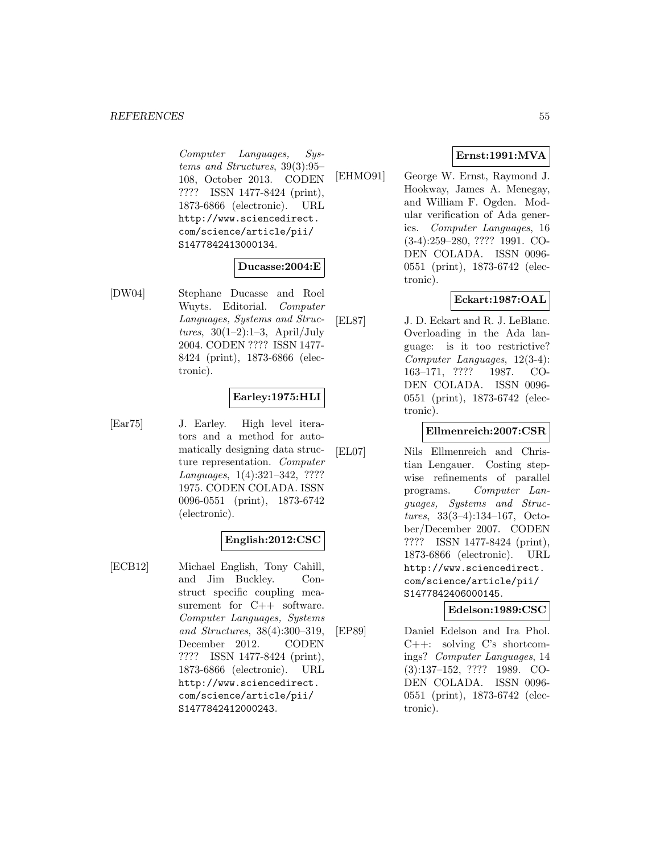Computer Languages, Systems and Structures, 39(3):95– 108, October 2013. CODEN ???? ISSN 1477-8424 (print), 1873-6866 (electronic). URL http://www.sciencedirect. com/science/article/pii/ S1477842413000134.

### **Ducasse:2004:E**

[DW04] Stephane Ducasse and Roel Wuyts. Editorial. Computer Languages, Systems and Structures,  $30(1-2):1-3$ , April/July 2004. CODEN ???? ISSN 1477- 8424 (print), 1873-6866 (electronic).

### **Earley:1975:HLI**

[Ear75] J. Earley. High level iterators and a method for automatically designing data structure representation. Computer Languages, 1(4):321–342, ???? 1975. CODEN COLADA. ISSN 0096-0551 (print), 1873-6742 (electronic).

### **English:2012:CSC**

[ECB12] Michael English, Tony Cahill, and Jim Buckley. Construct specific coupling measurement for C++ software. Computer Languages, Systems and Structures, 38(4):300–319, December 2012. CODEN ???? ISSN 1477-8424 (print), 1873-6866 (electronic). URL http://www.sciencedirect. com/science/article/pii/ S1477842412000243.

### **Ernst:1991:MVA**

[EHMO91] George W. Ernst, Raymond J. Hookway, James A. Menegay, and William F. Ogden. Modular verification of Ada generics. Computer Languages, 16 (3-4):259–280, ???? 1991. CO-DEN COLADA. ISSN 0096- 0551 (print), 1873-6742 (electronic).

## **Eckart:1987:OAL**

[EL87] J. D. Eckart and R. J. LeBlanc. Overloading in the Ada language: is it too restrictive? Computer Languages, 12(3-4): 163–171, ???? 1987. CO-DEN COLADA. ISSN 0096- 0551 (print), 1873-6742 (electronic).

### **Ellmenreich:2007:CSR**

[EL07] Nils Ellmenreich and Christian Lengauer. Costing stepwise refinements of parallel programs. Computer Languages, Systems and Structures, 33(3–4):134–167, October/December 2007. CODEN ???? ISSN 1477-8424 (print), 1873-6866 (electronic). URL http://www.sciencedirect. com/science/article/pii/ S1477842406000145.

### **Edelson:1989:CSC**

[EP89] Daniel Edelson and Ira Phol. C++: solving C's shortcomings? Computer Languages, 14 (3):137–152, ???? 1989. CO-DEN COLADA. ISSN 0096- 0551 (print), 1873-6742 (electronic).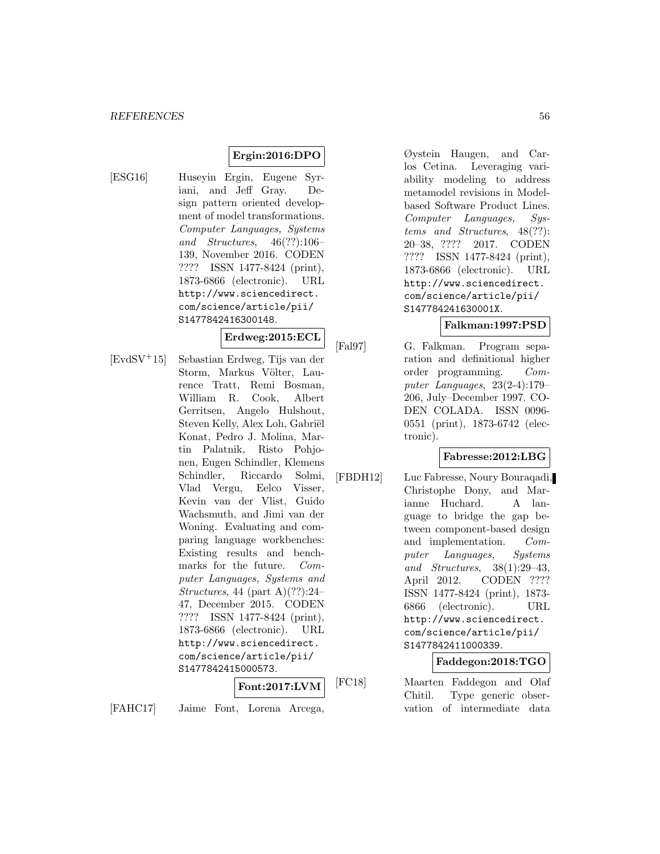## **Ergin:2016:DPO**

- 
- [ESG16] Huseyin Ergin, Eugene Syriani, and Jeff Gray. Design pattern oriented development of model transformations. Computer Languages, Systems and Structures, 46(??):106– 139, November 2016. CODEN ???? ISSN 1477-8424 (print), 1873-6866 (electronic). URL http://www.sciencedirect. com/science/article/pii/ S1477842416300148.

**Erdweg:2015:ECL**

[EvdSV<sup>+</sup>15] Sebastian Erdweg, Tijs van der Storm, Markus Völter, Laurence Tratt, Remi Bosman, William R. Cook, Albert Gerritsen, Angelo Hulshout, Steven Kelly, Alex Loh, Gabriël Konat, Pedro J. Molina, Martin Palatnik, Risto Pohjonen, Eugen Schindler, Klemens Schindler, Riccardo Solmi, Vlad Vergu, Eelco Visser, Kevin van der Vlist, Guido Wachsmuth, and Jimi van der Woning. Evaluating and comparing language workbenches: Existing results and benchmarks for the future. Computer Languages, Systems and Structures, 44 (part A) $(??):24-$ 47, December 2015. CODEN ???? ISSN 1477-8424 (print), 1873-6866 (electronic). URL http://www.sciencedirect. com/science/article/pii/ S1477842415000573.

**Font:2017:LVM**

[FAHC17] Jaime Font, Lorena Arcega,

Øystein Haugen, and Carlos Cetina. Leveraging variability modeling to address metamodel revisions in Modelbased Software Product Lines. Computer Languages, Systems and Structures, 48(??): 20–38, ???? 2017. CODEN ???? ISSN 1477-8424 (print), 1873-6866 (electronic). URL http://www.sciencedirect. com/science/article/pii/ S147784241630001X.

### **Falkman:1997:PSD**

[Fal97] G. Falkman. Program separation and definitional higher order programming. Computer Languages, 23(2-4):179– 206, July–December 1997. CO-DEN COLADA. ISSN 0096- 0551 (print), 1873-6742 (electronic).

#### **Fabresse:2012:LBG**

[FBDH12] Luc Fabresse, Noury Bouraqadi, Christophe Dony, and Marianne Huchard. A language to bridge the gap between component-based design and implementation. Computer Languages, Systems and Structures, 38(1):29–43, April 2012. CODEN ???? ISSN 1477-8424 (print), 1873- 6866 (electronic). URL http://www.sciencedirect. com/science/article/pii/ S1477842411000339.

#### **Faddegon:2018:TGO**

[FC18] Maarten Faddegon and Olaf Chitil. Type generic observation of intermediate data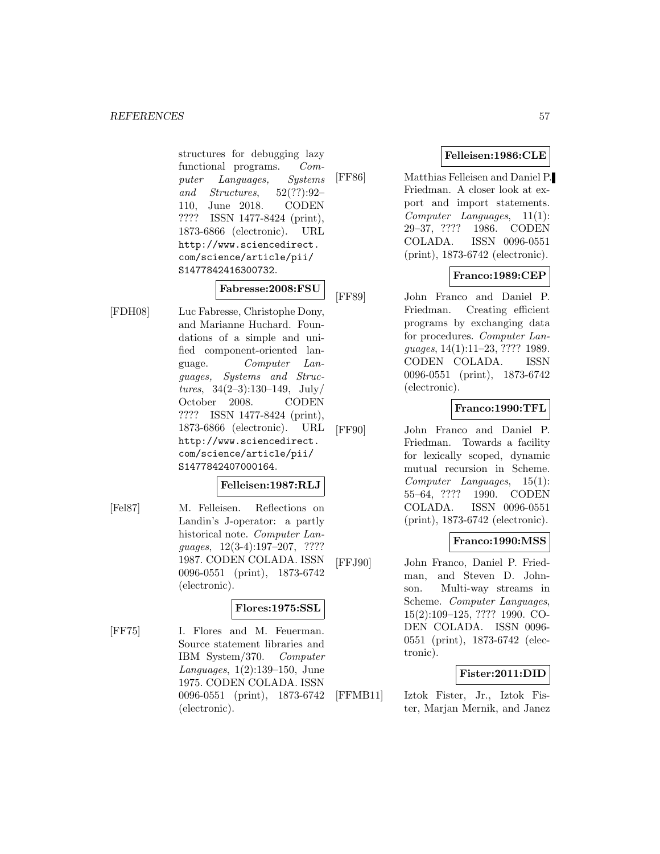structures for debugging lazy functional programs. Computer Languages, Systems and Structures, 52(??):92– 110, June 2018. CODEN ???? ISSN 1477-8424 (print), 1873-6866 (electronic). URL http://www.sciencedirect. com/science/article/pii/ S1477842416300732.

### **Fabresse:2008:FSU**

[FDH08] Luc Fabresse, Christophe Dony, and Marianne Huchard. Foundations of a simple and unified component-oriented language. Computer Languages, Systems and Structures,  $34(2-3):130-149$ , July/ October 2008. CODEN ???? ISSN 1477-8424 (print), 1873-6866 (electronic). URL http://www.sciencedirect. com/science/article/pii/ S1477842407000164.

### **Felleisen:1987:RLJ**

[Fel87] M. Felleisen. Reflections on Landin's J-operator: a partly historical note. Computer Languages, 12(3-4):197–207, ???? 1987. CODEN COLADA. ISSN 0096-0551 (print), 1873-6742 (electronic).

### **Flores:1975:SSL**

[FF75] I. Flores and M. Feuerman. Source statement libraries and IBM System/370. Computer Languages, 1(2):139–150, June 1975. CODEN COLADA. ISSN 0096-0551 (print), 1873-6742 (electronic).

### **Felleisen:1986:CLE**

[FF86] Matthias Felleisen and Daniel P. Friedman. A closer look at export and import statements. Computer Languages, 11(1): 29–37, ???? 1986. CODEN COLADA. ISSN 0096-0551 (print), 1873-6742 (electronic).

### **Franco:1989:CEP**

[FF89] John Franco and Daniel P. Friedman. Creating efficient programs by exchanging data for procedures. Computer Languages, 14(1):11–23, ???? 1989. CODEN COLADA. ISSN 0096-0551 (print), 1873-6742 (electronic).

### **Franco:1990:TFL**

[FF90] John Franco and Daniel P. Friedman. Towards a facility for lexically scoped, dynamic mutual recursion in Scheme. Computer Languages, 15(1): 55–64, ???? 1990. CODEN COLADA. ISSN 0096-0551 (print), 1873-6742 (electronic).

### **Franco:1990:MSS**

[FFJ90] John Franco, Daniel P. Friedman, and Steven D. Johnson. Multi-way streams in Scheme. Computer Languages, 15(2):109–125, ???? 1990. CO-DEN COLADA. ISSN 0096- 0551 (print), 1873-6742 (electronic).

### **Fister:2011:DID**

[FFMB11] Iztok Fister, Jr., Iztok Fister, Marjan Mernik, and Janez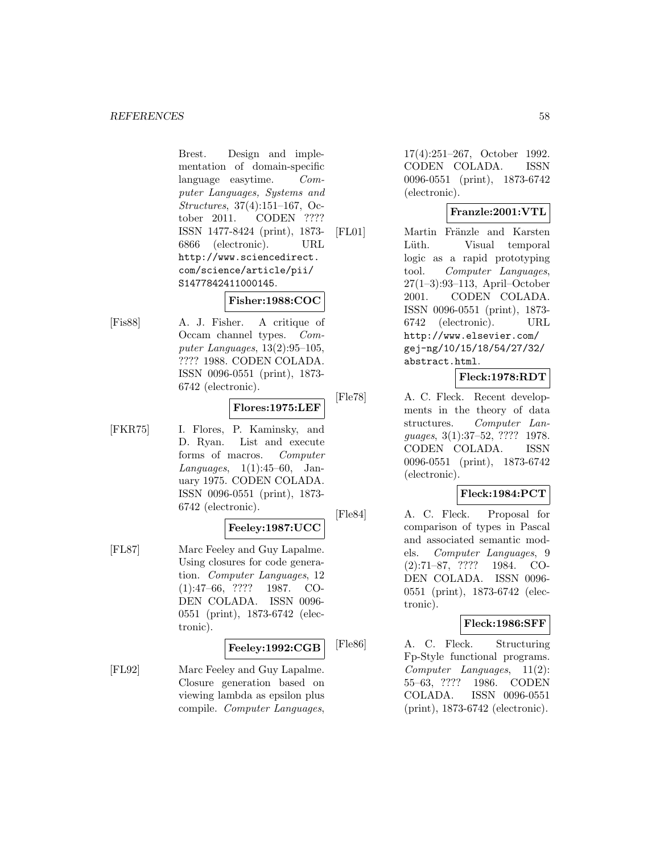Brest. Design and implementation of domain-specific language easytime. Computer Languages, Systems and Structures, 37(4):151–167, October 2011. CODEN ???? ISSN 1477-8424 (print), 1873- 6866 (electronic). URL http://www.sciencedirect. com/science/article/pii/ S1477842411000145.

### **Fisher:1988:COC**

[Fis88] A. J. Fisher. A critique of Occam channel types. Computer Languages, 13(2):95–105, ???? 1988. CODEN COLADA. ISSN 0096-0551 (print), 1873- 6742 (electronic).

#### **Flores:1975:LEF**

[FKR75] I. Flores, P. Kaminsky, and D. Ryan. List and execute forms of macros. Computer Languages, 1(1):45–60, January 1975. CODEN COLADA. ISSN 0096-0551 (print), 1873- 6742 (electronic).

### **Feeley:1987:UCC**

[FL87] Marc Feeley and Guy Lapalme. Using closures for code generation. Computer Languages, 12 (1):47–66, ???? 1987. CO-DEN COLADA. ISSN 0096- 0551 (print), 1873-6742 (electronic).

#### **Feeley:1992:CGB**

[FL92] Marc Feeley and Guy Lapalme. Closure generation based on viewing lambda as epsilon plus compile. Computer Languages,

17(4):251–267, October 1992. CODEN COLADA. ISSN 0096-0551 (print), 1873-6742 (electronic).

### **Franzle:2001:VTL**

[FL01] Martin Fränzle and Karsten Lüth. Visual temporal logic as a rapid prototyping tool. Computer Languages, 27(1–3):93–113, April–October 2001. CODEN COLADA. ISSN 0096-0551 (print), 1873- 6742 (electronic). URL http://www.elsevier.com/ gej-ng/10/15/18/54/27/32/ abstract.html.

## **Fleck:1978:RDT**

[Fle78] A. C. Fleck. Recent developments in the theory of data structures. Computer Languages, 3(1):37–52, ???? 1978. CODEN COLADA. ISSN 0096-0551 (print), 1873-6742 (electronic).

### **Fleck:1984:PCT**

[Fle84] A. C. Fleck. Proposal for comparison of types in Pascal and associated semantic models. Computer Languages, 9 (2):71–87, ???? 1984. CO-DEN COLADA. ISSN 0096- 0551 (print), 1873-6742 (electronic).

### **Fleck:1986:SFF**

[Fle86] A. C. Fleck. Structuring Fp-Style functional programs. Computer Languages, 11(2): 55–63, ???? 1986. CODEN COLADA. ISSN 0096-0551 (print), 1873-6742 (electronic).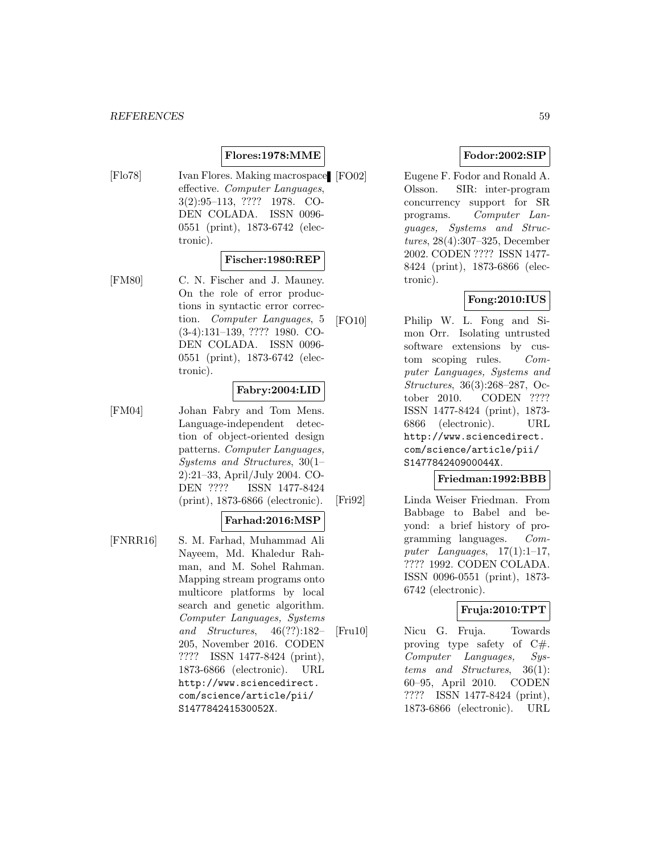## **Flores:1978:MME**

[Flo78] Ivan Flores. Making macrospace [FO02] effective. Computer Languages, 3(2):95–113, ???? 1978. CO-DEN COLADA. ISSN 0096- 0551 (print), 1873-6742 (electronic).

### **Fischer:1980:REP**

[FM80] C. N. Fischer and J. Mauney. On the role of error productions in syntactic error correction. Computer Languages, 5 (3-4):131–139, ???? 1980. CO-DEN COLADA. ISSN 0096- 0551 (print), 1873-6742 (electronic).

#### **Fabry:2004:LID**

[FM04] Johan Fabry and Tom Mens. Language-independent detection of object-oriented design patterns. Computer Languages, Systems and Structures, 30(1– 2):21–33, April/July 2004. CO-DEN ???? ISSN 1477-8424 (print), 1873-6866 (electronic).

#### **Farhad:2016:MSP**

[FNRR16] S. M. Farhad, Muhammad Ali Nayeem, Md. Khaledur Rahman, and M. Sohel Rahman. Mapping stream programs onto multicore platforms by local search and genetic algorithm. Computer Languages, Systems and Structures, 46(??):182– 205, November 2016. CODEN ???? ISSN 1477-8424 (print), 1873-6866 (electronic). URL http://www.sciencedirect. com/science/article/pii/ S147784241530052X.

### **Fodor:2002:SIP**

Eugene F. Fodor and Ronald A. Olsson. SIR: inter-program concurrency support for SR programs. Computer Languages, Systems and Structures, 28(4):307–325, December 2002. CODEN ???? ISSN 1477- 8424 (print), 1873-6866 (electronic).

### **Fong:2010:IUS**

[FO10] Philip W. L. Fong and Simon Orr. Isolating untrusted software extensions by custom scoping rules. Computer Languages, Systems and Structures, 36(3):268–287, October 2010. CODEN ???? ISSN 1477-8424 (print), 1873- 6866 (electronic). URL http://www.sciencedirect. com/science/article/pii/ S147784240900044X.

#### **Friedman:1992:BBB**

[Fri92] Linda Weiser Friedman. From Babbage to Babel and beyond: a brief history of programming languages. Computer Languages,  $17(1):1-17$ , ???? 1992. CODEN COLADA. ISSN 0096-0551 (print), 1873- 6742 (electronic).

### **Fruja:2010:TPT**

[Fru10] Nicu G. Fruja. Towards proving type safety of C#. Computer Languages, Systems and Structures, 36(1): 60–95, April 2010. CODEN ???? ISSN 1477-8424 (print), 1873-6866 (electronic). URL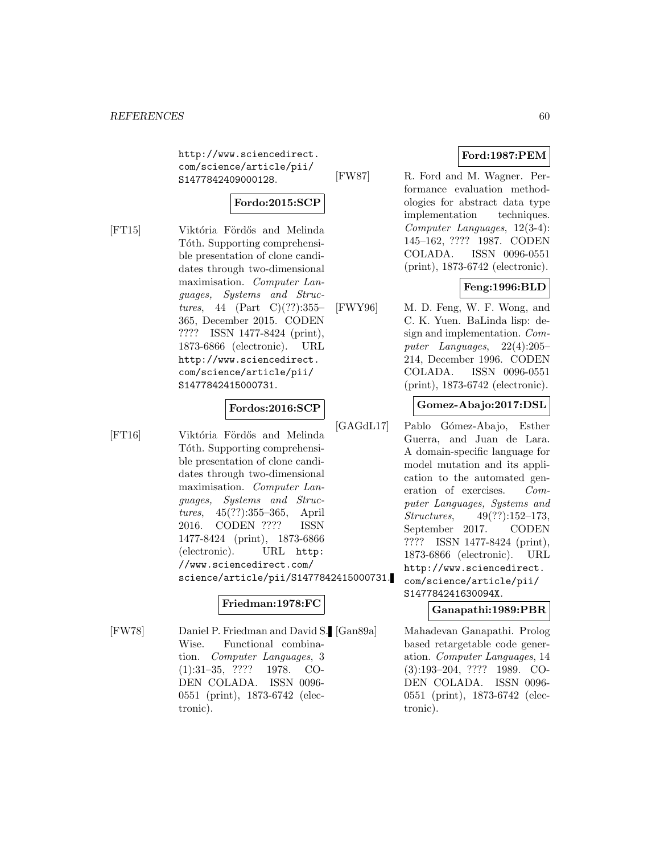http://www.sciencedirect. com/science/article/pii/ S1477842409000128.

## **Fordo:2015:SCP**

[FT15] Viktória Fördős and Melinda Tóth. Supporting comprehensible presentation of clone candidates through two-dimensional maximisation. Computer Languages, Systems and Structures, 44 (Part C) $(??)$ :355– 365, December 2015. CODEN ???? ISSN 1477-8424 (print), 1873-6866 (electronic). URL http://www.sciencedirect. com/science/article/pii/ S1477842415000731.

### **Fordos:2016:SCP**

[FT16] Viktória Fördős and Melinda Tóth. Supporting comprehensible presentation of clone candidates through two-dimensional maximisation. Computer Languages, Systems and Structures, 45(??):355–365, April 2016. CODEN ???? ISSN 1477-8424 (print), 1873-6866 (electronic). URL http: //www.sciencedirect.com/ science/article/pii/S1477842415000731.

### **Friedman:1978:FC**

[FW78] Daniel P. Friedman and David S. Wise. Functional combination. Computer Languages, 3 (1):31–35, ???? 1978. CO-DEN COLADA. ISSN 0096- 0551 (print), 1873-6742 (electronic).

### **Ford:1987:PEM**

[FW87] R. Ford and M. Wagner. Performance evaluation methodologies for abstract data type implementation techniques. Computer Languages, 12(3-4): 145–162, ???? 1987. CODEN COLADA. ISSN 0096-0551 (print), 1873-6742 (electronic).

## **Feng:1996:BLD**

[FWY96] M. D. Feng, W. F. Wong, and C. K. Yuen. BaLinda lisp: design and implementation. Computer Languages, 22(4):205– 214, December 1996. CODEN COLADA. ISSN 0096-0551 (print), 1873-6742 (electronic).

### **Gomez-Abajo:2017:DSL**

[GAGdL17] Pablo Gómez-Abajo, Esther Guerra, and Juan de Lara. A domain-specific language for model mutation and its application to the automated generation of exercises. Computer Languages, Systems and Structures, 49(??):152–173, September 2017. CODEN ???? ISSN 1477-8424 (print), 1873-6866 (electronic). URL http://www.sciencedirect. com/science/article/pii/ S147784241630094X.

### **Ganapathi:1989:PBR**

Mahadevan Ganapathi. Prolog based retargetable code generation. Computer Languages, 14 (3):193–204, ???? 1989. CO-DEN COLADA. ISSN 0096- 0551 (print), 1873-6742 (electronic).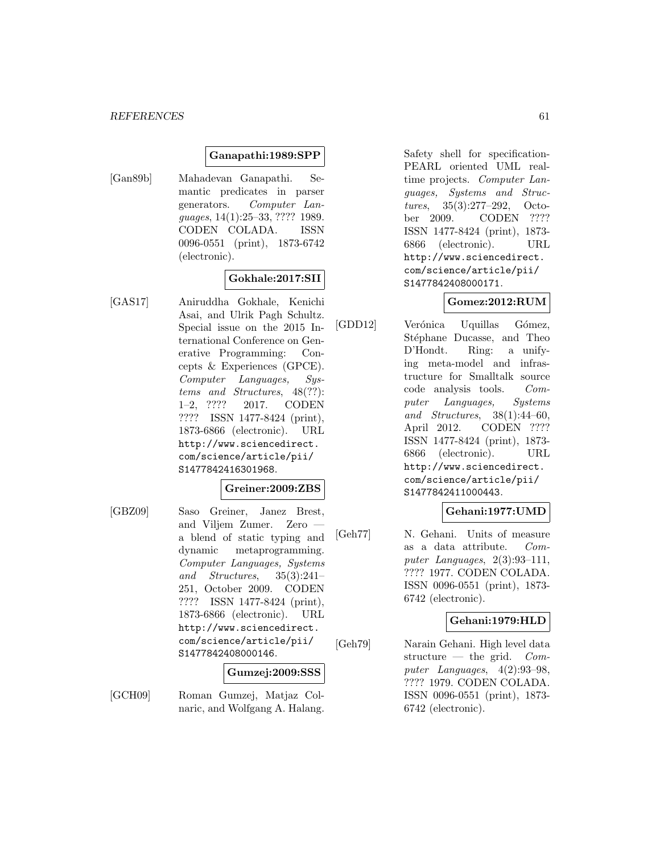#### **Ganapathi:1989:SPP**

[Gan89b] Mahadevan Ganapathi. Semantic predicates in parser generators. Computer Languages, 14(1):25–33, ???? 1989. CODEN COLADA. ISSN 0096-0551 (print), 1873-6742 (electronic).

### **Gokhale:2017:SII**

[GAS17] Aniruddha Gokhale, Kenichi Asai, and Ulrik Pagh Schultz. Special issue on the 2015 International Conference on Generative Programming: Concepts & Experiences (GPCE). Computer Languages, Systems and Structures, 48(??): 1–2, ???? 2017. CODEN ???? ISSN 1477-8424 (print), 1873-6866 (electronic). URL http://www.sciencedirect. com/science/article/pii/ S1477842416301968.

#### **Greiner:2009:ZBS**

[GBZ09] Saso Greiner, Janez Brest, and Viljem Zumer. Zero a blend of static typing and dynamic metaprogramming. Computer Languages, Systems and Structures, 35(3):241– 251, October 2009. CODEN ???? ISSN 1477-8424 (print), 1873-6866 (electronic). URL http://www.sciencedirect. com/science/article/pii/ S1477842408000146.

#### **Gumzej:2009:SSS**

[GCH09] Roman Gumzej, Matjaz Colnaric, and Wolfgang A. Halang.

Safety shell for specification-PEARL oriented UML realtime projects. Computer Languages, Systems and Structures, 35(3):277–292, October 2009. CODEN ???? ISSN 1477-8424 (print), 1873- 6866 (electronic). URL http://www.sciencedirect. com/science/article/pii/ S1477842408000171.

## **Gomez:2012:RUM**

[GDD12] Verónica Uquillas Gómez, Stéphane Ducasse, and Theo D'Hondt. Ring: a unifying meta-model and infrastructure for Smalltalk source code analysis tools. Computer Languages, Systems and Structures, 38(1):44–60, April 2012. CODEN ???? ISSN 1477-8424 (print), 1873- 6866 (electronic). URL http://www.sciencedirect. com/science/article/pii/ S1477842411000443.

### **Gehani:1977:UMD**

[Geh77] N. Gehani. Units of measure as a data attribute. Computer Languages, 2(3):93–111, ???? 1977. CODEN COLADA. ISSN 0096-0551 (print), 1873- 6742 (electronic).

#### **Gehani:1979:HLD**

[Geh79] Narain Gehani. High level data structure — the grid.  $Com$ puter Languages, 4(2):93–98, ???? 1979. CODEN COLADA. ISSN 0096-0551 (print), 1873- 6742 (electronic).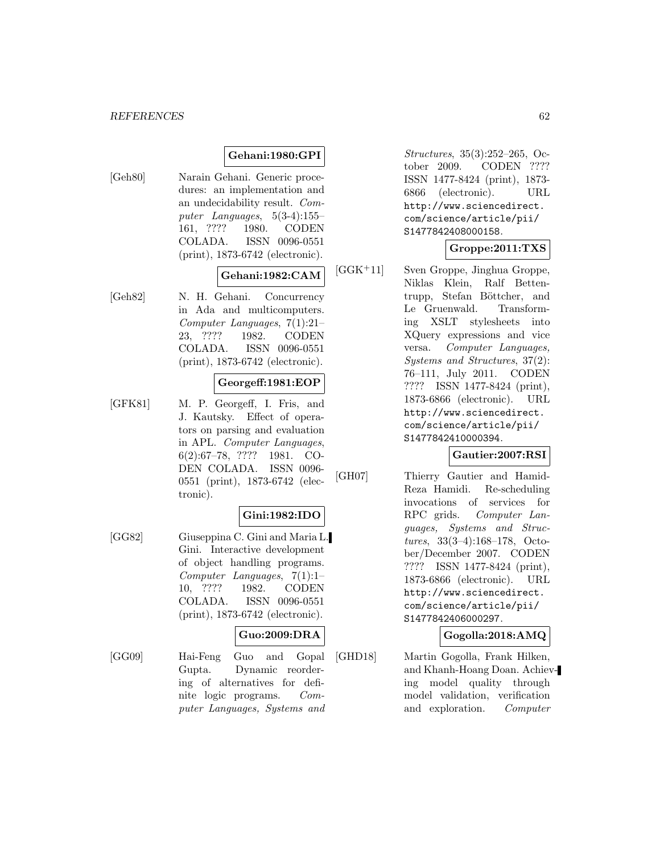### **Gehani:1980:GPI**

[Geh80] Narain Gehani. Generic procedures: an implementation and an undecidability result. Computer Languages, 5(3-4):155– 161, ???? 1980. CODEN COLADA. ISSN 0096-0551 (print), 1873-6742 (electronic).

#### **Gehani:1982:CAM**

[Geh82] N. H. Gehani. Concurrency in Ada and multicomputers. Computer Languages, 7(1):21– 23, ???? 1982. CODEN COLADA. ISSN 0096-0551 (print), 1873-6742 (electronic).

#### **Georgeff:1981:EOP**

[GFK81] M. P. Georgeff, I. Fris, and J. Kautsky. Effect of operators on parsing and evaluation in APL. Computer Languages, 6(2):67–78, ???? 1981. CO-DEN COLADA. ISSN 0096- 0551 (print), 1873-6742 (electronic).

## **Gini:1982:IDO**

[GG82] Giuseppina C. Gini and Maria L. Gini. Interactive development of object handling programs. Computer Languages, 7(1):1– 10, ???? 1982. CODEN COLADA. ISSN 0096-0551 (print), 1873-6742 (electronic).

## **Guo:2009:DRA**

[GG09] Hai-Feng Guo and Gopal Gupta. Dynamic reordering of alternatives for definite logic programs. Computer Languages, Systems and Structures, 35(3):252–265, October 2009. CODEN ???? ISSN 1477-8424 (print), 1873- 6866 (electronic). URL http://www.sciencedirect. com/science/article/pii/ S1477842408000158.

## **Groppe:2011:TXS**

[GGK<sup>+</sup>11] Sven Groppe, Jinghua Groppe, Niklas Klein, Ralf Bettentrupp, Stefan Böttcher, and Le Gruenwald. Transforming XSLT stylesheets into XQuery expressions and vice versa. Computer Languages, Systems and Structures, 37(2): 76–111, July 2011. CODEN ???? ISSN 1477-8424 (print), 1873-6866 (electronic). URL http://www.sciencedirect. com/science/article/pii/ S1477842410000394.

#### **Gautier:2007:RSI**

[GH07] Thierry Gautier and Hamid-Reza Hamidi. Re-scheduling invocations of services for RPC grids. Computer Languages, Systems and Structures, 33(3–4):168–178, October/December 2007. CODEN ???? ISSN 1477-8424 (print), 1873-6866 (electronic). URL http://www.sciencedirect. com/science/article/pii/ S1477842406000297.

#### **Gogolla:2018:AMQ**

[GHD18] Martin Gogolla, Frank Hilken, and Khanh-Hoang Doan. Achieving model quality through model validation, verification and exploration. Computer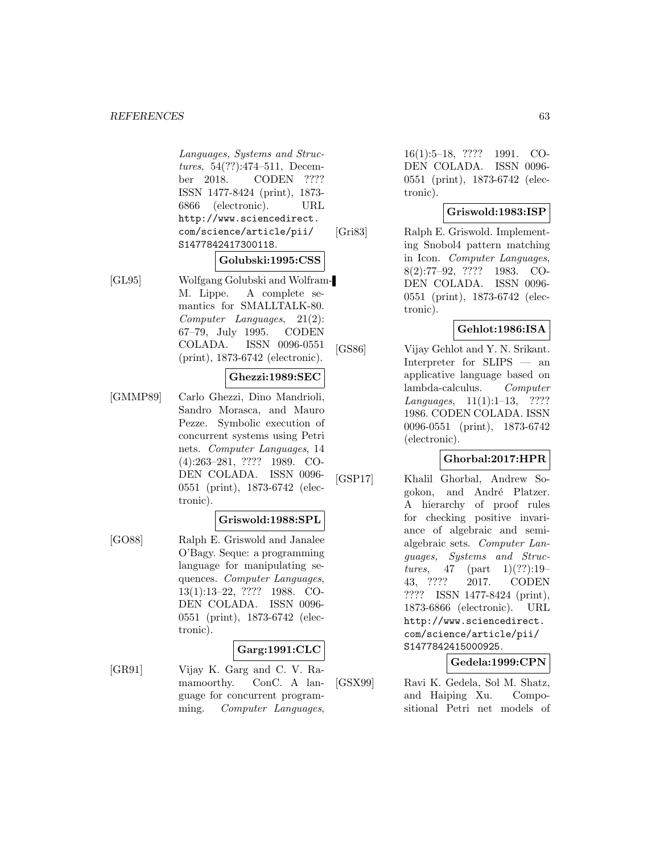#### *REFERENCES* 63

Languages, Systems and Structures, 54(??):474–511, December 2018. CODEN ???? ISSN 1477-8424 (print), 1873- 6866 (electronic). URL http://www.sciencedirect. com/science/article/pii/ S1477842417300118.

#### **Golubski:1995:CSS**

[GL95] Wolfgang Golubski and Wolfram-M. Lippe. A complete semantics for SMALLTALK-80. Computer Languages, 21(2): 67–79, July 1995. CODEN COLADA. ISSN 0096-0551 (print), 1873-6742 (electronic).

### **Ghezzi:1989:SEC**

[GMMP89] Carlo Ghezzi, Dino Mandrioli, Sandro Morasca, and Mauro Pezze. Symbolic execution of concurrent systems using Petri nets. Computer Languages, 14 (4):263–281, ???? 1989. CO-DEN COLADA. ISSN 0096- 0551 (print), 1873-6742 (electronic).

#### **Griswold:1988:SPL**

[GO88] Ralph E. Griswold and Janalee O'Bagy. Seque: a programming language for manipulating sequences. Computer Languages, 13(1):13–22, ???? 1988. CO-DEN COLADA. ISSN 0096- 0551 (print), 1873-6742 (electronic).

### **Garg:1991:CLC**

[GR91] Vijay K. Garg and C. V. Ramamoorthy. ConC. A language for concurrent programming. Computer Languages,

16(1):5–18, ???? 1991. CO-DEN COLADA. ISSN 0096- 0551 (print), 1873-6742 (electronic).

### **Griswold:1983:ISP**

[Gri83] Ralph E. Griswold. Implementing Snobol4 pattern matching in Icon. Computer Languages, 8(2):77–92, ???? 1983. CO-DEN COLADA. ISSN 0096- 0551 (print), 1873-6742 (electronic).

#### **Gehlot:1986:ISA**

[GS86] Vijay Gehlot and Y. N. Srikant. Interpreter for SLIPS — an applicative language based on lambda-calculus. Computer Languages, 11(1):1–13, ???? 1986. CODEN COLADA. ISSN 0096-0551 (print), 1873-6742 (electronic).

### **Ghorbal:2017:HPR**

[GSP17] Khalil Ghorbal, Andrew Sogokon, and André Platzer. A hierarchy of proof rules for checking positive invariance of algebraic and semialgebraic sets. Computer Languages, Systems and Structures, 47 (part  $1)(??):19-$ 43, ???? 2017. CODEN ???? ISSN 1477-8424 (print), 1873-6866 (electronic). URL http://www.sciencedirect. com/science/article/pii/ S1477842415000925.

### **Gedela:1999:CPN**

[GSX99] Ravi K. Gedela, Sol M. Shatz, and Haiping Xu. Compositional Petri net models of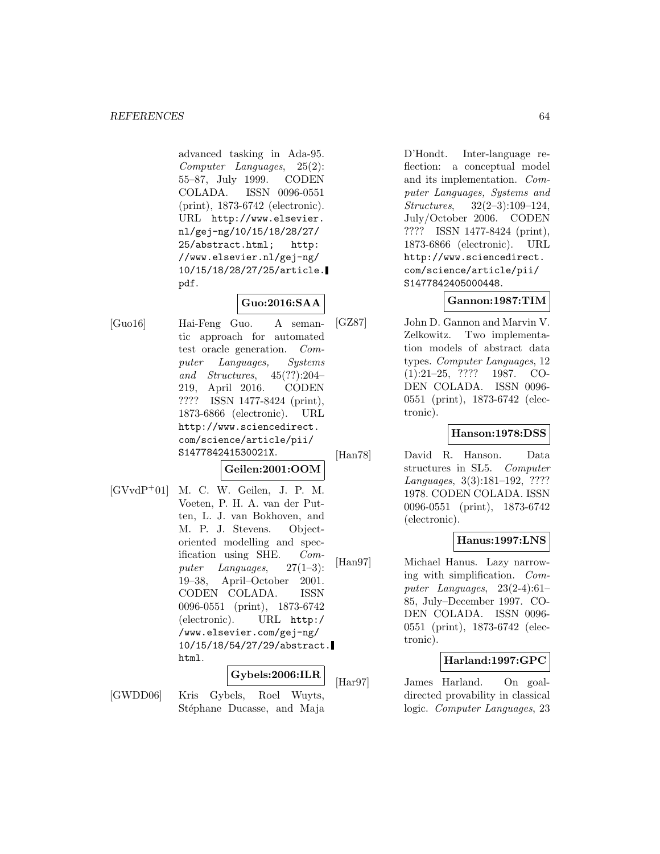advanced tasking in Ada-95. Computer Languages, 25(2): 55–87, July 1999. CODEN COLADA. ISSN 0096-0551 (print), 1873-6742 (electronic). URL http://www.elsevier. nl/gej-ng/10/15/18/28/27/ 25/abstract.html; http: //www.elsevier.nl/gej-ng/ 10/15/18/28/27/25/article. pdf.

## **Guo:2016:SAA**

- [Guo16] Hai-Feng Guo. A semantic approach for automated test oracle generation. Computer Languages, Systems and Structures, 45(??):204– 219, April 2016. CODEN ???? ISSN 1477-8424 (print), 1873-6866 (electronic). URL http://www.sciencedirect. com/science/article/pii/ S147784241530021X. **Geilen:2001:OOM**
- [GVvdP<sup>+</sup>01] M. C. W. Geilen, J. P. M. Voeten, P. H. A. van der Putten, L. J. van Bokhoven, and M. P. J. Stevens. Objectoriented modelling and specification using SHE. Computer Languages, 27(1–3): 19–38, April–October 2001. CODEN COLADA. ISSN 0096-0551 (print), 1873-6742 (electronic). URL http:/ /www.elsevier.com/gej-ng/ 10/15/18/54/27/29/abstract. html.

### **Gybels:2006:ILR**

[GWDD06] Kris Gybels, Roel Wuyts, Stéphane Ducasse, and Maja

D'Hondt. Inter-language reflection: a conceptual model and its implementation. Computer Languages, Systems and Structures, 32(2–3):109–124, July/October 2006. CODEN ???? ISSN 1477-8424 (print), 1873-6866 (electronic). URL http://www.sciencedirect. com/science/article/pii/ S1477842405000448.

### **Gannon:1987:TIM**

[GZ87] John D. Gannon and Marvin V. Zelkowitz. Two implementation models of abstract data types. Computer Languages, 12 (1):21–25, ???? 1987. CO-DEN COLADA. ISSN 0096- 0551 (print), 1873-6742 (electronic).

### **Hanson:1978:DSS**

[Han78] David R. Hanson. Data structures in SL5. Computer Languages, 3(3):181–192, ???? 1978. CODEN COLADA. ISSN 0096-0551 (print), 1873-6742 (electronic).

### **Hanus:1997:LNS**

[Han97] Michael Hanus. Lazy narrowing with simplification. Computer Languages, 23(2-4):61– 85, July–December 1997. CO-DEN COLADA. ISSN 0096- 0551 (print), 1873-6742 (electronic).

### **Harland:1997:GPC**

[Har97] James Harland. On goaldirected provability in classical logic. Computer Languages, 23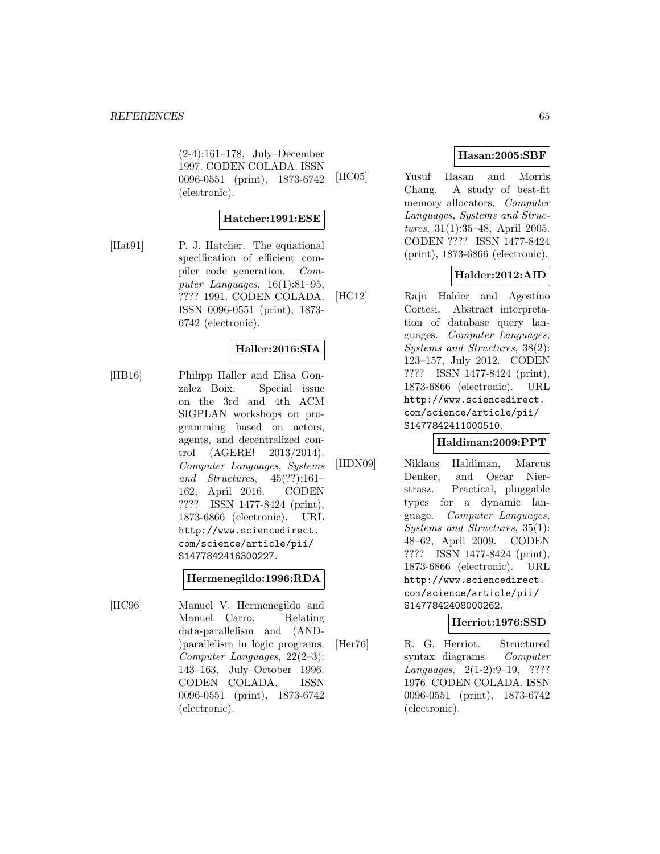(2-4):161–178, July–December 1997. CODEN COLADA. ISSN 0096-0551 (print), 1873-6742 (electronic).

### **Hatcher:1991:ESE**

[Hat91] P. J. Hatcher. The equational specification of efficient compiler code generation. Computer Languages, 16(1):81–95, ???? 1991. CODEN COLADA. ISSN 0096-0551 (print), 1873- 6742 (electronic).

### **Haller:2016:SIA**

[HB16] Philipp Haller and Elisa Gonzalez Boix. Special issue on the 3rd and 4th ACM SIGPLAN workshops on programming based on actors, agents, and decentralized control (AGERE! 2013/2014). Computer Languages, Systems and Structures, 45(??):161– 162, April 2016. CODEN ???? ISSN 1477-8424 (print), 1873-6866 (electronic). URL http://www.sciencedirect. com/science/article/pii/ S1477842416300227.

#### **Hermenegildo:1996:RDA**

[HC96] Manuel V. Hermenegildo and Manuel Carro. Relating data-parallelism and (AND- )parallelism in logic programs. Computer Languages, 22(2–3): 143–163, July–October 1996. CODEN COLADA. ISSN 0096-0551 (print), 1873-6742 (electronic).

### **Hasan:2005:SBF**

[HC05] Yusuf Hasan and Morris Chang. A study of best-fit memory allocators. Computer Languages, Systems and Structures, 31(1):35–48, April 2005. CODEN ???? ISSN 1477-8424 (print), 1873-6866 (electronic).

### **Halder:2012:AID**

[HC12] Raju Halder and Agostino Cortesi. Abstract interpretation of database query languages. Computer Languages, Systems and Structures, 38(2): 123–157, July 2012. CODEN ???? ISSN 1477-8424 (print), 1873-6866 (electronic). URL http://www.sciencedirect. com/science/article/pii/ S1477842411000510.

#### **Haldiman:2009:PPT**

[HDN09] Niklaus Haldiman, Marcus Denker, and Oscar Nierstrasz. Practical, pluggable types for a dynamic language. Computer Languages, Systems and Structures, 35(1): 48–62, April 2009. CODEN ???? ISSN 1477-8424 (print), 1873-6866 (electronic). URL http://www.sciencedirect. com/science/article/pii/ S1477842408000262.

#### **Herriot:1976:SSD**

[Her76] R. G. Herriot. Structured syntax diagrams. Computer Languages, 2(1-2):9–19, ???? 1976. CODEN COLADA. ISSN 0096-0551 (print), 1873-6742 (electronic).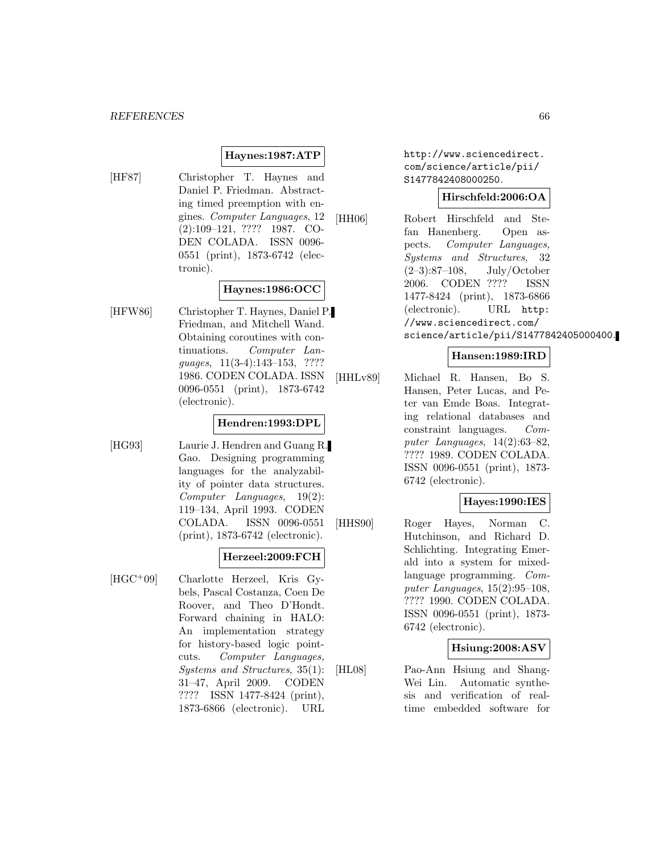### **Haynes:1987:ATP**

[HF87] Christopher T. Haynes and Daniel P. Friedman. Abstracting timed preemption with engines. Computer Languages, 12 (2):109–121, ???? 1987. CO-DEN COLADA. ISSN 0096- 0551 (print), 1873-6742 (electronic).

#### **Haynes:1986:OCC**

[HFW86] Christopher T. Haynes, Daniel P. Friedman, and Mitchell Wand. Obtaining coroutines with continuations. Computer Languages, 11(3-4):143–153, ???? 1986. CODEN COLADA. ISSN 0096-0551 (print), 1873-6742 (electronic).

#### **Hendren:1993:DPL**

[HG93] Laurie J. Hendren and Guang R. Gao. Designing programming languages for the analyzability of pointer data structures. Computer Languages, 19(2): 119–134, April 1993. CODEN COLADA. ISSN 0096-0551 (print), 1873-6742 (electronic).

#### **Herzeel:2009:FCH**

[HGC<sup>+</sup>09] Charlotte Herzeel, Kris Gybels, Pascal Costanza, Coen De Roover, and Theo D'Hondt. Forward chaining in HALO: An implementation strategy for history-based logic pointcuts. Computer Languages, Systems and Structures, 35(1): 31–47, April 2009. CODEN ???? ISSN 1477-8424 (print), 1873-6866 (electronic). URL http://www.sciencedirect. com/science/article/pii/ S1477842408000250.

#### **Hirschfeld:2006:OA**

[HH06] Robert Hirschfeld and Stefan Hanenberg. Open aspects. Computer Languages, Systems and Structures, 32 (2–3):87–108, July/October 2006. CODEN ???? ISSN 1477-8424 (print), 1873-6866 (electronic). URL http: //www.sciencedirect.com/ science/article/pii/S1477842405000400.

### **Hansen:1989:IRD**

[HHLv89] Michael R. Hansen, Bo S. Hansen, Peter Lucas, and Peter van Emde Boas. Integrating relational databases and constraint languages. Computer Languages, 14(2):63–82, ???? 1989. CODEN COLADA. ISSN 0096-0551 (print), 1873- 6742 (electronic).

#### **Hayes:1990:IES**

[HHS90] Roger Hayes, Norman C. Hutchinson, and Richard D. Schlichting. Integrating Emerald into a system for mixedlanguage programming. Computer Languages,  $15(2):95-108$ , ???? 1990. CODEN COLADA. ISSN 0096-0551 (print), 1873- 6742 (electronic).

#### **Hsiung:2008:ASV**

[HL08] Pao-Ann Hsiung and Shang-Wei Lin. Automatic synthesis and verification of realtime embedded software for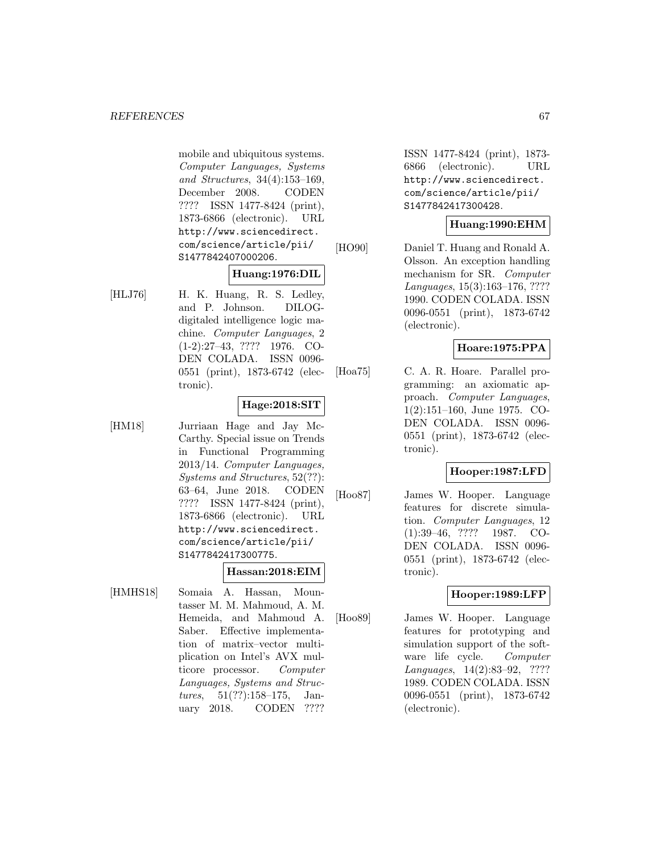mobile and ubiquitous systems. Computer Languages, Systems and Structures, 34(4):153–169, December 2008. CODEN ???? ISSN 1477-8424 (print), 1873-6866 (electronic). URL http://www.sciencedirect. com/science/article/pii/ S1477842407000206.

#### **Huang:1976:DIL**

[HLJ76] H. K. Huang, R. S. Ledley, and P. Johnson. DILOGdigitaled intelligence logic machine. Computer Languages, 2 (1-2):27–43, ???? 1976. CO-DEN COLADA. ISSN 0096- 0551 (print), 1873-6742 (electronic).

### **Hage:2018:SIT**

[HM18] Jurriaan Hage and Jay Mc-Carthy. Special issue on Trends in Functional Programming 2013/14. Computer Languages, Systems and Structures, 52(??): 63–64, June 2018. CODEN ???? ISSN 1477-8424 (print), 1873-6866 (electronic). URL http://www.sciencedirect. com/science/article/pii/ S1477842417300775.

#### **Hassan:2018:EIM**

[HMHS18] Somaia A. Hassan, Mountasser M. M. Mahmoud, A. M. Hemeida, and Mahmoud A. Saber. Effective implementation of matrix–vector multiplication on Intel's AVX multicore processor. Computer Languages, Systems and Structures, 51(??):158–175, January 2018. CODEN ????

ISSN 1477-8424 (print), 1873- 6866 (electronic). URL http://www.sciencedirect. com/science/article/pii/ S1477842417300428.

### **Huang:1990:EHM**

[HO90] Daniel T. Huang and Ronald A. Olsson. An exception handling mechanism for SR. Computer Languages, 15(3):163–176, ???? 1990. CODEN COLADA. ISSN 0096-0551 (print), 1873-6742 (electronic).

### **Hoare:1975:PPA**

[Hoa75] C. A. R. Hoare. Parallel programming: an axiomatic approach. Computer Languages, 1(2):151–160, June 1975. CO-DEN COLADA. ISSN 0096- 0551 (print), 1873-6742 (electronic).

### **Hooper:1987:LFD**

[Hoo87] James W. Hooper. Language features for discrete simulation. Computer Languages, 12 (1):39–46, ???? 1987. CO-DEN COLADA. ISSN 0096- 0551 (print), 1873-6742 (electronic).

### **Hooper:1989:LFP**

[Hoo89] James W. Hooper. Language features for prototyping and simulation support of the software life cycle. Computer Languages, 14(2):83–92, ???? 1989. CODEN COLADA. ISSN 0096-0551 (print), 1873-6742 (electronic).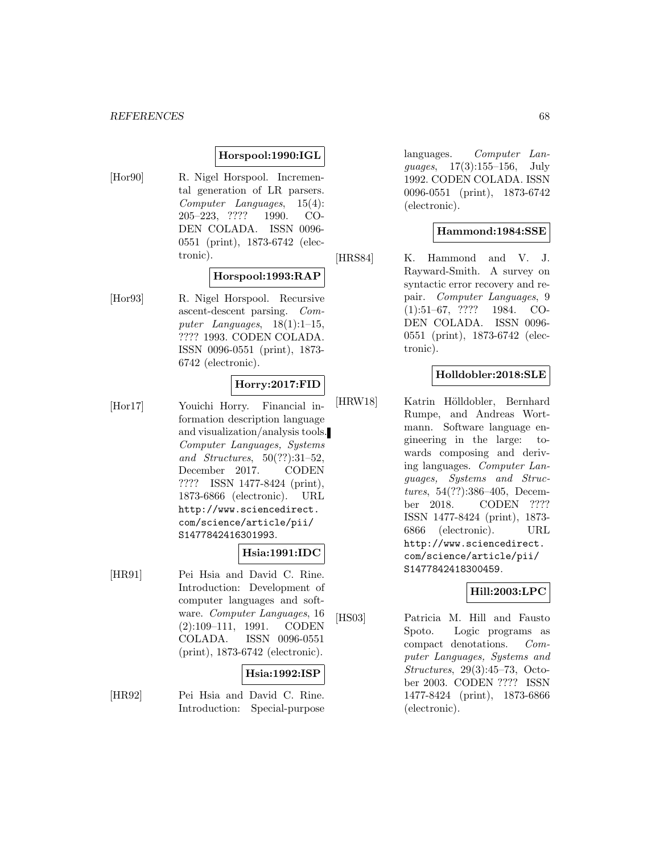#### **Horspool:1990:IGL**

[Hor90] R. Nigel Horspool. Incremental generation of LR parsers. Computer Languages, 15(4): 205–223, ???? 1990. CO-DEN COLADA. ISSN 0096- 0551 (print), 1873-6742 (electronic).

## **Horspool:1993:RAP**

[Hor93] R. Nigel Horspool. Recursive ascent-descent parsing. Computer Languages,  $18(1):1-15$ , ???? 1993. CODEN COLADA. ISSN 0096-0551 (print), 1873- 6742 (electronic).

### **Horry:2017:FID**

[Hor17] Youichi Horry. Financial information description language and visualization/analysis tools. Computer Languages, Systems and Structures, 50(??):31–52, December 2017. CODEN ???? ISSN 1477-8424 (print), 1873-6866 (electronic). URL http://www.sciencedirect. com/science/article/pii/ S1477842416301993.

#### **Hsia:1991:IDC**

[HR91] Pei Hsia and David C. Rine. Introduction: Development of computer languages and software. Computer Languages, 16 (2):109–111, 1991. CODEN COLADA. ISSN 0096-0551 (print), 1873-6742 (electronic).

## **Hsia:1992:ISP**

[HR92] Pei Hsia and David C. Rine. Introduction: Special-purpose languages. Computer Languages, 17(3):155–156, July 1992. CODEN COLADA. ISSN 0096-0551 (print), 1873-6742 (electronic).

### **Hammond:1984:SSE**

[HRS84] K. Hammond and V. J. Rayward-Smith. A survey on syntactic error recovery and repair. Computer Languages, 9 (1):51–67, ???? 1984. CO-DEN COLADA. ISSN 0096- 0551 (print), 1873-6742 (electronic).

### **Holldobler:2018:SLE**

[HRW18] Katrin Hölldobler, Bernhard Rumpe, and Andreas Wortmann. Software language engineering in the large: towards composing and deriving languages. Computer Languages, Systems and Structures, 54(??):386–405, December 2018. CODEN ???? ISSN 1477-8424 (print), 1873- 6866 (electronic). URL http://www.sciencedirect. com/science/article/pii/ S1477842418300459.

#### **Hill:2003:LPC**

[HS03] Patricia M. Hill and Fausto Spoto. Logic programs as compact denotations. Computer Languages, Systems and Structures, 29(3):45–73, October 2003. CODEN ???? ISSN 1477-8424 (print), 1873-6866 (electronic).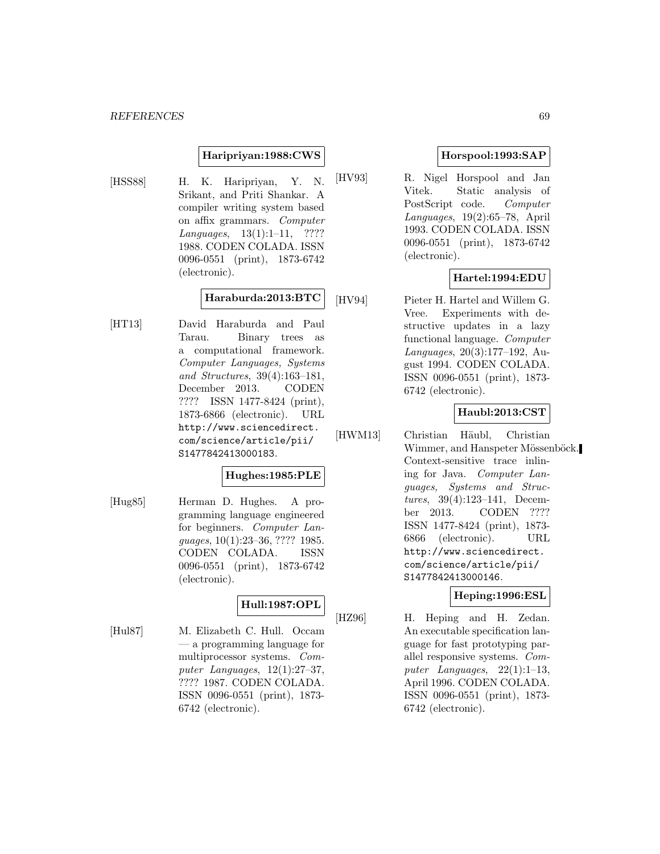#### **Haripriyan:1988:CWS**

[HSS88] H. K. Haripriyan, Y. N. Srikant, and Priti Shankar. A compiler writing system based on affix grammars. Computer Languages, 13(1):1–11, ???? 1988. CODEN COLADA. ISSN 0096-0551 (print), 1873-6742 (electronic).

### **Haraburda:2013:BTC**

[HT13] David Haraburda and Paul Tarau. Binary trees as a computational framework. Computer Languages, Systems and Structures, 39(4):163–181, December 2013. CODEN ???? ISSN 1477-8424 (print), 1873-6866 (electronic). URL http://www.sciencedirect. com/science/article/pii/ S1477842413000183.

### **Hughes:1985:PLE**

[Hug85] Herman D. Hughes. A programming language engineered for beginners. Computer Languages, 10(1):23–36, ???? 1985. CODEN COLADA. ISSN 0096-0551 (print), 1873-6742 (electronic).

## **Hull:1987:OPL**

[Hul87] M. Elizabeth C. Hull. Occam — a programming language for multiprocessor systems. Computer Languages, 12(1):27–37, ???? 1987. CODEN COLADA. ISSN 0096-0551 (print), 1873- 6742 (electronic).

### **Horspool:1993:SAP**

[HV93] R. Nigel Horspool and Jan Vitek. Static analysis of PostScript code. Computer Languages, 19(2):65–78, April 1993. CODEN COLADA. ISSN 0096-0551 (print), 1873-6742 (electronic).

### **Hartel:1994:EDU**

[HV94] Pieter H. Hartel and Willem G. Vree. Experiments with destructive updates in a lazy functional language. Computer Languages, 20(3):177–192, August 1994. CODEN COLADA. ISSN 0096-0551 (print), 1873- 6742 (electronic).

### **Haubl:2013:CST**

[HWM13] Christian Häubl, Christian Wimmer, and Hanspeter Mössenböck. Context-sensitive trace inlining for Java. Computer Languages, Systems and Structures, 39(4):123–141, December 2013. CODEN ???? ISSN 1477-8424 (print), 1873- 6866 (electronic). URL http://www.sciencedirect. com/science/article/pii/ S1477842413000146.

#### **Heping:1996:ESL**

[HZ96] H. Heping and H. Zedan. An executable specification language for fast prototyping parallel responsive systems. Computer Languages, 22(1):1–13, April 1996. CODEN COLADA. ISSN 0096-0551 (print), 1873- 6742 (electronic).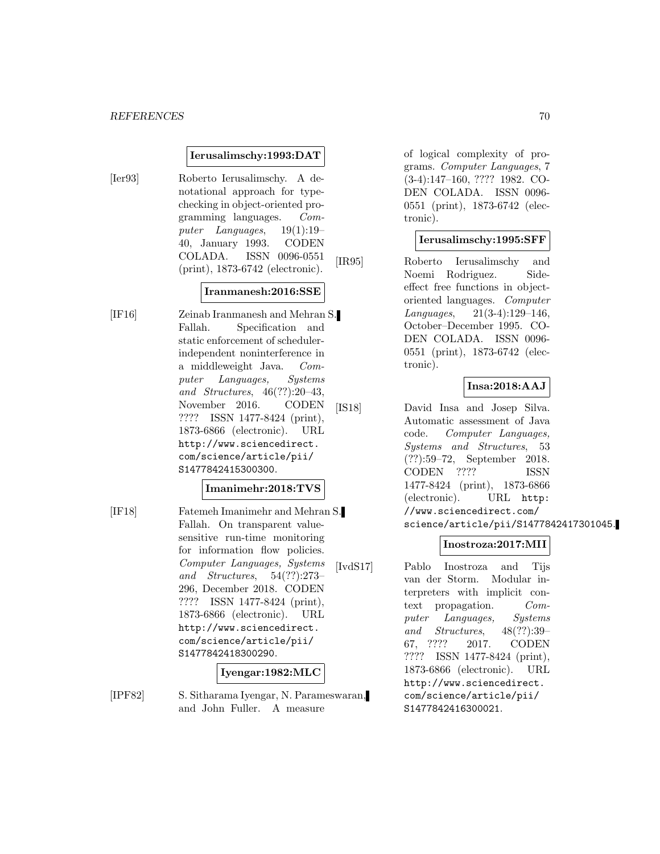#### **Ierusalimschy:1993:DAT**

[Ier93] Roberto Ierusalimschy. A denotational approach for typechecking in object-oriented programming languages. Computer Languages, 19(1):19– 40, January 1993. CODEN COLADA. ISSN 0096-0551 (print), 1873-6742 (electronic).

### **Iranmanesh:2016:SSE**

[IF16] Zeinab Iranmanesh and Mehran S. Fallah. Specification and static enforcement of schedulerindependent noninterference in a middleweight Java. Computer Languages, Systems and Structures, 46(??):20–43, November 2016. CODEN ???? ISSN 1477-8424 (print), 1873-6866 (electronic). URL http://www.sciencedirect. com/science/article/pii/ S1477842415300300.

#### **Imanimehr:2018:TVS**

[IF18] Fatemeh Imanimehr and Mehran S. Fallah. On transparent valuesensitive run-time monitoring for information flow policies. Computer Languages, Systems and Structures, 54(??):273– 296, December 2018. CODEN ???? ISSN 1477-8424 (print), 1873-6866 (electronic). URL http://www.sciencedirect. com/science/article/pii/ S1477842418300290.

#### **Iyengar:1982:MLC**

[IPF82] S. Sitharama Iyengar, N. Parameswaran, and John Fuller. A measure

of logical complexity of programs. Computer Languages, 7 (3-4):147–160, ???? 1982. CO-DEN COLADA. ISSN 0096- 0551 (print), 1873-6742 (electronic).

#### **Ierusalimschy:1995:SFF**

[IR95] Roberto Ierusalimschy and Noemi Rodriguez. Sideeffect free functions in objectoriented languages. Computer Languages, 21(3-4):129–146, October–December 1995. CO-DEN COLADA. ISSN 0096- 0551 (print), 1873-6742 (electronic).

#### **Insa:2018:AAJ**

[IS18] David Insa and Josep Silva. Automatic assessment of Java code. Computer Languages, Systems and Structures, 53 (??):59–72, September 2018. CODEN ???? ISSN 1477-8424 (print), 1873-6866 (electronic). URL http: //www.sciencedirect.com/ science/article/pii/S1477842417301045.

#### **Inostroza:2017:MII**

[IvdS17] Pablo Inostroza and Tijs van der Storm. Modular interpreters with implicit context propagation. Computer Languages, Systems and Structures, 48(??):39– 67, ???? 2017. CODEN ???? ISSN 1477-8424 (print), 1873-6866 (electronic). URL http://www.sciencedirect. com/science/article/pii/ S1477842416300021.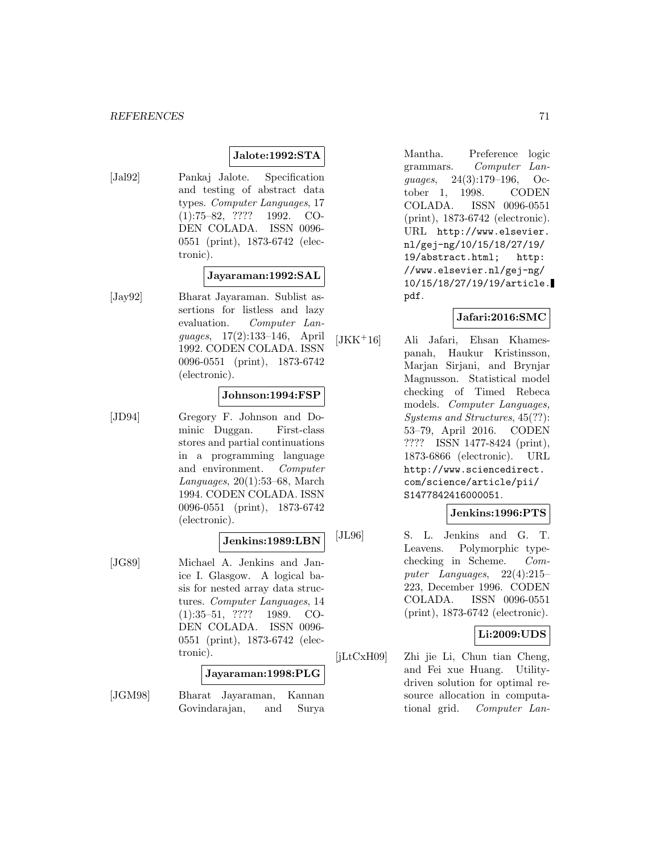#### **Jalote:1992:STA**

[Jal92] Pankaj Jalote. Specification and testing of abstract data types. Computer Languages, 17 (1):75–82, ???? 1992. CO-DEN COLADA. ISSN 0096- 0551 (print), 1873-6742 (electronic).

### **Jayaraman:1992:SAL**

[Jay92] Bharat Jayaraman. Sublist assertions for listless and lazy evaluation. Computer Languages, 17(2):133–146, April 1992. CODEN COLADA. ISSN 0096-0551 (print), 1873-6742 (electronic).

#### **Johnson:1994:FSP**

[JD94] Gregory F. Johnson and Dominic Duggan. First-class stores and partial continuations in a programming language and environment. Computer Languages, 20(1):53–68, March 1994. CODEN COLADA. ISSN 0096-0551 (print), 1873-6742 (electronic).

#### **Jenkins:1989:LBN**

[JG89] Michael A. Jenkins and Janice I. Glasgow. A logical basis for nested array data structures. Computer Languages, 14 (1):35–51, ???? 1989. CO-DEN COLADA. ISSN 0096- 0551 (print), 1873-6742 (electronic).

#### **Jayaraman:1998:PLG**

[JGM98] Bharat Jayaraman, Kannan Govindarajan, and Surya

Mantha. Preference logic grammars. Computer Languages, 24(3):179–196, October 1, 1998. CODEN COLADA. ISSN 0096-0551 (print), 1873-6742 (electronic). URL http://www.elsevier. nl/gej-ng/10/15/18/27/19/ 19/abstract.html; http: //www.elsevier.nl/gej-ng/ 10/15/18/27/19/19/article. pdf.

#### **Jafari:2016:SMC**

[JKK<sup>+</sup>16] Ali Jafari, Ehsan Khamespanah, Haukur Kristinsson, Marjan Sirjani, and Brynjar Magnusson. Statistical model checking of Timed Rebeca models. Computer Languages, Systems and Structures, 45(??): 53–79, April 2016. CODEN ???? ISSN 1477-8424 (print), 1873-6866 (electronic). URL http://www.sciencedirect. com/science/article/pii/ S1477842416000051.

### **Jenkins:1996:PTS**

[JL96] S. L. Jenkins and G. T. Leavens. Polymorphic typechecking in Scheme. Computer Languages, 22(4):215– 223, December 1996. CODEN COLADA. ISSN 0096-0551 (print), 1873-6742 (electronic).

### **Li:2009:UDS**

[jLtCxH09] Zhi jie Li, Chun tian Cheng, and Fei xue Huang. Utilitydriven solution for optimal resource allocation in computational grid. Computer Lan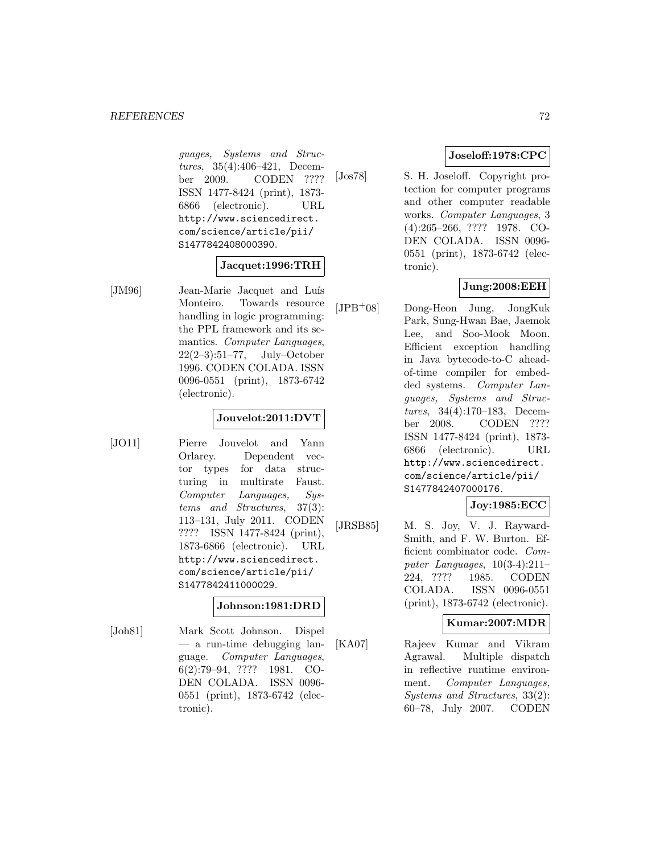guages, Systems and Structures, 35(4):406–421, December 2009. CODEN ???? ISSN 1477-8424 (print), 1873- 6866 (electronic). URL http://www.sciencedirect. com/science/article/pii/ S1477842408000390.

#### **Jacquet:1996:TRH**

[JM96] Jean-Marie Jacquet and Luís Monteiro. Towards resource handling in logic programming: the PPL framework and its semantics. Computer Languages, 22(2–3):51–77, July–October 1996. CODEN COLADA. ISSN 0096-0551 (print), 1873-6742 (electronic).

### **Jouvelot:2011:DVT**

[JO11] Pierre Jouvelot and Yann Orlarey. Dependent vector types for data structuring in multirate Faust. Computer Languages, Systems and Structures, 37(3): 113–131, July 2011. CODEN ???? ISSN 1477-8424 (print), 1873-6866 (electronic). URL http://www.sciencedirect. com/science/article/pii/ S1477842411000029.

#### **Johnson:1981:DRD**

[Joh81] Mark Scott Johnson. Dispel — a run-time debugging language. Computer Languages, 6(2):79–94, ???? 1981. CO-DEN COLADA. ISSN 0096- 0551 (print), 1873-6742 (electronic).

### **Joseloff:1978:CPC**

[Jos78] S. H. Joseloff. Copyright protection for computer programs and other computer readable works. Computer Languages, 3 (4):265–266, ???? 1978. CO-DEN COLADA. ISSN 0096- 0551 (print), 1873-6742 (electronic).

### **Jung:2008:EEH**

[JPB<sup>+</sup>08] Dong-Heon Jung, JongKuk Park, Sung-Hwan Bae, Jaemok Lee, and Soo-Mook Moon. Efficient exception handling in Java bytecode-to-C aheadof-time compiler for embedded systems. Computer Languages, Systems and Structures, 34(4):170–183, December 2008. CODEN ???? ISSN 1477-8424 (print), 1873- 6866 (electronic). URL http://www.sciencedirect. com/science/article/pii/ S1477842407000176.

### **Joy:1985:ECC**

[JRSB85] M. S. Joy, V. J. Rayward-Smith, and F. W. Burton. Efficient combinator code. Computer Languages, 10(3-4):211– 224, ???? 1985. CODEN COLADA. ISSN 0096-0551 (print), 1873-6742 (electronic).

### **Kumar:2007:MDR**

[KA07] Rajeev Kumar and Vikram Agrawal. Multiple dispatch in reflective runtime environment. Computer Languages, Systems and Structures, 33(2): 60–78, July 2007. CODEN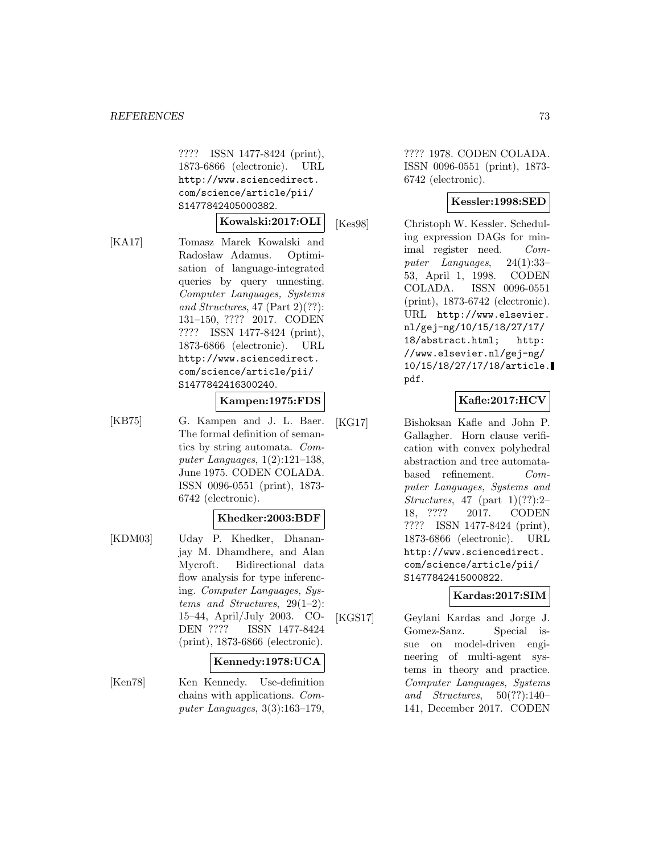???? ISSN 1477-8424 (print), 1873-6866 (electronic). URL http://www.sciencedirect. com/science/article/pii/ S1477842405000382.

#### **Kowalski:2017:OLI**

[KA17] Tomasz Marek Kowalski and Radosław Adamus. Optimisation of language-integrated queries by query unnesting. Computer Languages, Systems and Structures, 47 (Part 2)(??): 131–150, ???? 2017. CODEN ???? ISSN 1477-8424 (print), 1873-6866 (electronic). URL http://www.sciencedirect. com/science/article/pii/ S1477842416300240.

### **Kampen:1975:FDS**

[KB75] G. Kampen and J. L. Baer. The formal definition of semantics by string automata. Computer Languages,  $1(2):121-138$ , June 1975. CODEN COLADA. ISSN 0096-0551 (print), 1873- 6742 (electronic).

#### **Khedker:2003:BDF**

[KDM03] Uday P. Khedker, Dhananjay M. Dhamdhere, and Alan Mycroft. Bidirectional data flow analysis for type inferencing. Computer Languages, Systems and Structures, 29(1–2): 15–44, April/July 2003. CO-DEN ???? ISSN 1477-8424 (print), 1873-6866 (electronic).

# **Kennedy:1978:UCA**

[Ken78] Ken Kennedy. Use-definition chains with applications. Computer Languages, 3(3):163–179,

???? 1978. CODEN COLADA. ISSN 0096-0551 (print), 1873- 6742 (electronic).

### **Kessler:1998:SED**

[Kes98] Christoph W. Kessler. Scheduling expression DAGs for minimal register need. Computer Languages, 24(1):33– 53, April 1, 1998. CODEN COLADA. ISSN 0096-0551 (print), 1873-6742 (electronic). URL http://www.elsevier. nl/gej-ng/10/15/18/27/17/ 18/abstract.html; http: //www.elsevier.nl/gej-ng/ 10/15/18/27/17/18/article. pdf.

# **Kafle:2017:HCV**

[KG17] Bishoksan Kafle and John P. Gallagher. Horn clause verification with convex polyhedral abstraction and tree automatabased refinement. Computer Languages, Systems and Structures, 47 (part  $1)(??):2-$ 18, ???? 2017. CODEN ???? ISSN 1477-8424 (print), 1873-6866 (electronic). URL http://www.sciencedirect. com/science/article/pii/ S1477842415000822.

# **Kardas:2017:SIM**

[KGS17] Geylani Kardas and Jorge J. Gomez-Sanz. Special issue on model-driven engineering of multi-agent systems in theory and practice. Computer Languages, Systems and Structures,  $50(??):140-$ 141, December 2017. CODEN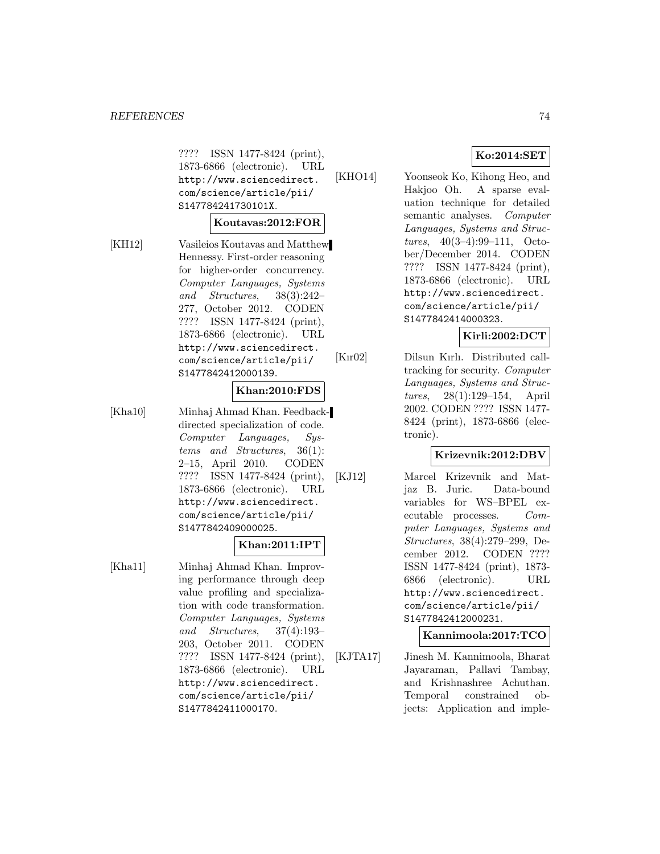???? ISSN 1477-8424 (print), 1873-6866 (electronic). URL http://www.sciencedirect. com/science/article/pii/ S147784241730101X.

#### **Koutavas:2012:FOR**

[KH12] Vasileios Koutavas and Matthew Hennessy. First-order reasoning for higher-order concurrency. Computer Languages, Systems and Structures, 38(3):242– 277, October 2012. CODEN ???? ISSN 1477-8424 (print), 1873-6866 (electronic). URL http://www.sciencedirect. com/science/article/pii/ S1477842412000139.

### **Khan:2010:FDS**

[Kha10] Minhaj Ahmad Khan. Feedbackdirected specialization of code. Computer Languages, Systems and Structures, 36(1): 2–15, April 2010. CODEN ???? ISSN 1477-8424 (print), 1873-6866 (electronic). URL http://www.sciencedirect. com/science/article/pii/ S1477842409000025.

# **Khan:2011:IPT**

[Kha11] Minhaj Ahmad Khan. Improving performance through deep value profiling and specialization with code transformation. Computer Languages, Systems and Structures, 37(4):193– 203, October 2011. CODEN ???? ISSN 1477-8424 (print), 1873-6866 (electronic). URL http://www.sciencedirect. com/science/article/pii/ S1477842411000170.

# **Ko:2014:SET**

[KHO14] Yoonseok Ko, Kihong Heo, and Hakjoo Oh. A sparse evaluation technique for detailed semantic analyses. Computer Languages, Systems and Structures, 40(3–4):99–111, October/December 2014. CODEN ???? ISSN 1477-8424 (print), 1873-6866 (electronic). URL http://www.sciencedirect. com/science/article/pii/ S1477842414000323.

### **Kirli:2002:DCT**

[Kır02] Dilsun Kırlı. Distributed calltracking for security. Computer Languages, Systems and Structures, 28(1):129–154, April 2002. CODEN ???? ISSN 1477- 8424 (print), 1873-6866 (electronic).

# **Krizevnik:2012:DBV**

[KJ12] Marcel Krizevnik and Matjaz B. Juric. Data-bound variables for WS–BPEL executable processes. Computer Languages, Systems and Structures, 38(4):279–299, December 2012. CODEN ???? ISSN 1477-8424 (print), 1873- 6866 (electronic). URL http://www.sciencedirect. com/science/article/pii/ S1477842412000231.

**Kannimoola:2017:TCO**

[KJTA17] Jinesh M. Kannimoola, Bharat Jayaraman, Pallavi Tambay, and Krishnashree Achuthan. Temporal constrained objects: Application and imple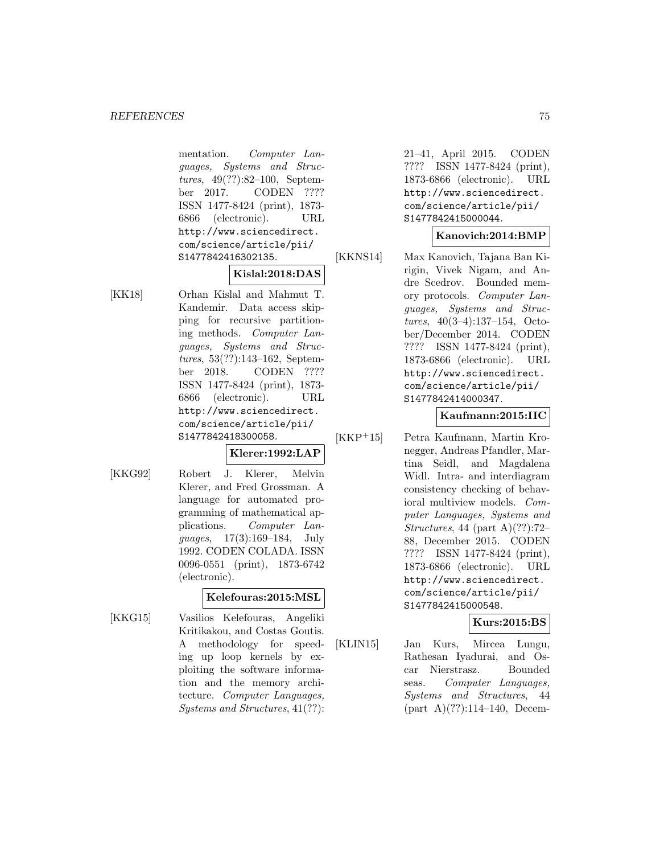mentation. Computer Languages, Systems and Structures, 49(??):82–100, September 2017. CODEN ???? ISSN 1477-8424 (print), 1873- 6866 (electronic). URL http://www.sciencedirect. com/science/article/pii/ S1477842416302135.

#### **Kislal:2018:DAS**

[KK18] Orhan Kislal and Mahmut T. Kandemir. Data access skipping for recursive partitioning methods. Computer Languages, Systems and Structures, 53(??):143–162, September 2018. CODEN ???? ISSN 1477-8424 (print), 1873- 6866 (electronic). URL http://www.sciencedirect. com/science/article/pii/ S1477842418300058.

#### **Klerer:1992:LAP**

[KKG92] Robert J. Klerer, Melvin Klerer, and Fred Grossman. A language for automated programming of mathematical applications. Computer Languages, 17(3):169–184, July 1992. CODEN COLADA. ISSN 0096-0551 (print), 1873-6742 (electronic).

# **Kelefouras:2015:MSL**

[KKG15] Vasilios Kelefouras, Angeliki Kritikakou, and Costas Goutis. A methodology for speeding up loop kernels by exploiting the software information and the memory architecture. Computer Languages, Systems and Structures, 41(??):

21–41, April 2015. CODEN ???? ISSN 1477-8424 (print), 1873-6866 (electronic). URL http://www.sciencedirect. com/science/article/pii/ S1477842415000044.

#### **Kanovich:2014:BMP**

[KKNS14] Max Kanovich, Tajana Ban Kirigin, Vivek Nigam, and Andre Scedrov. Bounded memory protocols. Computer Languages, Systems and Structures, 40(3–4):137–154, October/December 2014. CODEN ???? ISSN 1477-8424 (print), 1873-6866 (electronic). URL http://www.sciencedirect. com/science/article/pii/ S1477842414000347.

#### **Kaufmann:2015:IIC**

[KKP<sup>+</sup>15] Petra Kaufmann, Martin Kronegger, Andreas Pfandler, Martina Seidl, and Magdalena Widl. Intra- and interdiagram consistency checking of behavioral multiview models. Computer Languages, Systems and Structures, 44 (part A) $(??)$ :72– 88, December 2015. CODEN ???? ISSN 1477-8424 (print), 1873-6866 (electronic). URL http://www.sciencedirect. com/science/article/pii/ S1477842415000548.

# **Kurs:2015:BS**

[KLIN15] Jan Kurs, Mircea Lungu, Rathesan Iyadurai, and Oscar Nierstrasz. Bounded seas. Computer Languages, Systems and Structures, 44  $part A$ (??):114–140, Decem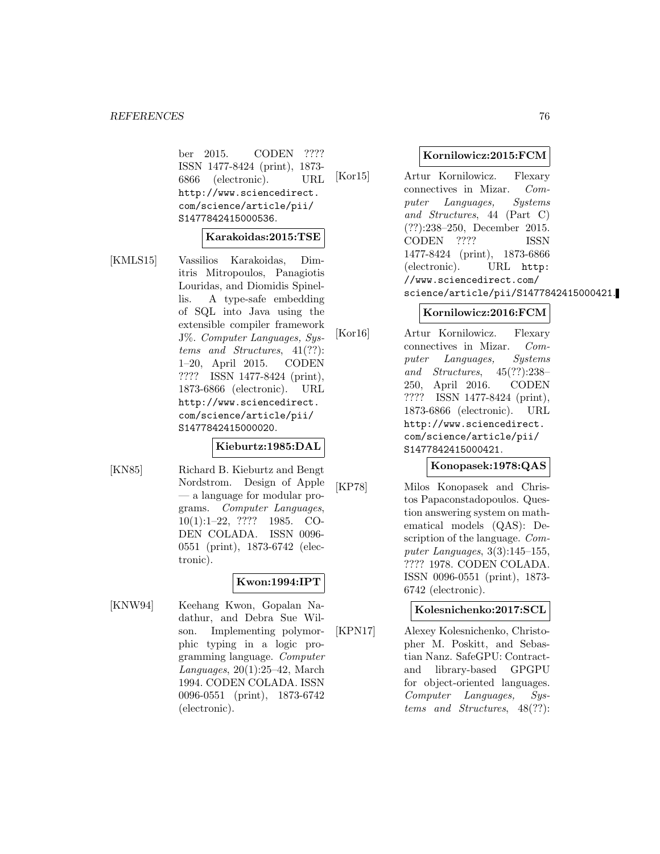ber 2015. CODEN ???? ISSN 1477-8424 (print), 1873- 6866 (electronic). URL http://www.sciencedirect. com/science/article/pii/ S1477842415000536.

### **Karakoidas:2015:TSE**

[KMLS15] Vassilios Karakoidas, Dimitris Mitropoulos, Panagiotis Louridas, and Diomidis Spinellis. A type-safe embedding of SQL into Java using the extensible compiler framework J%. Computer Languages, Systems and Structures, 41(??): 1–20, April 2015. CODEN ???? ISSN 1477-8424 (print), 1873-6866 (electronic). URL http://www.sciencedirect. com/science/article/pii/ S1477842415000020.

#### **Kieburtz:1985:DAL**

[KN85] Richard B. Kieburtz and Bengt Nordstrom. Design of Apple — a language for modular programs. Computer Languages, 10(1):1–22, ???? 1985. CO-DEN COLADA. ISSN 0096- 0551 (print), 1873-6742 (electronic).

#### **Kwon:1994:IPT**

[KNW94] Keehang Kwon, Gopalan Nadathur, and Debra Sue Wilson. Implementing polymorphic typing in a logic programming language. Computer Languages, 20(1):25–42, March 1994. CODEN COLADA. ISSN 0096-0551 (print), 1873-6742 (electronic).

### **Kornilowicz:2015:FCM**

[Kor15] Artur Kornilowicz. Flexary connectives in Mizar. Computer Languages, Systems and Structures, 44 (Part C) (??):238–250, December 2015. CODEN ???? ISSN 1477-8424 (print), 1873-6866 (electronic). URL http: //www.sciencedirect.com/ science/article/pii/S1477842415000421.

### **Kornilowicz:2016:FCM**

[Kor16] Artur Kornilowicz. Flexary connectives in Mizar. Computer Languages, Systems and Structures, 45(??):238– 250, April 2016. CODEN ???? ISSN 1477-8424 (print), 1873-6866 (electronic). URL http://www.sciencedirect. com/science/article/pii/ S1477842415000421.

### **Konopasek:1978:QAS**

[KP78] Milos Konopasek and Christos Papaconstadopoulos. Question answering system on mathematical models (QAS): Description of the language. Computer Languages, 3(3):145–155, ???? 1978. CODEN COLADA. ISSN 0096-0551 (print), 1873- 6742 (electronic).

#### **Kolesnichenko:2017:SCL**

[KPN17] Alexey Kolesnichenko, Christopher M. Poskitt, and Sebastian Nanz. SafeGPU: Contractand library-based GPGPU for object-oriented languages. Computer Languages, Systems and Structures, 48(??):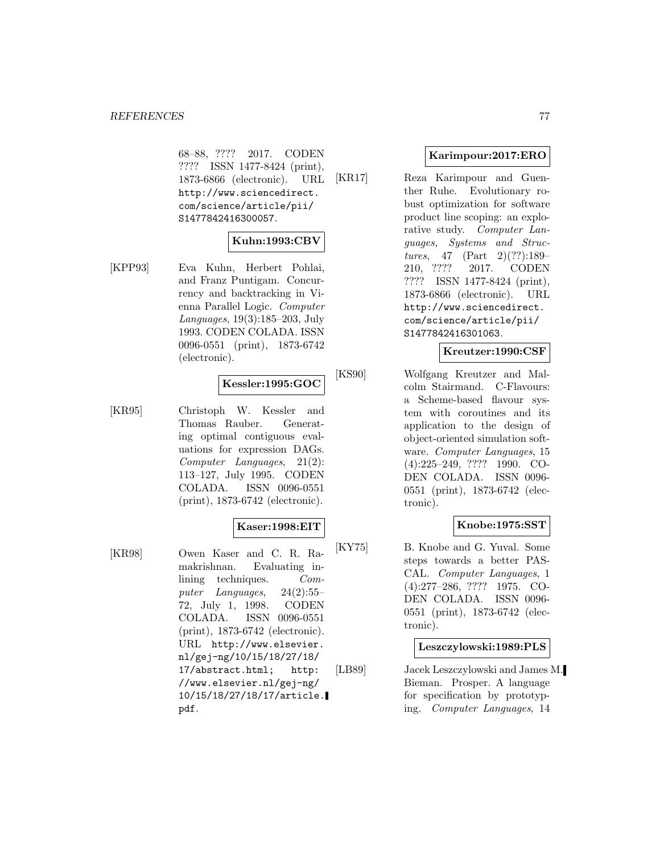68–88, ???? 2017. CODEN ???? ISSN 1477-8424 (print), 1873-6866 (electronic). URL http://www.sciencedirect. com/science/article/pii/ S1477842416300057.

# **Kuhn:1993:CBV**

[KPP93] Eva Kuhn, Herbert Pohlai, and Franz Puntigam. Concurrency and backtracking in Vienna Parallel Logic. Computer Languages, 19(3):185–203, July 1993. CODEN COLADA. ISSN 0096-0551 (print), 1873-6742 (electronic).

#### **Kessler:1995:GOC**

[KR95] Christoph W. Kessler and Thomas Rauber. Generating optimal contiguous evaluations for expression DAGs. Computer Languages, 21(2): 113–127, July 1995. CODEN COLADA. ISSN 0096-0551 (print), 1873-6742 (electronic).

#### **Kaser:1998:EIT**

[KR98] Owen Kaser and C. R. Ramakrishnan. Evaluating inlining techniques. Computer Languages, 24(2):55– 72, July 1, 1998. CODEN COLADA. ISSN 0096-0551 (print), 1873-6742 (electronic). URL http://www.elsevier. nl/gej-ng/10/15/18/27/18/ 17/abstract.html; http: //www.elsevier.nl/gej-ng/ 10/15/18/27/18/17/article. pdf.

#### **Karimpour:2017:ERO**

[KR17] Reza Karimpour and Guenther Ruhe. Evolutionary robust optimization for software product line scoping: an explorative study. Computer Languages, Systems and Structures, 47 (Part 2)(??):189– 210, ???? 2017. CODEN ???? ISSN 1477-8424 (print), 1873-6866 (electronic). URL http://www.sciencedirect. com/science/article/pii/ S1477842416301063.

#### **Kreutzer:1990:CSF**

[KS90] Wolfgang Kreutzer and Malcolm Stairmand. C-Flavours: a Scheme-based flavour system with coroutines and its application to the design of object-oriented simulation software. Computer Languages, 15 (4):225–249, ???? 1990. CO-DEN COLADA. ISSN 0096- 0551 (print), 1873-6742 (electronic).

# **Knobe:1975:SST**

[KY75] B. Knobe and G. Yuval. Some steps towards a better PAS-CAL. Computer Languages, 1 (4):277–286, ???? 1975. CO-DEN COLADA. ISSN 0096- 0551 (print), 1873-6742 (electronic).

# **Leszczylowski:1989:PLS**

[LB89] Jacek Leszczylowski and James M. Bieman. Prosper. A language for specification by prototyping. Computer Languages, 14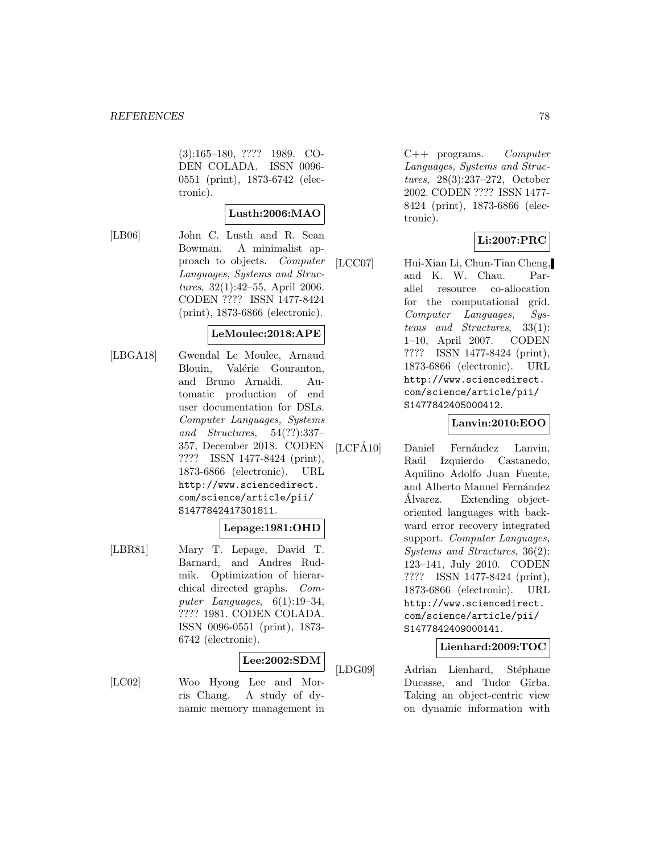(3):165–180, ???? 1989. CO-DEN COLADA. ISSN 0096- 0551 (print), 1873-6742 (electronic).

#### **Lusth:2006:MAO**

[LB06] John C. Lusth and R. Sean Bowman. A minimalist approach to objects. Computer Languages, Systems and Structures, 32(1):42–55, April 2006. CODEN ???? ISSN 1477-8424 (print), 1873-6866 (electronic).

#### **LeMoulec:2018:APE**

[LBGA18] Gwendal Le Moulec, Arnaud Blouin, Valérie Gouranton, and Bruno Arnaldi. Automatic production of end user documentation for DSLs. Computer Languages, Systems and Structures, 54(??):337– 357, December 2018. CODEN ???? ISSN 1477-8424 (print), 1873-6866 (electronic). URL http://www.sciencedirect. com/science/article/pii/ S1477842417301811.

#### **Lepage:1981:OHD**

[LBR81] Mary T. Lepage, David T. Barnard, and Andres Rudmik. Optimization of hierarchical directed graphs. Computer Languages, 6(1):19–34, ???? 1981. CODEN COLADA. ISSN 0096-0551 (print), 1873- 6742 (electronic).

### **Lee:2002:SDM**

[LC02] Woo Hyong Lee and Morris Chang. A study of dynamic memory management in

 $C++$  programs. Computer Languages, Systems and Structures, 28(3):237–272, October 2002. CODEN ???? ISSN 1477- 8424 (print), 1873-6866 (electronic).

# **Li:2007:PRC**

[LCC07] Hui-Xian Li, Chun-Tian Cheng, and K. W. Chau. Parallel resource co-allocation for the computational grid. Computer Languages, Systems and Structures, 33(1): 1–10, April 2007. CODEN ???? ISSN 1477-8424 (print), 1873-6866 (electronic). URL http://www.sciencedirect. com/science/article/pii/ S1477842405000412.

# **Lanvin:2010:EOO**

 $[LCF\AA10]$  Daniel Fernández Lanvin, Raúl Izquierdo Castanedo, Aquilino Adolfo Juan Fuente, and Alberto Manuel Fernández Alvarez. Extending object- ´ oriented languages with backward error recovery integrated support. Computer Languages, Systems and Structures, 36(2): 123–141, July 2010. CODEN ???? ISSN 1477-8424 (print), 1873-6866 (electronic). URL http://www.sciencedirect. com/science/article/pii/ S1477842409000141.

### **Lienhard:2009:TOC**

[LDG09] Adrian Lienhard, Stéphane Ducasse, and Tudor Gîrba. Taking an object-centric view on dynamic information with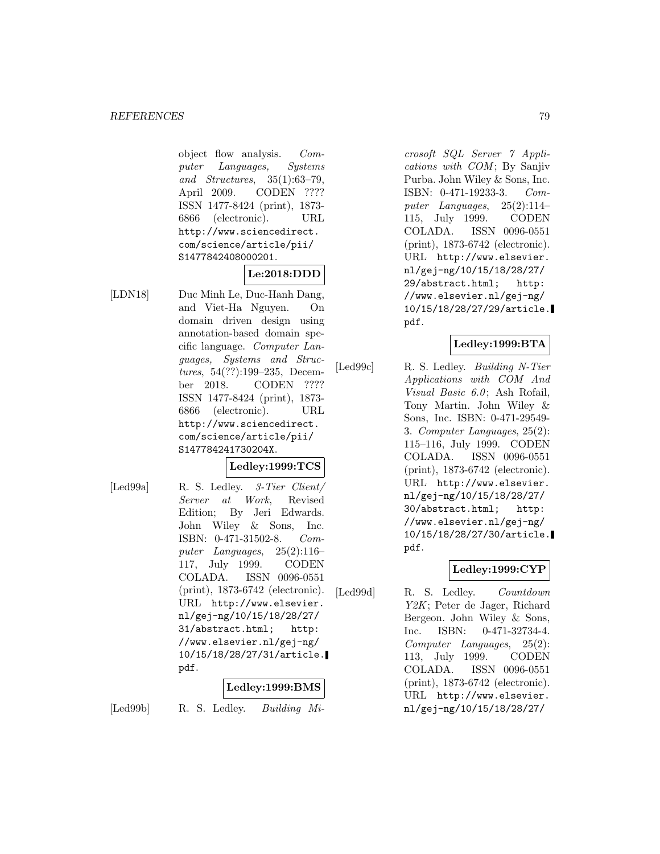object flow analysis. Computer Languages, Systems and Structures, 35(1):63–79, April 2009. CODEN ???? ISSN 1477-8424 (print), 1873- 6866 (electronic). URL http://www.sciencedirect. com/science/article/pii/ S1477842408000201.

# **Le:2018:DDD**

[LDN18] Duc Minh Le, Duc-Hanh Dang, and Viet-Ha Nguyen. On domain driven design using annotation-based domain specific language. Computer Languages, Systems and Structures, 54(??):199–235, December 2018. CODEN ???? ISSN 1477-8424 (print), 1873- 6866 (electronic). URL http://www.sciencedirect. com/science/article/pii/ S147784241730204X.

# **Ledley:1999:TCS**

[Led99a] R. S. Ledley. 3-Tier Client/ Server at Work, Revised Edition; By Jeri Edwards. John Wiley & Sons, Inc. ISBN: 0-471-31502-8. Computer Languages, 25(2):116– 117, July 1999. CODEN COLADA. ISSN 0096-0551 (print), 1873-6742 (electronic). URL http://www.elsevier. nl/gej-ng/10/15/18/28/27/ 31/abstract.html; http: //www.elsevier.nl/gej-ng/ 10/15/18/28/27/31/article. pdf.

#### **Ledley:1999:BMS**

[Led99b] R. S. Ledley. Building Mi-

crosoft SQL Server 7 Appli $cations with COM; By Sanjiv$ Purba. John Wiley & Sons, Inc. ISBN: 0-471-19233-3. Computer Languages, 25(2):114– 115, July 1999. CODEN COLADA. ISSN 0096-0551 (print), 1873-6742 (electronic). URL http://www.elsevier. nl/gej-ng/10/15/18/28/27/ 29/abstract.html; http: //www.elsevier.nl/gej-ng/ 10/15/18/28/27/29/article. pdf.

# **Ledley:1999:BTA**

[Led99c] R. S. Ledley. Building N-Tier Applications with COM And Visual Basic  $6.0$ ; Ash Rofail, Tony Martin. John Wiley & Sons, Inc. ISBN: 0-471-29549- 3. Computer Languages, 25(2): 115–116, July 1999. CODEN COLADA. ISSN 0096-0551 (print), 1873-6742 (electronic). URL http://www.elsevier. nl/gej-ng/10/15/18/28/27/ 30/abstract.html; http: //www.elsevier.nl/gej-ng/ 10/15/18/28/27/30/article. pdf.

# **Ledley:1999:CYP**

[Led99d] R. S. Ledley. Countdown Y2K; Peter de Jager, Richard Bergeon. John Wiley & Sons, Inc. ISBN: 0-471-32734-4. Computer Languages, 25(2): 113, July 1999. CODEN COLADA. ISSN 0096-0551 (print), 1873-6742 (electronic). URL http://www.elsevier. nl/gej-ng/10/15/18/28/27/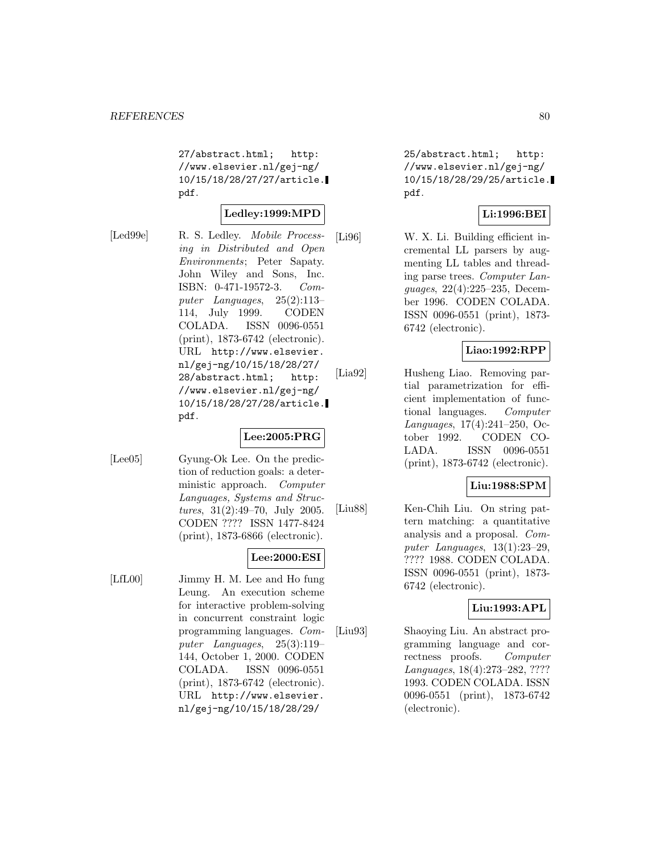27/abstract.html; http: //www.elsevier.nl/gej-ng/ 10/15/18/28/27/27/article. pdf.

#### **Ledley:1999:MPD**

[Led99e] R. S. Ledley. *Mobile Process*ing in Distributed and Open Environments; Peter Sapaty. John Wiley and Sons, Inc. ISBN: 0-471-19572-3. Computer Languages, 25(2):113– 114, July 1999. CODEN COLADA. ISSN 0096-0551 (print), 1873-6742 (electronic). URL http://www.elsevier. nl/gej-ng/10/15/18/28/27/ 28/abstract.html; http: //www.elsevier.nl/gej-ng/ 10/15/18/28/27/28/article. pdf.

# **Lee:2005:PRG**

[Lee05] Gyung-Ok Lee. On the prediction of reduction goals: a deterministic approach. Computer Languages, Systems and Structures, 31(2):49–70, July 2005. CODEN ???? ISSN 1477-8424 (print), 1873-6866 (electronic).

# **Lee:2000:ESI**

[LfL00] Jimmy H. M. Lee and Ho fung Leung. An execution scheme for interactive problem-solving in concurrent constraint logic programming languages. Computer Languages, 25(3):119– 144, October 1, 2000. CODEN COLADA. ISSN 0096-0551 (print), 1873-6742 (electronic). URL http://www.elsevier. nl/gej-ng/10/15/18/28/29/

25/abstract.html; http: //www.elsevier.nl/gej-ng/ 10/15/18/28/29/25/article. pdf.

### **Li:1996:BEI**

[Li96] W. X. Li. Building efficient incremental LL parsers by augmenting LL tables and threading parse trees. Computer Languages, 22(4):225–235, December 1996. CODEN COLADA. ISSN 0096-0551 (print), 1873- 6742 (electronic).

# **Liao:1992:RPP**

[Lia92] Husheng Liao. Removing partial parametrization for efficient implementation of functional languages. Computer Languages, 17(4):241–250, October 1992. CODEN CO-LADA. ISSN 0096-0551 (print), 1873-6742 (electronic).

#### **Liu:1988:SPM**

[Liu88] Ken-Chih Liu. On string pattern matching: a quantitative analysis and a proposal. Computer Languages, 13(1):23–29, ???? 1988. CODEN COLADA. ISSN 0096-0551 (print), 1873- 6742 (electronic).

### **Liu:1993:APL**

[Liu93] Shaoying Liu. An abstract programming language and correctness proofs. Computer Languages, 18(4):273–282, ???? 1993. CODEN COLADA. ISSN 0096-0551 (print), 1873-6742 (electronic).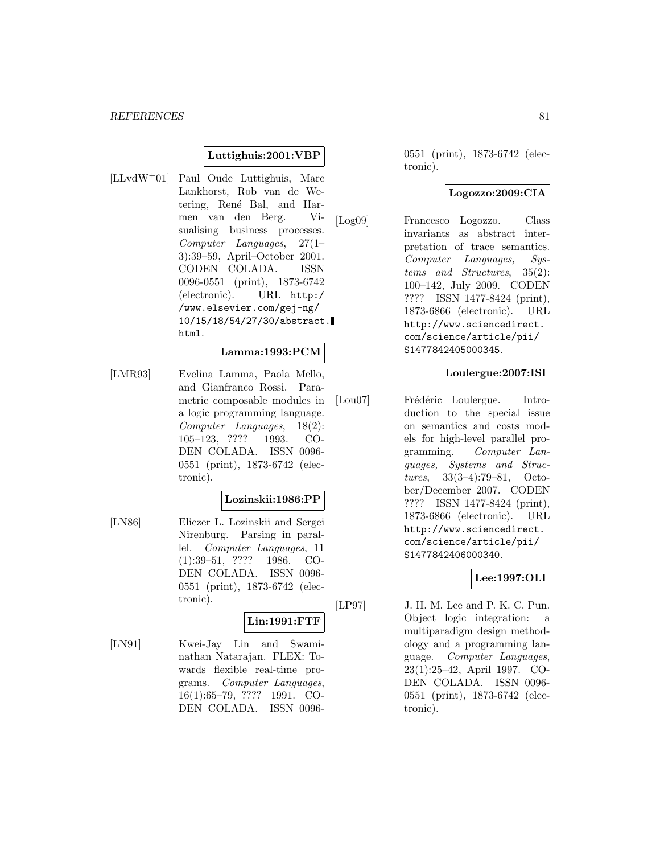### **Luttighuis:2001:VBP**

[LLvdW<sup>+</sup>01] Paul Oude Luttighuis, Marc Lankhorst, Rob van de Wetering, René Bal, and Harmen van den Berg. Visualising business processes. Computer Languages, 27(1– 3):39–59, April–October 2001. CODEN COLADA. ISSN 0096-0551 (print), 1873-6742 (electronic). URL http:/ /www.elsevier.com/gej-ng/ 10/15/18/54/27/30/abstract. html.

#### **Lamma:1993:PCM**

[LMR93] Evelina Lamma, Paola Mello, and Gianfranco Rossi. Parametric composable modules in a logic programming language. Computer Languages, 18(2): 105–123, ???? 1993. CO-DEN COLADA. ISSN 0096- 0551 (print), 1873-6742 (electronic).

#### **Lozinskii:1986:PP**

[LN86] Eliezer L. Lozinskii and Sergei Nirenburg. Parsing in parallel. Computer Languages, 11 (1):39–51, ???? 1986. CO-DEN COLADA. ISSN 0096- 0551 (print), 1873-6742 (electronic).

#### **Lin:1991:FTF**

[LN91] Kwei-Jay Lin and Swaminathan Natarajan. FLEX: Towards flexible real-time programs. Computer Languages, 16(1):65–79, ???? 1991. CO-DEN COLADA. ISSN 00960551 (print), 1873-6742 (electronic).

#### **Logozzo:2009:CIA**

[Log09] Francesco Logozzo. Class invariants as abstract interpretation of trace semantics. Computer Languages, Systems and Structures, 35(2): 100–142, July 2009. CODEN ???? ISSN 1477-8424 (print), 1873-6866 (electronic). URL http://www.sciencedirect. com/science/article/pii/ S1477842405000345.

### **Loulergue:2007:ISI**

[Lou07] Frédéric Loulergue. Introduction to the special issue on semantics and costs models for high-level parallel programming. Computer Languages, Systems and Structures, 33(3–4):79–81, October/December 2007. CODEN ???? ISSN 1477-8424 (print), 1873-6866 (electronic). URL http://www.sciencedirect. com/science/article/pii/ S1477842406000340.

#### **Lee:1997:OLI**

[LP97] J. H. M. Lee and P. K. C. Pun. Object logic integration: a multiparadigm design methodology and a programming language. Computer Languages, 23(1):25–42, April 1997. CO-DEN COLADA. ISSN 0096- 0551 (print), 1873-6742 (electronic).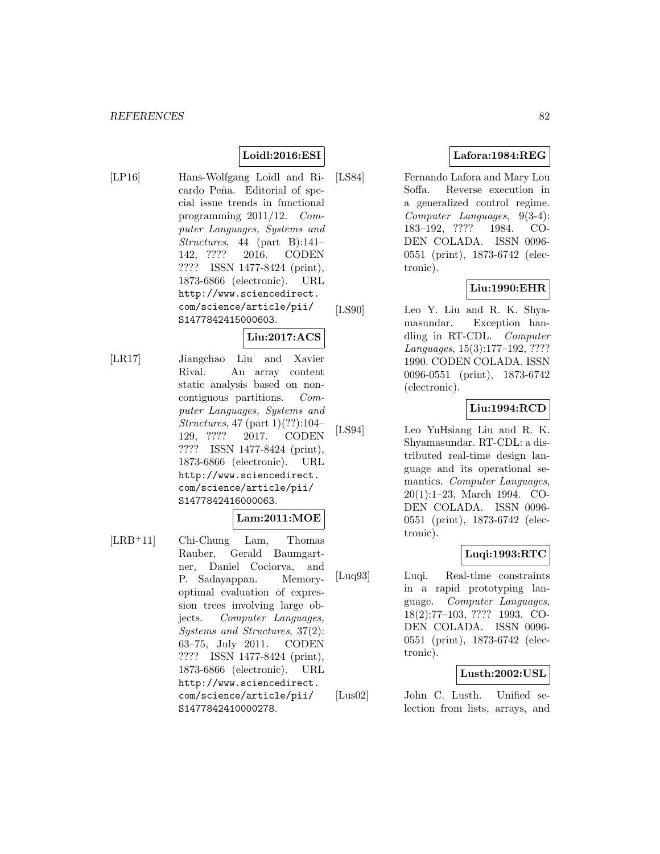# **Loidl:2016:ESI**

[LP16] Hans-Wolfgang Loidl and Ricardo Peña. Editorial of special issue trends in functional programming 2011/12. Computer Languages, Systems and Structures, 44 (part B):141– 142, ???? 2016. CODEN ???? ISSN 1477-8424 (print), 1873-6866 (electronic). URL http://www.sciencedirect. com/science/article/pii/ S1477842415000603.

# **Liu:2017:ACS**

[LR17] Jiangchao Liu and Xavier Rival. An array content static analysis based on noncontiguous partitions. Computer Languages, Systems and Structures, 47 (part 1)(??):104– 129, ???? 2017. CODEN ???? ISSN 1477-8424 (print), 1873-6866 (electronic). URL http://www.sciencedirect. com/science/article/pii/ S1477842416000063.

#### **Lam:2011:MOE**

[LRB<sup>+</sup>11] Chi-Chung Lam, Thomas Rauber, Gerald Baumgartner, Daniel Cociorva, and P. Sadayappan. Memoryoptimal evaluation of expression trees involving large objects. Computer Languages, Systems and Structures, 37(2): 63–75, July 2011. CODEN ???? ISSN 1477-8424 (print), 1873-6866 (electronic). URL http://www.sciencedirect. com/science/article/pii/ S1477842410000278.

# **Lafora:1984:REG**

[LS84] Fernando Lafora and Mary Lou Soffa. Reverse execution in a generalized control regime. Computer Languages, 9(3-4): 183–192, ???? 1984. CO-DEN COLADA. ISSN 0096- 0551 (print), 1873-6742 (electronic).

### **Liu:1990:EHR**

[LS90] Leo Y. Liu and R. K. Shyamasundar. Exception handling in RT-CDL. Computer Languages, 15(3):177–192, ???? 1990. CODEN COLADA. ISSN 0096-0551 (print), 1873-6742 (electronic).

# **Liu:1994:RCD**

[LS94] Leo YuHsiang Liu and R. K. Shyamasundar. RT-CDL: a distributed real-time design language and its operational semantics. Computer Languages, 20(1):1–23, March 1994. CO-DEN COLADA. ISSN 0096- 0551 (print), 1873-6742 (electronic).

# **Luqi:1993:RTC**

[Luq93] Luqi. Real-time constraints in a rapid prototyping language. Computer Languages, 18(2):77–103, ???? 1993. CO-DEN COLADA. ISSN 0096- 0551 (print), 1873-6742 (electronic).

#### **Lusth:2002:USL**

[Lus02] John C. Lusth. Unified selection from lists, arrays, and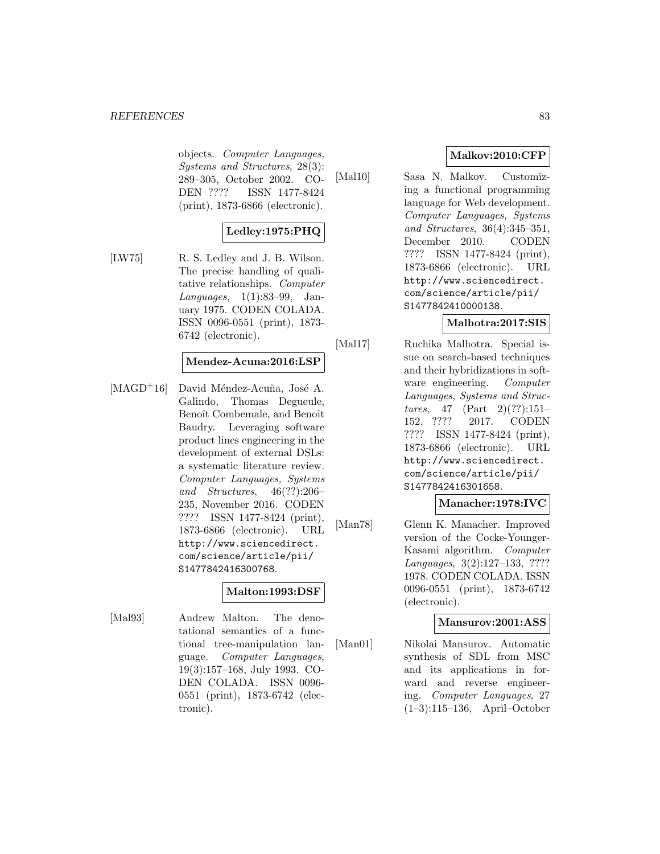objects. Computer Languages, Systems and Structures, 28(3): 289–305, October 2002. CO-DEN ???? ISSN 1477-8424 (print), 1873-6866 (electronic).

# **Ledley:1975:PHQ**

[LW75] R. S. Ledley and J. B. Wilson. The precise handling of qualitative relationships. Computer Languages, 1(1):83–99, January 1975. CODEN COLADA. ISSN 0096-0551 (print), 1873- 6742 (electronic).

#### **Mendez-Acuna:2016:LSP**

 $[MAGD<sup>+</sup>16]$  David Méndez-Acuña, José A. Galindo, Thomas Degueule, Benoît Combemale, and Benoît Baudry. Leveraging software product lines engineering in the development of external DSLs: a systematic literature review. Computer Languages, Systems and Structures, 46(??):206– 235, November 2016. CODEN ???? ISSN 1477-8424 (print), 1873-6866 (electronic). URL http://www.sciencedirect. com/science/article/pii/ S1477842416300768.

# **Malton:1993:DSF**

[Mal93] Andrew Malton. The denotational semantics of a functional tree-manipulation language. Computer Languages, 19(3):157–168, July 1993. CO-DEN COLADA. ISSN 0096- 0551 (print), 1873-6742 (electronic).

# **Malkov:2010:CFP**

[Mal10] Sasa N. Malkov. Customizing a functional programming language for Web development. Computer Languages, Systems and Structures, 36(4):345–351, December 2010. CODEN ???? ISSN 1477-8424 (print), 1873-6866 (electronic). URL http://www.sciencedirect. com/science/article/pii/ S1477842410000138.

### **Malhotra:2017:SIS**

[Mal17] Ruchika Malhotra. Special issue on search-based techniques and their hybridizations in software engineering. Computer Languages, Systems and Structures, 47 (Part 2)(??):151-152, ???? 2017. CODEN ???? ISSN 1477-8424 (print), 1873-6866 (electronic). URL http://www.sciencedirect. com/science/article/pii/ S1477842416301658.

# **Manacher:1978:IVC**

[Man78] Glenn K. Manacher. Improved version of the Cocke-Younger-Kasami algorithm. Computer Languages, 3(2):127–133, ???? 1978. CODEN COLADA. ISSN 0096-0551 (print), 1873-6742 (electronic).

#### **Mansurov:2001:ASS**

[Man01] Nikolai Mansurov. Automatic synthesis of SDL from MSC and its applications in forward and reverse engineering. Computer Languages, 27 (1–3):115–136, April–October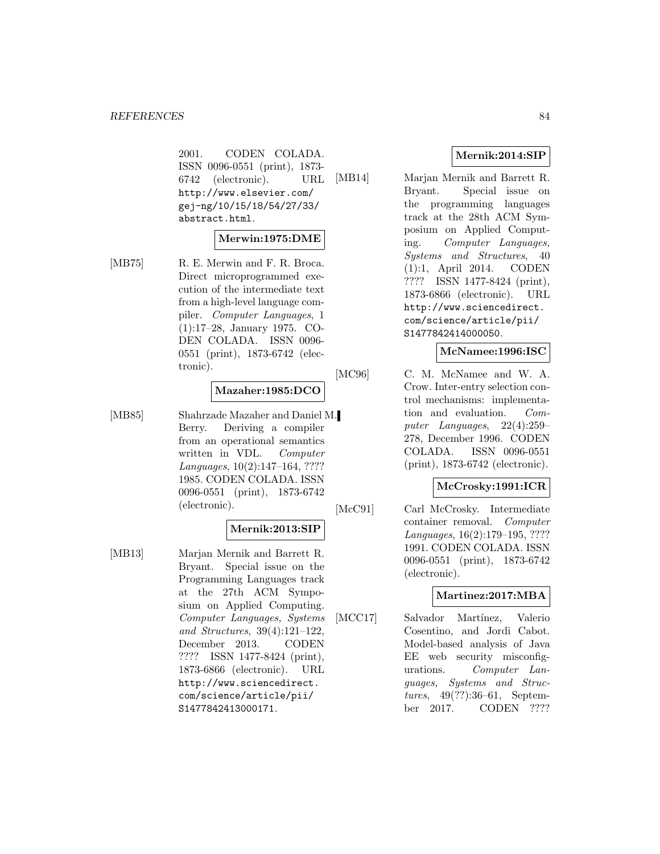2001. CODEN COLADA. ISSN 0096-0551 (print), 1873- 6742 (electronic). URL http://www.elsevier.com/ gej-ng/10/15/18/54/27/33/ abstract.html.

#### **Merwin:1975:DME**

[MB75] R. E. Merwin and F. R. Broca. Direct microprogrammed execution of the intermediate text from a high-level language compiler. Computer Languages, 1 (1):17–28, January 1975. CO-DEN COLADA. ISSN 0096- 0551 (print), 1873-6742 (electronic).

#### **Mazaher:1985:DCO**

[MB85] Shahrzade Mazaher and Daniel M. Berry. Deriving a compiler from an operational semantics written in VDL. Computer Languages, 10(2):147–164, ???? 1985. CODEN COLADA. ISSN 0096-0551 (print), 1873-6742 (electronic).

#### **Mernik:2013:SIP**

[MB13] Marjan Mernik and Barrett R. Bryant. Special issue on the Programming Languages track at the 27th ACM Symposium on Applied Computing. Computer Languages, Systems and Structures, 39(4):121–122, December 2013. CODEN ???? ISSN 1477-8424 (print), 1873-6866 (electronic). URL http://www.sciencedirect. com/science/article/pii/ S1477842413000171.

# **Mernik:2014:SIP**

[MB14] Marjan Mernik and Barrett R. Bryant. Special issue on the programming languages track at the 28th ACM Symposium on Applied Computing. Computer Languages, Systems and Structures, 40 (1):1, April 2014. CODEN ???? ISSN 1477-8424 (print), 1873-6866 (electronic). URL http://www.sciencedirect. com/science/article/pii/ S1477842414000050.

#### **McNamee:1996:ISC**

[MC96] C. M. McNamee and W. A. Crow. Inter-entry selection control mechanisms: implementation and evaluation. Computer Languages, 22(4):259– 278, December 1996. CODEN COLADA. ISSN 0096-0551 (print), 1873-6742 (electronic).

# **McCrosky:1991:ICR**

[McC91] Carl McCrosky. Intermediate container removal. Computer Languages, 16(2):179–195, ???? 1991. CODEN COLADA. ISSN 0096-0551 (print), 1873-6742 (electronic).

#### **Martinez:2017:MBA**

[MCC17] Salvador Martínez, Valerio Cosentino, and Jordi Cabot. Model-based analysis of Java EE web security misconfigurations. Computer Languages, Systems and Structures, 49(??):36–61, September 2017. CODEN ????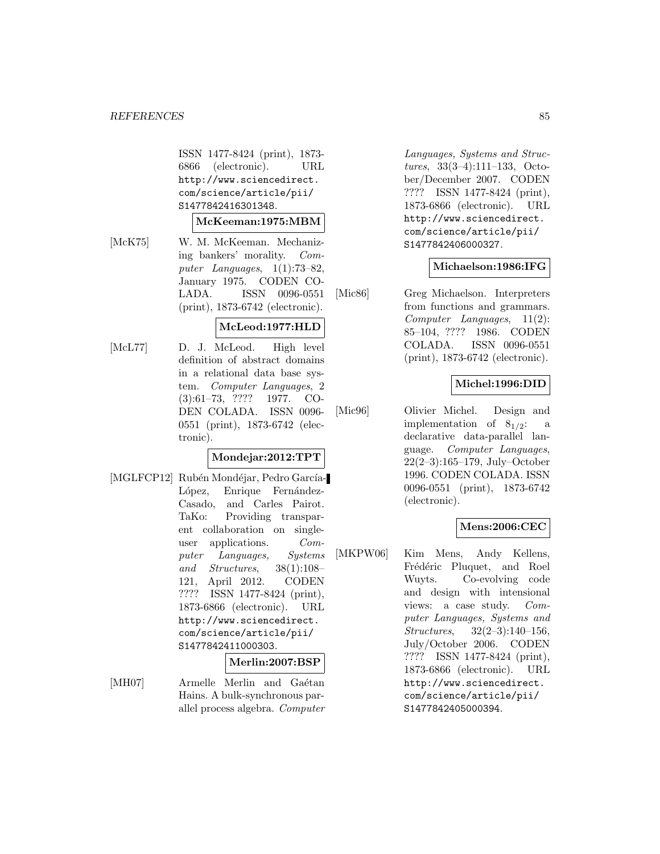ISSN 1477-8424 (print), 1873- 6866 (electronic). URL http://www.sciencedirect. com/science/article/pii/ S1477842416301348.

#### **McKeeman:1975:MBM**

[McK75] W. M. McKeeman. Mechanizing bankers' morality. Computer Languages, 1(1):73–82, January 1975. CODEN CO-LADA. ISSN 0096-0551 (print), 1873-6742 (electronic).

#### **McLeod:1977:HLD**

[McL77] D. J. McLeod. High level definition of abstract domains in a relational data base system. Computer Languages, 2 (3):61–73, ???? 1977. CO-DEN COLADA. ISSN 0096- 0551 (print), 1873-6742 (electronic).

# **Mondejar:2012:TPT**

[MGLFCP12] Rubén Mondéjar, Pedro García-López, Enrique Fernández-Casado, and Carles Pairot. TaKo: Providing transparent collaboration on singleuser applications. Computer Languages, Systems and Structures, 38(1):108– 121, April 2012. CODEN ???? ISSN 1477-8424 (print), 1873-6866 (electronic). URL http://www.sciencedirect. com/science/article/pii/ S1477842411000303.

#### **Merlin:2007:BSP**

[MH07] Armelle Merlin and Gaétan Hains. A bulk-synchronous parallel process algebra. Computer

Languages, Systems and Structures, 33(3–4):111–133, October/December 2007. CODEN ???? ISSN 1477-8424 (print), 1873-6866 (electronic). URL http://www.sciencedirect. com/science/article/pii/ S1477842406000327.

#### **Michaelson:1986:IFG**

[Mic86] Greg Michaelson. Interpreters from functions and grammars. Computer Languages, 11(2): 85–104, ???? 1986. CODEN COLADA. ISSN 0096-0551 (print), 1873-6742 (electronic).

### **Michel:1996:DID**

[Mic96] Olivier Michel. Design and implementation of  $8_{1/2}$ : a declarative data-parallel language. Computer Languages, 22(2–3):165–179, July–October 1996. CODEN COLADA. ISSN 0096-0551 (print), 1873-6742 (electronic).

# **Mens:2006:CEC**

[MKPW06] Kim Mens, Andy Kellens, Frédéric Pluquet, and Roel Wuyts. Co-evolving code and design with intensional views: a case study. Computer Languages, Systems and Structures, 32(2–3):140–156, July/October 2006. CODEN ???? ISSN 1477-8424 (print), 1873-6866 (electronic). URL http://www.sciencedirect. com/science/article/pii/ S1477842405000394.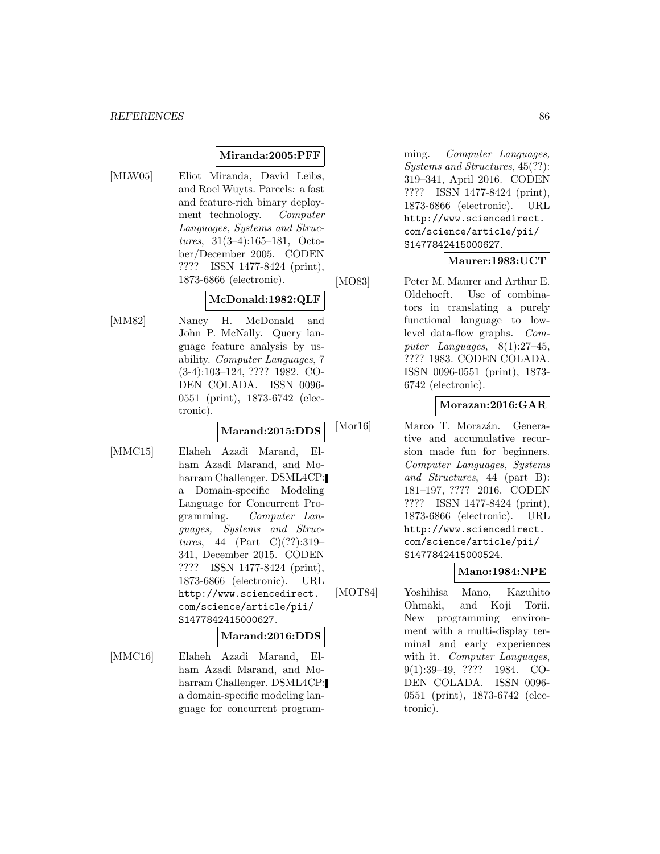# **Miranda:2005:PFF**

- 
- [MLW05] Eliot Miranda, David Leibs, and Roel Wuyts. Parcels: a fast and feature-rich binary deployment technology. Computer Languages, Systems and Structures, 31(3–4):165–181, October/December 2005. CODEN ???? ISSN 1477-8424 (print), 1873-6866 (electronic).

# **McDonald:1982:QLF**

[MM82] Nancy H. McDonald and John P. McNally. Query language feature analysis by usability. Computer Languages, 7 (3-4):103–124, ???? 1982. CO-DEN COLADA. ISSN 0096- 0551 (print), 1873-6742 (electronic).

#### **Marand:2015:DDS**

[MMC15] Elaheh Azadi Marand, Elham Azadi Marand, and Moharram Challenger. DSML4CP: a Domain-specific Modeling Language for Concurrent Programming. Computer Languages, Systems and Structures, 44 (Part C) $(??):319-$ 341, December 2015. CODEN ???? ISSN 1477-8424 (print), 1873-6866 (electronic). URL http://www.sciencedirect. com/science/article/pii/ S1477842415000627.

#### **Marand:2016:DDS**

[MMC16] Elaheh Azadi Marand, Elham Azadi Marand, and Moharram Challenger. DSML4CP: a domain-specific modeling language for concurrent program-

ming. Computer Languages, Systems and Structures, 45(??): 319–341, April 2016. CODEN ???? ISSN 1477-8424 (print), 1873-6866 (electronic). URL http://www.sciencedirect. com/science/article/pii/ S1477842415000627.

# **Maurer:1983:UCT**

[MO83] Peter M. Maurer and Arthur E. Oldehoeft. Use of combinators in translating a purely functional language to lowlevel data-flow graphs. Computer Languages, 8(1):27–45, ???? 1983. CODEN COLADA. ISSN 0096-0551 (print), 1873- 6742 (electronic).

### **Morazan:2016:GAR**

[Mor16] Marco T. Morazán. Generative and accumulative recursion made fun for beginners. Computer Languages, Systems and Structures, 44 (part B): 181–197, ???? 2016. CODEN ???? ISSN 1477-8424 (print), 1873-6866 (electronic). URL http://www.sciencedirect. com/science/article/pii/ S1477842415000524.

# **Mano:1984:NPE**

[MOT84] Yoshihisa Mano, Kazuhito Ohmaki, and Koji Torii. New programming environment with a multi-display terminal and early experiences with it. Computer Languages, 9(1):39–49, ???? 1984. CO-DEN COLADA. ISSN 0096- 0551 (print), 1873-6742 (electronic).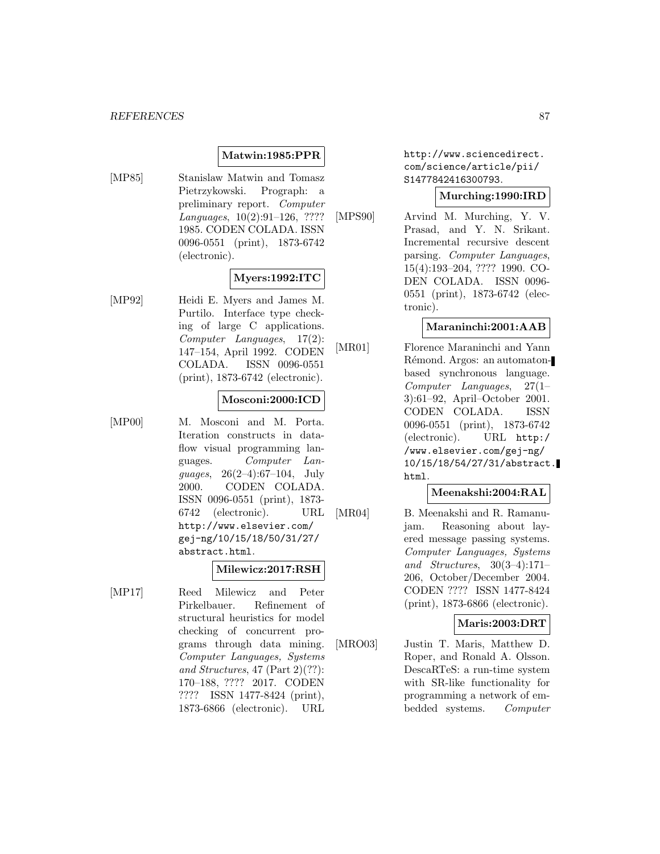### **Matwin:1985:PPR**

[MP85] Stanislaw Matwin and Tomasz Pietrzykowski. Prograph: a preliminary report. Computer Languages, 10(2):91–126, ???? 1985. CODEN COLADA. ISSN 0096-0551 (print), 1873-6742 (electronic).

# **Myers:1992:ITC**

[MP92] Heidi E. Myers and James M. Purtilo. Interface type checking of large C applications. Computer Languages, 17(2): 147–154, April 1992. CODEN COLADA. ISSN 0096-0551 (print), 1873-6742 (electronic).

#### **Mosconi:2000:ICD**

[MP00] M. Mosconi and M. Porta. Iteration constructs in dataflow visual programming languages. Computer Languages, 26(2–4):67–104, July 2000. CODEN COLADA. ISSN 0096-0551 (print), 1873- 6742 (electronic). URL http://www.elsevier.com/ gej-ng/10/15/18/50/31/27/ abstract.html.

#### **Milewicz:2017:RSH**

[MP17] Reed Milewicz and Peter Pirkelbauer. Refinement of structural heuristics for model checking of concurrent programs through data mining. Computer Languages, Systems and Structures, 47 (Part 2)(??): 170–188, ???? 2017. CODEN ???? ISSN 1477-8424 (print), 1873-6866 (electronic). URL http://www.sciencedirect. com/science/article/pii/ S1477842416300793.

#### **Murching:1990:IRD**

[MPS90] Arvind M. Murching, Y. V. Prasad, and Y. N. Srikant. Incremental recursive descent parsing. Computer Languages, 15(4):193–204, ???? 1990. CO-DEN COLADA. ISSN 0096- 0551 (print), 1873-6742 (electronic).

#### **Maraninchi:2001:AAB**

[MR01] Florence Maraninchi and Yann Rémond. Argos: an automatonbased synchronous language. Computer Languages, 27(1– 3):61–92, April–October 2001. CODEN COLADA. ISSN 0096-0551 (print), 1873-6742 (electronic). URL http:/ /www.elsevier.com/gej-ng/ 10/15/18/54/27/31/abstract. html.

### **Meenakshi:2004:RAL**

[MR04] B. Meenakshi and R. Ramanujam. Reasoning about layered message passing systems. Computer Languages, Systems and Structures, 30(3–4):171– 206, October/December 2004. CODEN ???? ISSN 1477-8424 (print), 1873-6866 (electronic).

# **Maris:2003:DRT**

[MRO03] Justin T. Maris, Matthew D. Roper, and Ronald A. Olsson. DescaRTeS: a run-time system with SR-like functionality for programming a network of embedded systems. Computer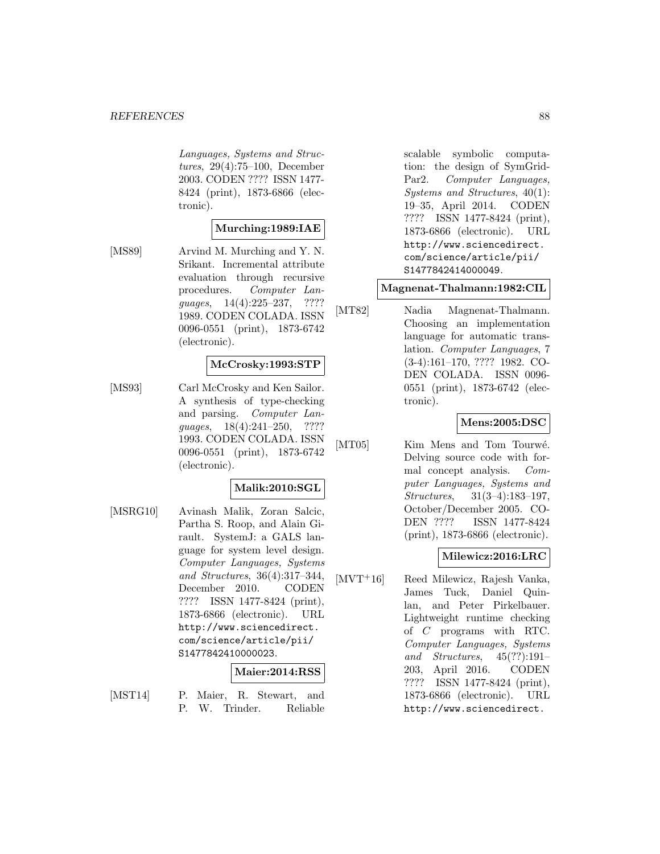Languages, Systems and Structures, 29(4):75–100, December 2003. CODEN ???? ISSN 1477- 8424 (print), 1873-6866 (electronic).

### **Murching:1989:IAE**

[MS89] Arvind M. Murching and Y. N. Srikant. Incremental attribute evaluation through recursive procedures. Computer Languages, 14(4):225–237, ???? 1989. CODEN COLADA. ISSN 0096-0551 (print), 1873-6742 (electronic).

#### **McCrosky:1993:STP**

[MS93] Carl McCrosky and Ken Sailor. A synthesis of type-checking and parsing. Computer Languages, 18(4):241–250, ???? 1993. CODEN COLADA. ISSN 0096-0551 (print), 1873-6742 (electronic).

#### **Malik:2010:SGL**

[MSRG10] Avinash Malik, Zoran Salcic, Partha S. Roop, and Alain Girault. SystemJ: a GALS language for system level design. Computer Languages, Systems and Structures, 36(4):317–344, December 2010. CODEN ???? ISSN 1477-8424 (print), 1873-6866 (electronic). URL http://www.sciencedirect. com/science/article/pii/ S1477842410000023.

#### **Maier:2014:RSS**

- 
- [MST14] P. Maier, R. Stewart, and P. W. Trinder. Reliable

scalable symbolic computation: the design of SymGrid-Par2. Computer Languages, Systems and Structures, 40(1): 19–35, April 2014. CODEN ???? ISSN 1477-8424 (print), 1873-6866 (electronic). URL http://www.sciencedirect. com/science/article/pii/ S1477842414000049.

# **Magnenat-Thalmann:1982:CIL**

[MT82] Nadia Magnenat-Thalmann. Choosing an implementation language for automatic translation. Computer Languages, 7 (3-4):161–170, ???? 1982. CO-DEN COLADA. ISSN 0096- 0551 (print), 1873-6742 (electronic).

### **Mens:2005:DSC**

[MT05] Kim Mens and Tom Tourwé. Delving source code with formal concept analysis. Computer Languages, Systems and Structures, 31(3–4):183–197, October/December 2005. CO-DEN ???? ISSN 1477-8424 (print), 1873-6866 (electronic).

#### **Milewicz:2016:LRC**

[MVT<sup>+</sup>16] Reed Milewicz, Rajesh Vanka, James Tuck, Daniel Quinlan, and Peter Pirkelbauer. Lightweight runtime checking of C programs with RTC. Computer Languages, Systems and Structures, 45(??):191– 203, April 2016. CODEN ???? ISSN 1477-8424 (print), 1873-6866 (electronic). URL http://www.sciencedirect.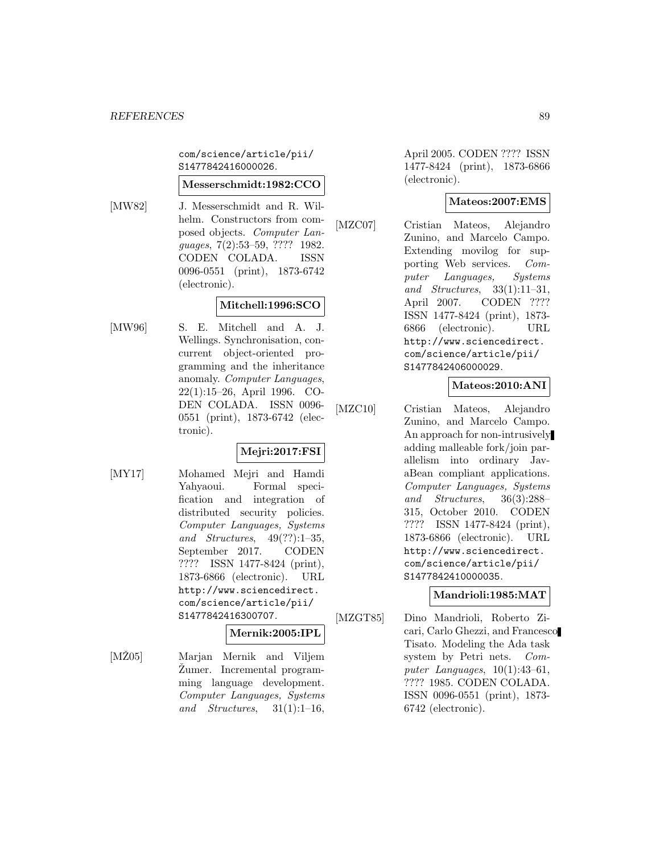com/science/article/pii/ S1477842416000026.

#### **Messerschmidt:1982:CCO**

[MW82] J. Messerschmidt and R. Wilhelm. Constructors from composed objects. Computer Languages, 7(2):53–59, ???? 1982. CODEN COLADA. ISSN 0096-0551 (print), 1873-6742 (electronic).

# **Mitchell:1996:SCO**

[MW96] S. E. Mitchell and A. J. Wellings. Synchronisation, concurrent object-oriented programming and the inheritance anomaly. Computer Languages, 22(1):15–26, April 1996. CO-DEN COLADA. ISSN 0096- 0551 (print), 1873-6742 (electronic).

# **Mejri:2017:FSI**

[MY17] Mohamed Mejri and Hamdi Yahyaoui. Formal specification and integration of distributed security policies. Computer Languages, Systems and Structures, 49(??):1–35, September 2017. CODEN ???? ISSN 1477-8424 (print), 1873-6866 (electronic). URL http://www.sciencedirect. com/science/article/pii/ S1477842416300707.

# **Mernik:2005:IPL**

[MZ05] Marjan Mernik and Viljem Zumer. Incremental programming language development. Computer Languages, Systems and Structures,  $31(1):1-16$ ,

April 2005. CODEN ???? ISSN 1477-8424 (print), 1873-6866 (electronic).

# **Mateos:2007:EMS**

[MZC07] Cristian Mateos, Alejandro Zunino, and Marcelo Campo. Extending movilog for supporting Web services. Computer Languages, Systems and Structures, 33(1):11–31, April 2007. CODEN ???? ISSN 1477-8424 (print), 1873- 6866 (electronic). URL http://www.sciencedirect. com/science/article/pii/ S1477842406000029.

# **Mateos:2010:ANI**

[MZC10] Cristian Mateos, Alejandro Zunino, and Marcelo Campo. An approach for non-intrusively adding malleable fork/join parallelism into ordinary JavaBean compliant applications. Computer Languages, Systems and Structures, 36(3):288– 315, October 2010. CODEN ???? ISSN 1477-8424 (print), 1873-6866 (electronic). URL http://www.sciencedirect. com/science/article/pii/ S1477842410000035.

#### **Mandrioli:1985:MAT**

[MZGT85] Dino Mandrioli, Roberto Zicari, Carlo Ghezzi, and Francesco Tisato. Modeling the Ada task system by Petri nets. Computer Languages,  $10(1):43-61$ , ???? 1985. CODEN COLADA. ISSN 0096-0551 (print), 1873- 6742 (electronic).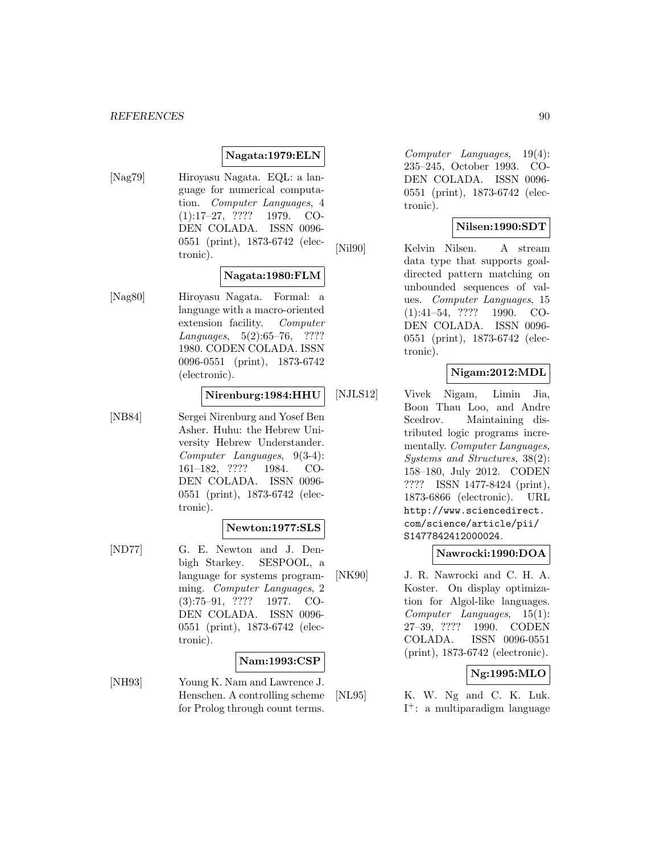### **Nagata:1979:ELN**

[Nag79] Hiroyasu Nagata. EQL: a language for numerical computation. Computer Languages, 4 (1):17–27, ???? 1979. CO-DEN COLADA. ISSN 0096- 0551 (print), 1873-6742 (electronic).

### **Nagata:1980:FLM**

[Nag80] Hiroyasu Nagata. Formal: a language with a macro-oriented extension facility. Computer Languages, 5(2):65–76, ???? 1980. CODEN COLADA. ISSN 0096-0551 (print), 1873-6742 (electronic).

#### **Nirenburg:1984:HHU**

[NB84] Sergei Nirenburg and Yosef Ben Asher. Huhu: the Hebrew University Hebrew Understander. Computer Languages, 9(3-4): 161–182, ???? 1984. CO-DEN COLADA. ISSN 0096- 0551 (print), 1873-6742 (electronic).

# **Newton:1977:SLS**

[ND77] G. E. Newton and J. Denbigh Starkey. SESPOOL, a language for systems programming. Computer Languages, 2 (3):75–91, ???? 1977. CO-DEN COLADA. ISSN 0096- 0551 (print), 1873-6742 (electronic).

#### **Nam:1993:CSP**

[NH93] Young K. Nam and Lawrence J. Henschen. A controlling scheme for Prolog through count terms.

Computer Languages, 19(4): 235–245, October 1993. CO-DEN COLADA. ISSN 0096- 0551 (print), 1873-6742 (electronic).

### **Nilsen:1990:SDT**

[Nil90] Kelvin Nilsen. A stream data type that supports goaldirected pattern matching on unbounded sequences of values. Computer Languages, 15 (1):41–54, ???? 1990. CO-DEN COLADA. ISSN 0096- 0551 (print), 1873-6742 (electronic).

# **Nigam:2012:MDL**

[NJLS12] Vivek Nigam, Limin Jia, Boon Thau Loo, and Andre Scedrov. Maintaining distributed logic programs incrementally. *Computer Languages*, Systems and Structures, 38(2): 158–180, July 2012. CODEN ???? ISSN 1477-8424 (print), 1873-6866 (electronic). URL http://www.sciencedirect. com/science/article/pii/ S1477842412000024.

#### **Nawrocki:1990:DOA**

[NK90] J. R. Nawrocki and C. H. A. Koster. On display optimization for Algol-like languages. Computer Languages, 15(1): 27–39, ???? 1990. CODEN COLADA. ISSN 0096-0551 (print), 1873-6742 (electronic).

#### **Ng:1995:MLO**

[NL95] K. W. Ng and C. K. Luk. I<sup>+</sup>: a multiparadigm language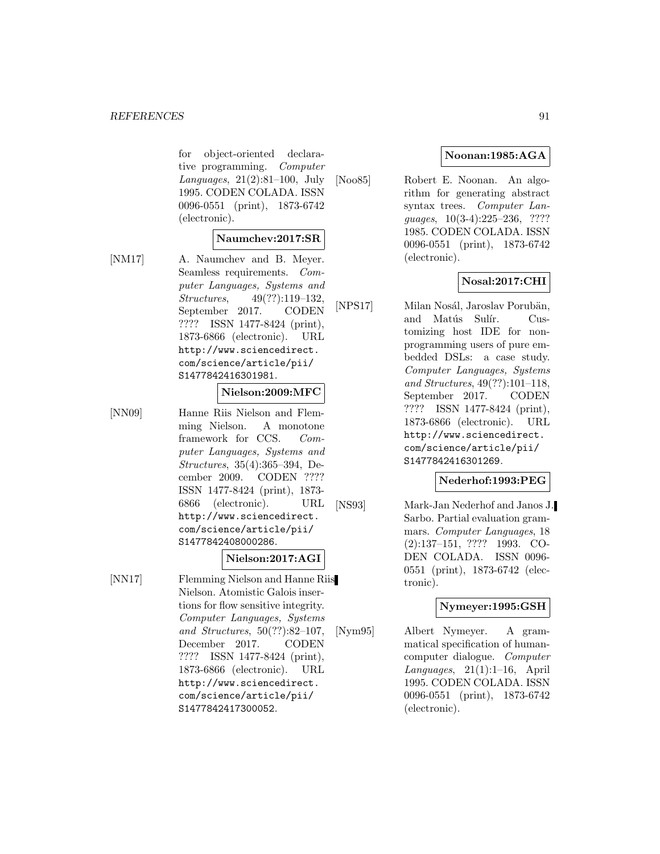for object-oriented declarative programming. Computer Languages, 21(2):81–100, July 1995. CODEN COLADA. ISSN 0096-0551 (print), 1873-6742 (electronic).

#### **Naumchev:2017:SR**

[NM17] A. Naumchev and B. Meyer. Seamless requirements. Computer Languages, Systems and Structures, 49(??):119–132, September 2017. CODEN ???? ISSN 1477-8424 (print), 1873-6866 (electronic). URL http://www.sciencedirect. com/science/article/pii/ S1477842416301981.

#### **Nielson:2009:MFC**

[NN09] Hanne Riis Nielson and Flemming Nielson. A monotone framework for CCS. Computer Languages, Systems and Structures, 35(4):365–394, December 2009. CODEN ???? ISSN 1477-8424 (print), 1873- 6866 (electronic). URL http://www.sciencedirect. com/science/article/pii/ S1477842408000286.

# **Nielson:2017:AGI**

[NN17] Flemming Nielson and Hanne Riis Nielson. Atomistic Galois insertions for flow sensitive integrity. Computer Languages, Systems and Structures, 50(??):82–107, December 2017. CODEN ???? ISSN 1477-8424 (print), 1873-6866 (electronic). URL http://www.sciencedirect. com/science/article/pii/

S1477842417300052.

# **Noonan:1985:AGA**

[Noo85] Robert E. Noonan. An algorithm for generating abstract syntax trees. Computer Languages, 10(3-4):225–236, ???? 1985. CODEN COLADA. ISSN 0096-0551 (print), 1873-6742 (electronic).

### **Nosal:2017:CHI**

[NPS17] Milan Nosál, Jaroslav Porubän, and Matús Sulír. Customizing host IDE for nonprogramming users of pure embedded DSLs: a case study. Computer Languages, Systems and Structures, 49(??):101–118, September 2017. CODEN ???? ISSN 1477-8424 (print), 1873-6866 (electronic). URL http://www.sciencedirect. com/science/article/pii/ S1477842416301269.

# **Nederhof:1993:PEG**

[NS93] Mark-Jan Nederhof and Janos J. Sarbo. Partial evaluation grammars. Computer Languages, 18 (2):137–151, ???? 1993. CO-DEN COLADA. ISSN 0096- 0551 (print), 1873-6742 (electronic).

### **Nymeyer:1995:GSH**

[Nym95] Albert Nymeyer. A grammatical specification of humancomputer dialogue. Computer Languages,  $21(1):1-16$ , April 1995. CODEN COLADA. ISSN 0096-0551 (print), 1873-6742 (electronic).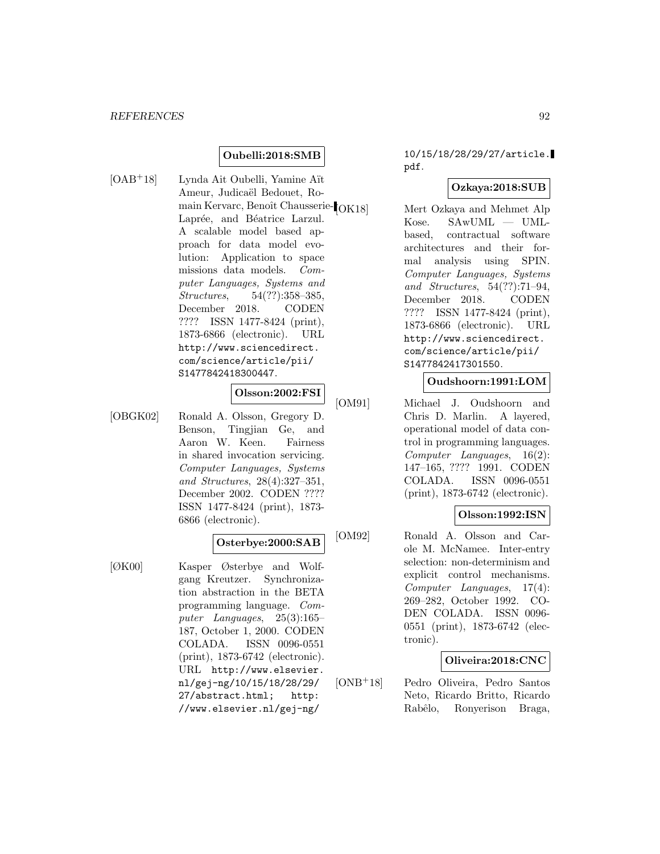#### **Oubelli:2018:SMB**

[OAB<sup>+</sup>18] Lynda Ait Oubelli, Yamine Aït Ameur, Judicaël Bedouet, Romain Kervarc, Benoît Chausserie- $\rm [OK18]$ Laprée, and Béatrice Larzul. A scalable model based approach for data model evolution: Application to space missions data models. Computer Languages, Systems and Structures, 54(??):358–385, December 2018. CODEN ???? ISSN 1477-8424 (print), 1873-6866 (electronic). URL http://www.sciencedirect. com/science/article/pii/ S1477842418300447.

# **Olsson:2002:FSI**

[OBGK02] Ronald A. Olsson, Gregory D. Benson, Tingjian Ge, and Aaron W. Keen. Fairness in shared invocation servicing. Computer Languages, Systems and Structures, 28(4):327–351, December 2002. CODEN ???? ISSN 1477-8424 (print), 1873- 6866 (electronic).

### **Osterbye:2000:SAB**

[ØK00] Kasper Østerbye and Wolfgang Kreutzer. Synchronization abstraction in the BETA programming language. Computer Languages, 25(3):165– 187, October 1, 2000. CODEN COLADA. ISSN 0096-0551 (print), 1873-6742 (electronic). URL http://www.elsevier. nl/gej-ng/10/15/18/28/29/ 27/abstract.html; http: //www.elsevier.nl/gej-ng/

# 10/15/18/28/29/27/article. pdf.

### **Ozkaya:2018:SUB**

Mert Ozkaya and Mehmet Alp Kose. SAwUML — UMLbased, contractual software architectures and their formal analysis using SPIN. Computer Languages, Systems and Structures, 54(??):71–94, December 2018. CODEN ???? ISSN 1477-8424 (print), 1873-6866 (electronic). URL http://www.sciencedirect. com/science/article/pii/ S1477842417301550.

#### **Oudshoorn:1991:LOM**

[OM91] Michael J. Oudshoorn and Chris D. Marlin. A layered, operational model of data control in programming languages. Computer Languages, 16(2): 147–165, ???? 1991. CODEN COLADA. ISSN 0096-0551 (print), 1873-6742 (electronic).

#### **Olsson:1992:ISN**

[OM92] Ronald A. Olsson and Carole M. McNamee. Inter-entry selection: non-determinism and explicit control mechanisms. Computer Languages, 17(4): 269–282, October 1992. CO-DEN COLADA. ISSN 0096- 0551 (print), 1873-6742 (electronic).

#### **Oliveira:2018:CNC**

[ONB<sup>+</sup>18] Pedro Oliveira, Pedro Santos Neto, Ricardo Britto, Ricardo Rabêlo, Ronyerison Braga,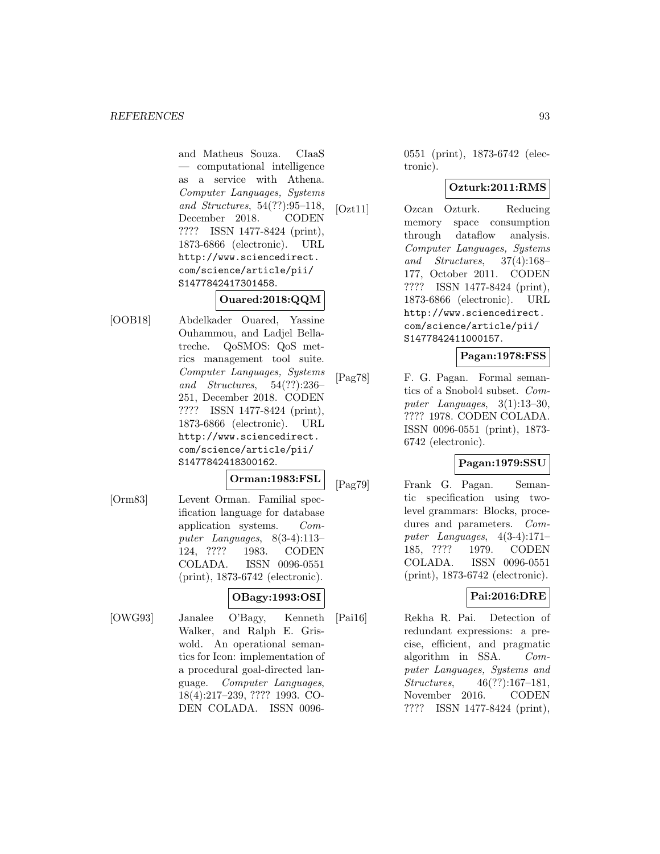and Matheus Souza. CIaaS — computational intelligence as a service with Athena. Computer Languages, Systems and Structures, 54(??):95–118, December 2018. CODEN ???? ISSN 1477-8424 (print), 1873-6866 (electronic). URL http://www.sciencedirect. com/science/article/pii/ S1477842417301458.

# **Ouared:2018:QQM**

[OOB18] Abdelkader Ouared, Yassine Ouhammou, and Ladjel Bellatreche. QoSMOS: QoS metrics management tool suite. Computer Languages, Systems and Structures, 54(??):236– 251, December 2018. CODEN ???? ISSN 1477-8424 (print), 1873-6866 (electronic). URL http://www.sciencedirect. com/science/article/pii/ S1477842418300162.

**Orman:1983:FSL**

[Orm83] Levent Orman. Familial specification language for database application systems. Computer Languages, 8(3-4):113– 124, ???? 1983. CODEN COLADA. ISSN 0096-0551 (print), 1873-6742 (electronic).

# **OBagy:1993:OSI**

[OWG93] Janalee O'Bagy, Kenneth Walker, and Ralph E. Griswold. An operational semantics for Icon: implementation of a procedural goal-directed language. Computer Languages, 18(4):217–239, ???? 1993. CO-DEN COLADA. ISSN 00960551 (print), 1873-6742 (electronic).

# **Ozturk:2011:RMS**

[Ozt11] Ozcan Ozturk. Reducing memory space consumption through dataflow analysis. Computer Languages, Systems and Structures, 37(4):168– 177, October 2011. CODEN ???? ISSN 1477-8424 (print), 1873-6866 (electronic). URL http://www.sciencedirect. com/science/article/pii/ S1477842411000157.

# **Pagan:1978:FSS**

[Pag78] F. G. Pagan. Formal semantics of a Snobol4 subset. Computer Languages, 3(1):13–30, ???? 1978. CODEN COLADA. ISSN 0096-0551 (print), 1873- 6742 (electronic).

# **Pagan:1979:SSU**

[Pag79] Frank G. Pagan. Semantic specification using twolevel grammars: Blocks, procedures and parameters. Computer Languages, 4(3-4):171– 185, ???? 1979. CODEN COLADA. ISSN 0096-0551 (print), 1873-6742 (electronic).

# **Pai:2016:DRE**

[Pai16] Rekha R. Pai. Detection of redundant expressions: a precise, efficient, and pragmatic algorithm in SSA. Computer Languages, Systems and Structures, 46(??):167–181, November 2016. CODEN ???? ISSN 1477-8424 (print),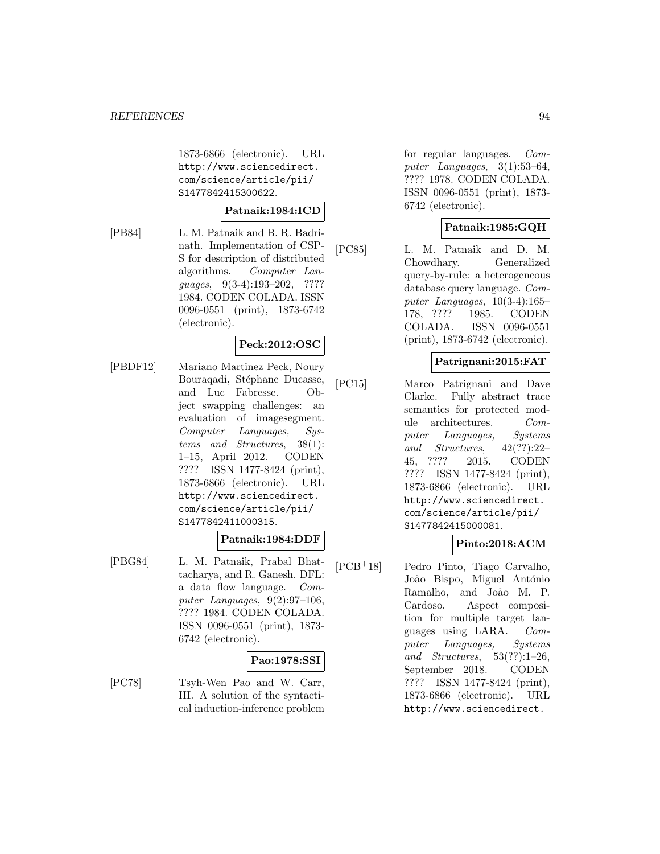1873-6866 (electronic). URL http://www.sciencedirect. com/science/article/pii/ S1477842415300622.

#### **Patnaik:1984:ICD**

[PB84] L. M. Patnaik and B. R. Badrinath. Implementation of CSP-S for description of distributed algorithms. Computer Languages, 9(3-4):193–202, ???? 1984. CODEN COLADA. ISSN 0096-0551 (print), 1873-6742 (electronic).

#### **Peck:2012:OSC**

[PBDF12] Mariano Martinez Peck, Noury Bouraqadi, Stéphane Ducasse, and Luc Fabresse. Object swapping challenges: an evaluation of imagesegment. Computer Languages, Systems and Structures, 38(1): 1–15, April 2012. CODEN ???? ISSN 1477-8424 (print), 1873-6866 (electronic). URL http://www.sciencedirect. com/science/article/pii/ S1477842411000315.

#### **Patnaik:1984:DDF**

[PBG84] L. M. Patnaik, Prabal Bhattacharya, and R. Ganesh. DFL: a data flow language. Computer Languages, 9(2):97–106, ???? 1984. CODEN COLADA. ISSN 0096-0551 (print), 1873- 6742 (electronic).

#### **Pao:1978:SSI**

[PC78] Tsyh-Wen Pao and W. Carr, III. A solution of the syntactical induction-inference problem

for regular languages. Computer Languages, 3(1):53–64, ???? 1978. CODEN COLADA. ISSN 0096-0551 (print), 1873- 6742 (electronic).

### **Patnaik:1985:GQH**

[PC85] L. M. Patnaik and D. M. Chowdhary. Generalized query-by-rule: a heterogeneous database query language. Computer Languages, 10(3-4):165– 178, ???? 1985. CODEN COLADA. ISSN 0096-0551 (print), 1873-6742 (electronic).

# **Patrignani:2015:FAT**

[PC15] Marco Patrignani and Dave Clarke. Fully abstract trace semantics for protected module architectures. Computer Languages, Systems and Structures,  $42(??):22-$ 45, ???? 2015. CODEN ???? ISSN 1477-8424 (print), 1873-6866 (electronic). URL http://www.sciencedirect. com/science/article/pii/ S1477842415000081.

#### **Pinto:2018:ACM**

[PCB<sup>+</sup>18] Pedro Pinto, Tiago Carvalho, João Bispo, Miguel António Ramalho, and João M. P. Cardoso. Aspect composition for multiple target languages using LARA. Computer Languages, Systems and Structures, 53(??):1–26, September 2018. CODEN ???? ISSN 1477-8424 (print), 1873-6866 (electronic). URL http://www.sciencedirect.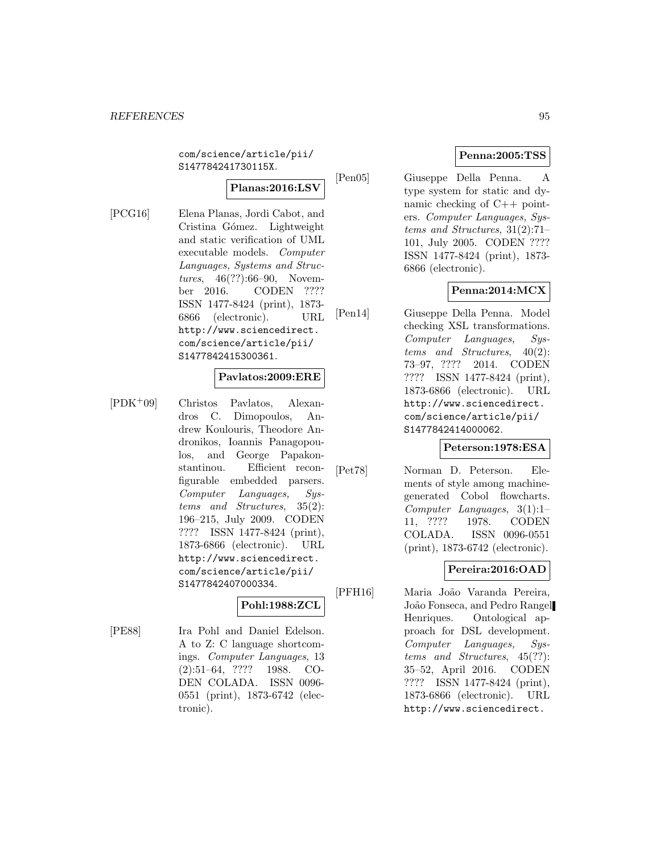com/science/article/pii/ S147784241730115X.

# **Planas:2016:LSV**

[PCG16] Elena Planas, Jordi Cabot, and Cristina Gómez. Lightweight and static verification of UML executable models. Computer Languages, Systems and Structures, 46(??):66–90, November 2016. CODEN ???? ISSN 1477-8424 (print), 1873- 6866 (electronic). URL http://www.sciencedirect. com/science/article/pii/ S1477842415300361.

#### **Pavlatos:2009:ERE**

[PDK<sup>+</sup>09] Christos Pavlatos, Alexandros C. Dimopoulos, Andrew Koulouris, Theodore Andronikos, Ioannis Panagopoulos, and George Papakonstantinou. Efficient reconfigurable embedded parsers. Computer Languages, Systems and Structures, 35(2): 196–215, July 2009. CODEN ???? ISSN 1477-8424 (print), 1873-6866 (electronic). URL http://www.sciencedirect. com/science/article/pii/ S1477842407000334.

# **Pohl:1988:ZCL**

[PE88] Ira Pohl and Daniel Edelson. A to Z: C language shortcomings. Computer Languages, 13 (2):51–64, ???? 1988. CO-DEN COLADA. ISSN 0096- 0551 (print), 1873-6742 (electronic).

# **Penna:2005:TSS**

[Pen05] Giuseppe Della Penna. A type system for static and dynamic checking of C++ pointers. Computer Languages, Systems and Structures, 31(2):71– 101, July 2005. CODEN ???? ISSN 1477-8424 (print), 1873- 6866 (electronic).

# **Penna:2014:MCX**

[Pen14] Giuseppe Della Penna. Model checking XSL transformations. Computer Languages, Systems and Structures, 40(2): 73–97, ???? 2014. CODEN ???? ISSN 1477-8424 (print), 1873-6866 (electronic). URL http://www.sciencedirect. com/science/article/pii/ S1477842414000062.

#### **Peterson:1978:ESA**

[Pet78] Norman D. Peterson. Elements of style among machinegenerated Cobol flowcharts. Computer Languages, 3(1):1– 11, ???? 1978. CODEN COLADA. ISSN 0096-0551 (print), 1873-6742 (electronic).

# **Pereira:2016:OAD**

[PFH16] Maria João Varanda Pereira, João Fonseca, and Pedro Rangel Henriques. Ontological approach for DSL development. Computer Languages, Systems and Structures, 45(??): 35–52, April 2016. CODEN ???? ISSN 1477-8424 (print), 1873-6866 (electronic). URL http://www.sciencedirect.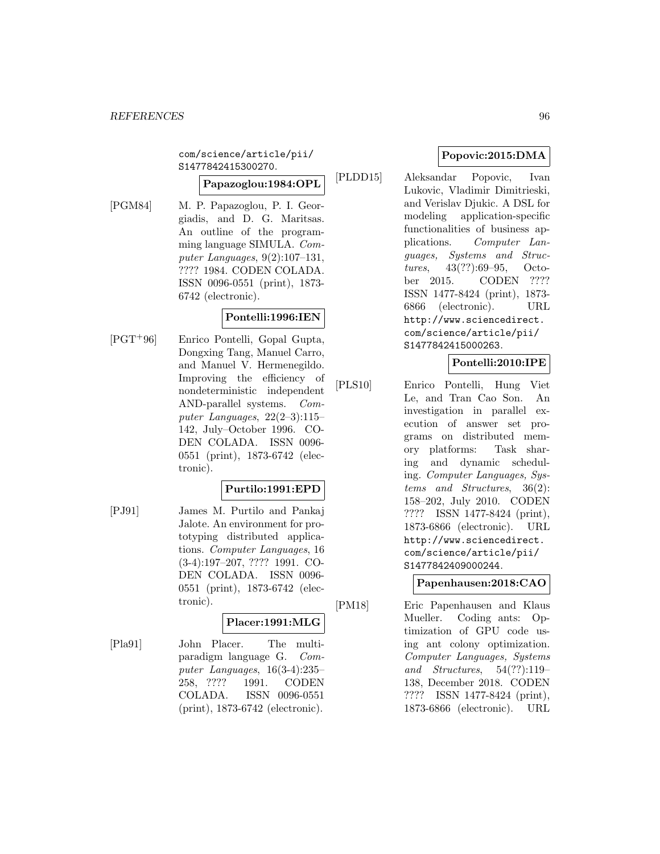com/science/article/pii/ S1477842415300270.

# **Papazoglou:1984:OPL**

[PGM84] M. P. Papazoglou, P. I. Georgiadis, and D. G. Maritsas. An outline of the programming language SIMULA. Computer Languages, 9(2):107–131, ???? 1984. CODEN COLADA. ISSN 0096-0551 (print), 1873- 6742 (electronic).

# **Pontelli:1996:IEN**

[PGT<sup>+</sup>96] Enrico Pontelli, Gopal Gupta, Dongxing Tang, Manuel Carro, and Manuel V. Hermenegildo. Improving the efficiency of nondeterministic independent AND-parallel systems. Computer Languages,  $22(2-3):115-$ 142, July–October 1996. CO-DEN COLADA. ISSN 0096- 0551 (print), 1873-6742 (electronic).

# **Purtilo:1991:EPD**

[PJ91] James M. Purtilo and Pankaj Jalote. An environment for prototyping distributed applications. Computer Languages, 16 (3-4):197–207, ???? 1991. CO-DEN COLADA. ISSN 0096- 0551 (print), 1873-6742 (electronic).

# **Placer:1991:MLG**

[Pla91] John Placer. The multiparadigm language G. Computer Languages, 16(3-4):235– 258, ???? 1991. CODEN COLADA. ISSN 0096-0551 (print), 1873-6742 (electronic).

# **Popovic:2015:DMA**

[PLDD15] Aleksandar Popovic, Ivan Lukovic, Vladimir Dimitrieski, and Verislav Djukic. A DSL for modeling application-specific functionalities of business applications. Computer Languages, Systems and Structures, 43(??):69–95, October 2015. CODEN ???? ISSN 1477-8424 (print), 1873- 6866 (electronic). URL http://www.sciencedirect. com/science/article/pii/ S1477842415000263.

# **Pontelli:2010:IPE**

[PLS10] Enrico Pontelli, Hung Viet Le, and Tran Cao Son. An investigation in parallel execution of answer set programs on distributed memory platforms: Task sharing and dynamic scheduling. Computer Languages, Systems and Structures, 36(2): 158–202, July 2010. CODEN ???? ISSN 1477-8424 (print), 1873-6866 (electronic). URL http://www.sciencedirect. com/science/article/pii/ S1477842409000244.

# **Papenhausen:2018:CAO**

[PM18] Eric Papenhausen and Klaus Mueller. Coding ants: Optimization of GPU code using ant colony optimization. Computer Languages, Systems and Structures, 54(??):119– 138, December 2018. CODEN ???? ISSN 1477-8424 (print), 1873-6866 (electronic). URL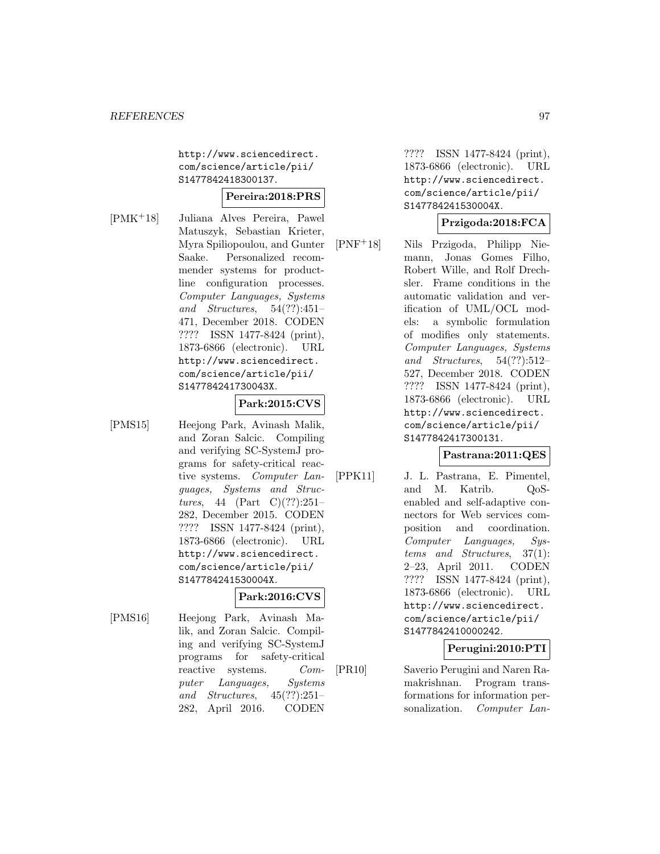http://www.sciencedirect. com/science/article/pii/ S1477842418300137.

# **Pereira:2018:PRS**

[PMK<sup>+</sup>18] Juliana Alves Pereira, Pawel Matuszyk, Sebastian Krieter, Myra Spiliopoulou, and Gunter Saake. Personalized recommender systems for productline configuration processes. Computer Languages, Systems and Structures, 54(??):451– 471, December 2018. CODEN ???? ISSN 1477-8424 (print), 1873-6866 (electronic). URL http://www.sciencedirect. com/science/article/pii/ S147784241730043X.

# **Park:2015:CVS**

[PMS15] Heejong Park, Avinash Malik, and Zoran Salcic. Compiling and verifying SC-SystemJ programs for safety-critical reactive systems. Computer Languages, Systems and Structures, 44 (Part C)(??):251– 282, December 2015. CODEN ???? ISSN 1477-8424 (print), 1873-6866 (electronic). URL http://www.sciencedirect. com/science/article/pii/ S147784241530004X.

# **Park:2016:CVS**

[PMS16] Heejong Park, Avinash Malik, and Zoran Salcic. Compiling and verifying SC-SystemJ programs for safety-critical reactive systems. Computer Languages, Systems and Structures, 45(??):251– 282, April 2016. CODEN

???? ISSN 1477-8424 (print), 1873-6866 (electronic). URL http://www.sciencedirect. com/science/article/pii/ S147784241530004X.

### **Przigoda:2018:FCA**

[PNF<sup>+</sup>18] Nils Przigoda, Philipp Niemann, Jonas Gomes Filho, Robert Wille, and Rolf Drechsler. Frame conditions in the automatic validation and verification of UML/OCL models: a symbolic formulation of modifies only statements. Computer Languages, Systems and Structures,  $54(??):512-$ 527, December 2018. CODEN ???? ISSN 1477-8424 (print), 1873-6866 (electronic). URL http://www.sciencedirect. com/science/article/pii/ S1477842417300131.

#### **Pastrana:2011:QES**

[PPK11] J. L. Pastrana, E. Pimentel, and M. Katrib. QoSenabled and self-adaptive connectors for Web services composition and coordination. Computer Languages, Systems and Structures, 37(1): 2–23, April 2011. CODEN ???? ISSN 1477-8424 (print), 1873-6866 (electronic). URL http://www.sciencedirect. com/science/article/pii/ S1477842410000242.

#### **Perugini:2010:PTI**

[PR10] Saverio Perugini and Naren Ramakrishnan. Program transformations for information personalization. Computer Lan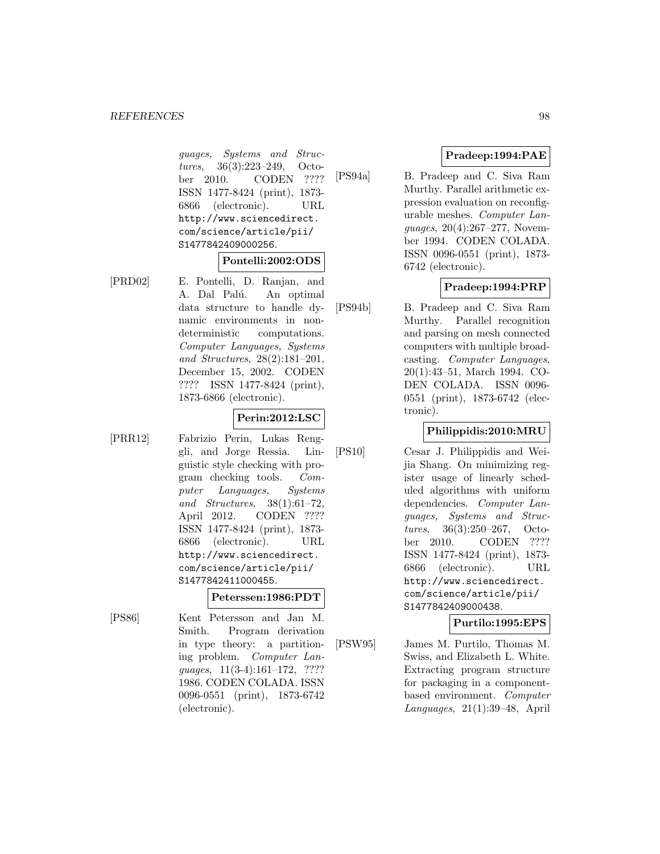guages, Systems and Structures, 36(3):223–249, October 2010. CODEN ???? ISSN 1477-8424 (print), 1873- 6866 (electronic). URL http://www.sciencedirect. com/science/article/pii/ S1477842409000256.

#### **Pontelli:2002:ODS**

[PRD02] E. Pontelli, D. Ranjan, and A. Dal Palú. An optimal data structure to handle dynamic environments in nondeterministic computations. Computer Languages, Systems and Structures, 28(2):181–201, December 15, 2002. CODEN ???? ISSN 1477-8424 (print), 1873-6866 (electronic).

#### **Perin:2012:LSC**

[PRR12] Fabrizio Perin, Lukas Renggli, and Jorge Ressia. Linguistic style checking with program checking tools. Computer Languages, Systems and Structures, 38(1):61–72, April 2012. CODEN ???? ISSN 1477-8424 (print), 1873- 6866 (electronic). URL http://www.sciencedirect. com/science/article/pii/ S1477842411000455.

#### **Peterssen:1986:PDT**

[PS86] Kent Petersson and Jan M. Smith. Program derivation in type theory: a partitioning problem. Computer Languages, 11(3-4):161–172, ???? 1986. CODEN COLADA. ISSN 0096-0551 (print), 1873-6742 (electronic).

# **Pradeep:1994:PAE**

[PS94a] B. Pradeep and C. Siva Ram Murthy. Parallel arithmetic expression evaluation on reconfigurable meshes. Computer Languages, 20(4):267–277, November 1994. CODEN COLADA. ISSN 0096-0551 (print), 1873- 6742 (electronic).

# **Pradeep:1994:PRP**

[PS94b] B. Pradeep and C. Siva Ram Murthy. Parallel recognition and parsing on mesh connected computers with multiple broadcasting. Computer Languages, 20(1):43–51, March 1994. CO-DEN COLADA. ISSN 0096- 0551 (print), 1873-6742 (electronic).

# **Philippidis:2010:MRU**

[PS10] Cesar J. Philippidis and Weijia Shang. On minimizing register usage of linearly scheduled algorithms with uniform dependencies. Computer Languages, Systems and Structures, 36(3):250–267, October 2010. CODEN ???? ISSN 1477-8424 (print), 1873- 6866 (electronic). URL http://www.sciencedirect. com/science/article/pii/ S1477842409000438.

## **Purtilo:1995:EPS**

[PSW95] James M. Purtilo, Thomas M. Swiss, and Elizabeth L. White. Extracting program structure for packaging in a componentbased environment. Computer Languages, 21(1):39–48, April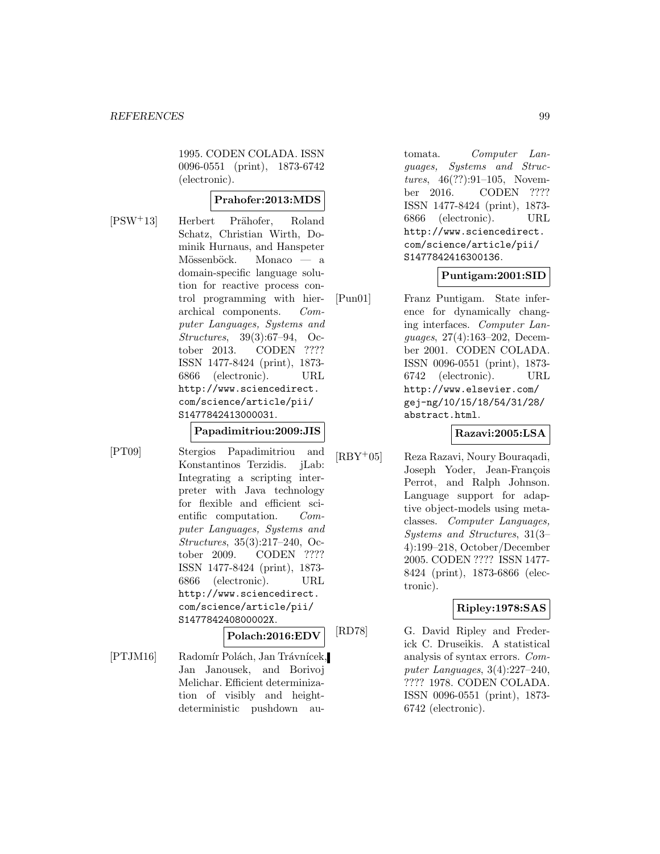1995. CODEN COLADA. ISSN 0096-0551 (print), 1873-6742 (electronic).

# **Prahofer:2013:MDS**

[PSW<sup>+</sup>13] Herbert Prähofer, Roland Schatz, Christian Wirth, Dominik Hurnaus, and Hanspeter Mössenböck. Monaco — a domain-specific language solution for reactive process control programming with hierarchical components. Computer Languages, Systems and Structures, 39(3):67–94, October 2013. CODEN ???? ISSN 1477-8424 (print), 1873- 6866 (electronic). URL http://www.sciencedirect. com/science/article/pii/ S1477842413000031.

### **Papadimitriou:2009:JIS**

[PT09] Stergios Papadimitriou and Konstantinos Terzidis. jLab: Integrating a scripting interpreter with Java technology for flexible and efficient scientific computation. Computer Languages, Systems and Structures, 35(3):217–240, October 2009. CODEN ???? ISSN 1477-8424 (print), 1873- 6866 (electronic). URL http://www.sciencedirect. com/science/article/pii/ S147784240800002X.

# **Polach:2016:EDV**

[PTJM16] Radomír Polách, Jan Trávnícek, Jan Janousek, and Borivoj Melichar. Efficient determinization of visibly and heightdeterministic pushdown au-

tomata. Computer Languages, Systems and Structures, 46(??):91–105, November 2016. CODEN ???? ISSN 1477-8424 (print), 1873- 6866 (electronic). URL http://www.sciencedirect. com/science/article/pii/ S1477842416300136.

#### **Puntigam:2001:SID**

[Pun01] Franz Puntigam. State inference for dynamically changing interfaces. Computer Languages, 27(4):163–202, December 2001. CODEN COLADA. ISSN 0096-0551 (print), 1873- 6742 (electronic). URL http://www.elsevier.com/ gej-ng/10/15/18/54/31/28/ abstract.html.

### **Razavi:2005:LSA**

[RBY<sup>+</sup>05] Reza Razavi, Noury Bouraqadi, Joseph Yoder, Jean-François Perrot, and Ralph Johnson. Language support for adaptive object-models using metaclasses. Computer Languages, Systems and Structures, 31(3– 4):199–218, October/December 2005. CODEN ???? ISSN 1477- 8424 (print), 1873-6866 (electronic).

#### **Ripley:1978:SAS**

[RD78] G. David Ripley and Frederick C. Druseikis. A statistical analysis of syntax errors. Computer Languages, 3(4):227–240, ???? 1978. CODEN COLADA. ISSN 0096-0551 (print), 1873- 6742 (electronic).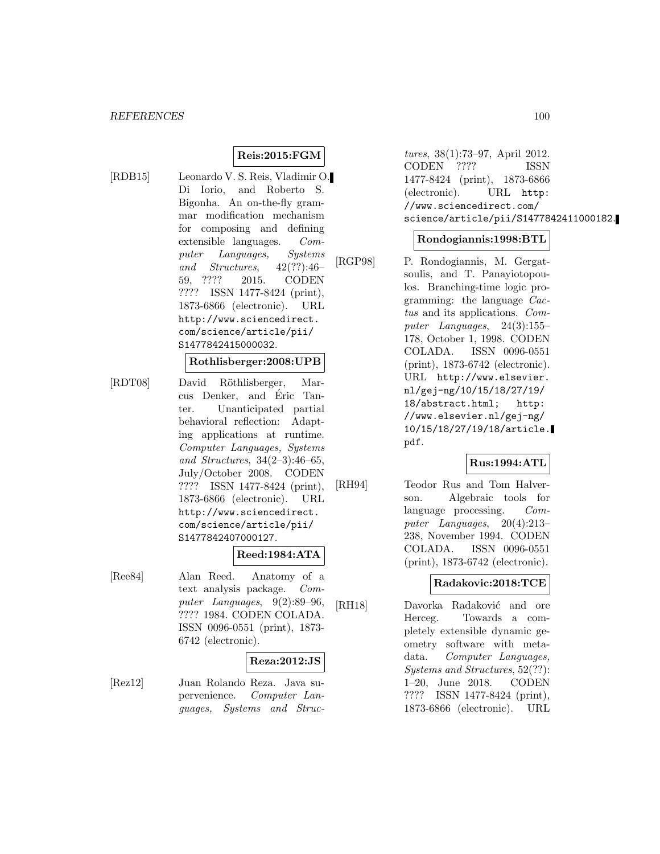# **Reis:2015:FGM**

[RDB15] Leonardo V. S. Reis, Vladimir O. Di Iorio, and Roberto S. Bigonha. An on-the-fly grammar modification mechanism for composing and defining extensible languages. Computer Languages, Systems and Structures,  $42(??):46-$ 59, ???? 2015. CODEN ???? ISSN 1477-8424 (print), 1873-6866 (electronic). URL http://www.sciencedirect. com/science/article/pii/ S1477842415000032.

## **Rothlisberger:2008:UPB**

[RDT08] David Röthlisberger, Marcus Denker, and Eric Tanter. Unanticipated partial behavioral reflection: Adapting applications at runtime. Computer Languages, Systems and Structures, 34(2–3):46–65, July/October 2008. CODEN ???? ISSN 1477-8424 (print), 1873-6866 (electronic). URL http://www.sciencedirect. com/science/article/pii/ S1477842407000127.

#### **Reed:1984:ATA**

[Ree84] Alan Reed. Anatomy of a text analysis package. Computer Languages, 9(2):89–96, ???? 1984. CODEN COLADA. ISSN 0096-0551 (print), 1873- 6742 (electronic).

#### **Reza:2012:JS**

[Rez12] Juan Rolando Reza. Java supervenience. Computer Languages, Systems and Structures, 38(1):73–97, April 2012. CODEN ???? ISSN 1477-8424 (print), 1873-6866 (electronic). URL http: //www.sciencedirect.com/ science/article/pii/S1477842411000182.

#### **Rondogiannis:1998:BTL**

[RGP98] P. Rondogiannis, M. Gergatsoulis, and T. Panayiotopoulos. Branching-time logic programming: the language Cactus and its applications. Computer Languages, 24(3):155– 178, October 1, 1998. CODEN COLADA. ISSN 0096-0551 (print), 1873-6742 (electronic). URL http://www.elsevier. nl/gej-ng/10/15/18/27/19/ 18/abstract.html; http: //www.elsevier.nl/gej-ng/ 10/15/18/27/19/18/article. pdf.

#### **Rus:1994:ATL**

[RH94] Teodor Rus and Tom Halverson. Algebraic tools for language processing. Computer Languages, 20(4):213– 238, November 1994. CODEN COLADA. ISSN 0096-0551 (print), 1873-6742 (electronic).

#### **Radakovic:2018:TCE**

[RH18] Davorka Radaković and ore Herceg. Towards a completely extensible dynamic geometry software with metadata. Computer Languages, Systems and Structures, 52(??): 1–20, June 2018. CODEN ???? ISSN 1477-8424 (print), 1873-6866 (electronic). URL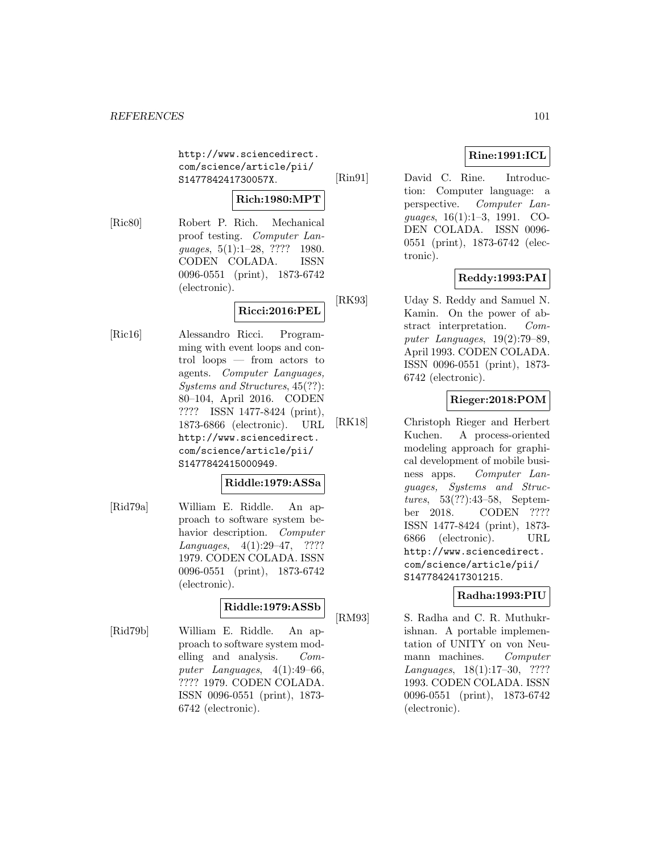http://www.sciencedirect. com/science/article/pii/ S147784241730057X.

# **Rich:1980:MPT**

[Ric80] Robert P. Rich. Mechanical proof testing. Computer Languages, 5(1):1-28, ???? 1980. CODEN COLADA. ISSN 0096-0551 (print), 1873-6742 (electronic).

# **Ricci:2016:PEL**

[Ric16] Alessandro Ricci. Programming with event loops and control loops — from actors to agents. Computer Languages, Systems and Structures, 45(??): 80–104, April 2016. CODEN ???? ISSN 1477-8424 (print), 1873-6866 (electronic). URL http://www.sciencedirect. com/science/article/pii/ S1477842415000949.

# **Riddle:1979:ASSa**

[Rid79a] William E. Riddle. An approach to software system behavior description. Computer Languages, 4(1):29–47, ???? 1979. CODEN COLADA. ISSN 0096-0551 (print), 1873-6742 (electronic).

# **Riddle:1979:ASSb**

[Rid79b] William E. Riddle. An approach to software system modelling and analysis. Computer Languages, 4(1):49–66, ???? 1979. CODEN COLADA. ISSN 0096-0551 (print), 1873- 6742 (electronic).

# **Rine:1991:ICL**

[Rin91] David C. Rine. Introduction: Computer language: a perspective. Computer Languages, 16(1):1–3, 1991. CO-DEN COLADA. ISSN 0096- 0551 (print), 1873-6742 (electronic).

# **Reddy:1993:PAI**

[RK93] Uday S. Reddy and Samuel N. Kamin. On the power of abstract interpretation. Computer Languages, 19(2):79–89, April 1993. CODEN COLADA. ISSN 0096-0551 (print), 1873- 6742 (electronic).

# **Rieger:2018:POM**

[RK18] Christoph Rieger and Herbert Kuchen. A process-oriented modeling approach for graphical development of mobile business apps. Computer Languages, Systems and Structures, 53(??):43–58, September 2018. CODEN ???? ISSN 1477-8424 (print), 1873- 6866 (electronic). URL http://www.sciencedirect. com/science/article/pii/ S1477842417301215.

# **Radha:1993:PIU**

[RM93] S. Radha and C. R. Muthukrishnan. A portable implementation of UNITY on von Neumann machines. Computer Languages, 18(1):17–30, ???? 1993. CODEN COLADA. ISSN 0096-0551 (print), 1873-6742 (electronic).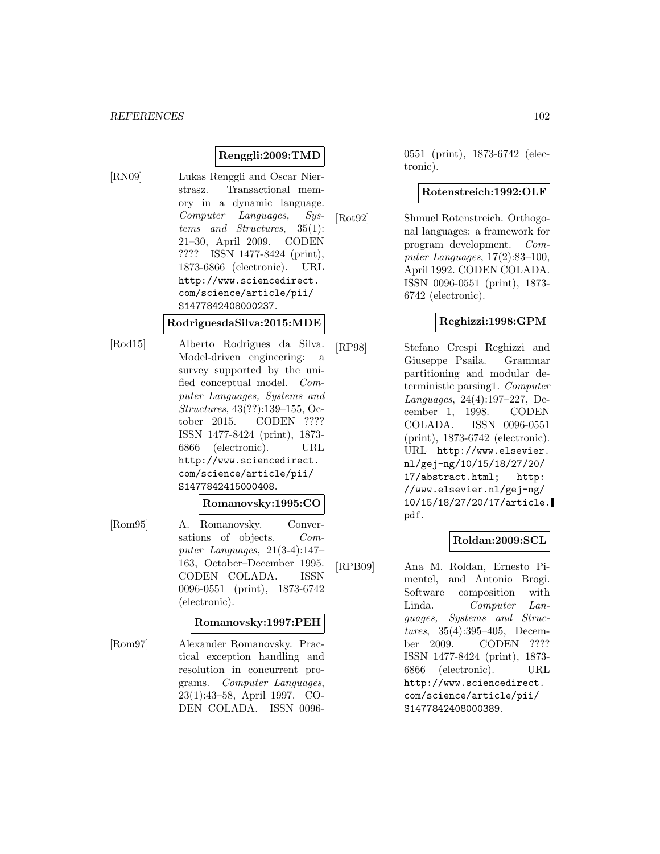# **Renggli:2009:TMD**

[RN09] Lukas Renggli and Oscar Nierstrasz. Transactional memory in a dynamic language. Computer Languages, Systems and Structures, 35(1): 21–30, April 2009. CODEN ???? ISSN 1477-8424 (print), 1873-6866 (electronic). URL http://www.sciencedirect. com/science/article/pii/ S1477842408000237.

#### **RodriguesdaSilva:2015:MDE**

[Rod15] Alberto Rodrigues da Silva. Model-driven engineering: a survey supported by the unified conceptual model. Computer Languages, Systems and Structures, 43(??):139–155, October 2015. CODEN ???? ISSN 1477-8424 (print), 1873- 6866 (electronic). URL http://www.sciencedirect. com/science/article/pii/ S1477842415000408.

#### **Romanovsky:1995:CO**

[Rom95] A. Romanovsky. Conversations of objects. Computer Languages, 21(3-4):147– 163, October–December 1995. CODEN COLADA. ISSN 0096-0551 (print), 1873-6742 (electronic).

#### **Romanovsky:1997:PEH**

[Rom97] Alexander Romanovsky. Practical exception handling and resolution in concurrent programs. Computer Languages, 23(1):43–58, April 1997. CO-DEN COLADA. ISSN 00960551 (print), 1873-6742 (electronic).

### **Rotenstreich:1992:OLF**

[Rot92] Shmuel Rotenstreich. Orthogonal languages: a framework for program development. Computer Languages, 17(2):83–100, April 1992. CODEN COLADA. ISSN 0096-0551 (print), 1873- 6742 (electronic).

#### **Reghizzi:1998:GPM**

[RP98] Stefano Crespi Reghizzi and Giuseppe Psaila. Grammar partitioning and modular deterministic parsing1. Computer Languages, 24(4):197–227, December 1, 1998. CODEN COLADA. ISSN 0096-0551 (print), 1873-6742 (electronic). URL http://www.elsevier. nl/gej-ng/10/15/18/27/20/ 17/abstract.html; http: //www.elsevier.nl/gej-ng/ 10/15/18/27/20/17/article. pdf.

#### **Roldan:2009:SCL**

[RPB09] Ana M. Roldan, Ernesto Pimentel, and Antonio Brogi. Software composition with Linda. Computer Languages, Systems and Structures, 35(4):395–405, December 2009. CODEN ???? ISSN 1477-8424 (print), 1873- 6866 (electronic). URL http://www.sciencedirect. com/science/article/pii/ S1477842408000389.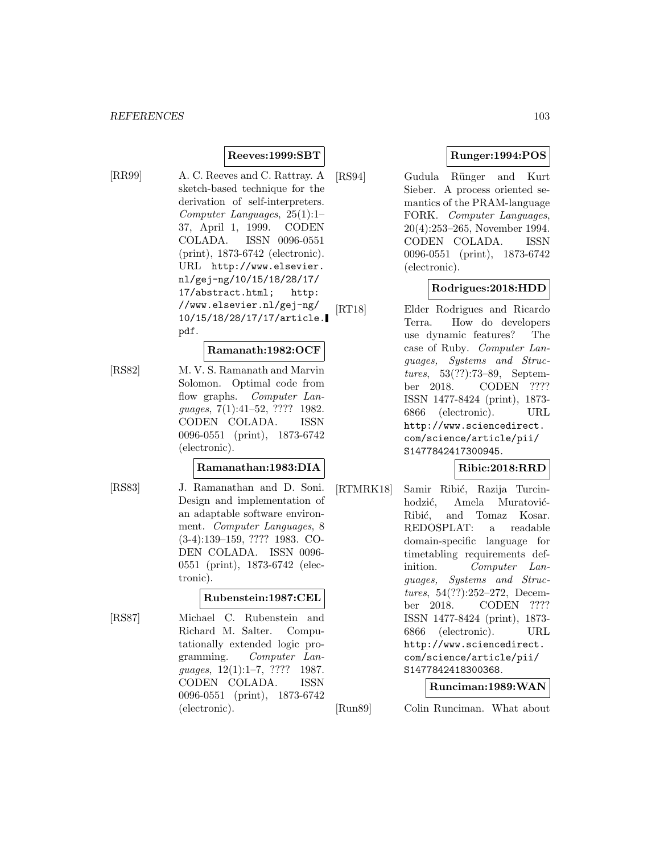# **Reeves:1999:SBT**

[RR99] A. C. Reeves and C. Rattray. A sketch-based technique for the derivation of self-interpreters. Computer Languages, 25(1):1– 37, April 1, 1999. CODEN COLADA. ISSN 0096-0551 (print), 1873-6742 (electronic). URL http://www.elsevier. nl/gej-ng/10/15/18/28/17/ 17/abstract.html; http: //www.elsevier.nl/gej-ng/ 10/15/18/28/17/17/article. pdf.

#### **Ramanath:1982:OCF**

[RS82] M. V. S. Ramanath and Marvin Solomon. Optimal code from flow graphs. Computer Languages, 7(1):41–52, ???? 1982. CODEN COLADA. ISSN 0096-0551 (print), 1873-6742 (electronic).

#### **Ramanathan:1983:DIA**

- 
- [RS83] J. Ramanathan and D. Soni. Design and implementation of an adaptable software environment. Computer Languages, 8 (3-4):139–159, ???? 1983. CO-DEN COLADA. ISSN 0096- 0551 (print), 1873-6742 (electronic).

# **Rubenstein:1987:CEL**

[RS87] Michael C. Rubenstein and Richard M. Salter. Computationally extended logic programming. Computer Languages, 12(1):1–7, ???? 1987. CODEN COLADA. ISSN 0096-0551 (print), 1873-6742 (electronic).

# **Runger:1994:POS**

[RS94] Gudula Rünger and Kurt Sieber. A process oriented semantics of the PRAM-language FORK. Computer Languages, 20(4):253–265, November 1994. CODEN COLADA. ISSN 0096-0551 (print), 1873-6742 (electronic).

# **Rodrigues:2018:HDD**

[RT18] Elder Rodrigues and Ricardo Terra. How do developers use dynamic features? The case of Ruby. Computer Languages, Systems and Structures, 53(??):73–89, September 2018. CODEN ???? ISSN 1477-8424 (print), 1873- 6866 (electronic). URL http://www.sciencedirect. com/science/article/pii/ S1477842417300945.

# **Ribic:2018:RRD**

[RTMRK18] Samir Ribić, Razija Turcinhodzić, Amela Muratović-Ribić, and Tomaz Kosar. REDOSPLAT: a readable domain-specific language for timetabling requirements definition. Computer Languages, Systems and Structures, 54(??):252–272, December 2018. CODEN ???? ISSN 1477-8424 (print), 1873- 6866 (electronic). URL http://www.sciencedirect. com/science/article/pii/ S1477842418300368.

#### **Runciman:1989:WAN**

[Run89] Colin Runciman. What about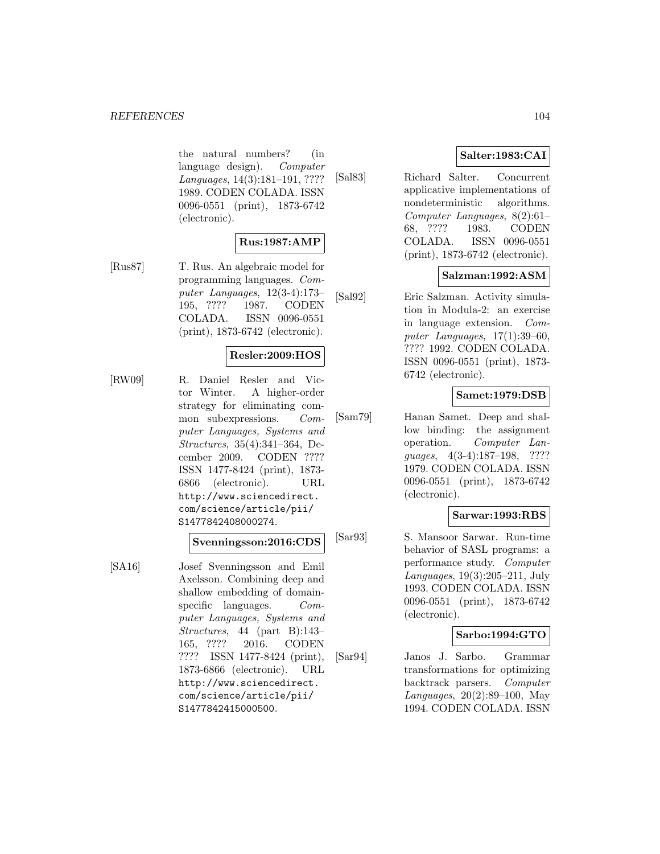the natural numbers? (in language design). Computer Languages, 14(3):181–191, ???? 1989. CODEN COLADA. ISSN 0096-0551 (print), 1873-6742 (electronic).

# **Rus:1987:AMP**

[Rus87] T. Rus. An algebraic model for programming languages. Computer Languages, 12(3-4):173– 195, ???? 1987. CODEN COLADA. ISSN 0096-0551 (print), 1873-6742 (electronic).

# **Resler:2009:HOS**

[RW09] R. Daniel Resler and Victor Winter. A higher-order strategy for eliminating common subexpressions. Computer Languages, Systems and Structures, 35(4):341–364, December 2009. CODEN ???? ISSN 1477-8424 (print), 1873- 6866 (electronic). URL http://www.sciencedirect. com/science/article/pii/ S1477842408000274.

#### **Svenningsson:2016:CDS**

[SA16] Josef Svenningsson and Emil Axelsson. Combining deep and shallow embedding of domainspecific languages. Computer Languages, Systems and Structures, 44 (part B):143– 165, ???? 2016. CODEN ???? ISSN 1477-8424 (print), 1873-6866 (electronic). URL http://www.sciencedirect. com/science/article/pii/ S1477842415000500.

# **Salter:1983:CAI**

[Sal83] Richard Salter. Concurrent applicative implementations of nondeterministic algorithms. Computer Languages, 8(2):61– 68, ???? 1983. CODEN COLADA. ISSN 0096-0551 (print), 1873-6742 (electronic).

### **Salzman:1992:ASM**

[Sal92] Eric Salzman. Activity simulation in Modula-2: an exercise in language extension. Computer Languages, 17(1):39–60, ???? 1992. CODEN COLADA. ISSN 0096-0551 (print), 1873- 6742 (electronic).

# **Samet:1979:DSB**

[Sam79] Hanan Samet. Deep and shallow binding: the assignment operation. Computer Languages, 4(3-4):187–198, ???? 1979. CODEN COLADA. ISSN 0096-0551 (print), 1873-6742 (electronic).

# **Sarwar:1993:RBS**

[Sar93] S. Mansoor Sarwar. Run-time behavior of SASL programs: a performance study. Computer Languages, 19(3):205–211, July 1993. CODEN COLADA. ISSN 0096-0551 (print), 1873-6742 (electronic).

# **Sarbo:1994:GTO**

[Sar94] Janos J. Sarbo. Grammar transformations for optimizing backtrack parsers. Computer Languages, 20(2):89–100, May 1994. CODEN COLADA. ISSN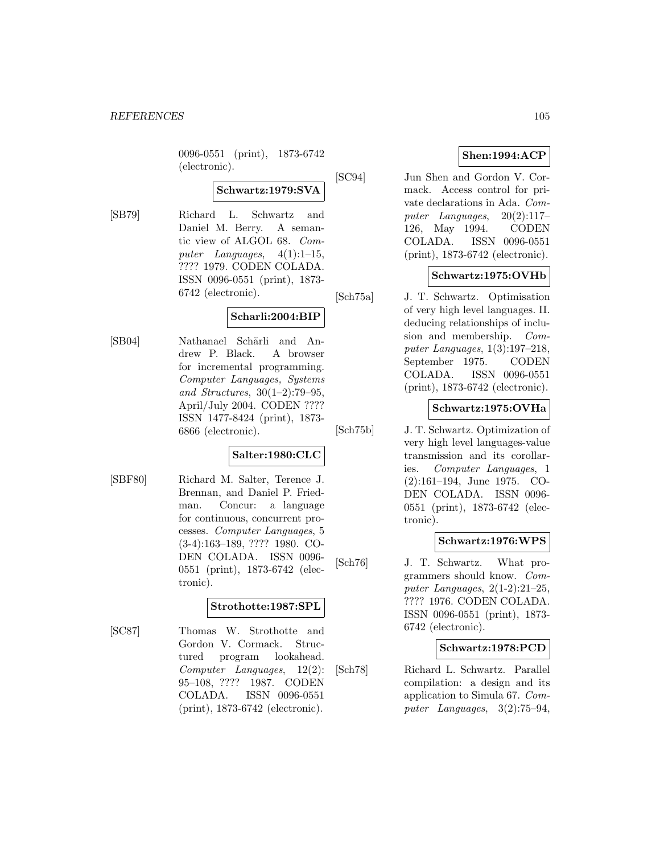0096-0551 (print), 1873-6742 (electronic).

# **Schwartz:1979:SVA**

[SB79] Richard L. Schwartz and Daniel M. Berry. A semantic view of ALGOL 68. Computer Languages,  $4(1):1-15$ , ???? 1979. CODEN COLADA. ISSN 0096-0551 (print), 1873- 6742 (electronic).

# **Scharli:2004:BIP**

[SB04] Nathanael Schärli and Andrew P. Black. A browser for incremental programming. Computer Languages, Systems and Structures, 30(1–2):79–95, April/July 2004. CODEN ???? ISSN 1477-8424 (print), 1873- 6866 (electronic).

# **Salter:1980:CLC**

[SBF80] Richard M. Salter, Terence J. Brennan, and Daniel P. Friedman. Concur: a language for continuous, concurrent processes. Computer Languages, 5 (3-4):163–189, ???? 1980. CO-DEN COLADA. ISSN 0096- 0551 (print), 1873-6742 (electronic).

#### **Strothotte:1987:SPL**

[SC87] Thomas W. Strothotte and Gordon V. Cormack. Structured program lookahead. Computer Languages, 12(2): 95–108, ???? 1987. CODEN COLADA. ISSN 0096-0551 (print), 1873-6742 (electronic).

# **Shen:1994:ACP**

[SC94] Jun Shen and Gordon V. Cormack. Access control for private declarations in Ada. Computer Languages, 20(2):117– 126, May 1994. CODEN COLADA. ISSN 0096-0551 (print), 1873-6742 (electronic).

# **Schwartz:1975:OVHb**

[Sch75a] J. T. Schwartz. Optimisation of very high level languages. II. deducing relationships of inclusion and membership. Computer Languages, 1(3):197–218, September 1975. CODEN COLADA. ISSN 0096-0551 (print), 1873-6742 (electronic).

# **Schwartz:1975:OVHa**

[Sch75b] J. T. Schwartz. Optimization of very high level languages-value transmission and its corollaries. Computer Languages, 1 (2):161–194, June 1975. CO-DEN COLADA. ISSN 0096- 0551 (print), 1873-6742 (electronic).

#### **Schwartz:1976:WPS**

[Sch76] J. T. Schwartz. What programmers should know. Computer Languages, 2(1-2):21–25, ???? 1976. CODEN COLADA. ISSN 0096-0551 (print), 1873- 6742 (electronic).

#### **Schwartz:1978:PCD**

[Sch78] Richard L. Schwartz. Parallel compilation: a design and its application to Simula 67. Computer Languages, 3(2):75–94,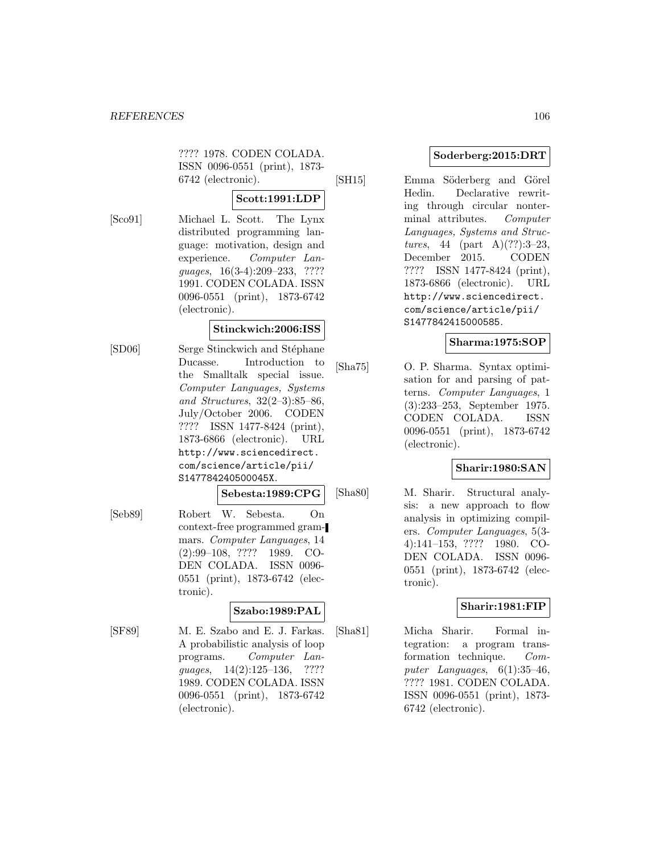???? 1978. CODEN COLADA. ISSN 0096-0551 (print), 1873- 6742 (electronic).

#### **Scott:1991:LDP**

[Sco91] Michael L. Scott. The Lynx distributed programming language: motivation, design and experience. Computer Languages, 16(3-4):209–233, ???? 1991. CODEN COLADA. ISSN 0096-0551 (print), 1873-6742 (electronic).

### **Stinckwich:2006:ISS**

- [SD06] Serge Stinckwich and Stéphane Ducasse. Introduction to the Smalltalk special issue. Computer Languages, Systems and Structures, 32(2–3):85–86, July/October 2006. CODEN ???? ISSN 1477-8424 (print), 1873-6866 (electronic). URL http://www.sciencedirect. com/science/article/pii/ S147784240500045X.
	- **Sebesta:1989:CPG**
- [Seb89] Robert W. Sebesta. On context-free programmed grammars. Computer Languages, 14 (2):99–108, ???? 1989. CO-DEN COLADA. ISSN 0096- 0551 (print), 1873-6742 (electronic).

### **Szabo:1989:PAL**

[SF89] M. E. Szabo and E. J. Farkas. A probabilistic analysis of loop programs. Computer Languages, 14(2):125-136, ???? 1989. CODEN COLADA. ISSN 0096-0551 (print), 1873-6742 (electronic).

# **Soderberg:2015:DRT**

[SH15] Emma Söderberg and Görel Hedin. Declarative rewriting through circular nonterminal attributes. Computer Languages, Systems and Structures, 44 (part A) $(??):3-23$ , December 2015. CODEN ???? ISSN 1477-8424 (print), 1873-6866 (electronic). URL http://www.sciencedirect. com/science/article/pii/ S1477842415000585.

#### **Sharma:1975:SOP**

[Sha75] O. P. Sharma. Syntax optimisation for and parsing of patterns. Computer Languages, 1 (3):233–253, September 1975. CODEN COLADA. ISSN 0096-0551 (print), 1873-6742 (electronic).

#### **Sharir:1980:SAN**

[Sha80] M. Sharir. Structural analysis: a new approach to flow analysis in optimizing compilers. Computer Languages, 5(3- 4):141–153, ???? 1980. CO-DEN COLADA. ISSN 0096- 0551 (print), 1873-6742 (electronic).

#### **Sharir:1981:FIP**

[Sha81] Micha Sharir. Formal integration: a program transformation technique. Computer Languages,  $6(1):35-46$ , ???? 1981. CODEN COLADA. ISSN 0096-0551 (print), 1873- 6742 (electronic).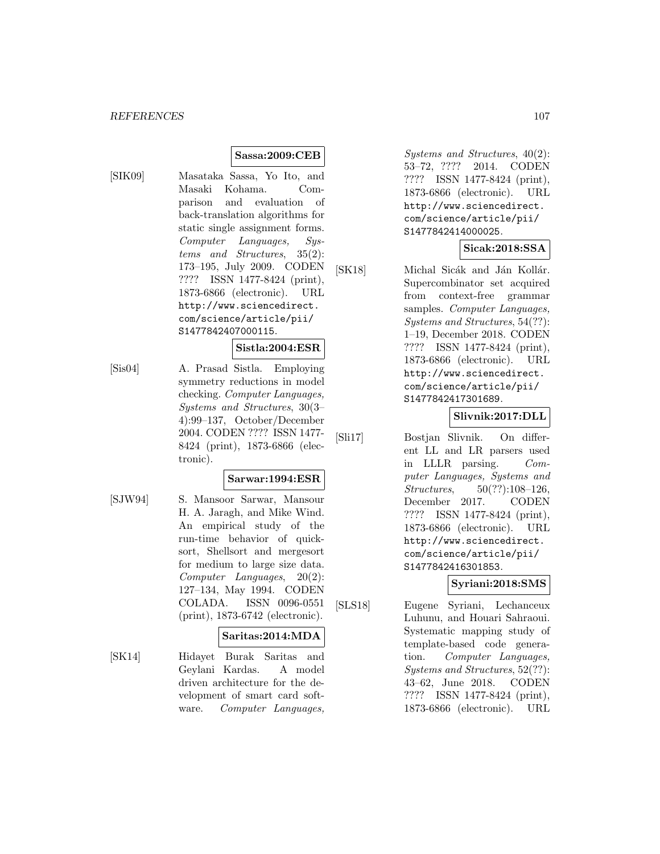### **Sassa:2009:CEB**

[SIK09] Masataka Sassa, Yo Ito, and Masaki Kohama. Comparison and evaluation of back-translation algorithms for static single assignment forms. Computer Languages, Systems and Structures, 35(2): 173–195, July 2009. CODEN ???? ISSN 1477-8424 (print), 1873-6866 (electronic). URL http://www.sciencedirect. com/science/article/pii/ S1477842407000115.

#### **Sistla:2004:ESR**

[Sis04] A. Prasad Sistla. Employing symmetry reductions in model checking. Computer Languages, Systems and Structures, 30(3– 4):99–137, October/December 2004. CODEN ???? ISSN 1477- 8424 (print), 1873-6866 (electronic).

#### **Sarwar:1994:ESR**

[SJW94] S. Mansoor Sarwar, Mansour H. A. Jaragh, and Mike Wind. An empirical study of the run-time behavior of quicksort, Shellsort and mergesort for medium to large size data. Computer Languages, 20(2): 127–134, May 1994. CODEN COLADA. ISSN 0096-0551 (print), 1873-6742 (electronic).

#### **Saritas:2014:MDA**

[SK14] Hidayet Burak Saritas and Geylani Kardas. A model driven architecture for the development of smart card software. Computer Languages,

Systems and Structures, 40(2): 53–72, ???? 2014. CODEN ???? ISSN 1477-8424 (print), 1873-6866 (electronic). URL http://www.sciencedirect. com/science/article/pii/ S1477842414000025.

# **Sicak:2018:SSA**

[SK18] Michal Sicák and Ján Kollár. Supercombinator set acquired from context-free grammar samples. Computer Languages, Systems and Structures, 54(??): 1–19, December 2018. CODEN ???? ISSN 1477-8424 (print), 1873-6866 (electronic). URL http://www.sciencedirect. com/science/article/pii/ S1477842417301689.

#### **Slivnik:2017:DLL**

[Sli17] Bostjan Slivnik. On different LL and LR parsers used in LLLR parsing. Computer Languages, Systems and Structures, 50(??):108–126, December 2017. CODEN ???? ISSN 1477-8424 (print), 1873-6866 (electronic). URL http://www.sciencedirect. com/science/article/pii/ S1477842416301853.

# **Syriani:2018:SMS**

[SLS18] Eugene Syriani, Lechanceux Luhunu, and Houari Sahraoui. Systematic mapping study of template-based code generation. Computer Languages, Systems and Structures, 52(??): 43–62, June 2018. CODEN ???? ISSN 1477-8424 (print), 1873-6866 (electronic). URL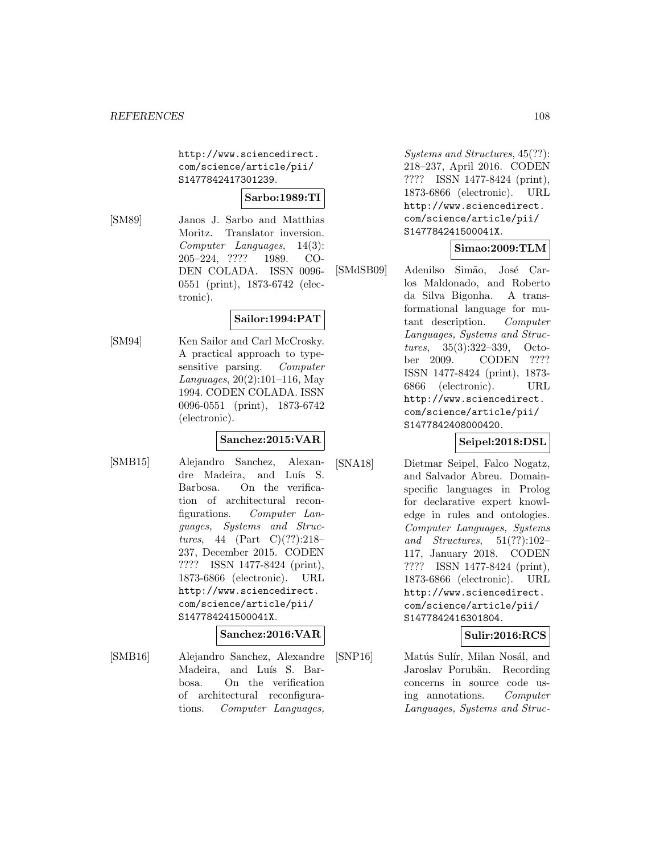http://www.sciencedirect. com/science/article/pii/ S1477842417301239.

**Sarbo:1989:TI**

[SM89] Janos J. Sarbo and Matthias Moritz. Translator inversion. Computer Languages, 14(3): 205–224, ???? 1989. CO-DEN COLADA. ISSN 0096- 0551 (print), 1873-6742 (electronic).

# **Sailor:1994:PAT**

[SM94] Ken Sailor and Carl McCrosky. A practical approach to typesensitive parsing. Computer Languages, 20(2):101–116, May 1994. CODEN COLADA. ISSN 0096-0551 (print), 1873-6742 (electronic).

# **Sanchez:2015:VAR**

[SMB15] Alejandro Sanchez, Alexandre Madeira, and Luís S. Barbosa. On the verification of architectural reconfigurations. Computer Languages, Systems and Structures, 44 (Part C)(??):218– 237, December 2015. CODEN ???? ISSN 1477-8424 (print), 1873-6866 (electronic). URL http://www.sciencedirect. com/science/article/pii/ S147784241500041X.

#### **Sanchez:2016:VAR**

[SMB16] Alejandro Sanchez, Alexandre Madeira, and Luís S. Barbosa. On the verification of architectural reconfigurations. Computer Languages,

Systems and Structures, 45(??): 218–237, April 2016. CODEN ???? ISSN 1477-8424 (print), 1873-6866 (electronic). URL http://www.sciencedirect. com/science/article/pii/ S147784241500041X.

# **Simao:2009:TLM**

[SMdSB09] Adenilso Simão, José Carlos Maldonado, and Roberto da Silva Bigonha. A transformational language for mutant description. Computer Languages, Systems and Structures, 35(3):322–339, October 2009. CODEN ???? ISSN 1477-8424 (print), 1873- 6866 (electronic). URL http://www.sciencedirect. com/science/article/pii/ S1477842408000420.

# **Seipel:2018:DSL**

[SNA18] Dietmar Seipel, Falco Nogatz, and Salvador Abreu. Domainspecific languages in Prolog for declarative expert knowledge in rules and ontologies. Computer Languages, Systems and Structures,  $51(??):102-$ 117, January 2018. CODEN ???? ISSN 1477-8424 (print), 1873-6866 (electronic). URL http://www.sciencedirect. com/science/article/pii/ S1477842416301804.

# **Sulir:2016:RCS**

[SNP16] Matús Sulír, Milan Nosál, and Jaroslav Porubän. Recording concerns in source code using annotations. Computer Languages, Systems and Struc-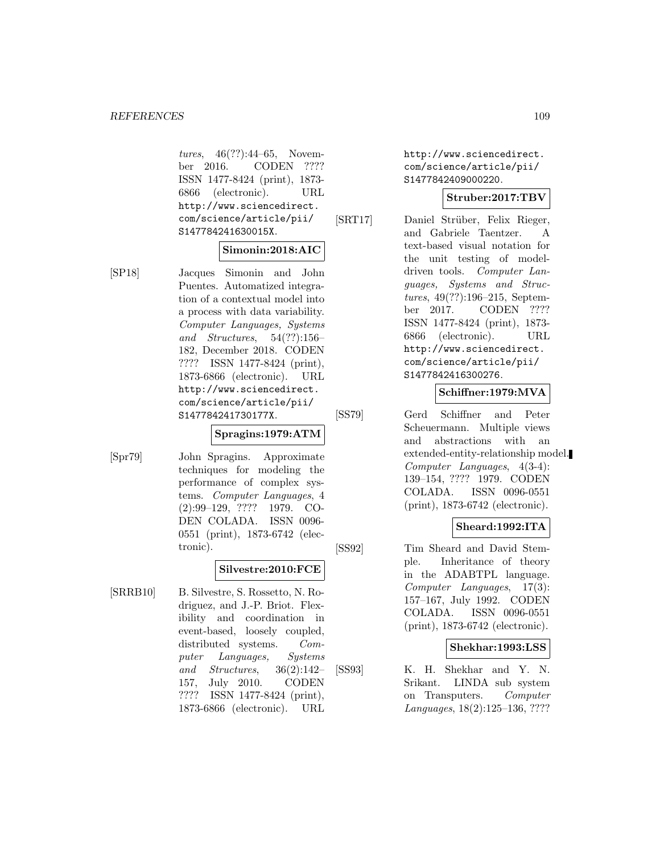tures, 46(??):44–65, November 2016. CODEN ???? ISSN 1477-8424 (print), 1873- 6866 (electronic). URL http://www.sciencedirect. com/science/article/pii/ S147784241630015X.

#### **Simonin:2018:AIC**

[SP18] Jacques Simonin and John Puentes. Automatized integration of a contextual model into a process with data variability. Computer Languages, Systems and Structures, 54(??):156– 182, December 2018. CODEN ???? ISSN 1477-8424 (print), 1873-6866 (electronic). URL http://www.sciencedirect. com/science/article/pii/ S147784241730177X.

### **Spragins:1979:ATM**

[Spr79] John Spragins. Approximate techniques for modeling the performance of complex systems. Computer Languages, 4 (2):99–129, ???? 1979. CO-DEN COLADA. ISSN 0096- 0551 (print), 1873-6742 (electronic).

# **Silvestre:2010:FCE**

[SRRB10] B. Silvestre, S. Rossetto, N. Rodriguez, and J.-P. Briot. Flexibility and coordination in event-based, loosely coupled, distributed systems. Computer Languages, Systems and Structures, 36(2):142– 157, July 2010. CODEN ???? ISSN 1477-8424 (print), 1873-6866 (electronic). URL

http://www.sciencedirect. com/science/article/pii/ S1477842409000220.

# **Struber:2017:TBV**

[SRT17] Daniel Strüber, Felix Rieger, and Gabriele Taentzer. A text-based visual notation for the unit testing of modeldriven tools. Computer Languages, Systems and Structures, 49(??):196–215, September 2017. CODEN ???? ISSN 1477-8424 (print), 1873- 6866 (electronic). URL http://www.sciencedirect. com/science/article/pii/ S1477842416300276.

# **Schiffner:1979:MVA**

[SS79] Gerd Schiffner and Peter Scheuermann. Multiple views and abstractions with an extended-entity-relationship model. Computer Languages, 4(3-4): 139–154, ???? 1979. CODEN COLADA. ISSN 0096-0551 (print), 1873-6742 (electronic).

### **Sheard:1992:ITA**

[SS92] Tim Sheard and David Stemple. Inheritance of theory in the ADABTPL language. Computer Languages, 17(3): 157–167, July 1992. CODEN COLADA. ISSN 0096-0551 (print), 1873-6742 (electronic).

### **Shekhar:1993:LSS**

[SS93] K. H. Shekhar and Y. N. Srikant. LINDA sub system on Transputers. Computer Languages, 18(2):125–136, ????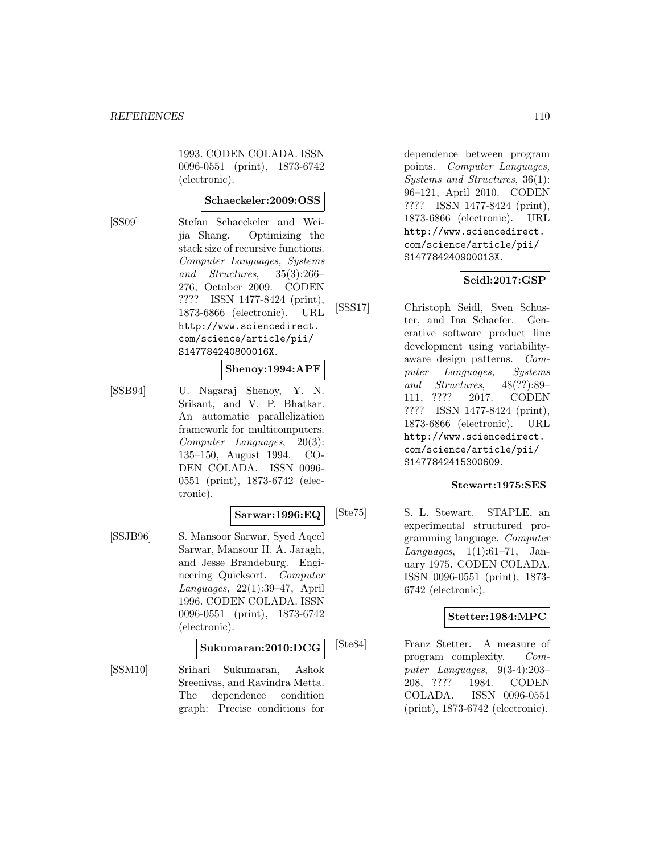1993. CODEN COLADA. ISSN 0096-0551 (print), 1873-6742 (electronic).

## **Schaeckeler:2009:OSS**

[SS09] Stefan Schaeckeler and Weijia Shang. Optimizing the stack size of recursive functions. Computer Languages, Systems and Structures, 35(3):266– 276, October 2009. CODEN ???? ISSN 1477-8424 (print), 1873-6866 (electronic). URL http://www.sciencedirect. com/science/article/pii/ S147784240800016X.

### **Shenoy:1994:APF**

[SSB94] U. Nagaraj Shenoy, Y. N. Srikant, and V. P. Bhatkar. An automatic parallelization framework for multicomputers. Computer Languages, 20(3): 135–150, August 1994. CO-DEN COLADA. ISSN 0096- 0551 (print), 1873-6742 (electronic).

### **Sarwar:1996:EQ**

[SSJB96] S. Mansoor Sarwar, Syed Aqeel Sarwar, Mansour H. A. Jaragh, and Jesse Brandeburg. Engineering Quicksort. Computer Languages, 22(1):39–47, April 1996. CODEN COLADA. ISSN 0096-0551 (print), 1873-6742 (electronic).

### **Sukumaran:2010:DCG**

[SSM10] Srihari Sukumaran, Ashok Sreenivas, and Ravindra Metta. The dependence condition graph: Precise conditions for

dependence between program points. Computer Languages, Systems and Structures, 36(1): 96–121, April 2010. CODEN ???? ISSN 1477-8424 (print), 1873-6866 (electronic). URL http://www.sciencedirect. com/science/article/pii/ S147784240900013X.

# **Seidl:2017:GSP**

[SSS17] Christoph Seidl, Sven Schuster, and Ina Schaefer. Generative software product line development using variabilityaware design patterns. Computer Languages, Systems and Structures, 48(??):89– 111, ???? 2017. CODEN ???? ISSN 1477-8424 (print), 1873-6866 (electronic). URL http://www.sciencedirect. com/science/article/pii/ S1477842415300609.

### **Stewart:1975:SES**

[Ste75] S. L. Stewart. STAPLE, an experimental structured programming language. Computer Languages, 1(1):61–71, January 1975. CODEN COLADA. ISSN 0096-0551 (print), 1873- 6742 (electronic).

# **Stetter:1984:MPC**

[Ste84] Franz Stetter. A measure of program complexity. Computer Languages, 9(3-4):203– 208, ???? 1984. CODEN COLADA. ISSN 0096-0551 (print), 1873-6742 (electronic).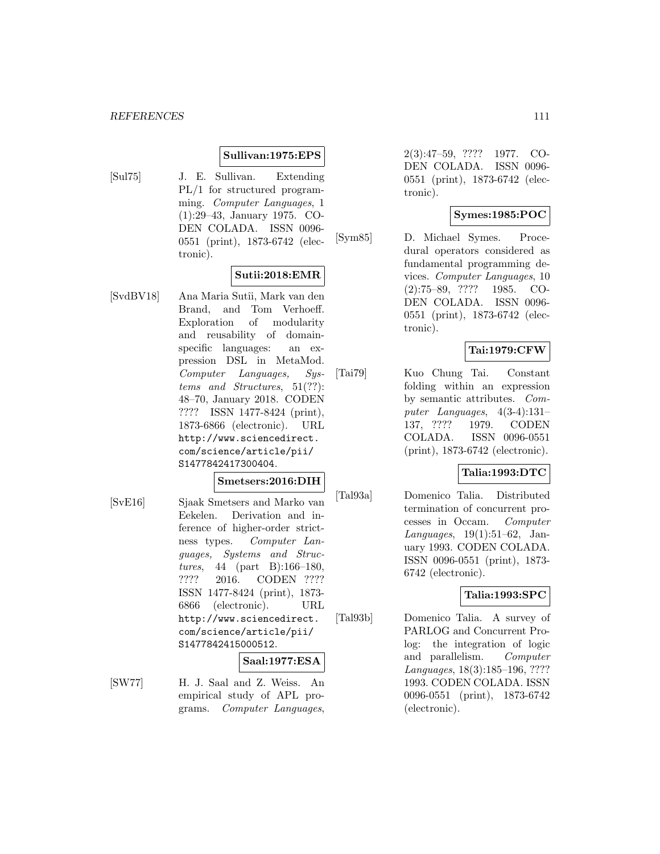#### *REFERENCES* 111

#### **Sullivan:1975:EPS**

[Sul75] J. E. Sullivan. Extending PL/1 for structured programming. Computer Languages, 1 (1):29–43, January 1975. CO-DEN COLADA. ISSN 0096- 0551 (print), 1873-6742 (electronic).

### **Sutii:2018:EMR**

[SvdBV18] Ana Maria Sutîi, Mark van den Brand, and Tom Verhoeff. Exploration of modularity and reusability of domainspecific languages: an expression DSL in MetaMod. Computer Languages, Systems and Structures, 51(??): 48–70, January 2018. CODEN ???? ISSN 1477-8424 (print), 1873-6866 (electronic). URL http://www.sciencedirect. com/science/article/pii/ S1477842417300404.

#### **Smetsers:2016:DIH**

[SvE16] Sjaak Smetsers and Marko van Eekelen. Derivation and inference of higher-order strictness types. Computer Languages, Systems and Structures, 44 (part B):166–180, ???? 2016. CODEN ???? ISSN 1477-8424 (print), 1873- 6866 (electronic). URL http://www.sciencedirect. com/science/article/pii/ S1477842415000512.

#### **Saal:1977:ESA**

[SW77] H. J. Saal and Z. Weiss. An empirical study of APL programs. Computer Languages,

2(3):47–59, ???? 1977. CO-DEN COLADA. ISSN 0096- 0551 (print), 1873-6742 (electronic).

## **Symes:1985:POC**

[Sym85] D. Michael Symes. Procedural operators considered as fundamental programming devices. Computer Languages, 10 (2):75–89, ???? 1985. CO-DEN COLADA. ISSN 0096- 0551 (print), 1873-6742 (electronic).

# **Tai:1979:CFW**

[Tai79] Kuo Chung Tai. Constant folding within an expression by semantic attributes. Computer Languages, 4(3-4):131– 137, ???? 1979. CODEN COLADA. ISSN 0096-0551 (print), 1873-6742 (electronic).

### **Talia:1993:DTC**

[Tal93a] Domenico Talia. Distributed termination of concurrent processes in Occam. Computer Languages, 19(1):51–62, January 1993. CODEN COLADA. ISSN 0096-0551 (print), 1873- 6742 (electronic).

## **Talia:1993:SPC**

[Tal93b] Domenico Talia. A survey of PARLOG and Concurrent Prolog: the integration of logic and parallelism. Computer Languages, 18(3):185–196, ???? 1993. CODEN COLADA. ISSN 0096-0551 (print), 1873-6742 (electronic).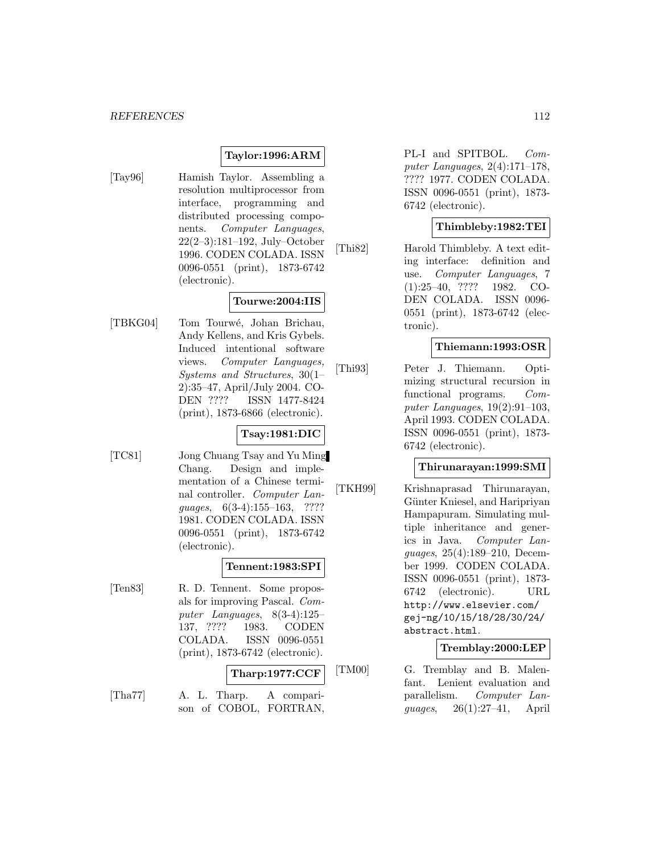# **Taylor:1996:ARM**

[Tay96] Hamish Taylor. Assembling a resolution multiprocessor from interface, programming and distributed processing components. Computer Languages, 22(2–3):181–192, July–October 1996. CODEN COLADA. ISSN 0096-0551 (print), 1873-6742 (electronic).

# **Tourwe:2004:IIS**

[TBKG04] Tom Tourw´e, Johan Brichau, Andy Kellens, and Kris Gybels. Induced intentional software views. Computer Languages, Systems and Structures, 30(1– 2):35–47, April/July 2004. CO-DEN ???? ISSN 1477-8424 (print), 1873-6866 (electronic).

### **Tsay:1981:DIC**

[TC81] Jong Chuang Tsay and Yu Ming Chang. Design and implementation of a Chinese terminal controller. Computer Languages, 6(3-4):155–163, ???? 1981. CODEN COLADA. ISSN 0096-0551 (print), 1873-6742 (electronic).

# **Tennent:1983:SPI**

[Ten83] R. D. Tennent. Some proposals for improving Pascal. Computer Languages, 8(3-4):125– 137, ???? 1983. CODEN COLADA. ISSN 0096-0551 (print), 1873-6742 (electronic).

# **Tharp:1977:CCF**

[Tha77] A. L. Tharp. A comparison of COBOL, FORTRAN,

PL-I and SPITBOL. Computer Languages, 2(4):171–178, ???? 1977. CODEN COLADA. ISSN 0096-0551 (print), 1873- 6742 (electronic).

# **Thimbleby:1982:TEI**

[Thi82] Harold Thimbleby. A text editing interface: definition and use. Computer Languages, 7 (1):25–40, ???? 1982. CO-DEN COLADA. ISSN 0096- 0551 (print), 1873-6742 (electronic).

### **Thiemann:1993:OSR**

[Thi93] Peter J. Thiemann. Optimizing structural recursion in functional programs. Computer Languages, 19(2):91–103, April 1993. CODEN COLADA. ISSN 0096-0551 (print), 1873- 6742 (electronic).

#### **Thirunarayan:1999:SMI**

[TKH99] Krishnaprasad Thirunarayan, Günter Kniesel, and Haripriyan Hampapuram. Simulating multiple inheritance and generics in Java. Computer Languages, 25(4):189–210, December 1999. CODEN COLADA. ISSN 0096-0551 (print), 1873- 6742 (electronic). URL http://www.elsevier.com/ gej-ng/10/15/18/28/30/24/ abstract.html.

#### **Tremblay:2000:LEP**

[TM00] G. Tremblay and B. Malenfant. Lenient evaluation and parallelism. Computer Languages, 26(1):27–41, April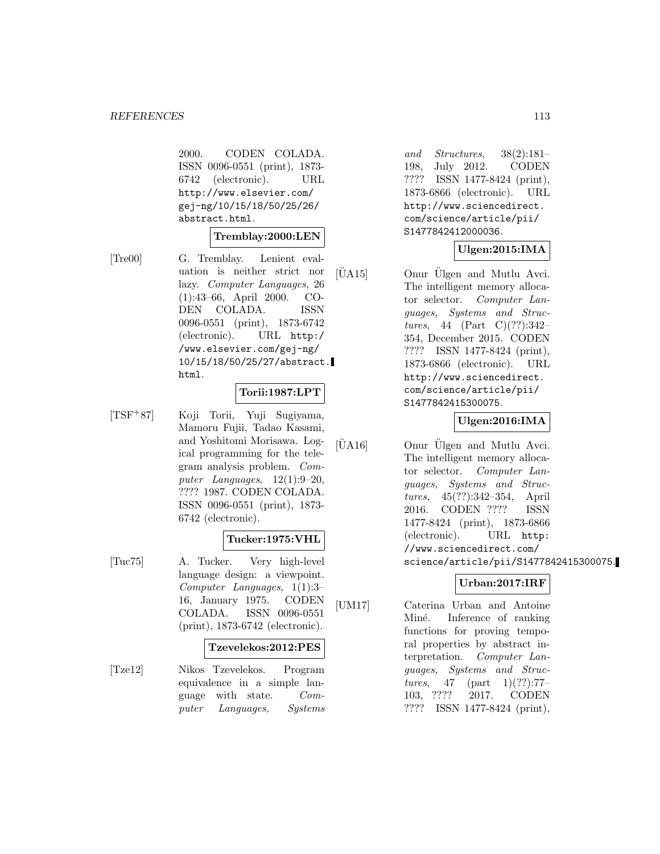2000. CODEN COLADA. ISSN 0096-0551 (print), 1873- 6742 (electronic). URL http://www.elsevier.com/ gej-ng/10/15/18/50/25/26/ abstract.html.

## **Tremblay:2000:LEN**

[Tre00] G. Tremblay. Lenient evaluation is neither strict nor lazy. Computer Languages, 26 (1):43–66, April 2000. CO-DEN COLADA. ISSN 0096-0551 (print), 1873-6742 (electronic). URL http:/ /www.elsevier.com/gej-ng/ 10/15/18/50/25/27/abstract. html.

#### **Torii:1987:LPT**

[TSF<sup>+</sup>87] Koji Torii, Yuji Sugiyama, Mamoru Fujii, Tadao Kasami, and Yoshitomi Morisawa. Logical programming for the telegram analysis problem. Computer Languages, 12(1):9–20, ???? 1987. CODEN COLADA. ISSN 0096-0551 (print), 1873- 6742 (electronic).

# **Tucker:1975:VHL**

[Tuc75] A. Tucker. Very high-level language design: a viewpoint. Computer Languages, 1(1):3– 16, January 1975. CODEN COLADA. ISSN 0096-0551 (print), 1873-6742 (electronic).

#### **Tzevelekos:2012:PES**

[Tze12] Nikos Tzevelekos. Program equivalence in a simple language with state. Computer Languages, Systems and Structures, 38(2):181– 198, July 2012. CODEN ???? ISSN 1477-8424 (print), 1873-6866 (electronic). URL http://www.sciencedirect. com/science/article/pii/ S1477842412000036.

# **Ulgen:2015:IMA**

[UA15] Onur Ulgen and Mutlu Avci. The intelligent memory allocator selector. Computer Languages, Systems and Structures, 44 (Part C)(??):342– 354, December 2015. CODEN ???? ISSN 1477-8424 (print), 1873-6866 (electronic). URL http://www.sciencedirect. com/science/article/pii/ S1477842415300075.

# **Ulgen:2016:IMA**

 $|\text{UA16}|$  Onur  $\text{U}$ lgen and Mutlu Avci. The intelligent memory allocator selector. Computer Languages, Systems and Structures, 45(??):342–354, April 2016. CODEN ???? ISSN 1477-8424 (print), 1873-6866 (electronic). URL http: //www.sciencedirect.com/ science/article/pii/S1477842415300075.

# **Urban:2017:IRF**

[UM17] Caterina Urban and Antoine Miné. Inference of ranking functions for proving temporal properties by abstract interpretation. Computer Languages, Systems and Structures, 47 (part 1)(??):77-103, ???? 2017. CODEN ???? ISSN 1477-8424 (print),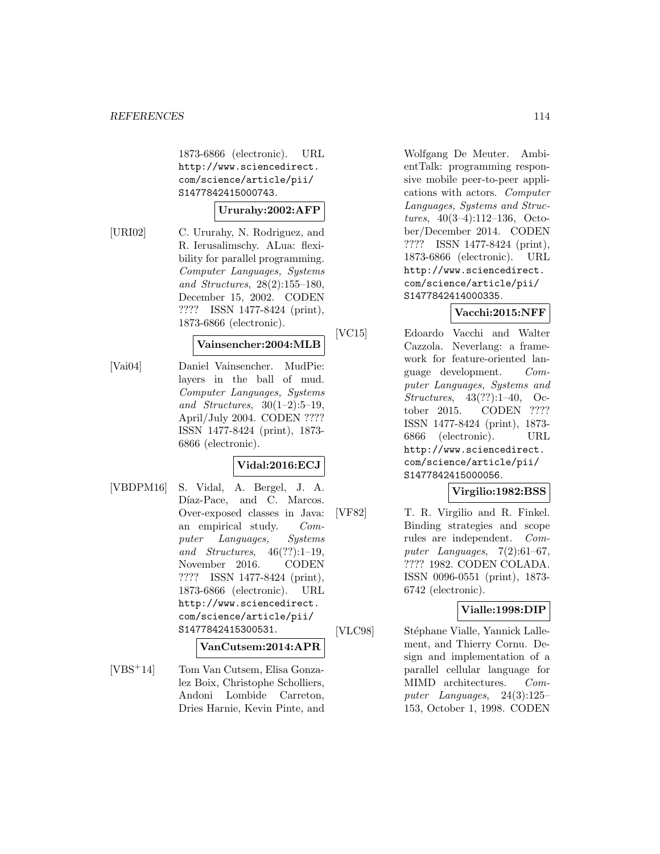1873-6866 (electronic). URL http://www.sciencedirect. com/science/article/pii/ S1477842415000743.

#### **Ururahy:2002:AFP**

[URI02] C. Ururahy, N. Rodriguez, and R. Ierusalimschy. ALua: flexibility for parallel programming. Computer Languages, Systems and Structures, 28(2):155–180, December 15, 2002. CODEN ???? ISSN 1477-8424 (print), 1873-6866 (electronic).

#### **Vainsencher:2004:MLB**

[Vai04] Daniel Vainsencher. MudPie: layers in the ball of mud. Computer Languages, Systems and Structures,  $30(1-2):5-19$ , April/July 2004. CODEN ???? ISSN 1477-8424 (print), 1873- 6866 (electronic).

### **Vidal:2016:ECJ**

[VBDPM16] S. Vidal, A. Bergel, J. A. Díaz-Pace, and C. Marcos. Over-exposed classes in Java: an empirical study. Computer Languages, Systems and Structures, 46(??):1–19, November 2016. CODEN ???? ISSN 1477-8424 (print), 1873-6866 (electronic). URL http://www.sciencedirect. com/science/article/pii/ S1477842415300531.

# **VanCutsem:2014:APR**

[VBS<sup>+</sup>14] Tom Van Cutsem, Elisa Gonzalez Boix, Christophe Scholliers, Andoni Lombide Carreton, Dries Harnie, Kevin Pinte, and

Wolfgang De Meuter. AmbientTalk: programming responsive mobile peer-to-peer applications with actors. Computer Languages, Systems and Structures, 40(3–4):112–136, October/December 2014. CODEN ???? ISSN 1477-8424 (print), 1873-6866 (electronic). URL http://www.sciencedirect. com/science/article/pii/ S1477842414000335.

### **Vacchi:2015:NFF**

[VC15] Edoardo Vacchi and Walter Cazzola. Neverlang: a framework for feature-oriented language development. Computer Languages, Systems and Structures, 43(??):1–40, October 2015. CODEN ???? ISSN 1477-8424 (print), 1873- 6866 (electronic). URL http://www.sciencedirect. com/science/article/pii/ S1477842415000056.

# **Virgilio:1982:BSS**

[VF82] T. R. Virgilio and R. Finkel. Binding strategies and scope rules are independent. Computer Languages, 7(2):61–67, ???? 1982. CODEN COLADA. ISSN 0096-0551 (print), 1873- 6742 (electronic).

## **Vialle:1998:DIP**

[VLC98] Stéphane Vialle, Yannick Lallement, and Thierry Cornu. Design and implementation of a parallel cellular language for MIMD architectures. Computer Languages, 24(3):125– 153, October 1, 1998. CODEN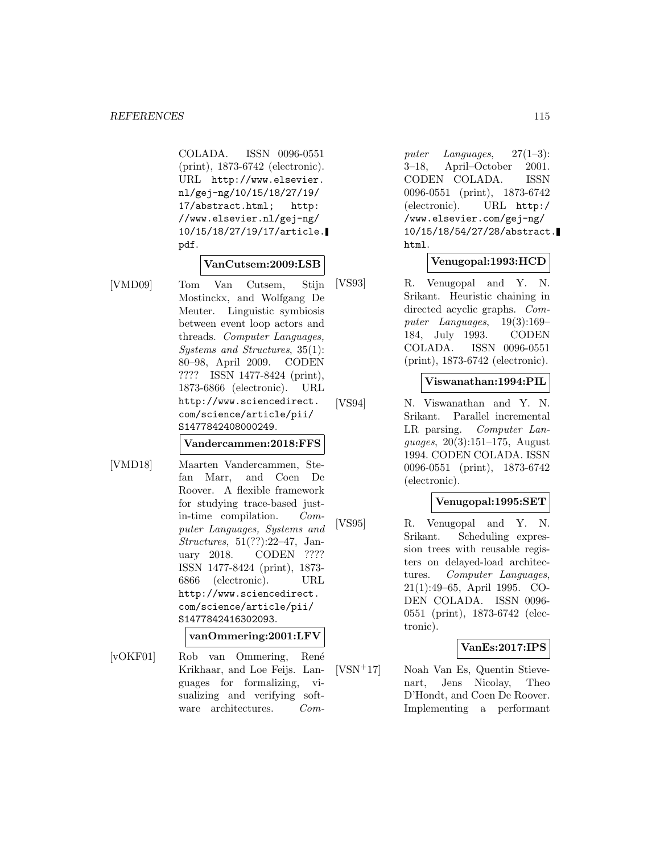COLADA. ISSN 0096-0551 (print), 1873-6742 (electronic). URL http://www.elsevier. nl/gej-ng/10/15/18/27/19/ 17/abstract.html; http: //www.elsevier.nl/gej-ng/ 10/15/18/27/19/17/article. pdf.

#### **VanCutsem:2009:LSB**

[VMD09] Tom Van Cutsem, Stijn Mostinckx, and Wolfgang De Meuter. Linguistic symbiosis between event loop actors and threads. Computer Languages, Systems and Structures, 35(1): 80–98, April 2009. CODEN ???? ISSN 1477-8424 (print), 1873-6866 (electronic). URL http://www.sciencedirect. com/science/article/pii/ S1477842408000249.

**Vandercammen:2018:FFS**

[VMD18] Maarten Vandercammen, Stefan Marr, and Coen De Roover. A flexible framework for studying trace-based justin-time compilation. Computer Languages, Systems and Structures, 51(??):22–47, January 2018. CODEN ???? ISSN 1477-8424 (print), 1873- 6866 (electronic). URL http://www.sciencedirect. com/science/article/pii/ S1477842416302093.

**vanOmmering:2001:LFV**

[vOKF01] Rob van Ommering, Ren´e Krikhaar, and Loe Feijs. Languages for formalizing, visualizing and verifying software architectures. Com-

puter Languages, 27(1–3): 3–18, April–October 2001. CODEN COLADA. ISSN 0096-0551 (print), 1873-6742 (electronic). URL http:/ /www.elsevier.com/gej-ng/ 10/15/18/54/27/28/abstract. html.

#### **Venugopal:1993:HCD**

[VS93] R. Venugopal and Y. N. Srikant. Heuristic chaining in directed acyclic graphs. Computer Languages, 19(3):169– 184, July 1993. CODEN COLADA. ISSN 0096-0551 (print), 1873-6742 (electronic).

#### **Viswanathan:1994:PIL**

[VS94] N. Viswanathan and Y. N. Srikant. Parallel incremental LR parsing. *Computer Lan*guages, 20(3):151–175, August 1994. CODEN COLADA. ISSN 0096-0551 (print), 1873-6742 (electronic).

## **Venugopal:1995:SET**

[VS95] R. Venugopal and Y. N. Srikant. Scheduling expression trees with reusable registers on delayed-load architectures. Computer Languages, 21(1):49–65, April 1995. CO-DEN COLADA. ISSN 0096- 0551 (print), 1873-6742 (electronic).

# **VanEs:2017:IPS**

[VSN<sup>+</sup>17] Noah Van Es, Quentin Stievenart, Jens Nicolay, Theo D'Hondt, and Coen De Roover. Implementing a performant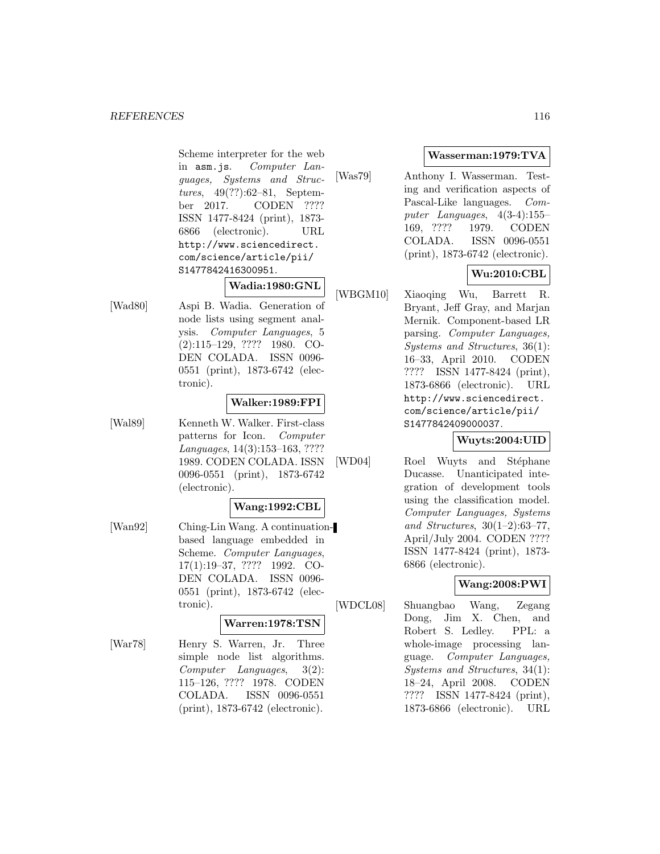Scheme interpreter for the web in asm.js. Computer Languages, Systems and Structures, 49(??):62–81, September 2017. CODEN ???? ISSN 1477-8424 (print), 1873- 6866 (electronic). URL http://www.sciencedirect. com/science/article/pii/ S1477842416300951.

# **Wadia:1980:GNL**

[Wad80] Aspi B. Wadia. Generation of node lists using segment analysis. Computer Languages, 5 (2):115–129, ???? 1980. CO-DEN COLADA. ISSN 0096- 0551 (print), 1873-6742 (electronic).

# **Walker:1989:FPI**

[Wal89] Kenneth W. Walker. First-class patterns for Icon. Computer Languages, 14(3):153–163, ???? 1989. CODEN COLADA. ISSN 0096-0551 (print), 1873-6742 (electronic).

### **Wang:1992:CBL**

[Wan92] Ching-Lin Wang. A continuationbased language embedded in Scheme. Computer Languages, 17(1):19–37, ???? 1992. CO-DEN COLADA. ISSN 0096- 0551 (print), 1873-6742 (electronic).

#### **Warren:1978:TSN**

[War78] Henry S. Warren, Jr. Three simple node list algorithms. Computer Languages, 3(2): 115–126, ???? 1978. CODEN COLADA. ISSN 0096-0551 (print), 1873-6742 (electronic).

# **Wasserman:1979:TVA**

[Was79] Anthony I. Wasserman. Testing and verification aspects of Pascal-Like languages. Computer Languages, 4(3-4):155– 169, ???? 1979. CODEN COLADA. ISSN 0096-0551 (print), 1873-6742 (electronic).

# **Wu:2010:CBL**

[WBGM10] Xiaoqing Wu, Barrett R. Bryant, Jeff Gray, and Marjan Mernik. Component-based LR parsing. Computer Languages, Systems and Structures, 36(1): 16–33, April 2010. CODEN ???? ISSN 1477-8424 (print), 1873-6866 (electronic). URL http://www.sciencedirect. com/science/article/pii/ S1477842409000037.

### **Wuyts:2004:UID**

[WD04] Roel Wuyts and Stéphane Ducasse. Unanticipated integration of development tools using the classification model. Computer Languages, Systems and Structures, 30(1–2):63–77, April/July 2004. CODEN ???? ISSN 1477-8424 (print), 1873- 6866 (electronic).

# **Wang:2008:PWI**

[WDCL08] Shuangbao Wang, Zegang Dong, Jim X. Chen, and Robert S. Ledley. PPL: a whole-image processing language. Computer Languages, Systems and Structures, 34(1): 18–24, April 2008. CODEN ???? ISSN 1477-8424 (print), 1873-6866 (electronic). URL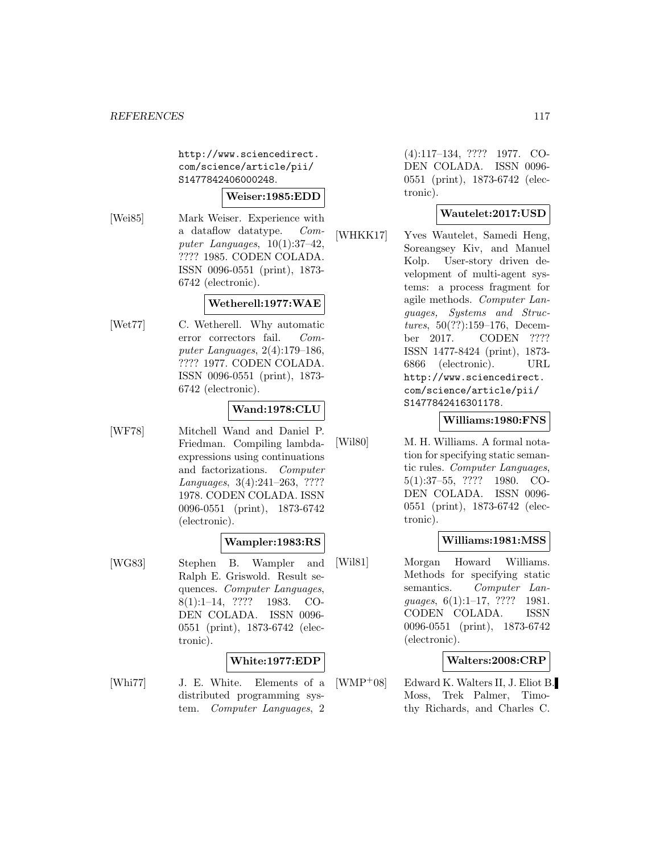http://www.sciencedirect. com/science/article/pii/ S1477842406000248.

# **Weiser:1985:EDD**

[Wei85] Mark Weiser. Experience with a dataflow datatype. Computer Languages, 10(1):37–42, ???? 1985. CODEN COLADA. ISSN 0096-0551 (print), 1873- 6742 (electronic).

# **Wetherell:1977:WAE**

[Wet77] C. Wetherell. Why automatic error correctors fail. Computer Languages, 2(4):179–186, ???? 1977. CODEN COLADA. ISSN 0096-0551 (print), 1873- 6742 (electronic).

# **Wand:1978:CLU**

[WF78] Mitchell Wand and Daniel P. Friedman. Compiling lambdaexpressions using continuations and factorizations. Computer Languages, 3(4):241–263, ???? 1978. CODEN COLADA. ISSN 0096-0551 (print), 1873-6742 (electronic).

# **Wampler:1983:RS**

[WG83] Stephen B. Wampler and Ralph E. Griswold. Result sequences. Computer Languages, 8(1):1–14, ???? 1983. CO-DEN COLADA. ISSN 0096- 0551 (print), 1873-6742 (electronic).

# **White:1977:EDP**

[Whi77] J. E. White. Elements of a distributed programming system. Computer Languages, 2

(4):117–134, ???? 1977. CO-DEN COLADA. ISSN 0096- 0551 (print), 1873-6742 (electronic).

# **Wautelet:2017:USD**

[WHKK17] Yves Wautelet, Samedi Heng, Soreangsey Kiv, and Manuel Kolp. User-story driven development of multi-agent systems: a process fragment for agile methods. Computer Languages, Systems and Structures, 50(??):159–176, December 2017. CODEN ???? ISSN 1477-8424 (print), 1873- 6866 (electronic). URL http://www.sciencedirect. com/science/article/pii/ S1477842416301178.

### **Williams:1980:FNS**

[Wil80] M. H. Williams. A formal notation for specifying static semantic rules. Computer Languages, 5(1):37–55, ???? 1980. CO-DEN COLADA. ISSN 0096- 0551 (print), 1873-6742 (electronic).

### **Williams:1981:MSS**

[Wil81] Morgan Howard Williams. Methods for specifying static semantics. Computer Languages, 6(1):1–17, ???? 1981. CODEN COLADA. ISSN 0096-0551 (print), 1873-6742 (electronic).

### **Walters:2008:CRP**

[WMP<sup>+</sup>08] Edward K. Walters II, J. Eliot B. Moss, Trek Palmer, Timothy Richards, and Charles C.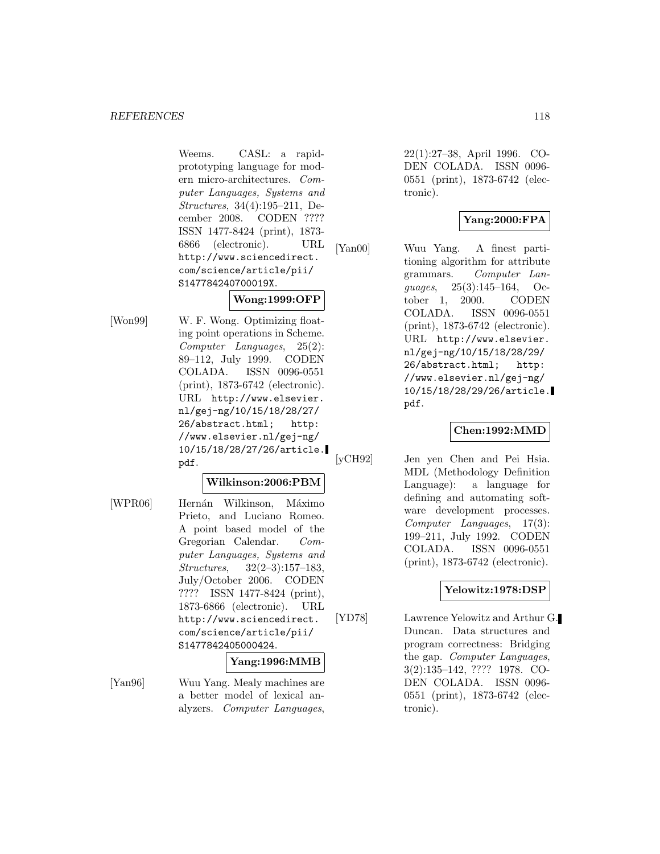Weems. CASL: a rapidprototyping language for modern micro-architectures. Computer Languages, Systems and Structures, 34(4):195–211, December 2008. CODEN ???? ISSN 1477-8424 (print), 1873- 6866 (electronic). URL http://www.sciencedirect. com/science/article/pii/ S147784240700019X.

# **Wong:1999:OFP**

[Won99] W. F. Wong. Optimizing floating point operations in Scheme. Computer Languages, 25(2): 89–112, July 1999. CODEN COLADA. ISSN 0096-0551 (print), 1873-6742 (electronic). URL http://www.elsevier. nl/gej-ng/10/15/18/28/27/ 26/abstract.html; http: //www.elsevier.nl/gej-ng/ 10/15/18/28/27/26/article. pdf.

# **Wilkinson:2006:PBM**

[WPR06] Hernán Wilkinson, Máximo Prieto, and Luciano Romeo. A point based model of the Gregorian Calendar. Computer Languages, Systems and Structures, 32(2–3):157–183, July/October 2006. CODEN ???? ISSN 1477-8424 (print), 1873-6866 (electronic). URL http://www.sciencedirect. com/science/article/pii/ S1477842405000424.

### **Yang:1996:MMB**

[Yan96] Wuu Yang. Mealy machines are a better model of lexical analyzers. Computer Languages,

22(1):27–38, April 1996. CO-DEN COLADA. ISSN 0096- 0551 (print), 1873-6742 (electronic).

# **Yang:2000:FPA**

[Yan00] Wuu Yang. A finest partitioning algorithm for attribute grammars. Computer Languages, 25(3):145–164, October 1, 2000. CODEN COLADA. ISSN 0096-0551 (print), 1873-6742 (electronic). URL http://www.elsevier. nl/gej-ng/10/15/18/28/29/ 26/abstract.html; http: //www.elsevier.nl/gej-ng/ 10/15/18/28/29/26/article. pdf.

## **Chen:1992:MMD**

[yCH92] Jen yen Chen and Pei Hsia. MDL (Methodology Definition Language): a language for defining and automating software development processes. Computer Languages, 17(3): 199–211, July 1992. CODEN COLADA. ISSN 0096-0551 (print), 1873-6742 (electronic).

# **Yelowitz:1978:DSP**

[YD78] Lawrence Yelowitz and Arthur G. Duncan. Data structures and program correctness: Bridging the gap. Computer Languages, 3(2):135–142, ???? 1978. CO-DEN COLADA. ISSN 0096- 0551 (print), 1873-6742 (electronic).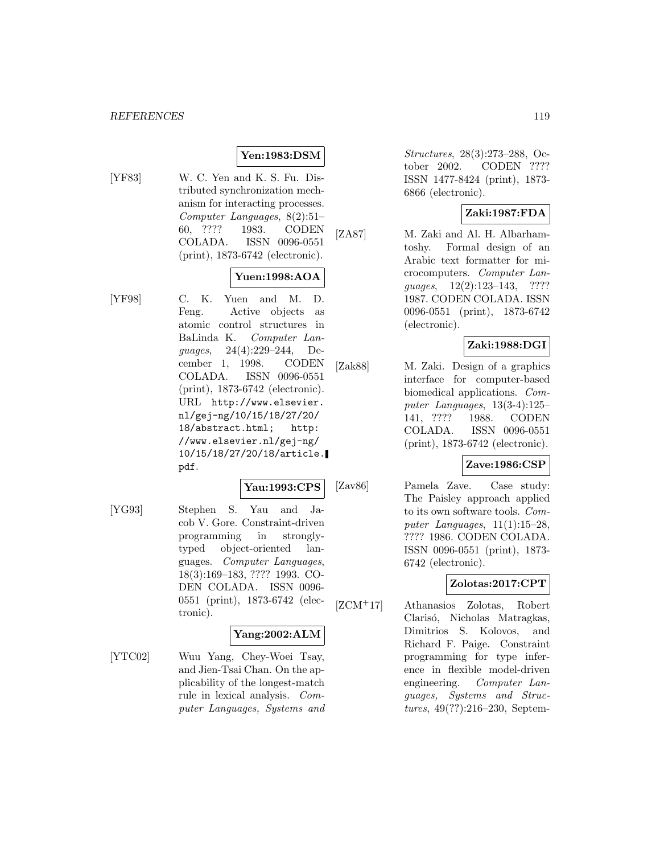#### *REFERENCES* 119

# **Yen:1983:DSM**

[YF83] W. C. Yen and K. S. Fu. Distributed synchronization mechanism for interacting processes. Computer Languages, 8(2):51– 60, ???? 1983. CODEN COLADA. ISSN 0096-0551 (print), 1873-6742 (electronic).

# **Yuen:1998:AOA**

[YF98] C. K. Yuen and M. D. Feng. Active objects as atomic control structures in BaLinda K. Computer Languages, 24(4):229–244, December 1, 1998. CODEN COLADA. ISSN 0096-0551 (print), 1873-6742 (electronic). URL http://www.elsevier. nl/gej-ng/10/15/18/27/20/ 18/abstract.html; http: //www.elsevier.nl/gej-ng/ 10/15/18/27/20/18/article. pdf.

### **Yau:1993:CPS**

[YG93] Stephen S. Yau and Jacob V. Gore. Constraint-driven programming in stronglytyped object-oriented languages. Computer Languages, 18(3):169–183, ???? 1993. CO-DEN COLADA. ISSN 0096- 0551 (print), 1873-6742 (electronic).

### **Yang:2002:ALM**

[YTC02] Wuu Yang, Chey-Woei Tsay, and Jien-Tsai Chan. On the applicability of the longest-match rule in lexical analysis. Computer Languages, Systems and Structures, 28(3):273–288, October 2002. CODEN ???? ISSN 1477-8424 (print), 1873- 6866 (electronic).

# **Zaki:1987:FDA**

[ZA87] M. Zaki and Al. H. Albarhamtoshy. Formal design of an Arabic text formatter for microcomputers. Computer Languages, 12(2):123–143, ???? 1987. CODEN COLADA. ISSN 0096-0551 (print), 1873-6742 (electronic).

## **Zaki:1988:DGI**

[Zak88] M. Zaki. Design of a graphics interface for computer-based biomedical applications. Computer Languages, 13(3-4):125– 141, ???? 1988. CODEN COLADA. ISSN 0096-0551 (print), 1873-6742 (electronic).

### **Zave:1986:CSP**

[Zav86] Pamela Zave. Case study: The Paisley approach applied to its own software tools. Computer Languages,  $11(1):15-28$ , ???? 1986. CODEN COLADA. ISSN 0096-0551 (print), 1873- 6742 (electronic).

# **Zolotas:2017:CPT**

[ZCM<sup>+</sup>17] Athanasios Zolotas, Robert Clarisó, Nicholas Matragkas, Dimitrios S. Kolovos, and Richard F. Paige. Constraint programming for type inference in flexible model-driven engineering. Computer Languages, Systems and Structures, 49(??):216–230, Septem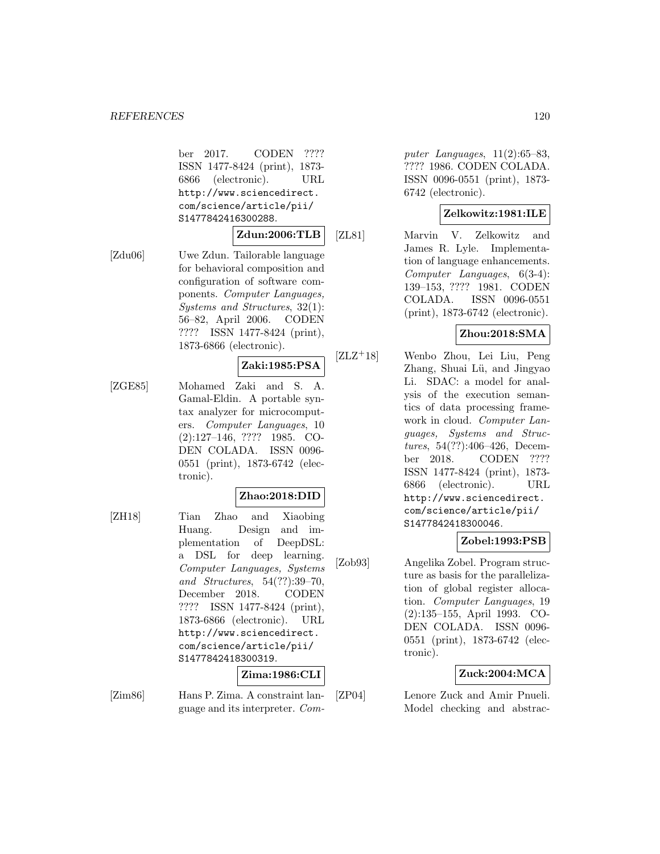ber 2017. CODEN ???? ISSN 1477-8424 (print), 1873- 6866 (electronic). URL http://www.sciencedirect. com/science/article/pii/ S1477842416300288.

# **Zdun:2006:TLB**

[Zdu06] Uwe Zdun. Tailorable language for behavioral composition and configuration of software components. Computer Languages, Systems and Structures, 32(1): 56–82, April 2006. CODEN ???? ISSN 1477-8424 (print), 1873-6866 (electronic).

### **Zaki:1985:PSA**

[ZGE85] Mohamed Zaki and S. A. Gamal-Eldin. A portable syntax analyzer for microcomputers. Computer Languages, 10 (2):127–146, ???? 1985. CO-DEN COLADA. ISSN 0096- 0551 (print), 1873-6742 (electronic).

### **Zhao:2018:DID**

[ZH18] Tian Zhao and Xiaobing Huang. Design and implementation of DeepDSL: a DSL for deep learning. Computer Languages, Systems and Structures, 54(??):39–70, December 2018. CODEN ???? ISSN 1477-8424 (print), 1873-6866 (electronic). URL http://www.sciencedirect. com/science/article/pii/ S1477842418300319.

#### **Zima:1986:CLI**

[Zim86] Hans P. Zima. A constraint language and its interpreter. Com-

puter Languages,  $11(2):65-83$ , ???? 1986. CODEN COLADA. ISSN 0096-0551 (print), 1873- 6742 (electronic).

# **Zelkowitz:1981:ILE**

[ZL81] Marvin V. Zelkowitz and James R. Lyle. Implementation of language enhancements. Computer Languages, 6(3-4): 139–153, ???? 1981. CODEN COLADA. ISSN 0096-0551 (print), 1873-6742 (electronic).

# **Zhou:2018:SMA**

[ZLZ<sup>+</sup>18] Wenbo Zhou, Lei Liu, Peng Zhang, Shuai Lü, and Jingyao Li. SDAC: a model for analysis of the execution semantics of data processing framework in cloud. Computer Languages, Systems and Structures, 54(??):406–426, December 2018. CODEN ???? ISSN 1477-8424 (print), 1873- 6866 (electronic). URL http://www.sciencedirect. com/science/article/pii/ S1477842418300046.

# **Zobel:1993:PSB**

[Zob93] Angelika Zobel. Program structure as basis for the parallelization of global register allocation. Computer Languages, 19 (2):135–155, April 1993. CO-DEN COLADA. ISSN 0096- 0551 (print), 1873-6742 (electronic).

# **Zuck:2004:MCA**

[ZP04] Lenore Zuck and Amir Pnueli. Model checking and abstrac